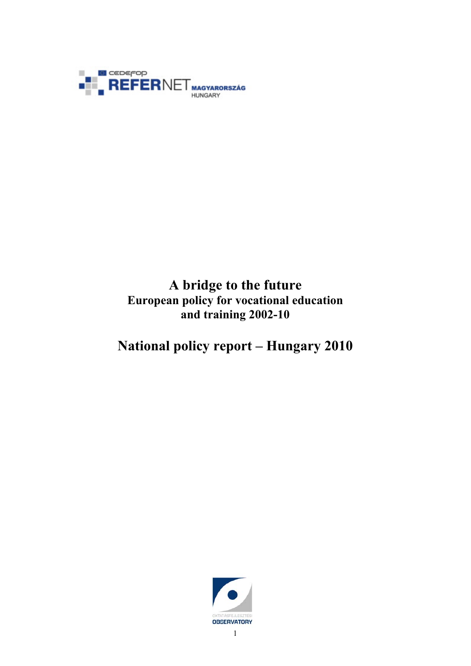

# **A bridge to the future European policy for vocational education and training 2002-10**

# **National policy report – Hungary 2010**

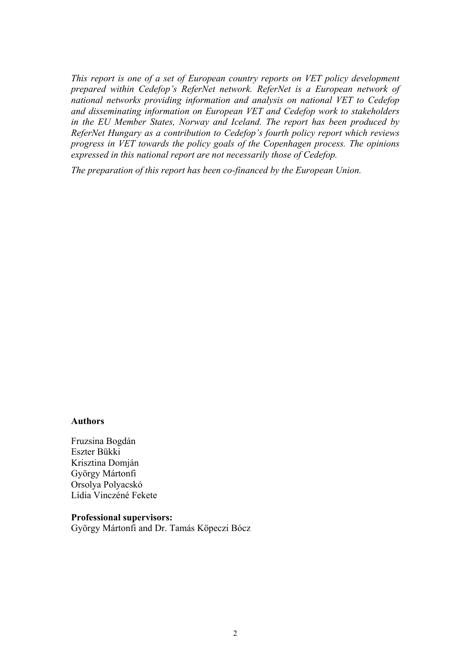<span id="page-1-0"></span>*This report is one of a set of European country reports on VET policy development prepared within Cedefop's ReferNet network. ReferNet is a European network of national networks providing information and analysis on national VET to Cedefop and disseminating information on European VET and Cedefop work to stakeholders in the EU Member States, Norway and Iceland. The report has been produced by ReferNet Hungary as a contribution to Cedefop's fourth policy report which reviews progress in VET towards the policy goals of the Copenhagen process. The opinions expressed in this national report are not necessarily those of Cedefop.* 

*The preparation of this report has been co-financed by the European Union.* 

#### **Authors**

Fruzsina Bogdán Eszter Bükki Krisztina Domján György Mártonfi Orsolya Polyacskó Lídia Vinczéné Fekete

**Professional supervisors:**  György Mártonfi and Dr. Tamás Köpeczi Bócz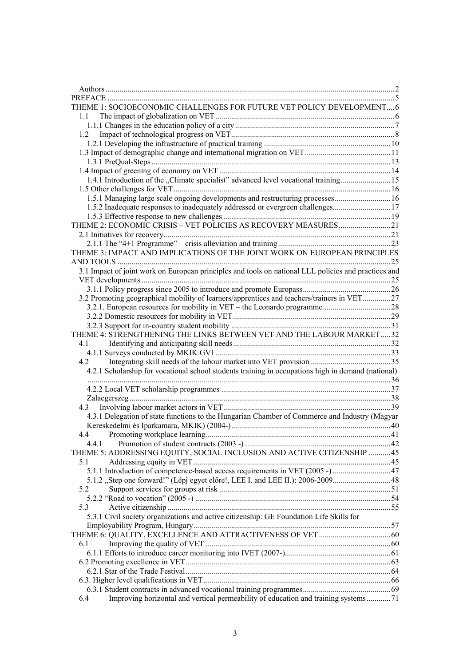| THEME 1: SOCIOECONOMIC CHALLENGES FOR FUTURE VET POLICY DEVELOPMENT 6                                |  |
|------------------------------------------------------------------------------------------------------|--|
| 1.1                                                                                                  |  |
|                                                                                                      |  |
| 1.2                                                                                                  |  |
|                                                                                                      |  |
|                                                                                                      |  |
|                                                                                                      |  |
|                                                                                                      |  |
| 1.4.1 Introduction of the "Climate specialist" advanced level vocational training15                  |  |
|                                                                                                      |  |
| 1.5.1 Managing large scale ongoing developments and restructuring processes 16                       |  |
|                                                                                                      |  |
|                                                                                                      |  |
| THEME 2: ECONOMIC CRISIS - VET POLICIES AS RECOVERY MEASURES21                                       |  |
|                                                                                                      |  |
|                                                                                                      |  |
| THEME 3: IMPACT AND IMPLICATIONS OF THE JOINT WORK ON EUROPEAN PRINCIPLES                            |  |
|                                                                                                      |  |
| 3.1 Impact of joint work on European principles and tools on national LLL policies and practices and |  |
|                                                                                                      |  |
|                                                                                                      |  |
| 3.2 Promoting geographical mobility of learners/apprentices and teachers/trainers in VET27           |  |
|                                                                                                      |  |
|                                                                                                      |  |
| THEME 4: STRENGTHENING THE LINKS BETWEEN VET AND THE LABOUR MARKET32                                 |  |
| 4.1                                                                                                  |  |
|                                                                                                      |  |
| 4.2                                                                                                  |  |
| 4.2.1 Scholarship for vocational school students training in occupations high in demand (national)   |  |
|                                                                                                      |  |
|                                                                                                      |  |
|                                                                                                      |  |
| 4.3                                                                                                  |  |
| 4.3.1 Delegation of state functions to the Hungarian Chamber of Commerce and Industry (Magyar        |  |
|                                                                                                      |  |
| 4.4                                                                                                  |  |
| 4.4.1                                                                                                |  |
| THEME 5: ADDRESSING EQUITY, SOCIAL INCLUSION AND ACTIVE CITIZENSHIP 45                               |  |
| 5.1                                                                                                  |  |
| 5.1.1 Introduction of competence-based access requirements in VET (2005 -) 47                        |  |
| 5.1.2 "Step one forward!" (Lépj egyet előre!, LEE I. and LEE II.): 2006-200948                       |  |
| 5.2                                                                                                  |  |
|                                                                                                      |  |
| 5.3                                                                                                  |  |
| 5.3.1 Civil society organizations and active citizenship: GE Foundation Life Skills for              |  |
|                                                                                                      |  |
|                                                                                                      |  |
| 6.1                                                                                                  |  |
|                                                                                                      |  |
|                                                                                                      |  |
|                                                                                                      |  |
|                                                                                                      |  |
|                                                                                                      |  |
| Improving horizontal and vertical permeability of education and training systems71<br>6.4            |  |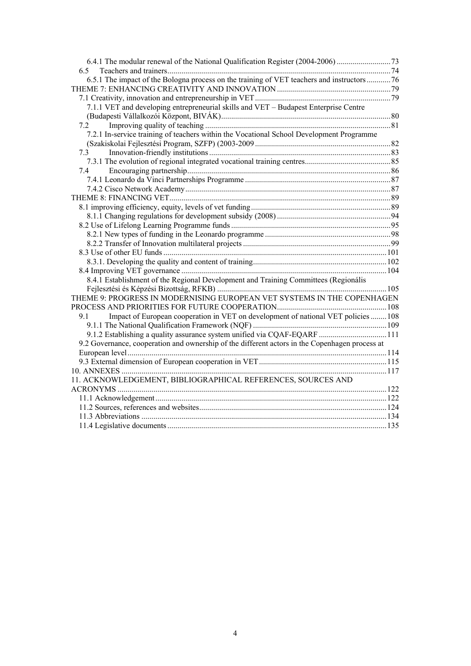| 6.4.1 The modular renewal of the National Qualification Register (2004-2006)                   |  |
|------------------------------------------------------------------------------------------------|--|
|                                                                                                |  |
| 6.5.1 The impact of the Bologna process on the training of VET teachers and instructors 76     |  |
|                                                                                                |  |
|                                                                                                |  |
| 7.1.1 VET and developing entrepreneurial skills and VET - Budapest Enterprise Centre           |  |
|                                                                                                |  |
| 7.2                                                                                            |  |
| 7.2.1 In-service training of teachers within the Vocational School Development Programme       |  |
|                                                                                                |  |
|                                                                                                |  |
|                                                                                                |  |
| 7.4                                                                                            |  |
|                                                                                                |  |
|                                                                                                |  |
|                                                                                                |  |
|                                                                                                |  |
|                                                                                                |  |
|                                                                                                |  |
|                                                                                                |  |
|                                                                                                |  |
|                                                                                                |  |
|                                                                                                |  |
|                                                                                                |  |
| 8.4.1 Establishment of the Regional Development and Training Committees (Regionális            |  |
|                                                                                                |  |
| THEME 9: PROGRESS IN MODERNISING EUROPEAN VET SYSTEMS IN THE COPENHAGEN                        |  |
|                                                                                                |  |
| Impact of European cooperation in VET on development of national VET policies  108<br>9.1      |  |
|                                                                                                |  |
| 9.1.2 Establishing a quality assurance system unified via CQAF-EQARF  111                      |  |
| 9.2 Governance, cooperation and ownership of the different actors in the Copenhagen process at |  |
|                                                                                                |  |
|                                                                                                |  |
|                                                                                                |  |
| 11. ACKNOWLEDGEMENT, BIBLIOGRAPHICAL REFERENCES, SOURCES AND                                   |  |
|                                                                                                |  |
|                                                                                                |  |
|                                                                                                |  |
|                                                                                                |  |
|                                                                                                |  |
|                                                                                                |  |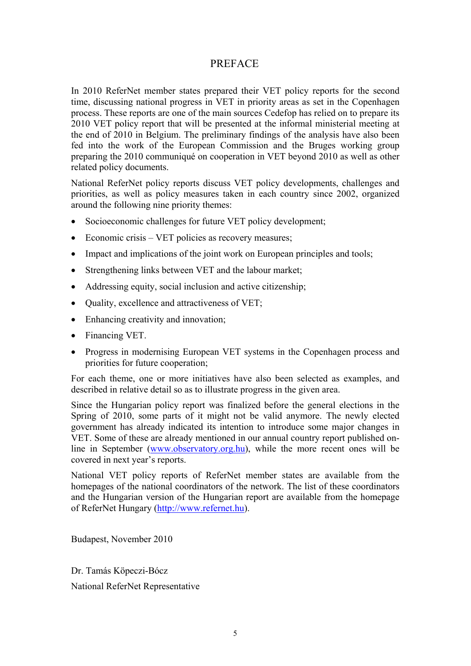# PREFACE

<span id="page-4-0"></span>In 2010 ReferNet member states prepared their VET policy reports for the second time, discussing national progress in VET in priority areas as set in the Copenhagen process. These reports are one of the main sources Cedefop has relied on to prepare its 2010 VET policy report that will be presented at the informal ministerial meeting at the end of 2010 in Belgium. The preliminary findings of the analysis have also been fed into the work of the European Commission and the Bruges working group preparing the 2010 communiqué on cooperation in VET beyond 2010 as well as other related policy documents.

National ReferNet policy reports discuss VET policy developments, challenges and priorities, as well as policy measures taken in each country since 2002, organized around the following nine priority themes:

- Socioeconomic challenges for future VET policy development:
- Economic crisis VET policies as recovery measures;
- Impact and implications of the joint work on European principles and tools;
- Strengthening links between VET and the labour market;
- Addressing equity, social inclusion and active citizenship;
- Quality, excellence and attractiveness of VET;
- Enhancing creativity and innovation;
- Financing VET.
- Progress in modernising European VET systems in the Copenhagen process and priorities for future cooperation;

For each theme, one or more initiatives have also been selected as examples, and described in relative detail so as to illustrate progress in the given area.

Since the Hungarian policy report was finalized before the general elections in the Spring of 2010, some parts of it might not be valid anymore. The newly elected government has already indicated its intention to introduce some major changes in VET. Some of these are already mentioned in our annual country report published online in September [\(www.observatory.org.hu\)](http://www.observatory.org.hu/), while the more recent ones will be covered in next year's reports.

National VET policy reports of ReferNet member states are available from the homepages of the national coordinators of the network. The list of these coordinators and the Hungarian version of the Hungarian report are available from the homepage of ReferNet Hungary ([http://www.refernet.hu\)](http://www.refernet.hu/).

Budapest, November 2010

Dr. Tamás Köpeczi-Bócz National ReferNet Representative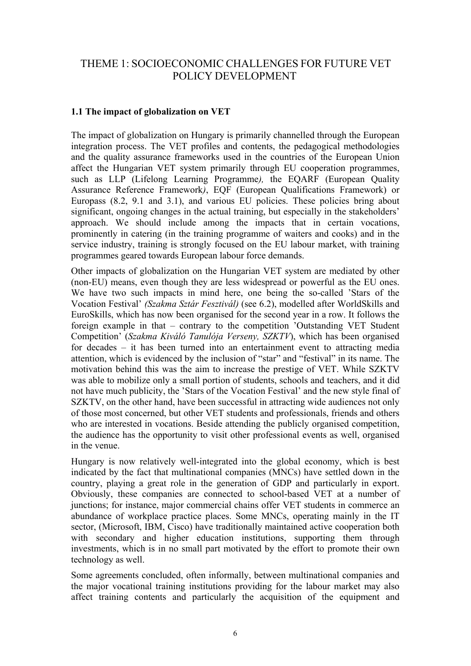# <span id="page-5-0"></span>THEME 1: SOCIOECONOMIC CHALLENGES FOR FUTURE VET POLICY DEVELOPMENT

## **1.1 The impact of globalization on VET**

The impact of globalization on Hungary is primarily channelled through the European integration process. The VET profiles and contents, the pedagogical methodologies and the quality assurance frameworks used in the countries of the European Union affect the Hungarian VET system primarily through EU cooperation programmes, such as LLP (Lifelong Learning Programme*),* the EQARF (European Quality Assurance Reference Framework*)*, EQF (European Qualifications Framework) or Europass (8.2, 9.1 and 3.1), and various EU policies. These policies bring about significant, ongoing changes in the actual training, but especially in the stakeholders' approach. We should include among the impacts that in certain vocations, prominently in catering (in the training programme of waiters and cooks) and in the service industry, training is strongly focused on the EU labour market, with training programmes geared towards European labour force demands.

Other impacts of globalization on the Hungarian VET system are mediated by other (non-EU) means, even though they are less widespread or powerful as the EU ones. We have two such impacts in mind here, one being the so-called 'Stars of the Vocation Festival' *(Szakma Sztár Fesztivál)* (see 6.2), modelled after WorldSkills and EuroSkills, which has now been organised for the second year in a row. It follows the foreign example in that – contrary to the competition 'Outstanding VET Student Competition' (*Szakma Kiváló Tanulója Verseny, SZKTV*), which has been organised for decades – it has been turned into an entertainment event to attracting media attention, which is evidenced by the inclusion of "star" and "festival" in its name. The motivation behind this was the aim to increase the prestige of VET. While SZKTV was able to mobilize only a small portion of students, schools and teachers, and it did not have much publicity, the 'Stars of the Vocation Festival' and the new style final of SZKTV, on the other hand, have been successful in attracting wide audiences not only of those most concerned, but other VET students and professionals, friends and others who are interested in vocations. Beside attending the publicly organised competition, the audience has the opportunity to visit other professional events as well, organised in the venue.

Hungary is now relatively well-integrated into the global economy, which is best indicated by the fact that multinational companies (MNCs) have settled down in the country, playing a great role in the generation of GDP and particularly in export. Obviously, these companies are connected to school-based VET at a number of junctions; for instance, major commercial chains offer VET students in commerce an abundance of workplace practice places. Some MNCs, operating mainly in the IT sector, (Microsoft, IBM, Cisco) have traditionally maintained active cooperation both with secondary and higher education institutions, supporting them through investments, which is in no small part motivated by the effort to promote their own technology as well.

Some agreements concluded, often informally, between multinational companies and the major vocational training institutions providing for the labour market may also affect training contents and particularly the acquisition of the equipment and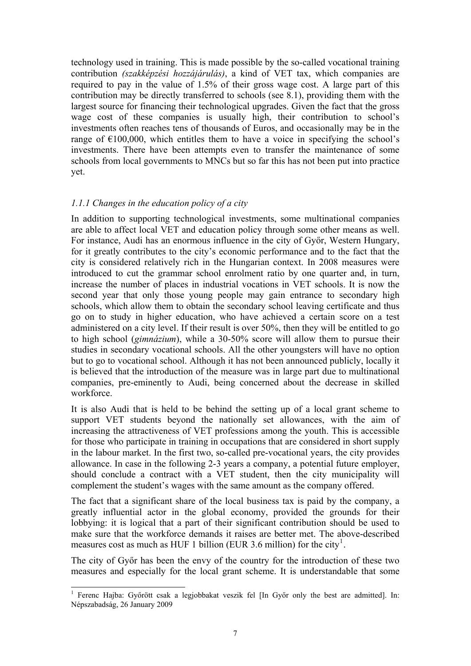<span id="page-6-0"></span>technology used in training. This is made possible by the so-called vocational training contribution *(szakképzési hozzájárulás)*, a kind of VET tax, which companies are required to pay in the value of 1.5% of their gross wage cost. A large part of this contribution may be directly transferred to schools (see 8.1), providing them with the largest source for financing their technological upgrades. Given the fact that the gross wage cost of these companies is usually high, their contribution to school's investments often reaches tens of thousands of Euros, and occasionally may be in the range of  $\epsilon$ 100,000, which entitles them to have a voice in specifying the school's investments. There have been attempts even to transfer the maintenance of some schools from local governments to MNCs but so far this has not been put into practice yet.

#### *1.1.1 Changes in the education policy of a city*

In addition to supporting technological investments, some multinational companies are able to affect local VET and education policy through some other means as well. For instance, Audi has an enormous influence in the city of Győr, Western Hungary, for it greatly contributes to the city's economic performance and to the fact that the city is considered relatively rich in the Hungarian context. In 2008 measures were introduced to cut the grammar school enrolment ratio by one quarter and, in turn, increase the number of places in industrial vocations in VET schools. It is now the second year that only those young people may gain entrance to secondary high schools, which allow them to obtain the secondary school leaving certificate and thus go on to study in higher education, who have achieved a certain score on a test administered on a city level. If their result is over 50%, then they will be entitled to go to high school (*gimnázium*), while a 30-50% score will allow them to pursue their studies in secondary vocational schools. All the other youngsters will have no option but to go to vocational school. Although it has not been announced publicly, locally it is believed that the introduction of the measure was in large part due to multinational companies, pre-eminently to Audi, being concerned about the decrease in skilled workforce.

It is also Audi that is held to be behind the setting up of a local grant scheme to support VET students beyond the nationally set allowances, with the aim of increasing the attractiveness of VET professions among the youth. This is accessible for those who participate in training in occupations that are considered in short supply in the labour market. In the first two, so-called pre-vocational years, the city provides allowance. In case in the following 2-3 years a company, a potential future employer, should conclude a contract with a VET student, then the city municipality will complement the student's wages with the same amount as the company offered.

The fact that a significant share of the local business tax is paid by the company, a greatly influential actor in the global economy, provided the grounds for their lobbying: it is logical that a part of their significant contribution should be used to make sure that the workforce demands it raises are better met. The above-described measures cost as much as HUF [1](#page-6-0) billion (EUR 3.6 million) for the city<sup>1</sup>.

The city of Győr has been the envy of the country for the introduction of these two measures and especially for the local grant scheme. It is understandable that some

<sup>&</sup>lt;sup>1</sup> Ferenc Hajba: Győrött csak a legjobbakat veszik fel [In Győr only the best are admitted]. In: Népszabadság, 26 January 2009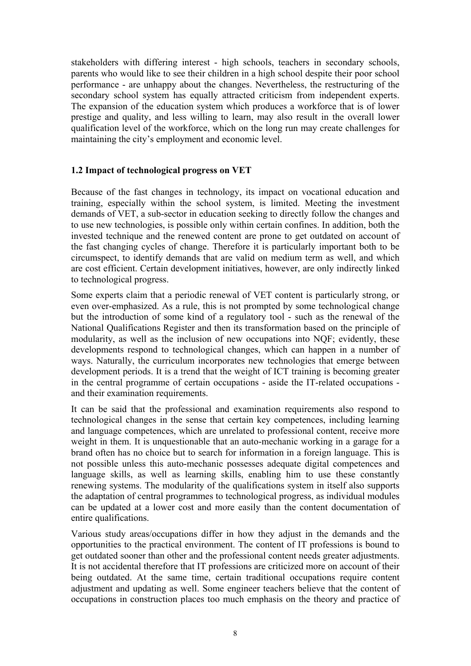<span id="page-7-0"></span>stakeholders with differing interest - high schools, teachers in secondary schools, parents who would like to see their children in a high school despite their poor school performance - are unhappy about the changes. Nevertheless, the restructuring of the secondary school system has equally attracted criticism from independent experts. The expansion of the education system which produces a workforce that is of lower prestige and quality, and less willing to learn, may also result in the overall lower qualification level of the workforce, which on the long run may create challenges for maintaining the city's employment and economic level.

#### **1.2 Impact of technological progress on VET**

Because of the fast changes in technology, its impact on vocational education and training, especially within the school system, is limited. Meeting the investment demands of VET, a sub-sector in education seeking to directly follow the changes and to use new technologies, is possible only within certain confines. In addition, both the invested technique and the renewed content are prone to get outdated on account of the fast changing cycles of change. Therefore it is particularly important both to be circumspect, to identify demands that are valid on medium term as well, and which are cost efficient. Certain development initiatives, however, are only indirectly linked to technological progress.

Some experts claim that a periodic renewal of VET content is particularly strong, or even over-emphasized. As a rule, this is not prompted by some technological change but the introduction of some kind of a regulatory tool - such as the renewal of the National Qualifications Register and then its transformation based on the principle of modularity, as well as the inclusion of new occupations into NQF; evidently, these developments respond to technological changes, which can happen in a number of ways. Naturally, the curriculum incorporates new technologies that emerge between development periods. It is a trend that the weight of ICT training is becoming greater in the central programme of certain occupations - aside the IT-related occupations and their examination requirements.

It can be said that the professional and examination requirements also respond to technological changes in the sense that certain key competences, including learning and language competences, which are unrelated to professional content, receive more weight in them. It is unquestionable that an auto-mechanic working in a garage for a brand often has no choice but to search for information in a foreign language. This is not possible unless this auto-mechanic possesses adequate digital competences and language skills, as well as learning skills, enabling him to use these constantly renewing systems. The modularity of the qualifications system in itself also supports the adaptation of central programmes to technological progress, as individual modules can be updated at a lower cost and more easily than the content documentation of entire qualifications.

Various study areas/occupations differ in how they adjust in the demands and the opportunities to the practical environment. The content of IT professions is bound to get outdated sooner than other and the professional content needs greater adjustments. It is not accidental therefore that IT professions are criticized more on account of their being outdated. At the same time, certain traditional occupations require content adjustment and updating as well. Some engineer teachers believe that the content of occupations in construction places too much emphasis on the theory and practice of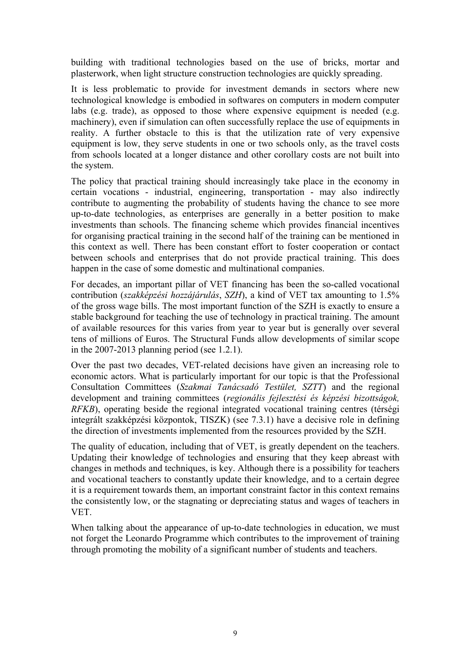building with traditional technologies based on the use of bricks, mortar and plasterwork, when light structure construction technologies are quickly spreading.

It is less problematic to provide for investment demands in sectors where new technological knowledge is embodied in softwares on computers in modern computer labs (e.g. trade), as opposed to those where expensive equipment is needed (e.g. machinery), even if simulation can often successfully replace the use of equipments in reality. A further obstacle to this is that the utilization rate of very expensive equipment is low, they serve students in one or two schools only, as the travel costs from schools located at a longer distance and other corollary costs are not built into the system.

The policy that practical training should increasingly take place in the economy in certain vocations - industrial, engineering, transportation - may also indirectly contribute to augmenting the probability of students having the chance to see more up-to-date technologies, as enterprises are generally in a better position to make investments than schools. The financing scheme which provides financial incentives for organising practical training in the second half of the training can be mentioned in this context as well. There has been constant effort to foster cooperation or contact between schools and enterprises that do not provide practical training. This does happen in the case of some domestic and multinational companies.

For decades, an important pillar of VET financing has been the so-called vocational contribution (*szakképzési hozzájárulás*, *SZH*), a kind of VET tax amounting to 1.5% of the gross wage bills. The most important function of the SZH is exactly to ensure a stable background for teaching the use of technology in practical training. The amount of available resources for this varies from year to year but is generally over several tens of millions of Euros. The Structural Funds allow developments of similar scope in the 2007-2013 planning period (see 1.2.1).

Over the past two decades, VET-related decisions have given an increasing role to economic actors. What is particularly important for our topic is that the Professional Consultation Committees (*Szakmai Tanácsadó Testület, SZTT*) and the regional development and training committees (*regionális fejlesztési és képzési bizottságok, RFKB*), operating beside the regional integrated vocational training centres (térségi integrált szakképzési központok, TISZK) (see 7.3.1) have a decisive role in defining the direction of investments implemented from the resources provided by the SZH.

The quality of education, including that of VET, is greatly dependent on the teachers. Updating their knowledge of technologies and ensuring that they keep abreast with changes in methods and techniques, is key. Although there is a possibility for teachers and vocational teachers to constantly update their knowledge, and to a certain degree it is a requirement towards them, an important constraint factor in this context remains the consistently low, or the stagnating or depreciating status and wages of teachers in VET.

When talking about the appearance of up-to-date technologies in education, we must not forget the Leonardo Programme which contributes to the improvement of training through promoting the mobility of a significant number of students and teachers.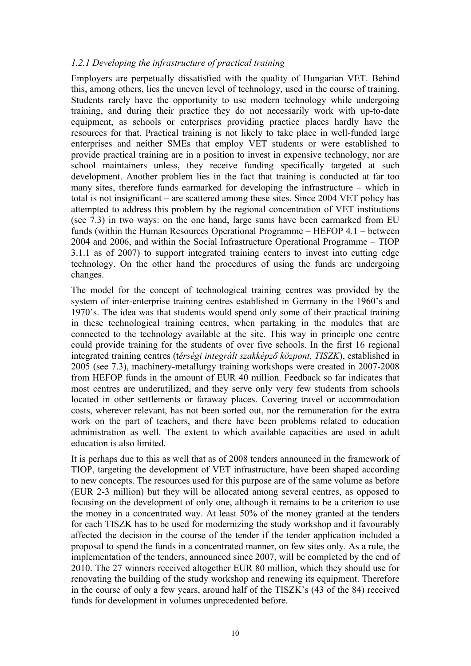#### <span id="page-9-0"></span>*1.2.1 Developing the infrastructure of practical training*

Employers are perpetually dissatisfied with the quality of Hungarian VET. Behind this, among others, lies the uneven level of technology, used in the course of training. Students rarely have the opportunity to use modern technology while undergoing training, and during their practice they do not necessarily work with up-to-date equipment, as schools or enterprises providing practice places hardly have the resources for that. Practical training is not likely to take place in well-funded large enterprises and neither SMEs that employ VET students or were established to provide practical training are in a position to invest in expensive technology, nor are school maintainers unless, they receive funding specifically targeted at such development. Another problem lies in the fact that training is conducted at far too many sites, therefore funds earmarked for developing the infrastructure – which in total is not insignificant – are scattered among these sites. Since 2004 VET policy has attempted to address this problem by the regional concentration of VET institutions (see 7.3) in two ways: on the one hand, large sums have been earmarked from EU funds (within the Human Resources Operational Programme – HEFOP 4.1 – between 2004 and 2006, and within the Social Infrastructure Operational Programme – TIOP 3.1.1 as of 2007) to support integrated training centers to invest into cutting edge technology. On the other hand the procedures of using the funds are undergoing changes.

The model for the concept of technological training centres was provided by the system of inter-enterprise training centres established in Germany in the 1960's and 1970's. The idea was that students would spend only some of their practical training in these technological training centres, when partaking in the modules that are connected to the technology available at the site. This way in principle one centre could provide training for the students of over five schools. In the first 16 regional integrated training centres (t*érségi integrált szakképző központ, TISZK*), established in 2005 (see 7.3), machinery-metallurgy training workshops were created in 2007-2008 from HEFOP funds in the amount of EUR 40 million. Feedback so far indicates that most centres are underutilized, and they serve only very few students from schools located in other settlements or faraway places. Covering travel or accommodation costs, wherever relevant, has not been sorted out, nor the remuneration for the extra work on the part of teachers, and there have been problems related to education administration as well. The extent to which available capacities are used in adult education is also limited.

It is perhaps due to this as well that as of 2008 tenders announced in the framework of TIOP, targeting the development of VET infrastructure, have been shaped according to new concepts. The resources used for this purpose are of the same volume as before (EUR 2-3 million) but they will be allocated among several centres, as opposed to focusing on the development of only one, although it remains to be a criterion to use the money in a concentrated way. At least 50% of the money granted at the tenders for each TISZK has to be used for modernizing the study workshop and it favourably affected the decision in the course of the tender if the tender application included a proposal to spend the funds in a concentrated manner, on few sites only. As a rule, the implementation of the tenders, announced since 2007, will be completed by the end of 2010. The 27 winners received altogether EUR 80 million, which they should use for renovating the building of the study workshop and renewing its equipment. Therefore in the course of only a few years, around half of the TISZK's (43 of the 84) received funds for development in volumes unprecedented before.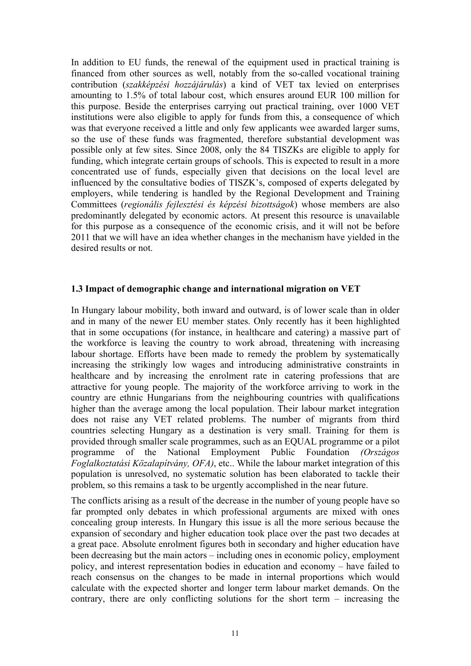<span id="page-10-0"></span>In addition to EU funds, the renewal of the equipment used in practical training is financed from other sources as well, notably from the so-called vocational training contribution (*szakképzési hozzájárulás*) a kind of VET tax levied on enterprises amounting to 1.5% of total labour cost, which ensures around EUR 100 million for this purpose. Beside the enterprises carrying out practical training, over 1000 VET institutions were also eligible to apply for funds from this, a consequence of which was that everyone received a little and only few applicants wee awarded larger sums, so the use of these funds was fragmented, therefore substantial development was possible only at few sites. Since 2008, only the 84 TISZKs are eligible to apply for funding, which integrate certain groups of schools. This is expected to result in a more concentrated use of funds, especially given that decisions on the local level are influenced by the consultative bodies of TISZK's, composed of experts delegated by employers, while tendering is handled by the Regional Development and Training Committees (*regionális fejlesztési és képzési bizottságok*) whose members are also predominantly delegated by economic actors. At present this resource is unavailable for this purpose as a consequence of the economic crisis, and it will not be before 2011 that we will have an idea whether changes in the mechanism have yielded in the desired results or not.

#### **1.3 Impact of demographic change and international migration on VET**

In Hungary labour mobility, both inward and outward, is of lower scale than in older and in many of the newer EU member states. Only recently has it been highlighted that in some occupations (for instance, in healthcare and catering) a massive part of the workforce is leaving the country to work abroad, threatening with increasing labour shortage. Efforts have been made to remedy the problem by systematically increasing the strikingly low wages and introducing administrative constraints in healthcare and by increasing the enrolment rate in catering professions that are attractive for young people. The majority of the workforce arriving to work in the country are ethnic Hungarians from the neighbouring countries with qualifications higher than the average among the local population. Their labour market integration does not raise any VET related problems. The number of migrants from third countries selecting Hungary as a destination is very small. Training for them is provided through smaller scale programmes, such as an EQUAL programme or a pilot programme of the National Employment Public Foundation *(Országos Foglalkoztatási Közalapítvány, OFA)*, etc.. While the labour market integration of this population is unresolved, no systematic solution has been elaborated to tackle their problem, so this remains a task to be urgently accomplished in the near future.

The conflicts arising as a result of the decrease in the number of young people have so far prompted only debates in which professional arguments are mixed with ones concealing group interests. In Hungary this issue is all the more serious because the expansion of secondary and higher education took place over the past two decades at a great pace. Absolute enrolment figures both in secondary and higher education have been decreasing but the main actors – including ones in economic policy, employment policy, and interest representation bodies in education and economy – have failed to reach consensus on the changes to be made in internal proportions which would calculate with the expected shorter and longer term labour market demands. On the contrary, there are only conflicting solutions for the short term – increasing the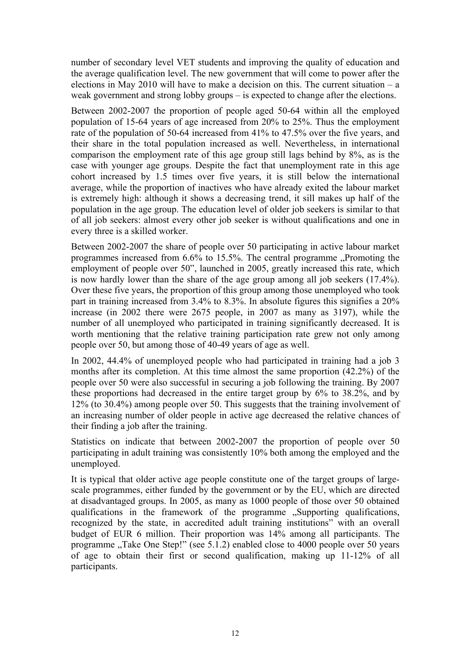number of secondary level VET students and improving the quality of education and the average qualification level. The new government that will come to power after the elections in May 2010 will have to make a decision on this. The current situation  $-$  a weak government and strong lobby groups – is expected to change after the elections.

Between 2002-2007 the proportion of people aged 50-64 within all the employed population of 15-64 years of age increased from 20% to 25%. Thus the employment rate of the population of 50-64 increased from 41% to 47.5% over the five years, and their share in the total population increased as well. Nevertheless, in international comparison the employment rate of this age group still lags behind by 8%, as is the case with younger age groups. Despite the fact that unemployment rate in this age cohort increased by 1.5 times over five years, it is still below the international average, while the proportion of inactives who have already exited the labour market is extremely high: although it shows a decreasing trend, it sill makes up half of the population in the age group. The education level of older job seekers is similar to that of all job seekers: almost every other job seeker is without qualifications and one in every three is a skilled worker.

Between 2002-2007 the share of people over 50 participating in active labour market programmes increased from  $6.6\%$  to  $15.5\%$ . The central programme  $\Box$ Promoting the employment of people over 50", launched in 2005, greatly increased this rate, which is now hardly lower than the share of the age group among all job seekers (17.4%). Over these five years, the proportion of this group among those unemployed who took part in training increased from 3.4% to 8.3%. In absolute figures this signifies a 20% increase (in 2002 there were 2675 people, in 2007 as many as 3197), while the number of all unemployed who participated in training significantly decreased. It is worth mentioning that the relative training participation rate grew not only among people over 50, but among those of 40-49 years of age as well.

In 2002, 44.4% of unemployed people who had participated in training had a job 3 months after its completion. At this time almost the same proportion (42.2%) of the people over 50 were also successful in securing a job following the training. By 2007 these proportions had decreased in the entire target group by 6% to 38.2%, and by 12% (to 30.4%) among people over 50. This suggests that the training involvement of an increasing number of older people in active age decreased the relative chances of their finding a job after the training.

Statistics on indicate that between 2002-2007 the proportion of people over 50 participating in adult training was consistently 10% both among the employed and the unemployed.

It is typical that older active age people constitute one of the target groups of largescale programmes, either funded by the government or by the EU, which are directed at disadvantaged groups. In 2005, as many as 1000 people of those over 50 obtained qualifications in the framework of the programme . Supporting qualifications, recognized by the state, in accredited adult training institutions" with an overall budget of EUR 6 million. Their proportion was 14% among all participants. The programme "Take One Step!" (see 5.1.2) enabled close to 4000 people over 50 years of age to obtain their first or second qualification, making up 11-12% of all participants.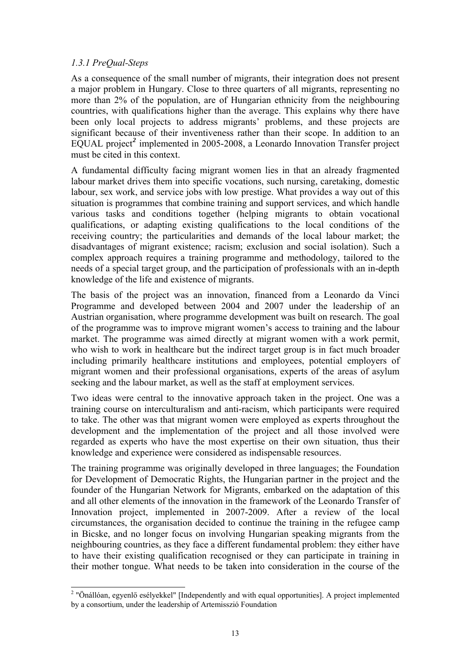## <span id="page-12-0"></span>*1.3.1 PreQual-Steps*

As a consequence of the small number of migrants, their integration does not present a major problem in Hungary. Close to three quarters of all migrants, representing no more than 2% of the population, are of Hungarian ethnicity from the neighbouring countries, with qualifications higher than the average. This explains why there have been only local projects to address migrants' problems, and these projects are significant because of their inventiveness rather than their scope. In addition to an EQUAL project*[2](#page-12-0)* implemented in 2005-2008, a Leonardo Innovation Transfer project must be cited in this context.

A fundamental difficulty facing migrant women lies in that an already fragmented labour market drives them into specific vocations, such nursing, caretaking, domestic labour, sex work, and service jobs with low prestige. What provides a way out of this situation is programmes that combine training and support services, and which handle various tasks and conditions together (helping migrants to obtain vocational qualifications, or adapting existing qualifications to the local conditions of the receiving country; the particularities and demands of the local labour market; the disadvantages of migrant existence; racism; exclusion and social isolation). Such a complex approach requires a training programme and methodology, tailored to the needs of a special target group, and the participation of professionals with an in-depth knowledge of the life and existence of migrants.

The basis of the project was an innovation, financed from a Leonardo da Vinci Programme and developed between 2004 and 2007 under the leadership of an Austrian organisation, where programme development was built on research. The goal of the programme was to improve migrant women's access to training and the labour market. The programme was aimed directly at migrant women with a work permit, who wish to work in healthcare but the indirect target group is in fact much broader including primarily healthcare institutions and employees, potential employers of migrant women and their professional organisations, experts of the areas of asylum seeking and the labour market, as well as the staff at employment services.

Two ideas were central to the innovative approach taken in the project. One was a training course on interculturalism and anti-racism, which participants were required to take. The other was that migrant women were employed as experts throughout the development and the implementation of the project and all those involved were regarded as experts who have the most expertise on their own situation, thus their knowledge and experience were considered as indispensable resources.

The training programme was originally developed in three languages; the Foundation for Development of Democratic Rights, the Hungarian partner in the project and the founder of the Hungarian Network for Migrants, embarked on the adaptation of this and all other elements of the innovation in the framework of the Leonardo Transfer of Innovation project, implemented in 2007-2009. After a review of the local circumstances, the organisation decided to continue the training in the refugee camp in Bicske, and no longer focus on involving Hungarian speaking migrants from the neighbouring countries, as they face a different fundamental problem: they either have to have their existing qualification recognised or they can participate in training in their mother tongue. What needs to be taken into consideration in the course of the

 2 "Önállóan, egyenlő esélyekkel" [Independently and with equal opportunities]. A project implemented by a consortium, under the leadership of Artemisszió Foundation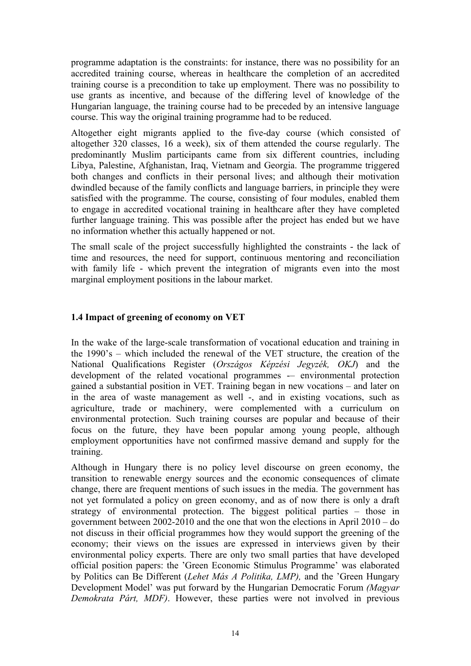<span id="page-13-0"></span>programme adaptation is the constraints: for instance, there was no possibility for an accredited training course, whereas in healthcare the completion of an accredited training course is a precondition to take up employment. There was no possibility to use grants as incentive, and because of the differing level of knowledge of the Hungarian language, the training course had to be preceded by an intensive language course. This way the original training programme had to be reduced.

Altogether eight migrants applied to the five-day course (which consisted of altogether 320 classes, 16 a week), six of them attended the course regularly. The predominantly Muslim participants came from six different countries, including Libya, Palestine, Afghanistan, Iraq, Vietnam and Georgia. The programme triggered both changes and conflicts in their personal lives; and although their motivation dwindled because of the family conflicts and language barriers, in principle they were satisfied with the programme. The course, consisting of four modules, enabled them to engage in accredited vocational training in healthcare after they have completed further language training. This was possible after the project has ended but we have no information whether this actually happened or not.

The small scale of the project successfully highlighted the constraints - the lack of time and resources, the need for support, continuous mentoring and reconciliation with family life - which prevent the integration of migrants even into the most marginal employment positions in the labour market.

## **1.4 Impact of greening of economy on VET**

In the wake of the large-scale transformation of vocational education and training in the 1990's – which included the renewal of the VET structure, the creation of the National Qualifications Register (*Országos Képzési Jegyzék, OKJ*) and the development of the related vocational programmes -– environmental protection gained a substantial position in VET. Training began in new vocations – and later on in the area of waste management as well -, and in existing vocations, such as agriculture, trade or machinery, were complemented with a curriculum on environmental protection. Such training courses are popular and because of their focus on the future, they have been popular among young people, although employment opportunities have not confirmed massive demand and supply for the training.

Although in Hungary there is no policy level discourse on green economy, the transition to renewable energy sources and the economic consequences of climate change, there are frequent mentions of such issues in the media. The government has not yet formulated a policy on green economy, and as of now there is only a draft strategy of environmental protection. The biggest political parties – those in government between 2002-2010 and the one that won the elections in April 2010 – do not discuss in their official programmes how they would support the greening of the economy; their views on the issues are expressed in interviews given by their environmental policy experts. There are only two small parties that have developed official position papers: the 'Green Economic Stimulus Programme' was elaborated by Politics can Be Different (*Lehet Más A Politika, LMP),* and the 'Green Hungary Development Model' was put forward by the Hungarian Democratic Forum *(Magyar Demokrata Párt, MDF)*. However, these parties were not involved in previous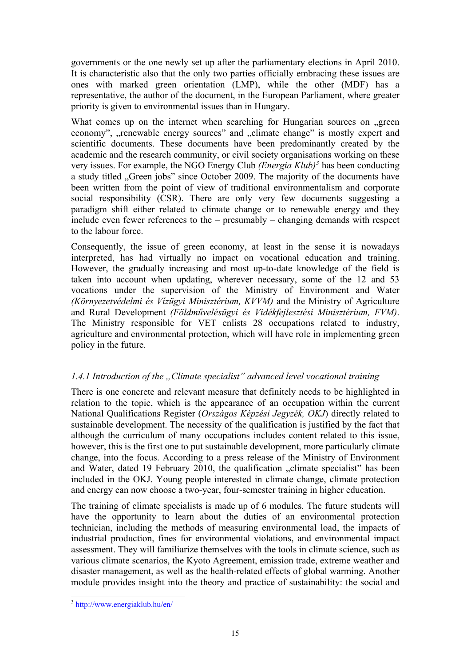<span id="page-14-0"></span>governments or the one newly set up after the parliamentary elections in April 2010. It is characteristic also that the only two parties officially embracing these issues are ones with marked green orientation (LMP), while the other (MDF) has a representative, the author of the document, in the European Parliament, where greater priority is given to environmental issues than in Hungary.

What comes up on the internet when searching for Hungarian sources on green economy", "renewable energy sources" and "climate change" is mostly expert and scientific documents. These documents have been predominantly created by the academic and the research community, or civil society organisations working on these very issues. For example, the NGO Energy Club *(Energia Klub)[3](#page-14-0)* has been conducting a study titled "Green jobs" since October 2009. The majority of the documents have been written from the point of view of traditional environmentalism and corporate social responsibility (CSR). There are only very few documents suggesting a paradigm shift either related to climate change or to renewable energy and they include even fewer references to the – presumably – changing demands with respect to the labour force.

Consequently, the issue of green economy, at least in the sense it is nowadays interpreted, has had virtually no impact on vocational education and training. However, the gradually increasing and most up-to-date knowledge of the field is taken into account when updating, wherever necessary, some of the 12 and 53 vocations under the supervision of the Ministry of Environment and Water *(Környezetvédelmi és Vízügyi Minisztérium, KVVM)* and the Ministry of Agriculture and Rural Development *(Földművelésügyi és Vidékfejlesztési Minisztérium, FVM)*. The Ministry responsible for VET enlists 28 occupations related to industry, agriculture and environmental protection, which will have role in implementing green policy in the future.

## *1.4.1 Introduction of the "Climate specialist" advanced level vocational training*

There is one concrete and relevant measure that definitely needs to be highlighted in relation to the topic, which is the appearance of an occupation within the current National Qualifications Register (*Országos Képzési Jegyzék, OKJ*) directly related to sustainable development. The necessity of the qualification is justified by the fact that although the curriculum of many occupations includes content related to this issue, however, this is the first one to put sustainable development, more particularly climate change, into the focus. According to a press release of the Ministry of Environment and Water, dated 19 February 2010, the qualification "climate specialist" has been included in the OKJ. Young people interested in climate change, climate protection and energy can now choose a two-year, four-semester training in higher education.

The training of climate specialists is made up of 6 modules. The future students will have the opportunity to learn about the duties of an environmental protection technician, including the methods of measuring environmental load, the impacts of industrial production, fines for environmental violations, and environmental impact assessment. They will familiarize themselves with the tools in climate science, such as various climate scenarios, the Kyoto Agreement, emission trade, extreme weather and disaster management, as well as the health-related effects of global warming. Another module provides insight into the theory and practice of sustainability: the social and

l

<sup>&</sup>lt;sup>3</sup> <http://www.energiaklub.hu/en/>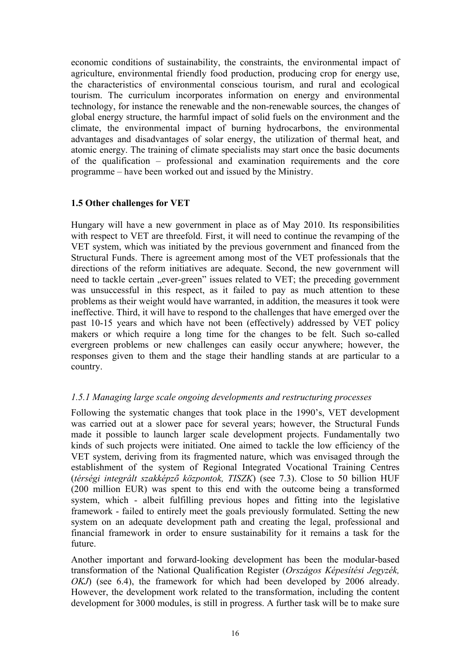<span id="page-15-0"></span>economic conditions of sustainability, the constraints, the environmental impact of agriculture, environmental friendly food production, producing crop for energy use, the characteristics of environmental conscious tourism, and rural and ecological tourism. The curriculum incorporates information on energy and environmental technology, for instance the renewable and the non-renewable sources, the changes of global energy structure, the harmful impact of solid fuels on the environment and the climate, the environmental impact of burning hydrocarbons, the environmental advantages and disadvantages of solar energy, the utilization of thermal heat, and atomic energy. The training of climate specialists may start once the basic documents of the qualification – professional and examination requirements and the core programme – have been worked out and issued by the Ministry.

#### **1.5 Other challenges for VET**

Hungary will have a new government in place as of May 2010. Its responsibilities with respect to VET are threefold. First, it will need to continue the revamping of the VET system, which was initiated by the previous government and financed from the Structural Funds. There is agreement among most of the VET professionals that the directions of the reform initiatives are adequate. Second, the new government will need to tackle certain "ever-green" issues related to VET; the preceding government was unsuccessful in this respect, as it failed to pay as much attention to these problems as their weight would have warranted, in addition, the measures it took were ineffective. Third, it will have to respond to the challenges that have emerged over the past 10-15 years and which have not been (effectively) addressed by VET policy makers or which require a long time for the changes to be felt. Such so-called evergreen problems or new challenges can easily occur anywhere; however, the responses given to them and the stage their handling stands at are particular to a country.

## *1.5.1 Managing large scale ongoing developments and restructuring processes*

Following the systematic changes that took place in the 1990's, VET development was carried out at a slower pace for several years; however, the Structural Funds made it possible to launch larger scale development projects. Fundamentally two kinds of such projects were initiated. One aimed to tackle the low efficiency of the VET system, deriving from its fragmented nature, which was envisaged through the establishment of the system of Regional Integrated Vocational Training Centres (*térségi integrált szakképző központok, TISZK*) (see 7.3). Close to 50 billion HUF (200 million EUR) was spent to this end with the outcome being a transformed system, which - albeit fulfilling previous hopes and fitting into the legislative framework - failed to entirely meet the goals previously formulated. Setting the new system on an adequate development path and creating the legal, professional and financial framework in order to ensure sustainability for it remains a task for the future.

Another important and forward-looking development has been the modular-based transformation of the National Qualification Register (*Országos Képesítési Jegyzék, OKJ*) (see 6.4), the framework for which had been developed by 2006 already. However, the development work related to the transformation, including the content development for 3000 modules, is still in progress. A further task will be to make sure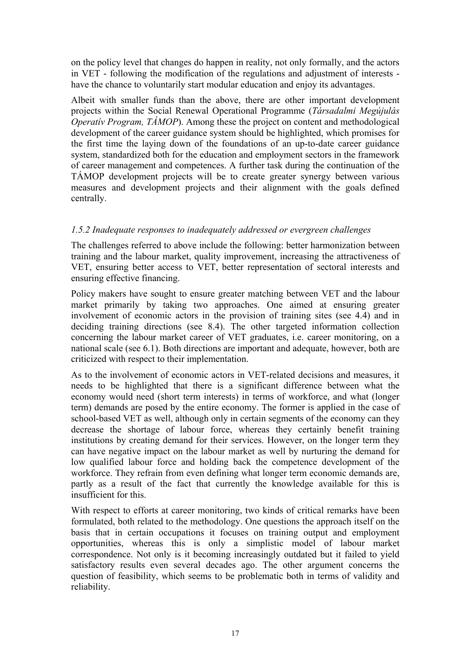<span id="page-16-0"></span>on the policy level that changes do happen in reality, not only formally, and the actors in VET - following the modification of the regulations and adjustment of interests have the chance to voluntarily start modular education and enjoy its advantages.

Albeit with smaller funds than the above, there are other important development projects within the Social Renewal Operational Programme (*Társadalmi Megújulás Operativ Program, TÁMOP*). Among these the project on content and methodological development of the career guidance system should be highlighted, which promises for the first time the laying down of the foundations of an up-to-date career guidance system, standardized both for the education and employment sectors in the framework of career management and competences. A further task during the continuation of the TÁMOP development projects will be to create greater synergy between various measures and development projects and their alignment with the goals defined centrally.

## *1.5.2 Inadequate responses to inadequately addressed or evergreen challenges*

The challenges referred to above include the following: better harmonization between training and the labour market, quality improvement, increasing the attractiveness of VET, ensuring better access to VET, better representation of sectoral interests and ensuring effective financing.

Policy makers have sought to ensure greater matching between VET and the labour market primarily by taking two approaches. One aimed at ensuring greater involvement of economic actors in the provision of training sites (see 4.4) and in deciding training directions (see 8.4). The other targeted information collection concerning the labour market career of VET graduates, i.e. career monitoring, on a national scale (see 6.1). Both directions are important and adequate, however, both are criticized with respect to their implementation.

As to the involvement of economic actors in VET-related decisions and measures, it needs to be highlighted that there is a significant difference between what the economy would need (short term interests) in terms of workforce, and what (longer term) demands are posed by the entire economy. The former is applied in the case of school-based VET as well, although only in certain segments of the economy can they decrease the shortage of labour force, whereas they certainly benefit training institutions by creating demand for their services. However, on the longer term they can have negative impact on the labour market as well by nurturing the demand for low qualified labour force and holding back the competence development of the workforce. They refrain from even defining what longer term economic demands are, partly as a result of the fact that currently the knowledge available for this is insufficient for this.

With respect to efforts at career monitoring, two kinds of critical remarks have been formulated, both related to the methodology. One questions the approach itself on the basis that in certain occupations it focuses on training output and employment opportunities, whereas this is only a simplistic model of labour market correspondence. Not only is it becoming increasingly outdated but it failed to yield satisfactory results even several decades ago. The other argument concerns the question of feasibility, which seems to be problematic both in terms of validity and reliability.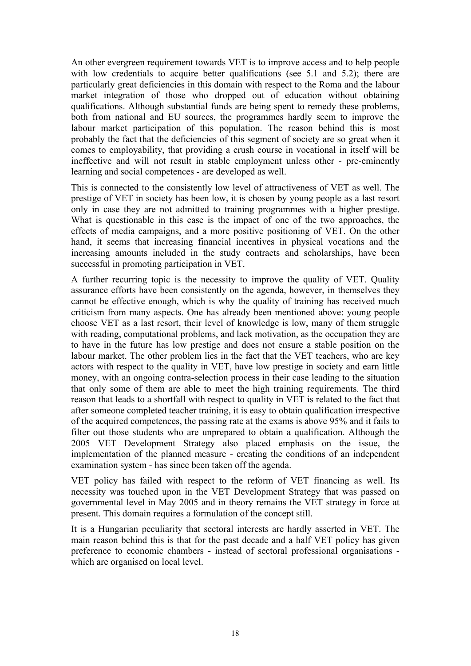An other evergreen requirement towards VET is to improve access and to help people with low credentials to acquire better qualifications (see 5.1 and 5.2); there are particularly great deficiencies in this domain with respect to the Roma and the labour market integration of those who dropped out of education without obtaining qualifications. Although substantial funds are being spent to remedy these problems, both from national and EU sources, the programmes hardly seem to improve the labour market participation of this population. The reason behind this is most probably the fact that the deficiencies of this segment of society are so great when it comes to employability, that providing a crush course in vocational in itself will be ineffective and will not result in stable employment unless other - pre-eminently learning and social competences - are developed as well.

This is connected to the consistently low level of attractiveness of VET as well. The prestige of VET in society has been low, it is chosen by young people as a last resort only in case they are not admitted to training programmes with a higher prestige. What is questionable in this case is the impact of one of the two approaches, the effects of media campaigns, and a more positive positioning of VET. On the other hand, it seems that increasing financial incentives in physical vocations and the increasing amounts included in the study contracts and scholarships, have been successful in promoting participation in VET.

A further recurring topic is the necessity to improve the quality of VET. Quality assurance efforts have been consistently on the agenda, however, in themselves they cannot be effective enough, which is why the quality of training has received much criticism from many aspects. One has already been mentioned above: young people choose VET as a last resort, their level of knowledge is low, many of them struggle with reading, computational problems, and lack motivation, as the occupation they are to have in the future has low prestige and does not ensure a stable position on the labour market. The other problem lies in the fact that the VET teachers, who are key actors with respect to the quality in VET, have low prestige in society and earn little money, with an ongoing contra-selection process in their case leading to the situation that only some of them are able to meet the high training requirements. The third reason that leads to a shortfall with respect to quality in VET is related to the fact that after someone completed teacher training, it is easy to obtain qualification irrespective of the acquired competences, the passing rate at the exams is above 95% and it fails to filter out those students who are unprepared to obtain a qualification. Although the 2005 VET Development Strategy also placed emphasis on the issue, the implementation of the planned measure - creating the conditions of an independent examination system - has since been taken off the agenda.

VET policy has failed with respect to the reform of VET financing as well. Its necessity was touched upon in the VET Development Strategy that was passed on governmental level in May 2005 and in theory remains the VET strategy in force at present. This domain requires a formulation of the concept still.

It is a Hungarian peculiarity that sectoral interests are hardly asserted in VET. The main reason behind this is that for the past decade and a half VET policy has given preference to economic chambers - instead of sectoral professional organisations which are organised on local level.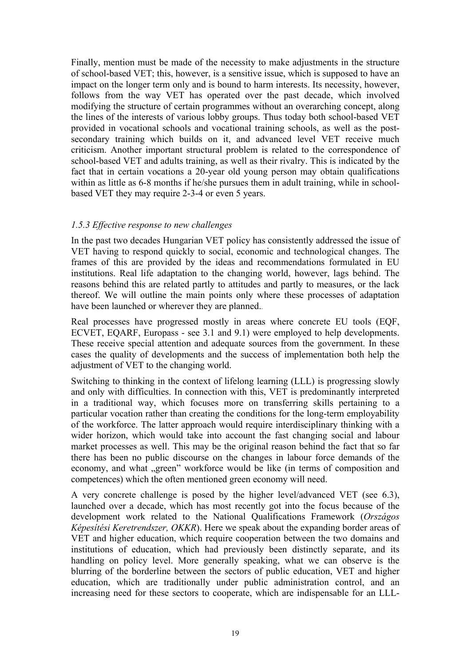<span id="page-18-0"></span>Finally, mention must be made of the necessity to make adjustments in the structure of school-based VET; this, however, is a sensitive issue, which is supposed to have an impact on the longer term only and is bound to harm interests. Its necessity, however, follows from the way VET has operated over the past decade, which involved modifying the structure of certain programmes without an overarching concept, along the lines of the interests of various lobby groups. Thus today both school-based VET provided in vocational schools and vocational training schools, as well as the postsecondary training which builds on it, and advanced level VET receive much criticism. Another important structural problem is related to the correspondence of school-based VET and adults training, as well as their rivalry. This is indicated by the fact that in certain vocations a 20-year old young person may obtain qualifications within as little as 6-8 months if he/she pursues them in adult training, while in schoolbased VET they may require 2-3-4 or even 5 years.

#### *1.5.3 Effective response to new challenges*

In the past two decades Hungarian VET policy has consistently addressed the issue of VET having to respond quickly to social, economic and technological changes. The frames of this are provided by the ideas and recommendations formulated in EU institutions. Real life adaptation to the changing world, however, lags behind. The reasons behind this are related partly to attitudes and partly to measures, or the lack thereof. We will outline the main points only where these processes of adaptation have been launched or wherever they are planned..

Real processes have progressed mostly in areas where concrete EU tools (EQF, ECVET, EQARF, Europass - see 3.1 and 9.1) were employed to help developments. These receive special attention and adequate sources from the government. In these cases the quality of developments and the success of implementation both help the adjustment of VET to the changing world.

Switching to thinking in the context of lifelong learning (LLL) is progressing slowly and only with difficulties. In connection with this, VET is predominantly interpreted in a traditional way, which focuses more on transferring skills pertaining to a particular vocation rather than creating the conditions for the long-term employability of the workforce. The latter approach would require interdisciplinary thinking with a wider horizon, which would take into account the fast changing social and labour market processes as well. This may be the original reason behind the fact that so far there has been no public discourse on the changes in labour force demands of the economy, and what "green" workforce would be like (in terms of composition and competences) which the often mentioned green economy will need.

A very concrete challenge is posed by the higher level/advanced VET (see 6.3), launched over a decade, which has most recently got into the focus because of the development work related to the National Qualifications Framework (*Országos Képesítési Keretrendszer, OKKR*). Here we speak about the expanding border areas of VET and higher education, which require cooperation between the two domains and institutions of education, which had previously been distinctly separate, and its handling on policy level. More generally speaking, what we can observe is the blurring of the borderline between the sectors of public education, VET and higher education, which are traditionally under public administration control, and an increasing need for these sectors to cooperate, which are indispensable for an LLL-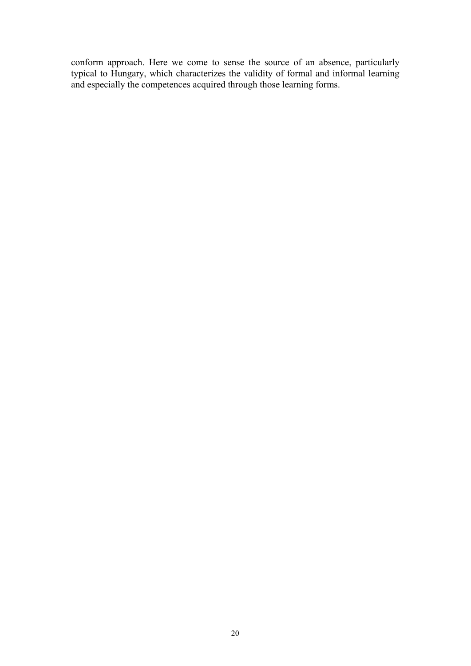conform approach. Here we come to sense the source of an absence, particularly typical to Hungary, which characterizes the validity of formal and informal learning and especially the competences acquired through those learning forms.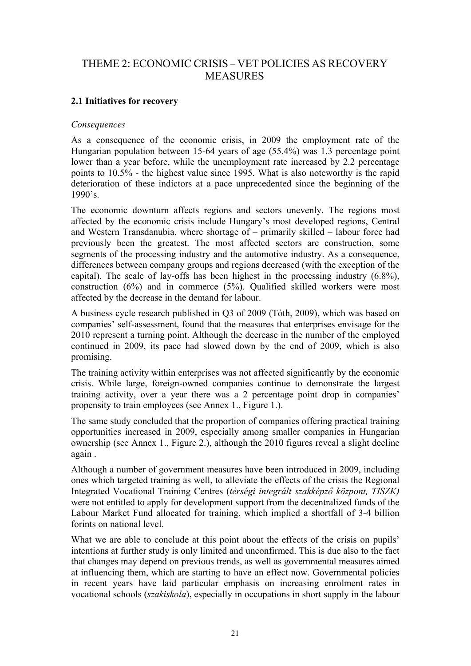# <span id="page-20-0"></span>THEME 2: ECONOMIC CRISIS – VET POLICIES AS RECOVERY **MEASURES**

## **2.1 Initiatives for recovery**

#### *Consequences*

As a consequence of the economic crisis, in 2009 the employment rate of the Hungarian population between 15-64 years of age (55.4%) was 1.3 percentage point lower than a year before, while the unemployment rate increased by 2.2 percentage points to 10.5% - the highest value since 1995. What is also noteworthy is the rapid deterioration of these indictors at a pace unprecedented since the beginning of the 1990's.

The economic downturn affects regions and sectors unevenly. The regions most affected by the economic crisis include Hungary's most developed regions, Central and Western Transdanubia, where shortage of – primarily skilled – labour force had previously been the greatest. The most affected sectors are construction, some segments of the processing industry and the automotive industry. As a consequence, differences between company groups and regions decreased (with the exception of the capital). The scale of lay-offs has been highest in the processing industry (6.8%), construction (6%) and in commerce (5%). Qualified skilled workers were most affected by the decrease in the demand for labour.

A business cycle research published in Q3 of 2009 (Tóth, 2009), which was based on companies' self-assessment, found that the measures that enterprises envisage for the 2010 represent a turning point. Although the decrease in the number of the employed continued in 2009, its pace had slowed down by the end of 2009, which is also promising.

The training activity within enterprises was not affected significantly by the economic crisis. While large, foreign-owned companies continue to demonstrate the largest training activity, over a year there was a 2 percentage point drop in companies' propensity to train employees (see Annex 1., Figure 1.).

The same study concluded that the proportion of companies offering practical training opportunities increased in 2009, especially among smaller companies in Hungarian ownership (see Annex 1., Figure 2.), although the 2010 figures reveal a slight decline again .

Although a number of government measures have been introduced in 2009, including ones which targeted training as well, to alleviate the effects of the crisis the Regional Integrated Vocational Training Centres (*térségi integrált szakképző központ, TISZK)* were not entitled to apply for development support from the decentralized funds of the Labour Market Fund allocated for training, which implied a shortfall of 3-4 billion forints on national level.

What we are able to conclude at this point about the effects of the crisis on pupils' intentions at further study is only limited and unconfirmed. This is due also to the fact that changes may depend on previous trends, as well as governmental measures aimed at influencing them, which are starting to have an effect now. Governmental policies in recent years have laid particular emphasis on increasing enrolment rates in vocational schools (*szakiskola*), especially in occupations in short supply in the labour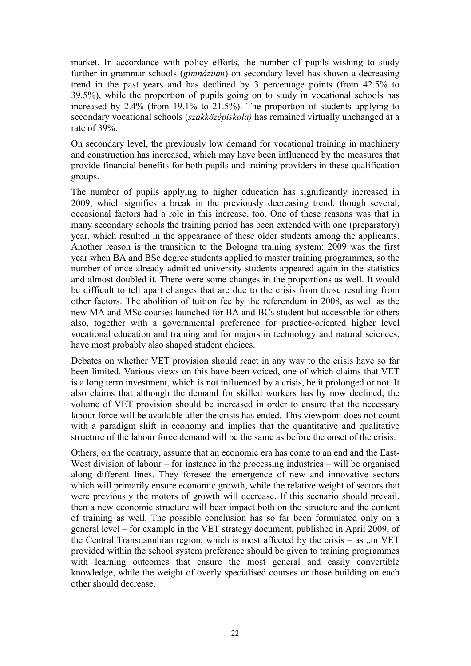market. In accordance with policy efforts, the number of pupils wishing to study further in grammar schools (*gimnázium*) on secondary level has shown a decreasing trend in the past years and has declined by 3 percentage points (from 42.5% to 39.5%), while the proportion of pupils going on to study in vocational schools has increased by 2.4% (from 19.1% to 21.5%). The proportion of students applying to secondary vocational schools (*szakközépiskola)* has remained virtually unchanged at a rate of 39%.

On secondary level, the previously low demand for vocational training in machinery and construction has increased, which may have been influenced by the measures that provide financial benefits for both pupils and training providers in these qualification groups.

The number of pupils applying to higher education has significantly increased in 2009, which signifies a break in the previously decreasing trend, though several, occasional factors had a role in this increase, too. One of these reasons was that in many secondary schools the training period has been extended with one (preparatory) year, which resulted in the appearance of these older students among the applicants. Another reason is the transition to the Bologna training system: 2009 was the first year when BA and BSc degree students applied to master training programmes, so the number of once already admitted university students appeared again in the statistics and almost doubled it. There were some changes in the proportions as well. It would be difficult to tell apart changes that are due to the crisis from those resulting from other factors. The abolition of tuition fee by the referendum in 2008, as well as the new MA and MSc courses launched for BA and BCs student but accessible for others also, together with a governmental preference for practice-oriented higher level vocational education and training and for majors in technology and natural sciences, have most probably also shaped student choices.

Debates on whether VET provision should react in any way to the crisis have so far been limited. Various views on this have been voiced, one of which claims that VET is a long term investment, which is not influenced by a crisis, be it prolonged or not. It also claims that although the demand for skilled workers has by now declined, the volume of VET provision should be increased in order to ensure that the necessary labour force will be available after the crisis has ended. This viewpoint does not count with a paradigm shift in economy and implies that the quantitative and qualitative structure of the labour force demand will be the same as before the onset of the crisis.

Others, on the contrary, assume that an economic era has come to an end and the East-West division of labour – for instance in the processing industries – will be organised along different lines. They foresee the emergence of new and innovative sectors which will primarily ensure economic growth, while the relative weight of sectors that were previously the motors of growth will decrease. If this scenario should prevail, then a new economic structure will bear impact both on the structure and the content of training as well. The possible conclusion has so far been formulated only on a general level – for example in the VET strategy document, published in April 2009, of the Central Transdanubian region, which is most affected by the crisis  $-$  as  $\pi$ , in VET provided within the school system preference should be given to training programmes with learning outcomes that ensure the most general and easily convertible knowledge, while the weight of overly specialised courses or those building on each other should decrease.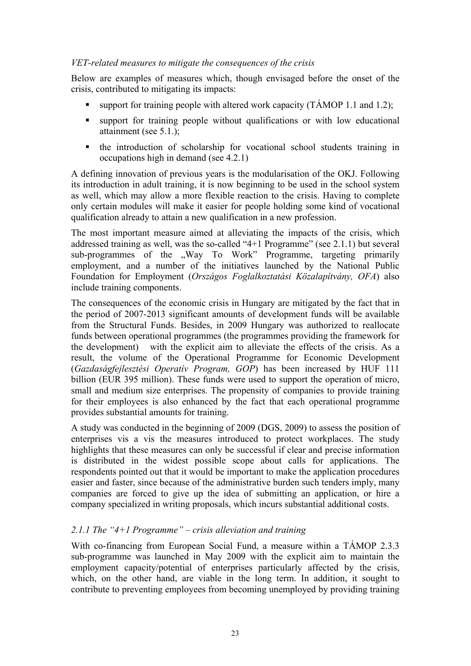#### <span id="page-22-0"></span>*VET-related measures to mitigate the consequences of the crisis*

Below are examples of measures which, though envisaged before the onset of the crisis, contributed to mitigating its impacts:

- support for training people with altered work capacity (TAMOP 1.1 and 1.2);
- support for training people without qualifications or with low educational attainment (see 5.1.);
- the introduction of scholarship for vocational school students training in occupations high in demand (see 4.2.1)

A defining innovation of previous years is the modularisation of the OKJ. Following its introduction in adult training, it is now beginning to be used in the school system as well, which may allow a more flexible reaction to the crisis. Having to complete only certain modules will make it easier for people holding some kind of vocational qualification already to attain a new qualification in a new profession.

The most important measure aimed at alleviating the impacts of the crisis, which addressed training as well, was the so-called "4+1 Programme" (see 2.1.1) but several sub-programmes of the "Way To Work" Programme, targeting primarily employment, and a number of the initiatives launched by the National Public Foundation for Employment (*Országos Foglalkoztatási Közalapítvány, OFA*) also include training components.

The consequences of the economic crisis in Hungary are mitigated by the fact that in the period of 2007-2013 significant amounts of development funds will be available from the Structural Funds. Besides, in 2009 Hungary was authorized to reallocate funds between operational programmes (the programmes providing the framework for the development) with the explicit aim to alleviate the effects of the crisis. As a result, the volume of the Operational Programme for Economic Development (*Gazdaságfejlesztési Operatív Program, GOP*) has been increased by HUF 111 billion (EUR 395 million). These funds were used to support the operation of micro, small and medium size enterprises. The propensity of companies to provide training for their employees is also enhanced by the fact that each operational programme provides substantial amounts for training.

A study was conducted in the beginning of 2009 (DGS, 2009) to assess the position of enterprises vis a vis the measures introduced to protect workplaces. The study highlights that these measures can only be successful if clear and precise information is distributed in the widest possible scope about calls for applications. The respondents pointed out that it would be important to make the application procedures easier and faster, since because of the administrative burden such tenders imply, many companies are forced to give up the idea of submitting an application, or hire a company specialized in writing proposals, which incurs substantial additional costs.

## *2.1.1 The "4+1 Programme" – crisis alleviation and training*

With co-financing from European Social Fund, a measure within a TÁMOP 2.3.3 sub-programme was launched in May 2009 with the explicit aim to maintain the employment capacity/potential of enterprises particularly affected by the crisis, which, on the other hand, are viable in the long term. In addition, it sought to contribute to preventing employees from becoming unemployed by providing training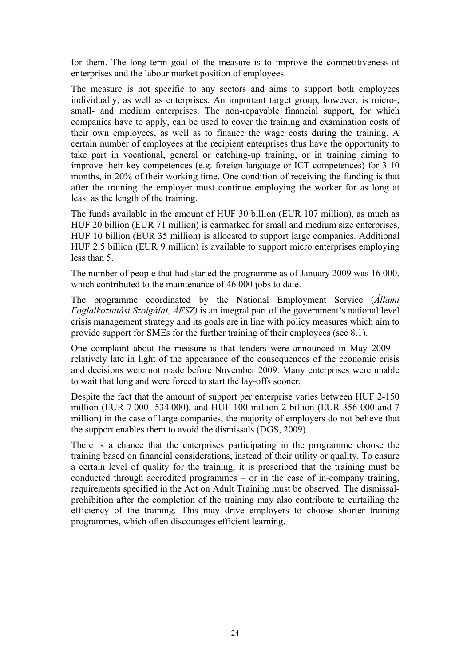for them. The long-term goal of the measure is to improve the competitiveness of enterprises and the labour market position of employees.

The measure is not specific to any sectors and aims to support both employees individually, as well as enterprises. An important target group, however, is micro-, small- and medium enterprises. The non-repayable financial support, for which companies have to apply, can be used to cover the training and examination costs of their own employees, as well as to finance the wage costs during the training. A certain number of employees at the recipient enterprises thus have the opportunity to take part in vocational, general or catching-up training, or in training aiming to improve their key competences (e.g. foreign language or ICT competences) for 3-10 months, in 20% of their working time. One condition of receiving the funding is that after the training the employer must continue employing the worker for as long at least as the length of the training.

The funds available in the amount of HUF 30 billion (EUR 107 million), as much as HUF 20 billion (EUR 71 million) is earmarked for small and medium size enterprises, HUF 10 billion (EUR 35 million) is allocated to support large companies. Additional HUF 2.5 billion (EUR 9 million) is available to support micro enterprises employing less than 5.

The number of people that had started the programme as of January 2009 was 16 000, which contributed to the maintenance of 46 000 jobs to date.

The programme coordinated by the National Employment Service (*Állami Foglalkoztatási Szolgálat, ÁFSZ)* is an integral part of the government's national level crisis management strategy and its goals are in line with policy measures which aim to provide support for SMEs for the further training of their employees (see 8.1).

One complaint about the measure is that tenders were announced in May 2009 – relatively late in light of the appearance of the consequences of the economic crisis and decisions were not made before November 2009. Many enterprises were unable to wait that long and were forced to start the lay-offs sooner.

Despite the fact that the amount of support per enterprise varies between HUF 2-150 million (EUR 7 000- 534 000), and HUF 100 million-2 billion (EUR 356 000 and 7 million) in the case of large companies, the majority of employers do not believe that the support enables them to avoid the dismissals (DGS, 2009).

There is a chance that the enterprises participating in the programme choose the training based on financial considerations, instead of their utility or quality. To ensure a certain level of quality for the training, it is prescribed that the training must be conducted through accredited programmes – or in the case of in-company training, requirements specified in the Act on Adult Training must be observed. The dismissalprohibition after the completion of the training may also contribute to curtailing the efficiency of the training. This may drive employers to choose shorter training programmes, which often discourages efficient learning.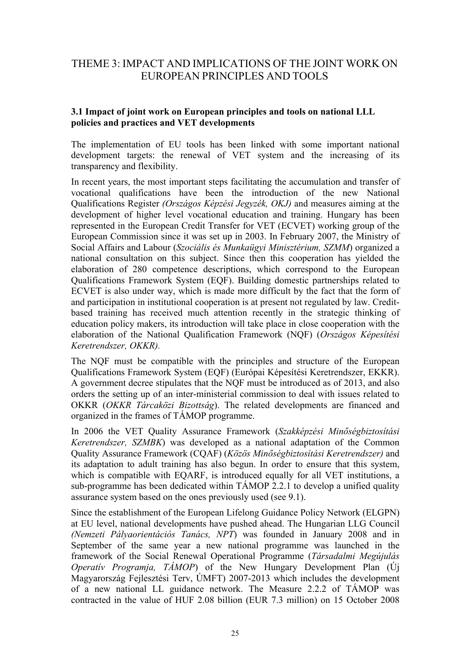# <span id="page-24-0"></span>THEME 3: IMPACT AND IMPLICATIONS OF THE JOINT WORK ON EUROPEAN PRINCIPLES AND TOOLS

## **3.1 Impact of joint work on European principles and tools on national LLL policies and practices and VET developments**

The implementation of EU tools has been linked with some important national development targets: the renewal of VET system and the increasing of its transparency and flexibility.

In recent years, the most important steps facilitating the accumulation and transfer of vocational qualifications have been the introduction of the new National Qualifications Register *(Országos Képzési Jegyzék, OKJ)* and measures aiming at the development of higher level vocational education and training. Hungary has been represented in the European Credit Transfer for VET (ECVET) working group of the European Commission since it was set up in 2003. In February 2007, the Ministry of Social Affairs and Labour (*Szociális és Munkaügyi Minisztérium, SZMM*) organized a national consultation on this subject. Since then this cooperation has yielded the elaboration of 280 competence descriptions, which correspond to the European Qualifications Framework System (EQF). Building domestic partnerships related to ECVET is also under way, which is made more difficult by the fact that the form of and participation in institutional cooperation is at present not regulated by law. Creditbased training has received much attention recently in the strategic thinking of education policy makers, its introduction will take place in close cooperation with the elaboration of the National Qualification Framework (NQF) (*Országos Képesítési Keretrendszer, OKKR).* 

The NQF must be compatible with the principles and structure of the European Qualifications Framework System (EQF) (Európai Képesítési Keretrendszer, EKKR). A government decree stipulates that the NQF must be introduced as of 2013, and also orders the setting up of an inter-ministerial commission to deal with issues related to OKKR (*OKKR Tárcaközi Bizottság*). The related developments are financed and organized in the frames of TÁMOP programme.

In 2006 the VET Quality Assurance Framework (*Szakképzési Minőségbiztosítási Keretrendszer, SZMBK*) was developed as a national adaptation of the Common Quality Assurance Framework (CQAF) (*Közös Minőségbiztosítási Keretrendszer)* and its adaptation to adult training has also begun. In order to ensure that this system, which is compatible with EQARF, is introduced equally for all VET institutions, a sub-programme has been dedicated within TÁMOP 2.2.1 to develop a unified quality assurance system based on the ones previously used (see 9.1).

Since the establishment of the European Lifelong Guidance Policy Network (ELGPN) at EU level, national developments have pushed ahead. The Hungarian LLG Council *(Nemzeti Pályaorientációs Tanács, NPT*) was founded in January 2008 and in September of the same year a new national programme was launched in the framework of the Social Renewal Operational Programme (*Társadalmi Megújulás Operatív Programja, TÁMOP*) of the New Hungary Development Plan (Új Magyarország Fejlesztési Terv, ÚMFT) 2007-2013 which includes the development of a new national LL guidance network. The Measure 2.2.2 of TÁMOP was contracted in the value of HUF 2.08 billion (EUR 7.3 million) on 15 October 2008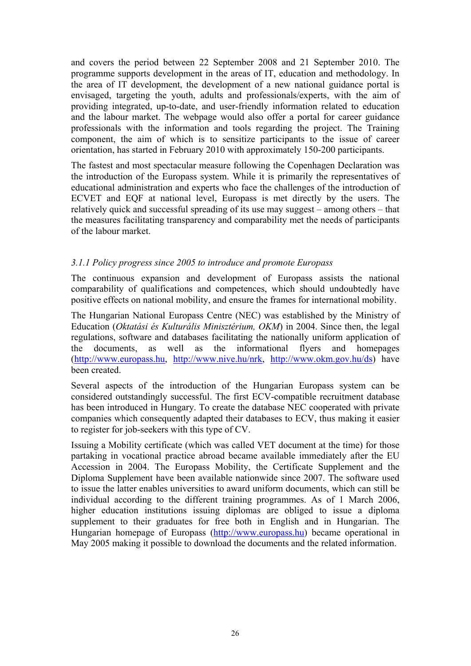<span id="page-25-0"></span>and covers the period between 22 September 2008 and 21 September 2010. The programme supports development in the areas of IT, education and methodology. In the area of IT development, the development of a new national guidance portal is envisaged, targeting the youth, adults and professionals/experts, with the aim of providing integrated, up-to-date, and user-friendly information related to education and the labour market. The webpage would also offer a portal for career guidance professionals with the information and tools regarding the project. The Training component, the aim of which is to sensitize participants to the issue of career orientation, has started in February 2010 with approximately 150-200 participants.

The fastest and most spectacular measure following the Copenhagen Declaration was the introduction of the Europass system. While it is primarily the representatives of educational administration and experts who face the challenges of the introduction of ECVET and EQF at national level, Europass is met directly by the users. The relatively quick and successful spreading of its use may suggest – among others – that the measures facilitating transparency and comparability met the needs of participants of the labour market.

#### *3.1.1 Policy progress since 2005 to introduce and promote Europass*

The continuous expansion and development of Europass assists the national comparability of qualifications and competences, which should undoubtedly have positive effects on national mobility, and ensure the frames for international mobility.

The Hungarian National Europass Centre (NEC) was established by the Ministry of Education (*Oktatási és Kulturális Minisztérium, OKM*) in 2004. Since then, the legal regulations, software and databases facilitating the nationally uniform application of the documents, as well as the informational flyers and homepages ([http://www.europass.hu,](http://www.europass.hu/) [http://www.nive.hu/nrk,](http://www.nive.hu/nrk) <http://www.okm.gov.hu/ds>) have been created.

Several aspects of the introduction of the Hungarian Europass system can be considered outstandingly successful. The first ECV-compatible recruitment database has been introduced in Hungary. To create the database NEC cooperated with private companies which consequently adapted their databases to ECV, thus making it easier to register for job-seekers with this type of CV.

Issuing a Mobility certificate (which was called VET document at the time) for those partaking in vocational practice abroad became available immediately after the EU Accession in 2004. The Europass Mobility, the Certificate Supplement and the Diploma Supplement have been available nationwide since 2007. The software used to issue the latter enables universities to award uniform documents, which can still be individual according to the different training programmes. As of 1 March 2006, higher education institutions issuing diplomas are obliged to issue a diploma supplement to their graduates for free both in English and in Hungarian. The Hungarian homepage of Europass (http://[www.europass.hu\)](http://www.europass.hu/) became operational in May 2005 making it possible to download the documents and the related information.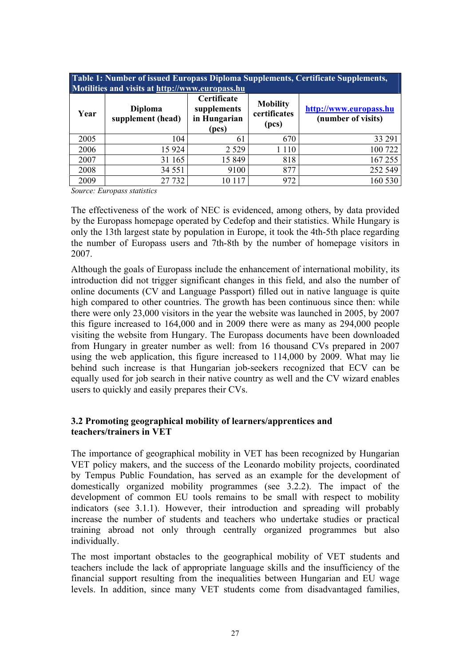<span id="page-26-0"></span>

| Table 1: Number of issued Europass Diploma Supplements, Certificate Supplements,<br>Motilities and visits at http://www.europass.hu |                                     |                                                     |                                          |                                              |  |  |  |
|-------------------------------------------------------------------------------------------------------------------------------------|-------------------------------------|-----------------------------------------------------|------------------------------------------|----------------------------------------------|--|--|--|
| Year                                                                                                                                | <b>Diploma</b><br>supplement (head) | Certificate<br>supplements<br>in Hungarian<br>(pcs) | <b>Mobility</b><br>certificates<br>(pcs) | http://www.europass.hu<br>(number of visits) |  |  |  |
| 2005                                                                                                                                | 104                                 | 61                                                  | 670                                      | 33 291                                       |  |  |  |
| 2006                                                                                                                                | 15 9 24                             | 2 5 2 9                                             | 1 1 1 0                                  | 100 722                                      |  |  |  |
| 2007                                                                                                                                | 31 165                              | 15 849                                              | 818                                      | 167 255                                      |  |  |  |
| 2008                                                                                                                                | 34 551                              | 9100                                                | 877                                      | 252 549                                      |  |  |  |
| 2009                                                                                                                                | 27 732                              | 10 117                                              | 972                                      | 160 530                                      |  |  |  |

*Source: Europass statistics* 

The effectiveness of the work of NEC is evidenced, among others, by data provided by the Europass homepage operated by Cedefop and their statistics. While Hungary is only the 13th largest state by population in Europe, it took the 4th-5th place regarding the number of Europass users and 7th-8th by the number of homepage visitors in 2007.

Although the goals of Europass include the enhancement of international mobility, its introduction did not trigger significant changes in this field, and also the number of online documents (CV and Language Passport) filled out in native language is quite high compared to other countries. The growth has been continuous since then: while there were only 23,000 visitors in the year the website was launched in 2005, by 2007 this figure increased to 164,000 and in 2009 there were as many as 294,000 people visiting the [website](http://europass.cedefop.europa.eu/) from Hungary. The Europass documents have been downloaded from Hungary in greater number as well: from 16 thousand CVs prepared in 2007 using the web application, this figure increased to 114,000 by 2009. What may lie behind such increase is that Hungarian job-seekers recognized that ECV can be equally used for job search in their native country as well and the CV wizard enables users to quickly and easily prepares their CVs.

#### **3.2 Promoting geographical mobility of learners/apprentices and teachers/trainers in VET**

The importance of geographical mobility in VET has been recognized by Hungarian VET policy makers, and the success of the Leonardo mobility projects, coordinated by Tempus Public Foundation, has served as an example for the development of domestically organized mobility programmes (see 3.2.2). The impact of the development of common EU tools remains to be small with respect to mobility indicators (see 3.1.1). However, their introduction and spreading will probably increase the number of students and teachers who undertake studies or practical training abroad not only through centrally organized programmes but also individually.

The most important obstacles to the geographical mobility of VET students and teachers include the lack of appropriate language skills and the insufficiency of the financial support resulting from the inequalities between Hungarian and EU wage levels. In addition, since many VET students come from disadvantaged families,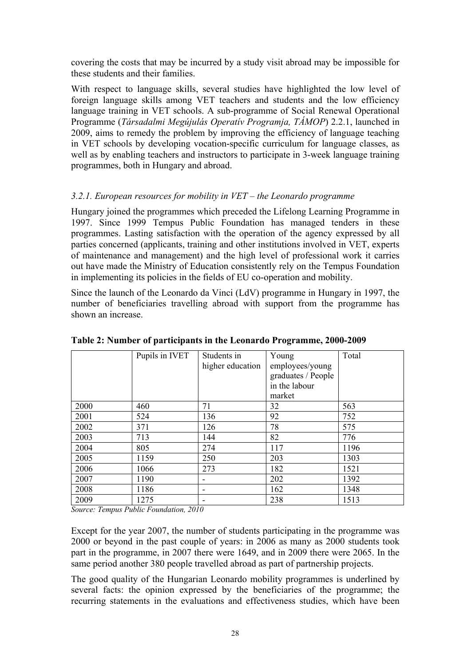<span id="page-27-0"></span>covering the costs that may be incurred by a study visit abroad may be impossible for these students and their families.

With respect to language skills, several studies have highlighted the low level of foreign language skills among VET teachers and students and the low efficiency language training in VET schools. A sub-programme of Social Renewal Operational Programme (*Társadalmi Megújulás Operatív Programja, TÁMOP*) 2.2.1, launched in 2009, aims to remedy the problem by improving the efficiency of language teaching in VET schools by developing vocation-specific curriculum for language classes, as well as by enabling teachers and instructors to participate in 3-week language training programmes, both in Hungary and abroad.

## *3.2.1. European resources for mobility in VET – the Leonardo programme*

Hungary joined the programmes which preceded the Lifelong Learning Programme in 1997. Since 1999 Tempus Public Foundation has managed tenders in these programmes. Lasting satisfaction with the operation of the agency expressed by all parties concerned (applicants, training and other institutions involved in VET, experts of maintenance and management) and the high level of professional work it carries out have made the Ministry of Education consistently rely on the Tempus Foundation in implementing its policies in the fields of EU co-operation and mobility.

Since the launch of the Leonardo da Vinci (LdV) programme in Hungary in 1997, the number of beneficiaries travelling abroad with support from the programme has shown an increase.

|      | Pupils in IVET | Students in<br>higher education | Young<br>employees/young<br>graduates / People<br>in the labour<br>market | Total |
|------|----------------|---------------------------------|---------------------------------------------------------------------------|-------|
| 2000 | 460            | 71                              | 32                                                                        | 563   |
| 2001 | 524            | 136                             | 92                                                                        | 752   |
| 2002 | 371            | 126                             | 78                                                                        | 575   |
| 2003 | 713            | 144                             | 82                                                                        | 776   |
| 2004 | 805            | 274                             | 117                                                                       | 1196  |
| 2005 | 1159           | 250                             | 203                                                                       | 1303  |
| 2006 | 1066           | 273                             | 182                                                                       | 1521  |
| 2007 | 1190           |                                 | 202                                                                       | 1392  |
| 2008 | 1186           |                                 | 162                                                                       | 1348  |
| 2009 | 1275           |                                 | 238                                                                       | 1513  |

**Table 2: Number of participants in the Leonardo Programme, 2000-2009** 

*Source: Tempus Public Foundation, 2010* 

Except for the year 2007, the number of students participating in the programme was 2000 or beyond in the past couple of years: in 2006 as many as 2000 students took part in the programme, in 2007 there were 1649, and in 2009 there were 2065. In the same period another 380 people travelled abroad as part of partnership projects.

The good quality of the Hungarian Leonardo mobility programmes is underlined by several facts: the opinion expressed by the beneficiaries of the programme; the recurring statements in the evaluations and effectiveness studies, which have been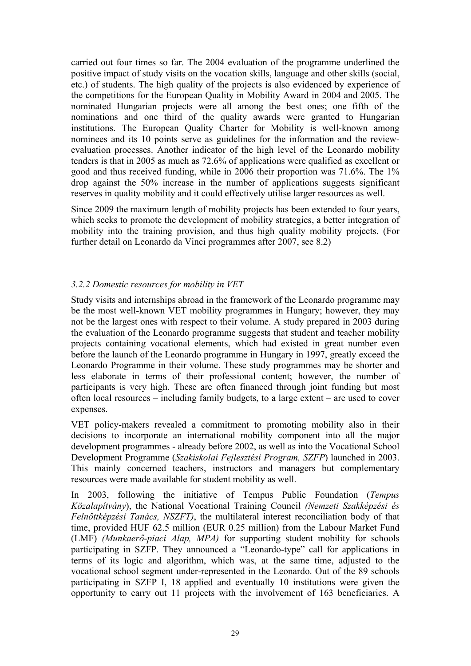<span id="page-28-0"></span>carried out four times so far. The 2004 evaluation of the programme underlined the positive impact of study visits on the vocation skills, language and other skills (social, etc.) of students. The high quality of the projects is also evidenced by experience of the competitions for the European Quality in Mobility Award in 2004 and 2005. The nominated Hungarian projects were all among the best ones; one fifth of the nominations and one third of the quality awards were granted to Hungarian institutions. The European Quality Charter for Mobility is well-known among nominees and its 10 points serve as guidelines for the information and the reviewevaluation processes. Another indicator of the high level of the Leonardo mobility tenders is that in 2005 as much as 72.6% of applications were qualified as excellent or good and thus received funding, while in 2006 their proportion was 71.6%. The 1% drop against the 50% increase in the number of applications suggests significant reserves in quality mobility and it could effectively utilise larger resources as well.

Since 2009 the maximum length of mobility projects has been extended to four years, which seeks to promote the development of mobility strategies, a better integration of mobility into the training provision, and thus high quality mobility projects. (For further detail on Leonardo da Vinci programmes after 2007, see 8.2)

## *3.2.2 Domestic resources for mobility in VET*

Study visits and internships abroad in the framework of the Leonardo programme may be the most well-known VET mobility programmes in Hungary; however, they may not be the largest ones with respect to their volume. A study prepared in 2003 during the evaluation of the Leonardo programme suggests that student and teacher mobility projects containing vocational elements, which had existed in great number even before the launch of the Leonardo programme in Hungary in 1997, greatly exceed the Leonardo Programme in their volume. These study programmes may be shorter and less elaborate in terms of their professional content; however, the number of participants is very high. These are often financed through joint funding but most often local resources – including family budgets, to a large extent – are used to cover expenses.

VET policy-makers revealed a commitment to promoting mobility also in their decisions to incorporate an international mobility component into all the major development programmes - already before 2002, as well as into the Vocational School Development Programme (*Szakiskolai Fejlesztési Program, SZFP*) launched in 2003. This mainly concerned teachers, instructors and managers but complementary resources were made available for student mobility as well.

In 2003, following the initiative of Tempus Public Foundation (*Tempus Közalapítvány*), the National Vocational Training Council *(Nemzeti Szakképzési és Felnőttképzési Tanács, NSZFT)*, the multilateral interest reconciliation body of that time, provided HUF 62.5 million (EUR 0.25 million) from the Labour Market Fund (LMF) *(Munkaerő-piaci Alap, MPA)* for supporting student mobility for schools participating in SZFP. They announced a "Leonardo-type" call for applications in terms of its logic and algorithm, which was, at the same time, adjusted to the vocational school segment under-represented in the Leonardo. Out of the 89 schools participating in SZFP I, 18 applied and eventually 10 institutions were given the opportunity to carry out 11 projects with the involvement of 163 beneficiaries. A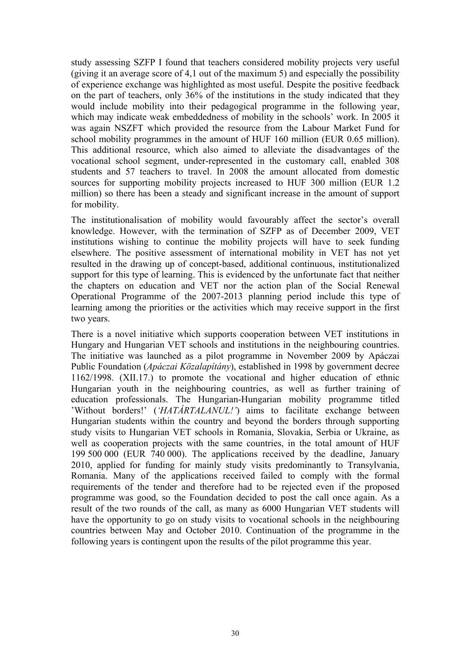study assessing SZFP I found that teachers considered mobility projects very useful (giving it an average score of 4,1 out of the maximum 5) and especially the possibility of experience exchange was highlighted as most useful. Despite the positive feedback on the part of teachers, only 36% of the institutions in the study indicated that they would include mobility into their pedagogical programme in the following year, which may indicate weak embeddedness of mobility in the schools' work. In 2005 it was again NSZFT which provided the resource from the Labour Market Fund for school mobility programmes in the amount of HUF 160 million (EUR 0.65 million). This additional resource, which also aimed to alleviate the disadvantages of the vocational school segment, under-represented in the customary call, enabled 308 students and 57 teachers to travel. In 2008 the amount allocated from domestic sources for supporting mobility projects increased to HUF 300 million (EUR 1.2 million) so there has been a steady and significant increase in the amount of support for mobility.

The institutionalisation of mobility would favourably affect the sector's overall knowledge. However, with the termination of SZFP as of December 2009, VET institutions wishing to continue the mobility projects will have to seek funding elsewhere. The positive assessment of international mobility in VET has not yet resulted in the drawing up of concept-based, additional continuous, institutionalized support for this type of learning. This is evidenced by the unfortunate fact that neither the chapters on education and VET nor the action plan of the Social Renewal Operational Programme of the 2007-2013 planning period include this type of learning among the priorities or the activities which may receive support in the first two years.

There is a novel initiative which supports cooperation between VET institutions in Hungary and Hungarian VET schools and institutions in the neighbouring countries. The initiative was launched as a pilot programme in November 2009 by Apáczai Public Foundation (*Apáczai Közalapítány*), established in 1998 by government decree 1162/1998. (XII.17.) to promote the vocational and higher education of ethnic Hungarian youth in the neighbouring countries, as well as further training of education professionals. The Hungarian-Hungarian mobility programme titled 'Without borders!' (*'HATÁRTALANUL!'*) aims to facilitate exchange between Hungarian students within the country and beyond the borders through supporting study visits to Hungarian VET schools in Romania, Slovakia, Serbia or Ukraine, as well as cooperation projects with the same countries, in the total amount of HUF 199 500 000 (EUR 740 000). The applications received by the deadline, January 2010, applied for funding for mainly study visits predominantly to Transylvania, Romania. Many of the applications received failed to comply with the formal requirements of the tender and therefore had to be rejected even if the proposed programme was good, so the Foundation decided to post the call once again. As a result of the two rounds of the call, as many as 6000 Hungarian VET students will have the opportunity to go on study visits to vocational schools in the neighbouring countries between May and October 2010. Continuation of the programme in the following years is contingent upon the results of the pilot programme this year.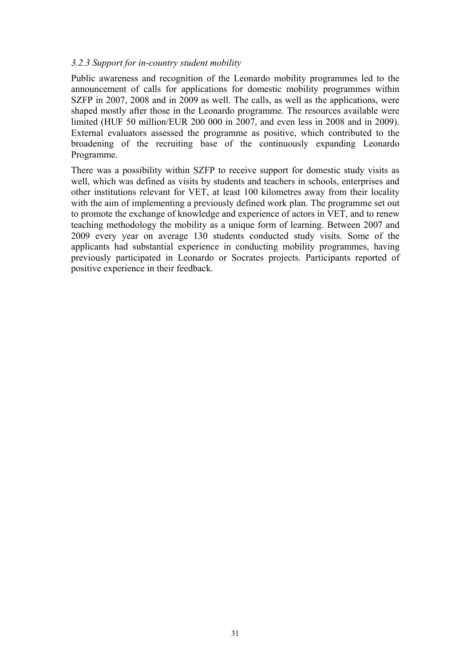#### <span id="page-30-0"></span>*3.2.3 Support for in-country student mobility*

Public awareness and recognition of the Leonardo mobility programmes led to the announcement of calls for applications for domestic mobility programmes within SZFP in 2007, 2008 and in 2009 as well. The calls, as well as the applications, were shaped mostly after those in the Leonardo programme. The resources available were limited (HUF 50 million/EUR 200 000 in 2007, and even less in 2008 and in 2009). External evaluators assessed the programme as positive, which contributed to the broadening of the recruiting base of the continuously expanding Leonardo Programme.

There was a possibility within SZFP to receive support for domestic study visits as well, which was defined as visits by students and teachers in schools, enterprises and other institutions relevant for VET, at least 100 kilometres away from their locality with the aim of implementing a previously defined work plan. The programme set out to promote the exchange of knowledge and experience of actors in VET, and to renew teaching methodology the mobility as a unique form of learning. Between 2007 and 2009 every year on average 130 students conducted study visits. Some of the applicants had substantial experience in conducting mobility programmes, having previously participated in Leonardo or Socrates projects. Participants reported of positive experience in their feedback.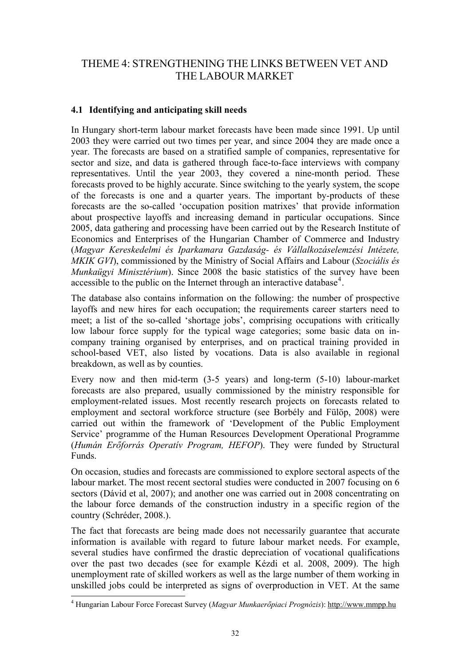# <span id="page-31-0"></span>THEME 4: STRENGTHENING THE LINKS BETWEEN VET AND THE LABOUR MARKET

## **4.1 Identifying and anticipating skill needs**

In Hungary short-term labour market forecasts have been made since 1991. Up until 2003 they were carried out two times per year, and since 2004 they are made once a year. The forecasts are based on a stratified sample of companies, representative for sector and size, and data is gathered through face-to-face interviews with company representatives. Until the year 2003, they covered a nine-month period. These forecasts proved to be highly accurate. Since switching to the yearly system, the scope of the forecasts is one and a quarter years. The important by-products of these forecasts are the so-called 'occupation position matrixes' that provide information about prospective layoffs and increasing demand in particular occupations. Since 2005, data gathering and processing have been carried out by the Research Institute of Economics and Enterprises of the Hungarian Chamber of Commerce and Industry (*Magyar Kereskedelmi és Iparkamara Gazdaság- és Vállalkozáselemzési Intézete, MKIK GVI*), commissioned by the Ministry of Social Affairs and Labour (*Szociális és Munkaügyi Minisztérium*). Since 2008 the basic statistics of the survey have been accessible to the public on the Internet through an interactive database<sup>[4](#page-31-0)</sup>.

The database also contains information on the following: the number of prospective layoffs and new hires for each occupation; the requirements career starters need to meet; a list of the so-called 'shortage jobs', comprising occupations with critically low labour force supply for the typical wage categories; some basic data on incompany training organised by enterprises, and on practical training provided in school-based VET, also listed by vocations. Data is also available in regional breakdown, as well as by counties.

Every now and then mid-term (3-5 years) and long-term (5-10) labour-market forecasts are also prepared, usually commissioned by the ministry responsible for employment-related issues. Most recently research projects on forecasts related to employment and sectoral workforce structure (see Borbély and Fülöp, 2008) were carried out within the framework of 'Development of the Public Employment Service' programme of the Human Resources Development Operational Programme (*Humán Erőforrás Operatív Program, HEFOP*). They were funded by Structural Funds.

On occasion, studies and forecasts are commissioned to explore sectoral aspects of the labour market. The most recent sectoral studies were conducted in 2007 focusing on 6 sectors (Dávid et al, 2007); and another one was carried out in 2008 concentrating on the labour force demands of the construction industry in a specific region of the country (Schréder, 2008.).

The fact that forecasts are being made does not necessarily guarantee that accurate information is available with regard to future labour market needs. For example, several studies have confirmed the drastic depreciation of vocational qualifications over the past two decades (see for example Kézdi et al. 2008, 2009). The high unemployment rate of skilled workers as well as the large number of them working in unskilled jobs could be interpreted as signs of overproduction in VET. At the same

 4 Hungarian Labour Force Forecast Survey (*Magyar Munkaerőpiaci Prognózis*): [http://www.mmpp.hu](http://www.mmpp.hu/)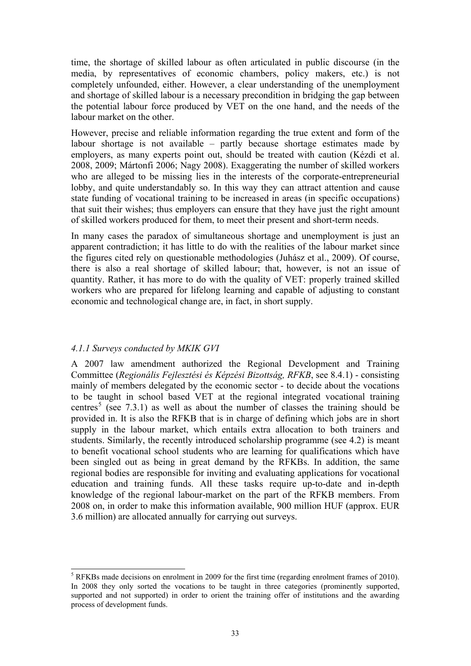<span id="page-32-0"></span>time, the shortage of skilled labour as often articulated in public discourse (in the media, by representatives of economic chambers, policy makers, etc.) is not completely unfounded, either. However, a clear understanding of the unemployment and shortage of skilled labour is a necessary precondition in bridging the gap between the potential labour force produced by VET on the one hand, and the needs of the labour market on the other.

However, precise and reliable information regarding the true extent and form of the labour shortage is not available – partly because shortage estimates made by employers, as many experts point out, should be treated with caution (Kézdi et al. 2008, 2009; Mártonfi 2006; Nagy 2008). Exaggerating the number of skilled workers who are alleged to be missing lies in the interests of the corporate-entrepreneurial lobby, and quite understandably so. In this way they can attract attention and cause state funding of vocational training to be increased in areas (in specific occupations) that suit their wishes; thus employers can ensure that they have just the right amount of skilled workers produced for them, to meet their present and short-term needs.

In many cases the paradox of simultaneous shortage and unemployment is just an apparent contradiction; it has little to do with the realities of the labour market since the figures cited rely on questionable methodologies (Juhász et al., 2009). Of course, there is also a real shortage of skilled labour; that, however, is not an issue of quantity. Rather, it has more to do with the quality of VET: properly trained skilled workers who are prepared for lifelong learning and capable of adjusting to constant economic and technological change are, in fact, in short supply.

#### *4.1.1 Surveys conducted by MKIK GVI*

l

A 2007 law amendment authorized the Regional Development and Training Committee (*Regionális Fejlesztési és Képzési Bizottság, RFKB*, see 8.4.1) - consisting mainly of members delegated by the economic sector - to decide about the vocations to be taught in school based VET at the regional integrated vocational training centres<sup>[5](#page-32-0)</sup> (see 7.3.1) as well as about the number of classes the training should be provided in. It is also the RFKB that is in charge of defining which jobs are in short supply in the labour market, which entails extra allocation to both trainers and students. Similarly, the recently introduced scholarship programme (see 4.2) is meant to benefit vocational school students who are learning for qualifications which have been singled out as being in great demand by the RFKBs. In addition, the same regional bodies are responsible for inviting and evaluating applications for vocational education and training funds. All these tasks require up-to-date and in-depth knowledge of the regional labour-market on the part of the RFKB members. From 2008 on, in order to make this information available, 900 million HUF (approx. EUR 3.6 million) are allocated annually for carrying out surveys.

 $<sup>5</sup>$  RFKBs made decisions on enrolment in 2009 for the first time (regarding enrolment frames of 2010).</sup> In 2008 they only sorted the vocations to be taught in three categories (prominently supported, supported and not supported) in order to orient the training offer of institutions and the awarding process of development funds.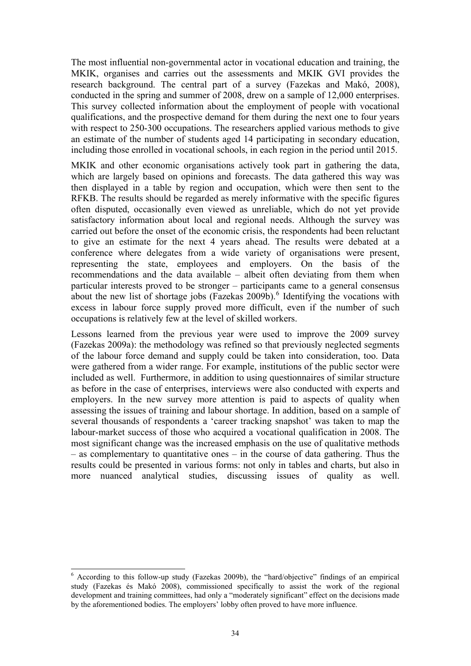<span id="page-33-0"></span>The most influential non-governmental actor in vocational education and training, the MKIK, organises and carries out the assessments and MKIK GVI provides the research background. The central part of a survey (Fazekas and Makó, 2008), conducted in the spring and summer of 2008, drew on a sample of 12,000 enterprises. This survey collected information about the employment of people with vocational qualifications, and the prospective demand for them during the next one to four years with respect to 250-300 occupations. The researchers applied various methods to give an estimate of the number of students aged 14 participating in secondary education, including those enrolled in vocational schools, in each region in the period until 2015.

MKIK and other economic organisations actively took part in gathering the data, which are largely based on opinions and forecasts. The data gathered this way was then displayed in a table by region and occupation, which were then sent to the RFKB. The results should be regarded as merely informative with the specific figures often disputed, occasionally even viewed as unreliable, which do not yet provide satisfactory information about local and regional needs. Although the survey was carried out before the onset of the economic crisis, the respondents had been reluctant to give an estimate for the next 4 years ahead. The results were debated at a conference where delegates from a wide variety of organisations were present, representing the state, employees and employers. On the basis of the recommendations and the data available – albeit often deviating from them when particular interests proved to be stronger – participants came to a general consensus about the new list of shortage jobs (Fazekas  $2009b$ ).<sup>[6](#page-33-0)</sup> Identifying the vocations with excess in labour force supply proved more difficult, even if the number of such occupations is relatively few at the level of skilled workers.

Lessons learned from the previous year were used to improve the 2009 survey (Fazekas 2009a): the methodology was refined so that previously neglected segments of the labour force demand and supply could be taken into consideration, too. Data were gathered from a wider range. For example, institutions of the public sector were included as well. Furthermore, in addition to using questionnaires of similar structure as before in the case of enterprises, interviews were also conducted with experts and employers. In the new survey more attention is paid to aspects of quality when assessing the issues of training and labour shortage. In addition, based on a sample of several thousands of respondents a 'career tracking snapshot' was taken to map the labour-market success of those who acquired a vocational qualification in 2008. The most significant change was the increased emphasis on the use of qualitative methods – as complementary to quantitative ones – in the course of data gathering. Thus the results could be presented in various forms: not only in tables and charts, but also in more nuanced analytical studies, discussing issues of quality as well.

l

<sup>&</sup>lt;sup>6</sup> According to this follow-up study (Fazekas 2009b), the "hard/objective" findings of an empirical study (Fazekas és Makó 2008), commissioned specifically to assist the work of the regional development and training committees, had only a "moderately significant" effect on the decisions made by the aforementioned bodies. The employers' lobby often proved to have more influence.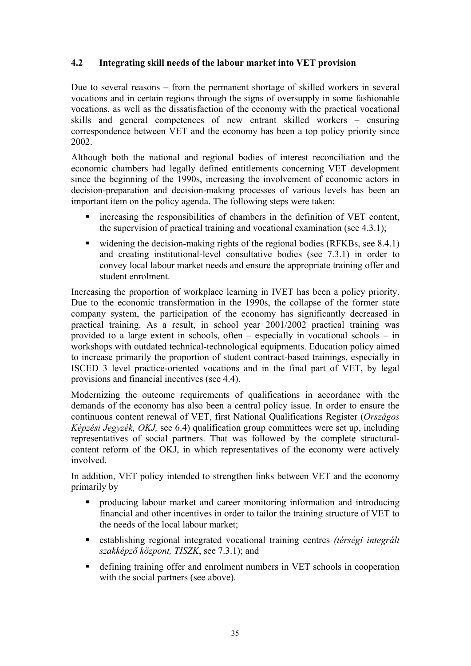## <span id="page-34-0"></span>**4.2 Integrating skill needs of the labour market into VET provision**

Due to several reasons – from the permanent shortage of skilled workers in several vocations and in certain regions through the signs of oversupply in some fashionable vocations, as well as the dissatisfaction of the economy with the practical vocational skills and general competences of new entrant skilled workers – ensuring correspondence between VET and the economy has been a top policy priority since 2002.

Although both the national and regional bodies of interest reconciliation and the economic chambers had legally defined entitlements concerning VET development since the beginning of the 1990s, increasing the involvement of economic actors in decision-preparation and decision-making processes of various levels has been an important item on the policy agenda. The following steps were taken:

- increasing the responsibilities of chambers in the definition of VET content, the supervision of practical training and vocational examination (see 4.3.1);
- widening the decision-making rights of the regional bodies (RFKBs, see  $8.4.1$ ) and creating institutional-level consultative bodies (see 7.3.1) in order to convey local labour market needs and ensure the appropriate training offer and student enrolment.

Increasing the proportion of workplace learning in IVET has been a policy priority. Due to the economic transformation in the 1990s, the collapse of the former state company system, the participation of the economy has significantly decreased in practical training. As a result, in school year 2001/2002 practical training was provided to a large extent in schools, often – especially in vocational schools – in workshops with outdated technical-technological equipments. Education policy aimed to increase primarily the proportion of student contract-based trainings, especially in ISCED 3 level practice-oriented vocations and in the final part of VET, by legal provisions and financial incentives (see 4.4).

Modernizing the outcome requirements of qualifications in accordance with the demands of the economy has also been a central policy issue. In order to ensure the continuous content renewal of VET, first National Qualifications Register (*Országos Képzési Jegyzék, OKJ,* see 6.4) qualification group committees were set up, including representatives of social partners. That was followed by the complete structuralcontent reform of the OKJ, in which representatives of the economy were actively involved.

In addition, VET policy intended to strengthen links between VET and the economy primarily by

- producing labour market and career monitoring information and introducing financial and other incentives in order to tailor the training structure of VET to the needs of the local labour market;
- establishing regional integrated vocational training centres *(térségi integrált szakképző központ, TISZK*, see 7.3.1); and
- defining training offer and enrolment numbers in VET schools in cooperation with the social partners (see above).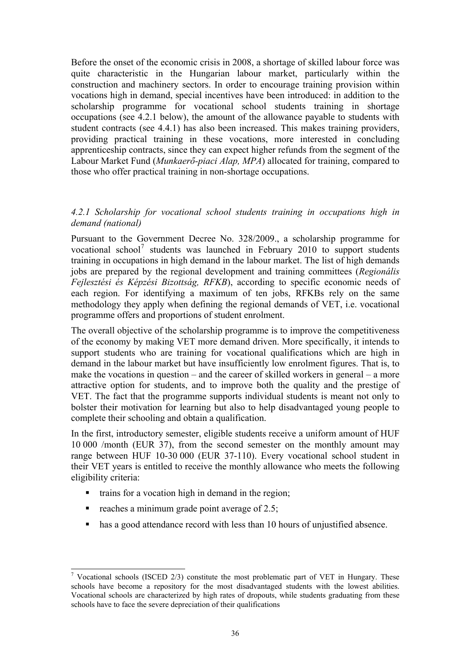<span id="page-35-0"></span>Before the onset of the economic crisis in 2008, a shortage of skilled labour force was quite characteristic in the Hungarian labour market, particularly within the construction and machinery sectors. In order to encourage training provision within vocations high in demand, special incentives have been introduced: in addition to the scholarship programme for vocational school students training in shortage occupations (see 4.2.1 below), the amount of the allowance payable to students with student contracts (see 4.4.1) has also been increased. This makes training providers, providing practical training in these vocations, more interested in concluding apprenticeship contracts, since they can expect higher refunds from the segment of the Labour Market Fund (*Munkaerő-piaci Alap, MPA*) allocated for training, compared to those who offer practical training in non-shortage occupations.

#### *4.2.1 Scholarship for vocational school students training in occupations high in demand (national)*

Pursuant to the Government Decree No. 328/2009., a scholarship programme for vocational school<sup>[7](#page-35-0)</sup> students was launched in February 2010 to support students training in occupations in high demand in the labour market. The list of high demands jobs are prepared by the regional development and training committees (*Regionális Fejlesztési és Képzési Bizottság, RFKB*), according to specific economic needs of each region. For identifying a maximum of ten jobs, RFKBs rely on the same methodology they apply when defining the regional demands of VET, i.e. vocational programme offers and proportions of student enrolment.

The overall objective of the scholarship programme is to improve the competitiveness of the economy by making VET more demand driven. More specifically, it intends to support students who are training for vocational qualifications which are high in demand in the labour market but have insufficiently low enrolment figures. That is, to make the vocations in question – and the career of skilled workers in general – a more attractive option for students, and to improve both the quality and the prestige of VET. The fact that the programme supports individual students is meant not only to bolster their motivation for learning but also to help disadvantaged young people to complete their schooling and obtain a qualification.

In the first, introductory semester, eligible students receive a uniform amount of HUF 10 000 /month (EUR 37), from the second semester on the monthly amount may range between HUF 10-30 000 (EUR 37-110). Every vocational school student in their VET years is entitled to receive the monthly allowance who meets the following eligibility criteria:

- trains for a vocation high in demand in the region;
- reaches a minimum grade point average of  $2.5$ ;

l

has a good attendance record with less than 10 hours of unjustified absence.

<sup>&</sup>lt;sup>7</sup> Vocational schools (ISCED  $2/3$ ) constitute the most problematic part of VET in Hungary. These schools have become a repository for the most disadvantaged students with the lowest abilities. Vocational schools are characterized by high rates of dropouts, while students graduating from these schools have to face the severe depreciation of their qualifications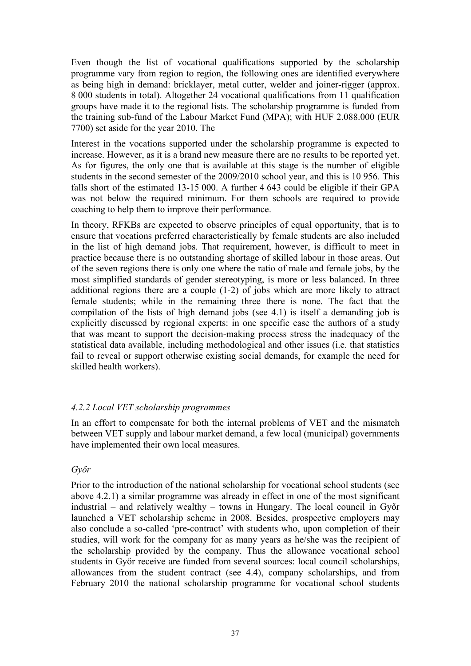Even though the list of vocational qualifications supported by the scholarship programme vary from region to region, the following ones are identified everywhere as being high in demand: bricklayer, metal cutter, welder and joiner-rigger (approx. 8 000 students in total). Altogether 24 vocational qualifications from 11 qualification groups have made it to the regional lists. The scholarship programme is funded from the training sub-fund of the Labour Market Fund (MPA); with HUF 2.088.000 (EUR 7700) set aside for the year 2010. The

Interest in the vocations supported under the scholarship programme is expected to increase. However, as it is a brand new measure there are no results to be reported yet. As for figures, the only one that is available at this stage is the number of eligible students in the second semester of the 2009/2010 school year, and this is 10 956. This falls short of the estimated 13-15 000. A further 4 643 could be eligible if their GPA was not below the required minimum. For them schools are required to provide coaching to help them to improve their performance.

In theory, RFKBs are expected to observe principles of equal opportunity, that is to ensure that vocations preferred characteristically by female students are also included in the list of high demand jobs. That requirement, however, is difficult to meet in practice because there is no outstanding shortage of skilled labour in those areas. Out of the seven regions there is only one where the ratio of male and female jobs, by the most simplified standards of gender stereotyping, is more or less balanced. In three additional regions there are a couple (1-2) of jobs which are more likely to attract female students; while in the remaining three there is none. The fact that the compilation of the lists of high demand jobs (see 4.1) is itself a demanding job is explicitly discussed by regional experts: in one specific case the authors of a study that was meant to support the decision-making process stress the inadequacy of the statistical data available, including methodological and other issues (i.e. that statistics fail to reveal or support otherwise existing social demands, for example the need for skilled health workers).

#### *4.2.2 Local VET scholarship programmes*

In an effort to compensate for both the internal problems of VET and the mismatch between VET supply and labour market demand, a few local (municipal) governments have implemented their own local measures.

#### *Győr*

Prior to the introduction of the national scholarship for vocational school students (see above 4.2.1) a similar programme was already in effect in one of the most significant industrial – and relatively wealthy – towns in Hungary. The local council in Győr launched a VET scholarship scheme in 2008. Besides, prospective employers may also conclude a so-called 'pre-contract' with students who, upon completion of their studies, will work for the company for as many years as he/she was the recipient of the scholarship provided by the company. Thus the allowance vocational school students in Győr receive are funded from several sources: local council scholarships, allowances from the student contract (see 4.4), company scholarships, and from February 2010 the national scholarship programme for vocational school students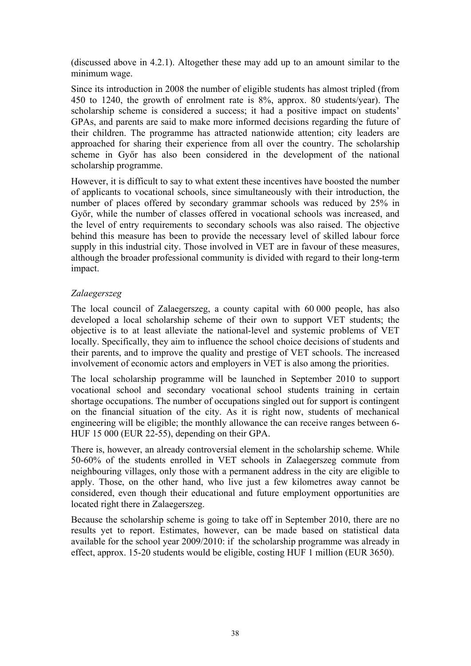(discussed above in 4.2.1). Altogether these may add up to an amount similar to the minimum wage.

Since its introduction in 2008 the number of eligible students has almost tripled (from 450 to 1240, the growth of enrolment rate is 8%, approx. 80 students/year). The scholarship scheme is considered a success; it had a positive impact on students' GPAs, and parents are said to make more informed decisions regarding the future of their children. The programme has attracted nationwide attention; city leaders are approached for sharing their experience from all over the country. The scholarship scheme in Győr has also been considered in the development of the national scholarship programme.

However, it is difficult to say to what extent these incentives have boosted the number of applicants to vocational schools, since simultaneously with their introduction, the number of places offered by secondary grammar schools was reduced by 25% in Győr, while the number of classes offered in vocational schools was increased, and the level of entry requirements to secondary schools was also raised. The objective behind this measure has been to provide the necessary level of skilled labour force supply in this industrial city. Those involved in VET are in favour of these measures, although the broader professional community is divided with regard to their long-term impact.

# *Zalaegerszeg*

The local council of Zalaegerszeg, a county capital with 60 000 people, has also developed a local scholarship scheme of their own to support VET students; the objective is to at least alleviate the national-level and systemic problems of VET locally. Specifically, they aim to influence the school choice decisions of students and their parents, and to improve the quality and prestige of VET schools. The increased involvement of economic actors and employers in VET is also among the priorities.

The local scholarship programme will be launched in September 2010 to support vocational school and secondary vocational school students training in certain shortage occupations. The number of occupations singled out for support is contingent on the financial situation of the city. As it is right now, students of mechanical engineering will be eligible; the monthly allowance the can receive ranges between 6- HUF 15 000 (EUR 22-55), depending on their GPA.

There is, however, an already controversial element in the scholarship scheme. While 50-60% of the students enrolled in VET schools in Zalaegerszeg commute from neighbouring villages, only those with a permanent address in the city are eligible to apply. Those, on the other hand, who live just a few kilometres away cannot be considered, even though their educational and future employment opportunities are located right there in Zalaegerszeg.

Because the scholarship scheme is going to take off in September 2010, there are no results yet to report. Estimates, however, can be made based on statistical data available for the school year 2009/2010: if the scholarship programme was already in effect, approx. 15-20 students would be eligible, costing HUF 1 million (EUR 3650).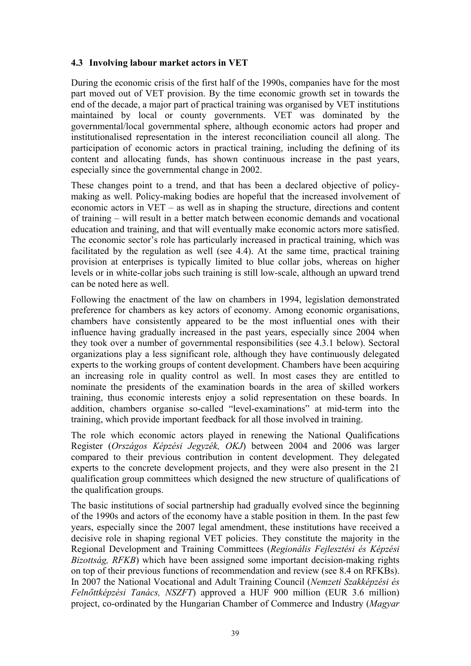#### **4.3 Involving labour market actors in VET**

During the economic crisis of the first half of the 1990s, companies have for the most part moved out of VET provision. By the time economic growth set in towards the end of the decade, a major part of practical training was organised by VET institutions maintained by local or county governments. VET was dominated by the governmental/local governmental sphere, although economic actors had proper and institutionalised representation in the interest reconciliation council all along. The participation of economic actors in practical training, including the defining of its content and allocating funds, has shown continuous increase in the past years, especially since the governmental change in 2002.

These changes point to a trend, and that has been a declared objective of policymaking as well. Policy-making bodies are hopeful that the increased involvement of economic actors in VET – as well as in shaping the structure, directions and content of training – will result in a better match between economic demands and vocational education and training, and that will eventually make economic actors more satisfied. The economic sector's role has particularly increased in practical training, which was facilitated by the regulation as well (see 4.4). At the same time, practical training provision at enterprises is typically limited to blue collar jobs, whereas on higher levels or in white-collar jobs such training is still low-scale, although an upward trend can be noted here as well.

Following the enactment of the law on chambers in 1994, legislation demonstrated preference for chambers as key actors of economy. Among economic organisations, chambers have consistently appeared to be the most influential ones with their influence having gradually increased in the past years, especially since 2004 when they took over a number of governmental responsibilities (see 4.3.1 below). Sectoral organizations play a less significant role, although they have continuously delegated experts to the working groups of content development. Chambers have been acquiring an increasing role in quality control as well. In most cases they are entitled to nominate the presidents of the examination boards in the area of skilled workers training, thus economic interests enjoy a solid representation on these boards. In addition, chambers organise so-called "level-examinations" at mid-term into the training, which provide important feedback for all those involved in training.

The role which economic actors played in renewing the National Qualifications Register (*Országos Képzési Jegyzék, OKJ*) between 2004 and 2006 was larger compared to their previous contribution in content development. They delegated experts to the concrete development projects, and they were also present in the 21 qualification group committees which designed the new structure of qualifications of the qualification groups.

The basic institutions of social partnership had gradually evolved since the beginning of the 1990s and actors of the economy have a stable position in them. In the past few years, especially since the 2007 legal amendment, these institutions have received a decisive role in shaping regional VET policies. They constitute the majority in the Regional Development and Training Committees (*Regionális Fejlesztési és Képzési Bizottság, RFKB*) which have been assigned some important decision-making rights on top of their previous functions of recommendation and review (see 8.4 on RFKBs). In 2007 the National Vocational and Adult Training Council (*Nemzeti Szakképzési és Felnőttképzési Tanács, NSZFT*) approved a HUF 900 million (EUR 3.6 million) project, co-ordinated by the Hungarian Chamber of Commerce and Industry (*Magyar*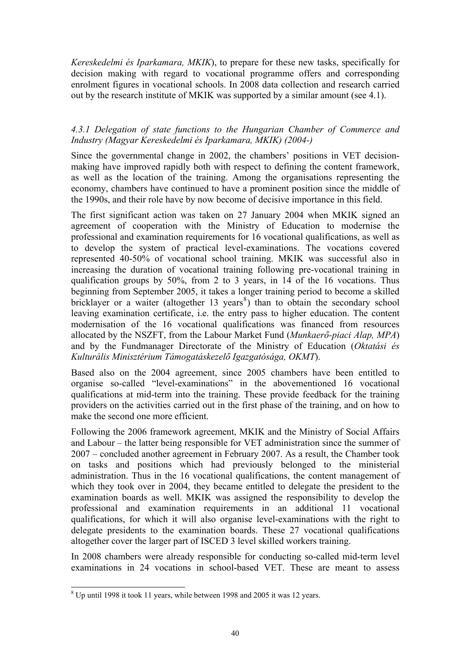<span id="page-39-0"></span>*Kereskedelmi és Iparkamara, MKIK*), to prepare for these new tasks, specifically for decision making with regard to vocational programme offers and corresponding enrolment figures in vocational schools. In 2008 data collection and research carried out by the research institute of MKIK was supported by a similar amount (see 4.1).

# *4.3.1 Delegation of state functions to the Hungarian Chamber of Commerce and Industry (Magyar Kereskedelmi és Iparkamara, MKIK) (2004-)*

Since the governmental change in 2002, the chambers' positions in VET decisionmaking have improved rapidly both with respect to defining the content framework, as well as the location of the training. Among the organisations representing the economy, chambers have continued to have a prominent position since the middle of the 1990s, and their role have by now become of decisive importance in this field.

The first significant action was taken on 27 January 2004 when MKIK signed an agreement of cooperation with the Ministry of Education to modernise the professional and examination requirements for 16 vocational qualifications, as well as to develop the system of practical level-examinations. The vocations covered represented 40-50% of vocational school training. MKIK was successful also in increasing the duration of vocational training following pre-vocational training in qualification groups by 50%, from 2 to 3 years, in 14 of the 16 vocations. Thus beginning from September 2005, it takes a longer training period to become a skilled bricklayer or a waiter (altogether  $13$  years<sup>[8](#page-39-0)</sup>) than to obtain the secondary school leaving examination certificate, i.e. the entry pass to higher education. The content modernisation of the 16 vocational qualifications was financed from resources allocated by the NSZFT, from the Labour Market Fund (*Munkaerő-piaci Alap, MPA*) and by the Fundmanager Directorate of the Ministry of Education (*Oktatási és Kulturális Minisztérium Támogatáskezelő Igazgatósága, OKMT*).

Based also on the 2004 agreement, since 2005 chambers have been entitled to organise so-called "level-examinations" in the abovementioned 16 vocational qualifications at mid-term into the training. These provide feedback for the training providers on the activities carried out in the first phase of the training, and on how to make the second one more efficient.

Following the 2006 framework agreement, MKIK and the Ministry of Social Affairs and Labour – the latter being responsible for VET administration since the summer of 2007 – concluded another agreement in February 2007. As a result, the Chamber took on tasks and positions which had previously belonged to the ministerial administration. Thus in the 16 vocational qualifications, the content management of which they took over in 2004, they became entitled to delegate the president to the examination boards as well. MKIK was assigned the responsibility to develop the professional and examination requirements in an additional 11 vocational qualifications, for which it will also organise level-examinations with the right to delegate presidents to the examination boards. These 27 vocational qualifications altogether cover the larger part of ISCED 3 level skilled workers training.

In 2008 chambers were already responsible for conducting so-called mid-term level examinations in 24 vocations in school-based VET. These are meant to assess

<sup>&</sup>lt;sup>8</sup> Up until 1998 it took 11 years, while between 1998 and 2005 it was 12 years.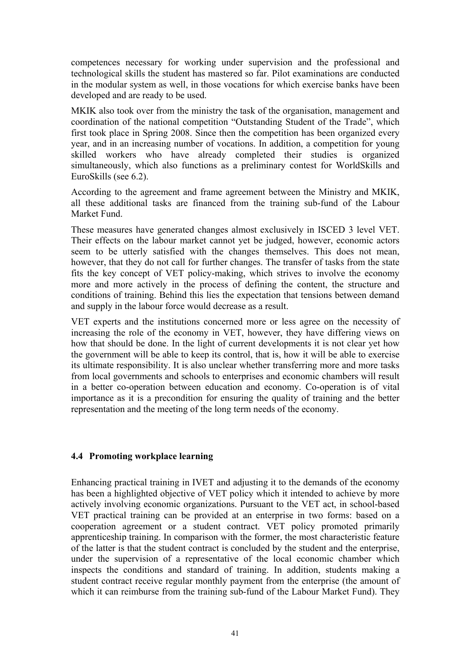competences necessary for working under supervision and the professional and technological skills the student has mastered so far. Pilot examinations are conducted in the modular system as well, in those vocations for which exercise banks have been developed and are ready to be used.

MKIK also took over from the ministry the task of the organisation, management and coordination of the national competition "Outstanding Student of the Trade", which first took place in Spring 2008. Since then the competition has been organized every year, and in an increasing number of vocations. In addition, a competition for young skilled workers who have already completed their studies is organized simultaneously, which also functions as a preliminary contest for WorldSkills and EuroSkills (see 6.2).

According to the agreement and frame agreement between the Ministry and MKIK, all these additional tasks are financed from the training sub-fund of the Labour Market Fund.

These measures have generated changes almost exclusively in ISCED 3 level VET. Their effects on the labour market cannot yet be judged, however, economic actors seem to be utterly satisfied with the changes themselves. This does not mean, however, that they do not call for further changes. The transfer of tasks from the state fits the key concept of VET policy-making, which strives to involve the economy more and more actively in the process of defining the content, the structure and conditions of training. Behind this lies the expectation that tensions between demand and supply in the labour force would decrease as a result.

VET experts and the institutions concerned more or less agree on the necessity of increasing the role of the economy in VET, however, they have differing views on how that should be done. In the light of current developments it is not clear yet how the government will be able to keep its control, that is, how it will be able to exercise its ultimate responsibility. It is also unclear whether transferring more and more tasks from local governments and schools to enterprises and economic chambers will result in a better co-operation between education and economy. Co-operation is of vital importance as it is a precondition for ensuring the quality of training and the better representation and the meeting of the long term needs of the economy.

#### **4.4 Promoting workplace learning**

Enhancing practical training in IVET and adjusting it to the demands of the economy has been a highlighted objective of VET policy which it intended to achieve by more actively involving economic organizations. Pursuant to the VET act, in school-based VET practical training can be provided at an enterprise in two forms: based on a cooperation agreement or a student contract. VET policy promoted primarily apprenticeship training. In comparison with the former, the most characteristic feature of the latter is that the student contract is concluded by the student and the enterprise, under the supervision of a representative of the local economic chamber which inspects the conditions and standard of training. In addition, students making a student contract receive regular monthly payment from the enterprise (the amount of which it can reimburse from the training sub-fund of the Labour Market Fund). They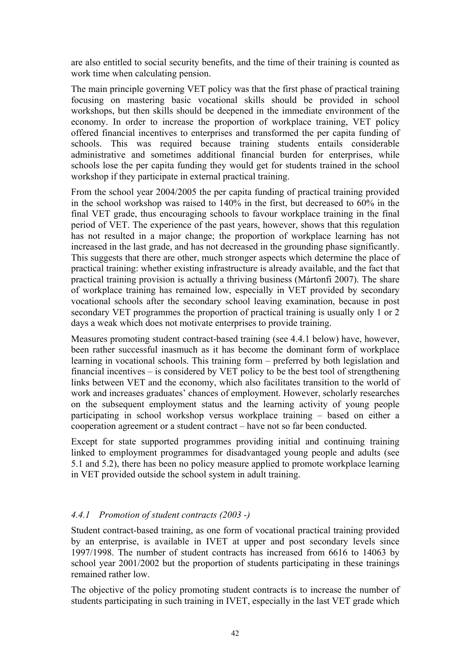are also entitled to social security benefits, and the time of their training is counted as work time when calculating pension.

The main principle governing VET policy was that the first phase of practical training focusing on mastering basic vocational skills should be provided in school workshops, but then skills should be deepened in the immediate environment of the economy. In order to increase the proportion of workplace training, VET policy offered financial incentives to enterprises and transformed the per capita funding of schools. This was required because training students entails considerable administrative and sometimes additional financial burden for enterprises, while schools lose the per capita funding they would get for students trained in the school workshop if they participate in external practical training.

From the school year 2004/2005 the per capita funding of practical training provided in the school workshop was raised to 140% in the first, but decreased to 60% in the final VET grade, thus encouraging schools to favour workplace training in the final period of VET. The experience of the past years, however, shows that this regulation has not resulted in a major change; the proportion of workplace learning has not increased in the last grade, and has not decreased in the grounding phase significantly. This suggests that there are other, much stronger aspects which determine the place of practical training: whether existing infrastructure is already available, and the fact that practical training provision is actually a thriving business (Mártonfi 2007). The share of workplace training has remained low, especially in VET provided by secondary vocational schools after the secondary school leaving examination, because in post secondary VET programmes the proportion of practical training is usually only 1 or 2 days a weak which does not motivate enterprises to provide training.

Measures promoting student contract-based training (see 4.4.1 below) have, however, been rather successful inasmuch as it has become the dominant form of workplace learning in vocational schools. This training form – preferred by both legislation and financial incentives – is considered by VET policy to be the best tool of strengthening links between VET and the economy, which also facilitates transition to the world of work and increases graduates' chances of employment. However, scholarly researches on the subsequent employment status and the learning activity of young people participating in school workshop versus workplace training – based on either a cooperation agreement or a student contract – have not so far been conducted.

Except for state supported programmes providing initial and continuing training linked to employment programmes for disadvantaged young people and adults (see 5.1 and 5.2), there has been no policy measure applied to promote workplace learning in VET provided outside the school system in adult training.

# *4.4.1 Promotion of student contracts (2003 -)*

Student contract-based training, as one form of vocational practical training provided by an enterprise, is available in IVET at upper and post secondary levels since 1997/1998. The number of student contracts has increased from 6616 to 14063 by school year 2001/2002 but the proportion of students participating in these trainings remained rather low.

The objective of the policy promoting student contracts is to increase the number of students participating in such training in IVET, especially in the last VET grade which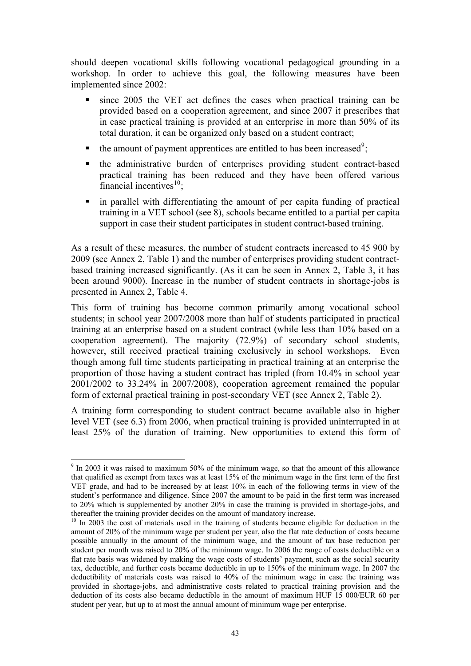<span id="page-42-0"></span>should deepen vocational skills following vocational pedagogical grounding in a workshop. In order to achieve this goal, the following measures have been implemented since 2002:

- since 2005 the VET act defines the cases when practical training can be provided based on a cooperation agreement, and since 2007 it prescribes that in case practical training is provided at an enterprise in more than 50% of its total duration, it can be organized only based on a student contract;
- $\bullet$  the amount of payment apprentices are entitled to has been increased<sup>[9](#page-42-0)</sup>;
- the administrative burden of enterprises providing student contract-based practical training has been reduced and they have been offered various financial incentives $^{10}$  $^{10}$  $^{10}$ :
- in parallel with differentiating the amount of per capita funding of practical training in a VET school (see 8), schools became entitled to a partial per capita support in case their student participates in student contract-based training.

As a result of these measures, the number of student contracts increased to 45 900 by 2009 (see Annex 2, Table 1) and the number of enterprises providing student contractbased training increased significantly. (As it can be seen in Annex 2, Table 3, it has been around 9000). Increase in the number of student contracts in shortage-jobs is presented in Annex 2, Table 4.

This form of training has become common primarily among vocational school students; in school year 2007/2008 more than half of students participated in practical training at an enterprise based on a student contract (while less than 10% based on a cooperation agreement). The majority (72.9%) of secondary school students, however, still received practical training exclusively in school workshops. Even though among full time students participating in practical training at an enterprise the proportion of those having a student contract has tripled (from 10.4% in school year 2001/2002 to 33.24% in 2007/2008), cooperation agreement remained the popular form of external practical training in post-secondary VET (see Annex 2, Table 2).

A training form corresponding to student contract became available also in higher level VET (see 6.3) from 2006, when practical training is provided uninterrupted in at least 25% of the duration of training. New opportunities to extend this form of

l

<sup>&</sup>lt;sup>9</sup> In 2003 it was raised to maximum 50% of the minimum wage, so that the amount of this allowance that qualified as exempt from taxes was at least 15% of the minimum wage in the first term of the first VET grade, and had to be increased by at least 10% in each of the following terms in view of the student's performance and diligence. Since 2007 the amount to be paid in the first term was increased to 20% which is supplemented by another 20% in case the training is provided in shortage-jobs, and thereafter the training provider decides on the amount of mandatory increase.

<sup>&</sup>lt;sup>10</sup> In 2003 the cost of materials used in the training of students became eligible for deduction in the amount of 20% of the minimum wage per student per year, also the flat rate deduction of costs became possible annually in the amount of the minimum wage, and the amount of tax base reduction per student per month was raised to 20% of the minimum wage. In 2006 the range of costs deductible on a flat rate basis was widened by making the wage costs of students' payment, such as the social security tax, deductible, and further costs became deductible in up to 150% of the minimum wage. In 2007 the deductibility of materials costs was raised to 40% of the minimum wage in case the training was provided in shortage-jobs, and administrative costs related to practical training provision and the deduction of its costs also became deductible in the amount of maximum HUF 15 000/EUR 60 per student per year, but up to at most the annual amount of minimum wage per enterprise.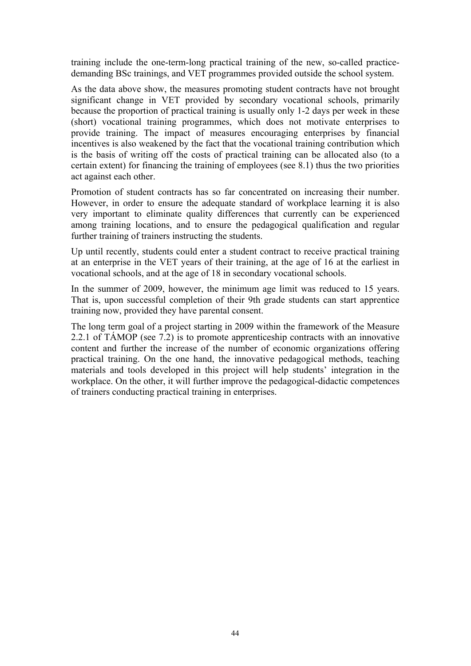training include the one-term-long practical training of the new, so-called practicedemanding BSc trainings, and VET programmes provided outside the school system.

As the data above show, the measures promoting student contracts have not brought significant change in VET provided by secondary vocational schools, primarily because the proportion of practical training is usually only 1-2 days per week in these (short) vocational training programmes, which does not motivate enterprises to provide training. The impact of measures encouraging enterprises by financial incentives is also weakened by the fact that the vocational training contribution which is the basis of writing off the costs of practical training can be allocated also (to a certain extent) for financing the training of employees (see 8.1) thus the two priorities act against each other.

Promotion of student contracts has so far concentrated on increasing their number. However, in order to ensure the adequate standard of workplace learning it is also very important to eliminate quality differences that currently can be experienced among training locations, and to ensure the pedagogical qualification and regular further training of trainers instructing the students.

Up until recently, students could enter a student contract to receive practical training at an enterprise in the VET years of their training, at the age of 16 at the earliest in vocational schools, and at the age of 18 in secondary vocational schools.

In the summer of 2009, however, the minimum age limit was reduced to 15 years. That is, upon successful completion of their 9th grade students can start apprentice training now, provided they have parental consent.

The long term goal of a project starting in 2009 within the framework of the Measure 2.2.1 of TÁMOP (see 7.2) is to promote apprenticeship contracts with an innovative content and further the increase of the number of economic organizations offering practical training. On the one hand, the innovative pedagogical methods, teaching materials and tools developed in this project will help students' integration in the workplace. On the other, it will further improve the pedagogical-didactic competences of trainers conducting practical training in enterprises.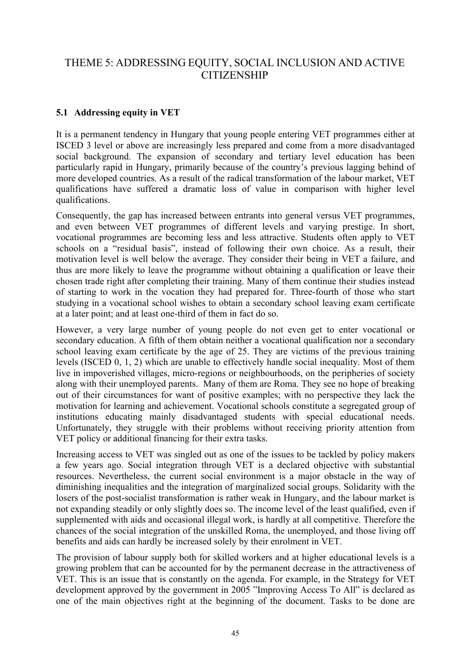# THEME 5: ADDRESSING EQUITY, SOCIAL INCLUSION AND ACTIVE **CITIZENSHIP**

# **5.1 Addressing equity in VET**

It is a permanent tendency in Hungary that young people entering VET programmes either at ISCED 3 level or above are increasingly less prepared and come from a more disadvantaged social background. The expansion of secondary and tertiary level education has been particularly rapid in Hungary, primarily because of the country's previous lagging behind of more developed countries. As a result of the radical transformation of the labour market, VET qualifications have suffered a dramatic loss of value in comparison with higher level qualifications.

Consequently, the gap has increased between entrants into general versus VET programmes, and even between VET programmes of different levels and varying prestige. In short, vocational programmes are becoming less and less attractive. Students often apply to VET schools on a "residual basis", instead of following their own choice. As a result, their motivation level is well below the average. They consider their being in VET a failure, and thus are more likely to leave the programme without obtaining a qualification or leave their chosen trade right after completing their training. Many of them continue their studies instead of starting to work in the vocation they had prepared for. Three-fourth of those who start studying in a vocational school wishes to obtain a secondary school leaving exam certificate at a later point; and at least one-third of them in fact do so.

However, a very large number of young people do not even get to enter vocational or secondary education. A fifth of them obtain neither a vocational qualification nor a secondary school leaving exam certificate by the age of 25. They are victims of the previous training levels (ISCED 0, 1, 2) which are unable to effectively handle social inequality. Most of them live in impoverished villages, micro-regions or neighbourhoods, on the peripheries of society along with their unemployed parents. Many of them are Roma. They see no hope of breaking out of their circumstances for want of positive examples; with no perspective they lack the motivation for learning and achievement. Vocational schools constitute a segregated group of institutions educating mainly disadvantaged students with special educational needs. Unfortunately, they struggle with their problems without receiving priority attention from VET policy or additional financing for their extra tasks.

Increasing access to VET was singled out as one of the issues to be tackled by policy makers a few years ago. Social integration through VET is a declared objective with substantial resources. Nevertheless, the current social environment is a major obstacle in the way of diminishing inequalities and the integration of marginalized social groups. Solidarity with the losers of the post-socialist transformation is rather weak in Hungary, and the labour market is not expanding steadily or only slightly does so. The income level of the least qualified, even if supplemented with aids and occasional illegal work, is hardly at all competitive. Therefore the chances of the social integration of the unskilled Roma, the unemployed, and those living off benefits and aids can hardly be increased solely by their enrolment in VET.

The provision of labour supply both for skilled workers and at higher educational levels is a growing problem that can be accounted for by the permanent decrease in the attractiveness of VET. This is an issue that is constantly on the agenda. For example, in the Strategy for VET development approved by the government in 2005 "Improving Access To All" is declared as one of the main objectives right at the beginning of the document. Tasks to be done are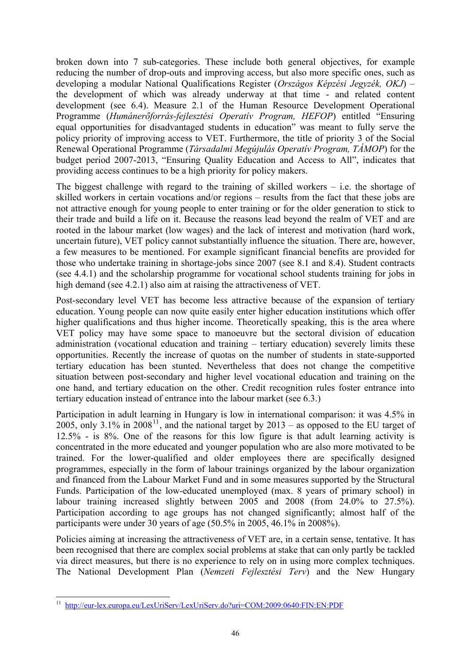<span id="page-45-0"></span>broken down into 7 sub-categories. These include both general objectives, for example reducing the number of drop-outs and improving access, but also more specific ones, such as developing a modular National Qualifications Register (*Országos Képzési Jegyzék, OKJ*) – the development of which was already underway at that time - and related content development (see 6.4). Measure 2.1 of the Human Resource Development Operational Programme (*Humánerőforrás-fejlesztési Operatív Program, HEFOP*) entitled "Ensuring equal opportunities for disadvantaged students in education" was meant to fully serve the policy priority of improving access to VET. Furthermore, the title of priority 3 of the Social Renewal Operational Programme (*Társadalmi Megújulás Operatív Program, TÁMOP*) for the budget period 2007-2013, "Ensuring Quality Education and Access to All", indicates that providing access continues to be a high priority for policy makers.

The biggest challenge with regard to the training of skilled workers  $-$  i.e. the shortage of skilled workers in certain vocations and/or regions – results from the fact that these jobs are not attractive enough for young people to enter training or for the older generation to stick to their trade and build a life on it. Because the reasons lead beyond the realm of VET and are rooted in the labour market (low wages) and the lack of interest and motivation (hard work, uncertain future), VET policy cannot substantially influence the situation. There are, however, a few measures to be mentioned. For example significant financial benefits are provided for those who undertake training in shortage-jobs since 2007 (see 8.1 and 8.4). Student contracts (see 4.4.1) and the scholarship programme for vocational school students training for jobs in high demand (see 4.2.1) also aim at raising the attractiveness of VET.

Post-secondary level VET has become less attractive because of the expansion of tertiary education. Young people can now quite easily enter higher education institutions which offer higher qualifications and thus higher income. Theoretically speaking, this is the area where VET policy may have some space to manoeuvre but the sectoral division of education administration (vocational education and training – tertiary education) severely limits these opportunities. Recently the increase of quotas on the number of students in state-supported tertiary education has been stunted. Nevertheless that does not change the competitive situation between post-secondary and higher level vocational education and training on the one hand, and tertiary education on the other. Credit recognition rules foster entrance into tertiary education instead of entrance into the labour market (see 6.3.)

Participation in adult learning in Hungary is low in international comparison: it was 4.5% in 2005, only  $3.1\%$  in 2008<sup>[11](#page-45-0)</sup>, and the national target by  $2013 -$  as opposed to the EU target of 12.5% - is 8%. One of the reasons for this low figure is that adult learning activity is concentrated in the more educated and younger population who are also more motivated to be trained. For the lower-qualified and older employees there are specifically designed programmes, especially in the form of labour trainings organized by the labour organization and financed from the Labour Market Fund and in some measures supported by the Structural Funds. Participation of the low-educated unemployed (max. 8 years of primary school) in labour training increased slightly between 2005 and 2008 (from 24.0% to 27.5%). Participation according to age groups has not changed significantly; almost half of the participants were under 30 years of age (50.5% in 2005, 46.1% in 2008%).

Policies aiming at increasing the attractiveness of VET are, in a certain sense, tentative. It has been recognised that there are complex social problems at stake that can only partly be tackled via direct measures, but there is no experience to rely on in using more complex techniques. The National Development Plan (*Nemzeti Fejlesztési Terv*) and the New Hungary

<sup>11</sup> <http://eur-lex.europa.eu/LexUriServ/LexUriServ.do?uri=COM:2009:0640:FIN:EN:PDF>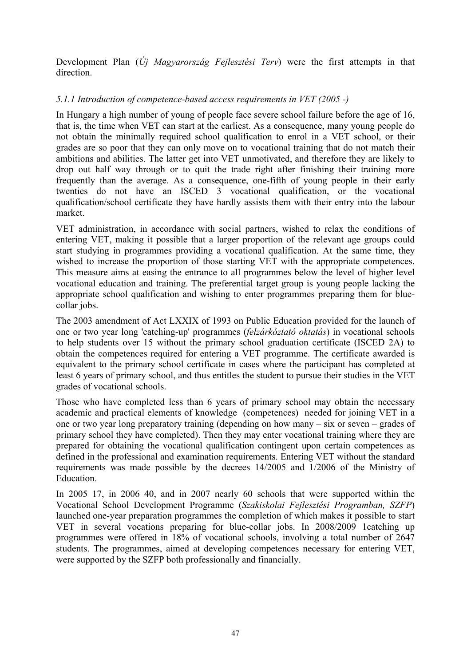Development Plan (*Új Magyarország Fejlesztési Terv*) were the first attempts in that direction.

# *5.1.1 Introduction of competence-based access requirements in VET (2005 -)*

In Hungary a high number of young of people face severe school failure before the age of 16, that is, the time when VET can start at the earliest. As a consequence, many young people do not obtain the minimally required school qualification to enrol in a VET school, or their grades are so poor that they can only move on to vocational training that do not match their ambitions and abilities. The latter get into VET unmotivated, and therefore they are likely to drop out half way through or to quit the trade right after finishing their training more frequently than the average. As a consequence, one-fifth of young people in their early twenties do not have an ISCED 3 vocational qualification, or the vocational qualification/school certificate they have hardly assists them with their entry into the labour market.

VET administration, in accordance with social partners, wished to relax the conditions of entering VET, making it possible that a larger proportion of the relevant age groups could start studying in programmes providing a vocational qualification. At the same time, they wished to increase the proportion of those starting VET with the appropriate competences. This measure aims at easing the entrance to all programmes below the level of higher level vocational education and training. The preferential target group is young people lacking the appropriate school qualification and wishing to enter programmes preparing them for bluecollar jobs.

The 2003 amendment of Act LXXIX of 1993 on Public Education provided for the launch of one or two year long 'catching-up' programmes (*felzárkóztató oktatás*) in vocational schools to help students over 15 without the primary school graduation certificate (ISCED 2A) to obtain the competences required for entering a VET programme. The certificate awarded is equivalent to the primary school certificate in cases where the participant has completed at least 6 years of primary school, and thus entitles the student to pursue their studies in the VET grades of vocational schools.

Those who have completed less than 6 years of primary school may obtain the necessary academic and practical elements of knowledge (competences) needed for joining VET in a one or two year long preparatory training (depending on how many – six or seven – grades of primary school they have completed). Then they may enter vocational training where they are prepared for obtaining the vocational qualification contingent upon certain competences as defined in the professional and examination requirements. Entering VET without the standard requirements was made possible by the decrees 14/2005 and 1/2006 of the Ministry of Education.

In 2005 17, in 2006 40, and in 2007 nearly 60 schools that were supported within the Vocational School Development Programme (*Szakiskolai Fejlesztési Programban, SZFP*) launched one-year preparation programmes the completion of which makes it possible to start VET in several vocations preparing for blue-collar jobs. In 2008/2009 1catching up programmes were offered in 18% of vocational schools, involving a total number of 2647 students. The programmes, aimed at developing competences necessary for entering VET, were supported by the SZFP both professionally and financially.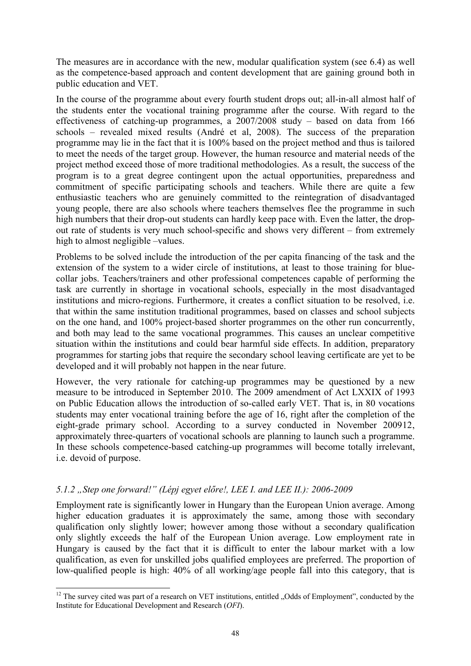<span id="page-47-0"></span>The measures are in accordance with the new, modular qualification system (see 6.4) as well as the competence-based approach and content development that are gaining ground both in public education and VET.

In the course of the programme about every fourth student drops out; all-in-all almost half of the students enter the vocational training programme after the course. With regard to the effectiveness of catching-up programmes, a 2007/2008 study – based on data from 166 schools – revealed mixed results (André et al, 2008). The success of the preparation programme may lie in the fact that it is 100% based on the project method and thus is tailored to meet the needs of the target group. However, the human resource and material needs of the project method exceed those of more traditional methodologies. As a result, the success of the program is to a great degree contingent upon the actual opportunities, preparedness and commitment of specific participating schools and teachers. While there are quite a few enthusiastic teachers who are genuinely committed to the reintegration of disadvantaged young people, there are also schools where teachers themselves flee the programme in such high numbers that their drop-out students can hardly keep pace with. Even the latter, the dropout rate of students is very much school-specific and shows very different – from extremely high to almost negligible –values.

Problems to be solved include the introduction of the per capita financing of the task and the extension of the system to a wider circle of institutions, at least to those training for bluecollar jobs. Teachers/trainers and other professional competences capable of performing the task are currently in shortage in vocational schools, especially in the most disadvantaged institutions and micro-regions. Furthermore, it creates a conflict situation to be resolved, i.e. that within the same institution traditional programmes, based on classes and school subjects on the one hand, and 100% project-based shorter programmes on the other run concurrently, and both may lead to the same vocational programmes. This causes an unclear competitive situation within the institutions and could bear harmful side effects. In addition, preparatory programmes for starting jobs that require the secondary school leaving certificate are yet to be developed and it will probably not happen in the near future.

However, the very rationale for catching-up programmes may be questioned by a new measure to be introduced in September 2010. The 2009 amendment of Act LXXIX of 1993 on Public Education allows the introduction of so-called early VET. That is, in 80 vocations students may enter vocational training before the age of 16, right after the completion of the eight-grade primary school. According to a survey conducted in November 2009[12](#page-47-0), approximately three-quarters of vocational schools are planning to launch such a programme. In these schools competence-based catching-up programmes will become totally irrelevant, i.e. devoid of purpose.

# *5.1.2 "Step one forward!" (Lépj egyet előre!, LEE I. and LEE II.): 2006-2009*

Employment rate is significantly lower in Hungary than the European Union average. Among higher education graduates it is approximately the same, among those with secondary qualification only slightly lower; however among those without a secondary qualification only slightly exceeds the half of the European Union average. Low employment rate in Hungary is caused by the fact that it is difficult to enter the labour market with a low qualification, as even for unskilled jobs qualified employees are preferred. The proportion of low-qualified people is high: 40% of all working/age people fall into this category, that is

<sup>-</sup> $12$  The survey cited was part of a research on VET institutions, entitled "Odds of Employment", conducted by the Institute for Educational Development and Research (*OFI*).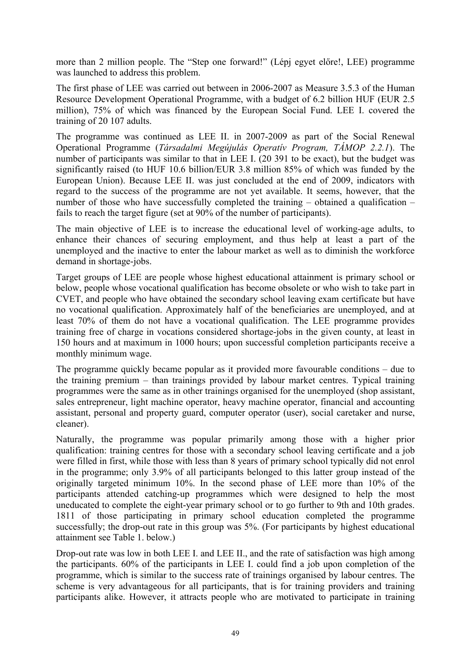more than 2 million people. The "Step one forward!" (Lépj egyet előre!, LEE) programme was launched to address this problem.

The first phase of LEE was carried out between in 2006-2007 as Measure 3.5.3 of the Human Resource Development Operational Programme, with a budget of 6.2 billion HUF (EUR 2.5 million), 75% of which was financed by the European Social Fund. LEE I. covered the training of 20 107 adults.

The programme was continued as LEE II. in 2007-2009 as part of the Social Renewal Operational Programme (*Társadalmi Megújulás Operatív Program, TÁMOP 2.2.1*). The number of participants was similar to that in LEE I. (20 391 to be exact), but the budget was significantly raised (to HUF 10.6 billion/EUR 3.8 million 85% of which was funded by the European Union). Because LEE II. was just concluded at the end of 2009, indicators with regard to the success of the programme are not yet available. It seems, however, that the number of those who have successfully completed the training – obtained a qualification – fails to reach the target figure (set at 90% of the number of participants).

The main objective of LEE is to increase the educational level of working-age adults, to enhance their chances of securing employment, and thus help at least a part of the unemployed and the inactive to enter the labour market as well as to diminish the workforce demand in shortage-jobs.

Target groups of LEE are people whose highest educational attainment is primary school or below, people whose vocational qualification has become obsolete or who wish to take part in CVET, and people who have obtained the secondary school leaving exam certificate but have no vocational qualification. Approximately half of the beneficiaries are unemployed, and at least 70% of them do not have a vocational qualification. The LEE programme provides training free of charge in vocations considered shortage-jobs in the given county, at least in 150 hours and at maximum in 1000 hours; upon successful completion participants receive a monthly minimum wage.

The programme quickly became popular as it provided more favourable conditions – due to the training premium – than trainings provided by labour market centres. Typical training programmes were the same as in other trainings organised for the unemployed (shop assistant, sales entrepreneur, light machine operator, heavy machine operator, financial and accounting assistant, personal and property guard, computer operator (user), social caretaker and nurse, cleaner).

Naturally, the programme was popular primarily among those with a higher prior qualification: training centres for those with a secondary school leaving certificate and a job were filled in first, while those with less than 8 years of primary school typically did not enrol in the programme; only 3.9% of all participants belonged to this latter group instead of the originally targeted minimum 10%. In the second phase of LEE more than 10% of the participants attended catching-up programmes which were designed to help the most uneducated to complete the eight-year primary school or to go further to 9th and 10th grades. 1811 of those participating in primary school education completed the programme successfully; the drop-out rate in this group was 5%. (For participants by highest educational attainment see Table 1. below.)

Drop-out rate was low in both LEE I. and LEE II., and the rate of satisfaction was high among the participants. 60% of the participants in LEE I. could find a job upon completion of the programme, which is similar to the success rate of trainings organised by labour centres. The scheme is very advantageous for all participants, that is for training providers and training participants alike. However, it attracts people who are motivated to participate in training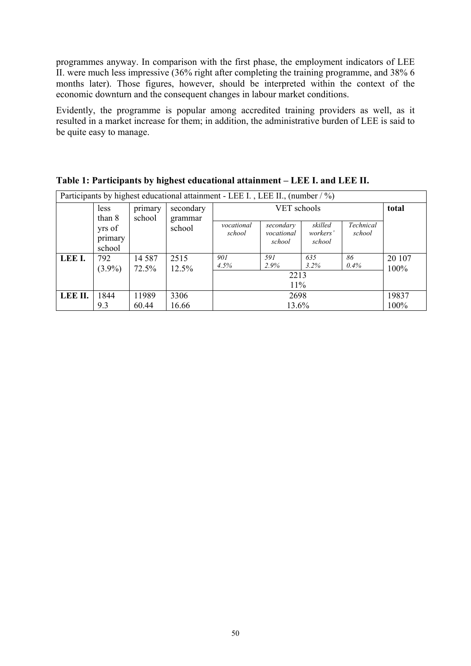programmes anyway. In comparison with the first phase, the employment indicators of LEE II. were much less impressive (36% right after completing the training programme, and 38% 6 months later). Those figures, however, should be interpreted within the context of the economic downturn and the consequent changes in labour market conditions.

Evidently, the programme is popular among accredited training providers as well, as it resulted in a market increase for them; in addition, the administrative burden of LEE is said to be quite easy to manage.

| Participants by highest educational attainment - LEE I., LEE II., (number $/ \frac{9}{0}$ ) |                             |                   |                      |                      |                                   |                               |                     |                |
|---------------------------------------------------------------------------------------------|-----------------------------|-------------------|----------------------|----------------------|-----------------------------------|-------------------------------|---------------------|----------------|
|                                                                                             | less<br>than 8              | primary<br>school | secondary<br>grammar |                      | total                             |                               |                     |                |
|                                                                                             | yrs of<br>primary<br>school |                   | school               | vocational<br>school | secondary<br>vocational<br>school | skilled<br>workers'<br>school | Technical<br>school |                |
| LEE I.                                                                                      | 792<br>$(3.9\%)$            | 14 5 8 7<br>72.5% | 2515<br>12.5%        | 901<br>4.5%          | 591<br>2.9%                       | 635<br>3.2%                   | 86<br>0.4%          | 20 107<br>100% |
|                                                                                             |                             |                   |                      |                      |                                   |                               |                     |                |
|                                                                                             |                             |                   |                      |                      | 11%                               |                               |                     |                |
| LEE II.                                                                                     | 1844                        | 11989             | 3306                 | 2698                 |                                   |                               | 19837               |                |
|                                                                                             | 9.3                         | 60.44             | 16.66                | 13.6%                |                                   |                               | 100%                |                |

**Table 1: Participants by highest educational attainment – LEE I. and LEE II.**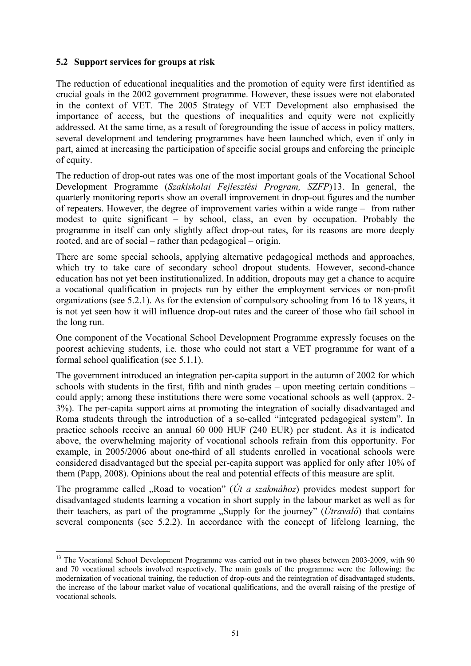#### <span id="page-50-0"></span>**5.2 Support services for groups at risk**

1

The reduction of educational inequalities and the promotion of equity were first identified as crucial goals in the 2002 government programme. However, these issues were not elaborated in the context of VET. The 2005 Strategy of VET Development also emphasised the importance of access, but the questions of inequalities and equity were not explicitly addressed. At the same time, as a result of foregrounding the issue of access in policy matters, several development and tendering programmes have been launched which, even if only in part, aimed at increasing the participation of specific social groups and enforcing the principle of equity.

The reduction of drop-out rates was one of the most important goals of the Vocational School Development Programme (*Szakiskolai Fejlesztési Program, SZFP*)[13](#page-50-0). In general, the quarterly monitoring reports show an overall improvement in drop-out figures and the number of repeaters. However, the degree of improvement varies within a wide range – from rather modest to quite significant – by school, class, an even by occupation. Probably the programme in itself can only slightly affect drop-out rates, for its reasons are more deeply rooted, and are of social – rather than pedagogical – origin.

There are some special schools, applying alternative pedagogical methods and approaches, which try to take care of secondary school dropout students. However, second-chance education has not yet been institutionalized. In addition, dropouts may get a chance to acquire a vocational qualification in projects run by either the employment services or non-profit organizations (see 5.2.1). As for the extension of compulsory schooling from 16 to 18 years, it is not yet seen how it will influence drop-out rates and the career of those who fail school in the long run.

One component of the Vocational School Development Programme expressly focuses on the poorest achieving students, i.e. those who could not start a VET programme for want of a formal school qualification (see 5.1.1).

The government introduced an integration per-capita support in the autumn of 2002 for which schools with students in the first, fifth and ninth grades – upon meeting certain conditions – could apply; among these institutions there were some vocational schools as well (approx. 2- 3%). The per-capita support aims at promoting the integration of socially disadvantaged and Roma students through the introduction of a so-called "integrated pedagogical system". In practice schools receive an annual 60 000 HUF (240 EUR) per student. As it is indicated above, the overwhelming majority of vocational schools refrain from this opportunity. For example, in 2005/2006 about one-third of all students enrolled in vocational schools were considered disadvantaged but the special per-capita support was applied for only after 10% of them (Papp, 2008). Opinions about the real and potential effects of this measure are split.

The programme called "Road to vocation" ( $Út a szakmához$ ) provides modest support for disadvantaged students learning a vocation in short supply in the labour market as well as for their teachers, as part of the programme  $\partial$ supply for the journey" (*Útravaló*) that contains several components (see 5.2.2). In accordance with the concept of lifelong learning, the

<sup>&</sup>lt;sup>13</sup> The Vocational School Development Programme was carried out in two phases between 2003-2009, with 90 and 70 vocational schools involved respectively. The main goals of the programme were the following: the modernization of vocational training, the reduction of drop-outs and the reintegration of disadvantaged students, the increase of the labour market value of vocational qualifications, and the overall raising of the prestige of vocational schools.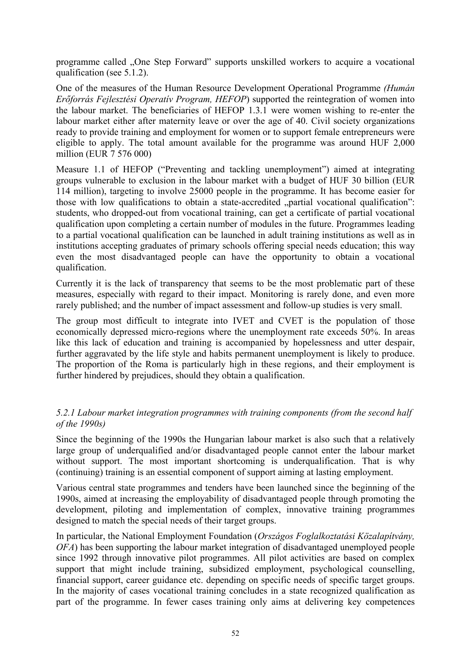programme called "One Step Forward" supports unskilled workers to acquire a vocational qualification (see 5.1.2).

One of the measures of the Human Resource Development Operational Programme *(Humán Erőforrás Fejlesztési Operatív Program, HEFOP*) supported the reintegration of women into the labour market. The beneficiaries of HEFOP 1.3.1 were women wishing to re-enter the labour market either after maternity leave or over the age of 40. Civil society organizations ready to provide training and employment for women or to support female entrepreneurs were eligible to apply. The total amount available for the programme was around HUF 2,000 million (EUR 7 576 000)

Measure 1.1 of HEFOP ("Preventing and tackling unemployment") aimed at integrating groups vulnerable to exclusion in the labour market with a budget of HUF 30 billion (EUR 114 million), targeting to involve 25000 people in the programme. It has become easier for those with low qualifications to obtain a state-accredited "partial vocational qualification": students, who dropped-out from vocational training, can get a certificate of partial vocational qualification upon completing a certain number of modules in the future. Programmes leading to a partial vocational qualification can be launched in adult training institutions as well as in institutions accepting graduates of primary schools offering special needs education; this way even the most disadvantaged people can have the opportunity to obtain a vocational qualification.

Currently it is the lack of transparency that seems to be the most problematic part of these measures, especially with regard to their impact. Monitoring is rarely done, and even more rarely published; and the number of impact assessment and follow-up studies is very small.

The group most difficult to integrate into IVET and CVET is the population of those economically depressed micro-regions where the unemployment rate exceeds 50%. In areas like this lack of education and training is accompanied by hopelessness and utter despair, further aggravated by the life style and habits permanent unemployment is likely to produce. The proportion of the Roma is particularly high in these regions, and their employment is further hindered by prejudices, should they obtain a qualification.

# *5.2.1 Labour market integration programmes with training components (from the second half of the 1990s)*

Since the beginning of the 1990s the Hungarian labour market is also such that a relatively large group of underqualified and/or disadvantaged people cannot enter the labour market without support. The most important shortcoming is underqualification. That is why (continuing) training is an essential component of support aiming at lasting employment.

Various central state programmes and tenders have been launched since the beginning of the 1990s, aimed at increasing the employability of disadvantaged people through promoting the development, piloting and implementation of complex, innovative training programmes designed to match the special needs of their target groups.

In particular, the National Employment Foundation (*Országos Foglalkoztatási Közalapítvány, OFA*) has been supporting the labour market integration of disadvantaged unemployed people since 1992 through innovative pilot programmes. All pilot activities are based on complex support that might include training, subsidized employment, psychological counselling, financial support, career guidance etc. depending on specific needs of specific target groups. In the majority of cases vocational training concludes in a state recognized qualification as part of the programme. In fewer cases training only aims at delivering key competences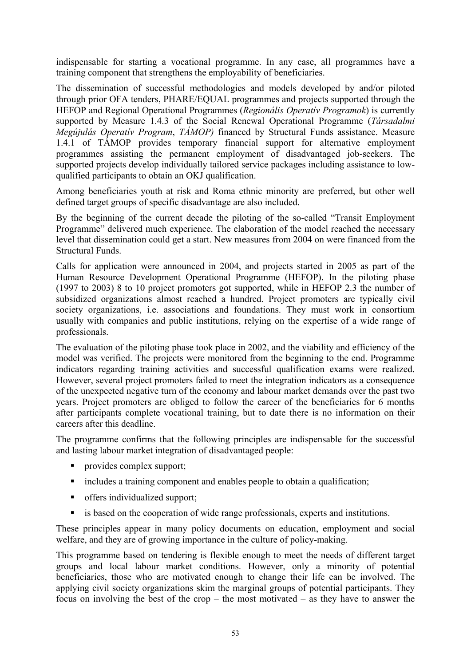indispensable for starting a vocational programme. In any case, all programmes have a training component that strengthens the employability of beneficiaries.

The dissemination of successful methodologies and models developed by and/or piloted through prior OFA tenders, PHARE/EQUAL programmes and projects supported through the HEFOP and Regional Operational Programmes (*Regionális Operatív Programok*) is currently supported by Measure 1.4.3 of the Social Renewal Operational Programme (*Társadalmi Megújulás Operatív Program*, *TÁMOP)* financed by Structural Funds assistance. Measure 1.4.1 of TÁMOP provides temporary financial support for alternative employment programmes assisting the permanent employment of disadvantaged job-seekers. The supported projects develop individually tailored service packages including assistance to lowqualified participants to obtain an OKJ qualification.

Among beneficiaries youth at risk and Roma ethnic minority are preferred, but other well defined target groups of specific disadvantage are also included.

By the beginning of the current decade the piloting of the so-called "Transit Employment Programme" delivered much experience. The elaboration of the model reached the necessary level that dissemination could get a start. New measures from 2004 on were financed from the Structural Funds.

Calls for application were announced in 2004, and projects started in 2005 as part of the Human Resource Development Operational Programme (HEFOP). In the piloting phase (1997 to 2003) 8 to 10 project promoters got supported, while in HEFOP 2.3 the number of subsidized organizations almost reached a hundred. Project promoters are typically civil society organizations, i.e. associations and foundations. They must work in consortium usually with companies and public institutions, relying on the expertise of a wide range of professionals.

The evaluation of the piloting phase took place in 2002, and the viability and efficiency of the model was verified. The projects were monitored from the beginning to the end. Programme indicators regarding training activities and successful qualification exams were realized. However, several project promoters failed to meet the integration indicators as a consequence of the unexpected negative turn of the economy and labour market demands over the past two years. Project promoters are obliged to follow the career of the beneficiaries for 6 months after participants complete vocational training, but to date there is no information on their careers after this deadline.

The programme confirms that the following principles are indispensable for the successful and lasting labour market integration of disadvantaged people:

- **provides complex support;**
- includes a training component and enables people to obtain a qualification;
- offers individualized support;
- is based on the cooperation of wide range professionals, experts and institutions.

These principles appear in many policy documents on education, employment and social welfare, and they are of growing importance in the culture of policy-making.

This programme based on tendering is flexible enough to meet the needs of different target groups and local labour market conditions. However, only a minority of potential beneficiaries, those who are motivated enough to change their life can be involved. The applying civil society organizations skim the marginal groups of potential participants. They focus on involving the best of the crop – the most motivated – as they have to answer the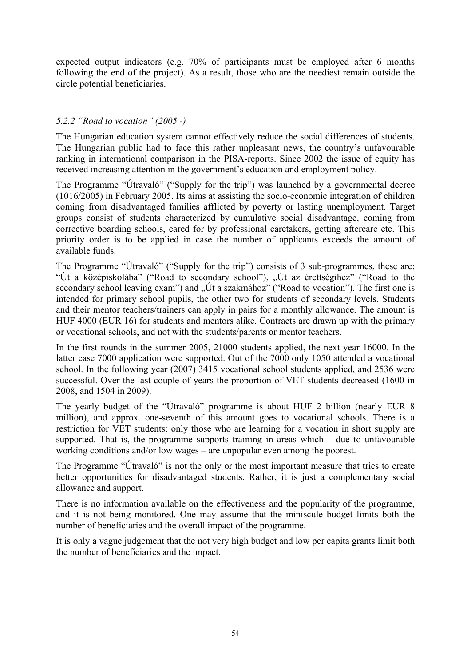expected output indicators (e.g. 70% of participants must be employed after 6 months following the end of the project). As a result, those who are the neediest remain outside the circle potential beneficiaries.

# *5.2.2 "Road to vocation" (2005 -)*

The Hungarian education system cannot effectively reduce the social differences of students. The Hungarian public had to face this rather unpleasant news, the country's unfavourable ranking in international comparison in the PISA-reports. Since 2002 the issue of equity has received increasing attention in the government's education and employment policy.

The Programme "Útravaló" ("Supply for the trip") was launched by a governmental decree (1016/2005) in February 2005. Its aims at assisting the socio-economic integration of children coming from disadvantaged families afflicted by poverty or lasting unemployment. Target groups consist of students characterized by cumulative social disadvantage, coming from corrective boarding schools, cared for by professional caretakers, getting aftercare etc. This priority order is to be applied in case the number of applicants exceeds the amount of available funds.

The Programme "Útravaló" ("Supply for the trip") consists of 3 sub-programmes, these are: "Út a középiskolába" ("Road to secondary school"), "Út az érettségihez" ("Road to the secondary school leaving exam") and "Út a szakmához" ("Road to vocation"). The first one is intended for primary school pupils, the other two for students of secondary levels. Students and their mentor teachers/trainers can apply in pairs for a monthly allowance. The amount is HUF 4000 (EUR 16) for students and mentors alike. Contracts are drawn up with the primary or vocational schools, and not with the students/parents or mentor teachers.

In the first rounds in the summer 2005, 21000 students applied, the next year 16000. In the latter case 7000 application were supported. Out of the 7000 only 1050 attended a vocational school. In the following year (2007) 3415 vocational school students applied, and 2536 were successful. Over the last couple of years the proportion of VET students decreased (1600 in 2008, and 1504 in 2009).

The yearly budget of the "Útravaló" programme is about HUF 2 billion (nearly EUR 8 million), and approx. one-seventh of this amount goes to vocational schools. There is a restriction for VET students: only those who are learning for a vocation in short supply are supported. That is, the programme supports training in areas which  $-$  due to unfavourable working conditions and/or low wages – are unpopular even among the poorest.

The Programme "Útravaló" is not the only or the most important measure that tries to create better opportunities for disadvantaged students. Rather, it is just a complementary social allowance and support.

There is no information available on the effectiveness and the popularity of the programme, and it is not being monitored. One may assume that the miniscule budget limits both the number of beneficiaries and the overall impact of the programme.

It is only a vague judgement that the not very high budget and low per capita grants limit both the number of beneficiaries and the impact.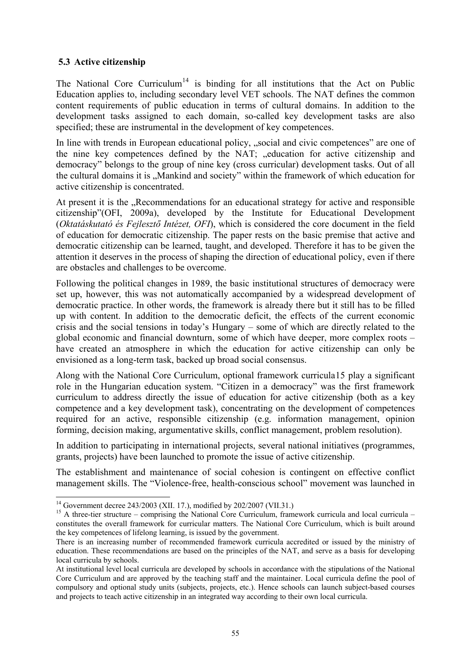# <span id="page-54-0"></span>**5.3 Active citizenship**

The National Core Curriculum<sup>[14](#page-54-0)</sup> is binding for all institutions that the Act on Public Education applies to, including secondary level VET schools. The NAT defines the common content requirements of public education in terms of cultural domains. In addition to the development tasks assigned to each domain, so-called key development tasks are also specified; these are instrumental in the development of key competences.

In line with trends in European educational policy, "social and civic competences" are one of the nine key competences defined by the NAT; "education for active citizenship and democracy" belongs to the group of nine key (cross curricular) development tasks. Out of all the cultural domains it is "Mankind and society" within the framework of which education for active citizenship is concentrated.

At present it is the "Recommendations for an educational strategy for active and responsible citizenship"(OFI, 2009a), developed by the Institute for Educational Development (*Oktatáskutató és Fejlesztő Intézet, OFI*), which is considered the core document in the field of education for democratic citizenship. The paper rests on the basic premise that active and democratic citizenship can be learned, taught, and developed. Therefore it has to be given the attention it deserves in the process of shaping the direction of educational policy, even if there are obstacles and challenges to be overcome.

Following the political changes in 1989, the basic institutional structures of democracy were set up, however, this was not automatically accompanied by a widespread development of democratic practice. In other words, the framework is already there but it still has to be filled up with content. In addition to the democratic deficit, the effects of the current economic crisis and the social tensions in today's Hungary – some of which are directly related to the global economic and financial downturn, some of which have deeper, more complex roots – have created an atmosphere in which the education for active citizenship can only be envisioned as a long-term task, backed up broad social consensus.

Along with the National Core Curriculum, optional framework curricula[15](#page-54-0) play a significant role in the Hungarian education system. "Citizen in a democracy" was the first framework curriculum to address directly the issue of education for active citizenship (both as a key competence and a key development task), concentrating on the development of competences required for an active, responsible citizenship (e.g. information management, opinion forming, decision making, argumentative skills, conflict management, problem resolution).

In addition to participating in international projects, several national initiatives (programmes, grants, projects) have been launched to promote the issue of active citizenship.

The establishment and maintenance of social cohesion is contingent on effective conflict management skills. The "Violence-free, health-conscious school" movement was launched in

1

<sup>&</sup>lt;sup>14</sup> Government decree 243/2003 (XII. 17.), modified by 202/2007 (VII.31.)

<sup>&</sup>lt;sup>15</sup> A three-tier structure – comprising the National Core Curriculum, framework curricula and local curricula – constitutes the overall framework for curricular matters. The National Core Curriculum, which is built around the key competences of lifelong learning, is issued by the government.

There is an increasing number of recommended framework curricula accredited or issued by the ministry of education. These recommendations are based on the principles of the NAT, and serve as a basis for developing local curricula by schools.

At institutional level local curricula are developed by schools in accordance with the stipulations of the National Core Curriculum and are approved by the teaching staff and the maintainer. Local curricula define the pool of compulsory and optional study units (subjects, projects, etc.). Hence schools can launch subject-based courses and projects to teach active citizenship in an integrated way according to their own local curricula.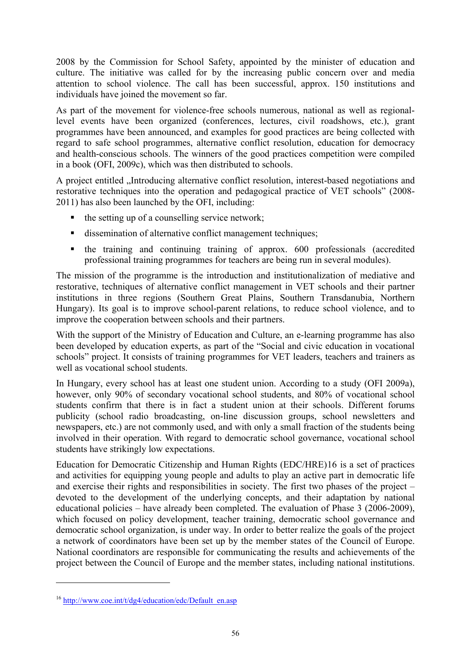<span id="page-55-0"></span>2008 by the Commission for School Safety, appointed by the minister of education and culture. The initiative was called for by the increasing public concern over and media attention to school violence. The call has been successful, approx. 150 institutions and individuals have joined the movement so far.

As part of the movement for violence-free schools numerous, national as well as regionallevel events have been organized (conferences, lectures, civil roadshows, etc.), grant programmes have been announced, and examples for good practices are being collected with regard to safe school programmes, alternative conflict resolution, education for democracy and health-conscious schools. The winners of the good practices competition were compiled in a book (OFI, 2009c), which was then distributed to schools.

A project entitled "Introducing alternative conflict resolution, interest-based negotiations and restorative techniques into the operation and pedagogical practice of VET schools" (2008- 2011) has also been launched by the OFI, including:

- $\blacksquare$  the setting up of a counselling service network;
- dissemination of alternative conflict management techniques;
- the training and continuing training of approx. 600 professionals (accredited professional training programmes for teachers are being run in several modules).

The mission of the programme is the introduction and institutionalization of mediative and restorative, techniques of alternative conflict management in VET schools and their partner institutions in three regions (Southern Great Plains, Southern Transdanubia, Northern Hungary). Its goal is to improve school-parent relations, to reduce school violence, and to improve the cooperation between schools and their partners.

With the support of the Ministry of Education and Culture, an e-learning programme has also been developed by education experts, as part of the "Social and civic education in vocational schools" project. It consists of training programmes for VET leaders, teachers and trainers as well as vocational school students.

In Hungary, every school has at least one student union. According to a study (OFI 2009a), however, only 90% of secondary vocational school students, and 80% of vocational school students confirm that there is in fact a student union at their schools. Different forums publicity (school radio broadcasting, on-line discussion groups, school newsletters and newspapers, etc.) are not commonly used, and with only a small fraction of the students being involved in their operation. With regard to democratic school governance, vocational school students have strikingly low expectations.

Education for Democratic Citizenship and Human Rights (EDC/HRE)[16](#page-55-0) is a set of practices and activities for equipping young people and adults to play an active part in democratic life and exercise their rights and responsibilities in society. The first two phases of the project – devoted to the development of the underlying concepts, and their adaptation by national educational policies – have already been completed. The evaluation of Phase 3 (2006-2009), which focused on policy development, teacher training, democratic school governance and democratic school organization, is under way. In order to better realize the goals of the project a network of coordinators have been set up by the member states of the Council of Europe. National coordinators are responsible for communicating the results and achievements of the project between the Council of Europe and the member states, including national institutions.

-

 $16$  [http://www.coe.int/t/dg4/education/edc/Default\\_en.asp](http://www.coe.int/t/dg4/education/edc/Default_en.asp)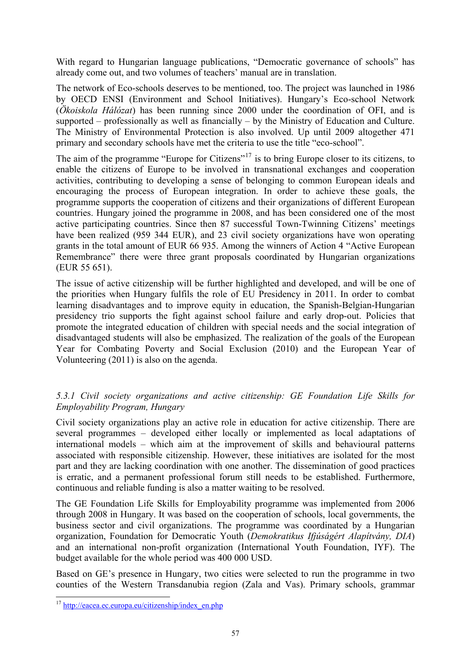<span id="page-56-0"></span>With regard to Hungarian language publications, "Democratic governance of schools" has already come out, and two volumes of teachers' manual are in translation.

The network of Eco-schools deserves to be mentioned, too. The project was launched in 1986 by OECD ENSI (Environment and School Initiatives). Hungary's Eco-school Network (*Ökoiskola Hálózat*) has been running since 2000 under the coordination of OFI, and is supported – professionally as well as financially – by the Ministry of Education and Culture. The Ministry of Environmental Protection is also involved. Up until 2009 altogether 471 primary and secondary schools have met the criteria to use the title "eco-school".

The aim of the programme "Europe for Citizens"<sup>[17](#page-56-0)</sup> is to bring Europe closer to its citizens, to enable the citizens of Europe to be involved in transnational exchanges and cooperation activities, contributing to developing a sense of belonging to common European ideals and encouraging the process of European integration. In order to achieve these goals, the programme supports the cooperation of citizens and their organizations of different European countries. Hungary joined the programme in 2008, and has been considered one of the most active participating countries. Since then 87 successful Town-Twinning Citizens' meetings have been realized (959 344 EUR), and 23 civil society organizations have won operating grants in the total amount of EUR 66 935. Among the winners of Action 4 "Active European Remembrance" there were three grant proposals coordinated by Hungarian organizations (EUR 55 651).

The issue of active citizenship will be further highlighted and developed, and will be one of the priorities when Hungary fulfils the role of EU Presidency in 2011. In order to combat learning disadvantages and to improve equity in education, the Spanish-Belgian-Hungarian presidency trio supports the fight against school failure and early drop-out. Policies that promote the integrated education of children with special needs and the social integration of disadvantaged students will also be emphasized. The realization of the goals of the European Year for Combating Poverty and Social Exclusion (2010) and the European Year of Volunteering (2011) is also on the agenda.

# *5.3.1 Civil society organizations and active citizenship: GE Foundation Life Skills for Employability Program, Hungary*

Civil society organizations play an active role in education for active citizenship. There are several programmes – developed either locally or implemented as local adaptations of international models – which aim at the improvement of skills and behavioural patterns associated with responsible citizenship. However, these initiatives are isolated for the most part and they are lacking coordination with one another. The dissemination of good practices is erratic, and a permanent professional forum still needs to be established. Furthermore, continuous and reliable funding is also a matter waiting to be resolved.

The GE Foundation Life Skills for Employability programme was implemented from 2006 through 2008 in Hungary. It was based on the cooperation of schools, local governments, the business sector and civil organizations. The programme was coordinated by a Hungarian organization, Foundation for Democratic Youth (*Demokratikus Ifjúságért Alapítvány, DIA*) and an international non-profit organization (International Youth Foundation, IYF). The budget available for the whole period was 400 000 USD.

Based on GE's presence in Hungary, two cities were selected to run the programme in two counties of the Western Transdanubia region (Zala and Vas). Primary schools, grammar

-

<sup>&</sup>lt;sup>17</sup> [http://eacea.ec.europa.eu/citizenship/index\\_en.php](http://eacea.ec.europa.eu/citizenship/index_en.php)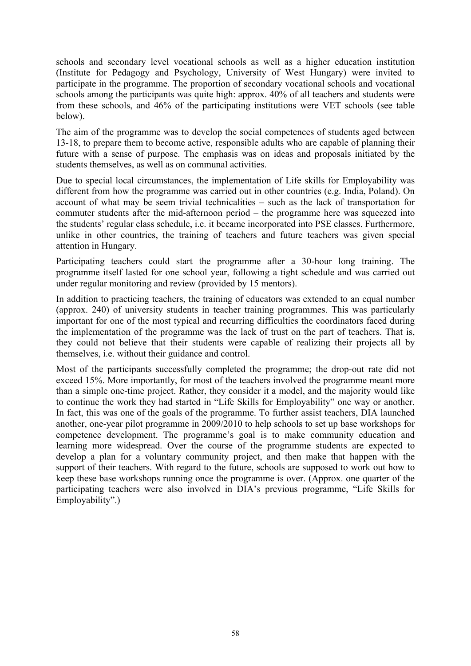schools and secondary level vocational schools as well as a higher education institution (Institute for Pedagogy and Psychology, University of West Hungary) were invited to participate in the programme. The proportion of secondary vocational schools and vocational schools among the participants was quite high: approx. 40% of all teachers and students were from these schools, and 46% of the participating institutions were VET schools (see table below).

The aim of the programme was to develop the social competences of students aged between 13-18, to prepare them to become active, responsible adults who are capable of planning their future with a sense of purpose. The emphasis was on ideas and proposals initiated by the students themselves, as well as on communal activities.

Due to special local circumstances, the implementation of Life skills for Employability was different from how the programme was carried out in other countries (e.g. India, Poland). On account of what may be seem trivial technicalities – such as the lack of transportation for commuter students after the mid-afternoon period – the programme here was squeezed into the students' regular class schedule, i.e. it became incorporated into PSE classes. Furthermore, unlike in other countries, the training of teachers and future teachers was given special attention in Hungary.

Participating teachers could start the programme after a 30-hour long training. The programme itself lasted for one school year, following a tight schedule and was carried out under regular monitoring and review (provided by 15 mentors).

In addition to practicing teachers, the training of educators was extended to an equal number (approx. 240) of university students in teacher training programmes. This was particularly important for one of the most typical and recurring difficulties the coordinators faced during the implementation of the programme was the lack of trust on the part of teachers. That is, they could not believe that their students were capable of realizing their projects all by themselves, i.e. without their guidance and control.

Most of the participants successfully completed the programme; the drop-out rate did not exceed 15%. More importantly, for most of the teachers involved the programme meant more than a simple one-time project. Rather, they consider it a model, and the majority would like to continue the work they had started in "Life Skills for Employability" one way or another. In fact, this was one of the goals of the programme. To further assist teachers, DIA launched another, one-year pilot programme in 2009/2010 to help schools to set up base workshops for competence development. The programme's goal is to make community education and learning more widespread. Over the course of the programme students are expected to develop a plan for a voluntary community project, and then make that happen with the support of their teachers. With regard to the future, schools are supposed to work out how to keep these base workshops running once the programme is over. (Approx. one quarter of the participating teachers were also involved in DIA's previous programme, "Life Skills for Employability".)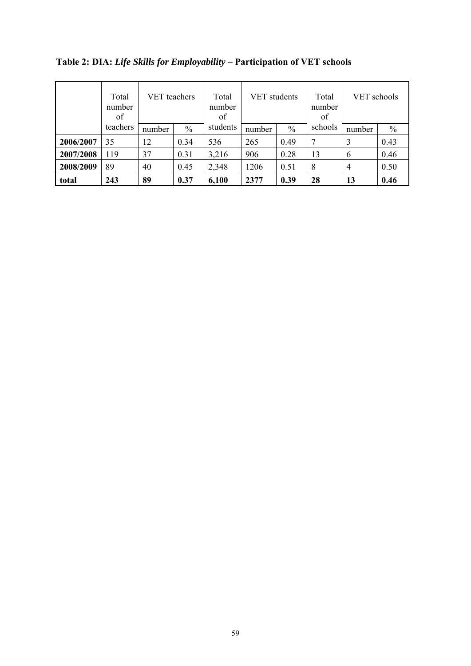|           | Total<br>number<br>of |        | <b>VET</b> teachers |          | <b>VET</b> students |               | Total<br>number<br>of | VET schools |               |
|-----------|-----------------------|--------|---------------------|----------|---------------------|---------------|-----------------------|-------------|---------------|
|           | teachers              | number | $\frac{0}{0}$       | students | number              | $\frac{0}{0}$ | schools               | number      | $\frac{0}{0}$ |
| 2006/2007 | 35                    | 12     | 0.34                | 536      | 265                 | 0.49          | 7                     | 3           | 0.43          |
| 2007/2008 | 119                   | 37     | 0.31                | 3,216    | 906                 | 0.28          | 13                    | 6           | 0.46          |
| 2008/2009 | 89                    | 40     | 0.45                | 2,348    | 1206                | 0.51          | 8                     | 4           | 0.50          |
| total     | 243                   | 89     | 0.37                | 6,100    | 2377                | 0.39          | 28                    | 13          | 0.46          |

**Table 2: DIA:** *Life Skills for Employability* **– Participation of VET schools**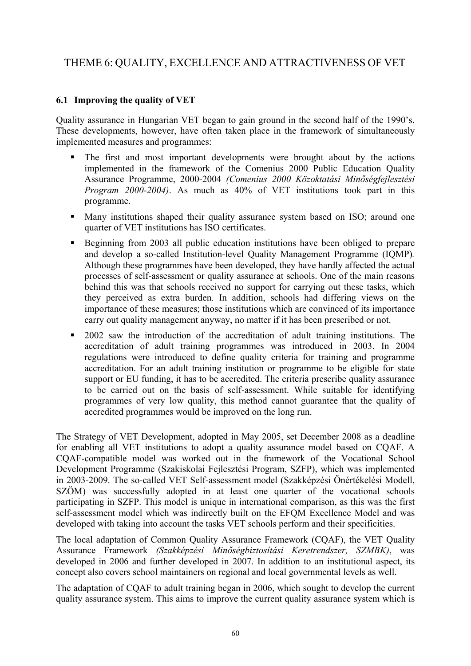# THEME 6: QUALITY, EXCELLENCE AND ATTRACTIVENESS OF VET

# **6.1 Improving the quality of VET**

Quality assurance in Hungarian VET began to gain ground in the second half of the 1990's. These developments, however, have often taken place in the framework of simultaneously implemented measures and programmes:

- The first and most important developments were brought about by the actions implemented in the framework of the Comenius 2000 Public Education Quality Assurance Programme, 2000-2004 *(Comenius 2000 Közoktatási Minőségfejlesztési Program 2000-2004)*. As much as 40% of VET institutions took part in this programme.
- Many institutions shaped their quality assurance system based on ISO; around one quarter of VET institutions has ISO certificates.
- Beginning from 2003 all public education institutions have been obliged to prepare and develop a so-called Institution-level Quality Management Programme (IQMP)*.*  Although these programmes have been developed, they have hardly affected the actual processes of self-assessment or quality assurance at schools. One of the main reasons behind this was that schools received no support for carrying out these tasks, which they perceived as extra burden. In addition, schools had differing views on the importance of these measures; those institutions which are convinced of its importance carry out quality management anyway, no matter if it has been prescribed or not.
- **2002** saw the introduction of the accreditation of adult training institutions. The accreditation of adult training programmes was introduced in 2003. In 2004 regulations were introduced to define quality criteria for training and programme accreditation. For an adult training institution or programme to be eligible for state support or EU funding, it has to be accredited. The criteria prescribe quality assurance to be carried out on the basis of self-assessment. While suitable for identifying programmes of very low quality, this method cannot guarantee that the quality of accredited programmes would be improved on the long run.

The Strategy of VET Development, adopted in May 2005, set December 2008 as a deadline for enabling all VET institutions to adopt a quality assurance model based on CQAF. A CQAF-compatible model was worked out in the framework of the Vocational School Development Programme (Szakiskolai Fejlesztési Program, SZFP), which was implemented in 2003-2009. The so-called VET Self-assessment model (Szakképzési Önértékelési Modell, SZÖM) was successfully adopted in at least one quarter of the vocational schools participating in SZFP. This model is unique in international comparison, as this was the first self-assessment model which was indirectly built on the EFQM Excellence Model and was developed with taking into account the tasks VET schools perform and their specificities.

The local adaptation of Common Quality Assurance Framework (CQAF), the VET Quality Assurance Framework *(Szakképzési Minőségbiztosítási Keretrendszer, SZMBK)*, was developed in 2006 and further developed in 2007. In addition to an institutional aspect, its concept also covers school maintainers on regional and local governmental levels as well.

The adaptation of CQAF to adult training began in 2006, which sought to develop the current quality assurance system. This aims to improve the current quality assurance system which is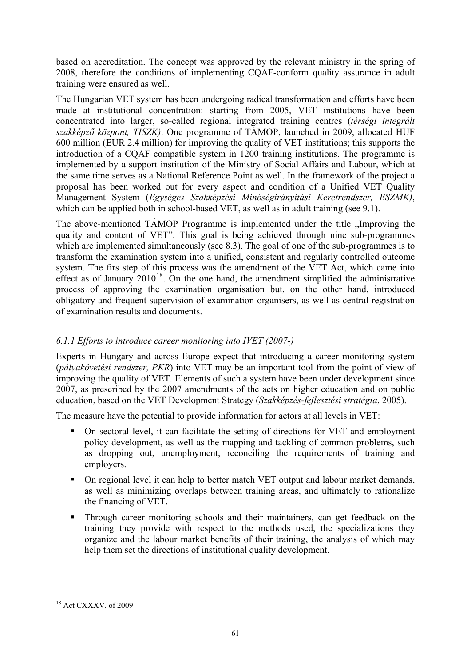<span id="page-60-0"></span>based on accreditation. The concept was approved by the relevant ministry in the spring of 2008, therefore the conditions of implementing CQAF-conform quality assurance in adult training were ensured as well.

The Hungarian VET system has been undergoing radical transformation and efforts have been made at institutional concentration: starting from 2005, VET institutions have been concentrated into larger, so-called regional integrated training centres (*térségi integrált szakképző központ, TISZK)*. One programme of TÁMOP, launched in 2009, allocated HUF 600 million (EUR 2.4 million) for improving the quality of VET institutions; this supports the introduction of a CQAF compatible system in 1200 training institutions. The programme is implemented by a support institution of the Ministry of Social Affairs and Labour, which at the same time serves as a National Reference Point as well. In the framework of the project a proposal has been worked out for every aspect and condition of a Unified VET Quality Management System (*Egységes Szakképzési Minőségirányítási Keretrendszer, ESZMK)*, which can be applied both in school-based VET, as well as in adult training (see 9.1).

The above-mentioned TÁMOP Programme is implemented under the title ...Improving the quality and content of VET". This goal is being achieved through nine sub-programmes which are implemented simultaneously (see 8.3). The goal of one of the sub-programmes is to transform the examination system into a unified, consistent and regularly controlled outcome system. The firs step of this process was the amendment of the VET Act, which came into effect as of January  $2010^{18}$  $2010^{18}$  $2010^{18}$ . On the one hand, the amendment simplified the administrative process of approving the examination organisation but, on the other hand, introduced obligatory and frequent supervision of examination organisers, as well as central registration of examination results and documents.

# *6.1.1 Efforts to introduce career monitoring into IVET (2007-)*

Experts in Hungary and across Europe expect that introducing a career monitoring system (*pályakövetési rendszer, PKR*) into VET may be an important tool from the point of view of improving the quality of VET. Elements of such a system have been under development since 2007, as prescribed by the 2007 amendments of the acts on higher education and on public education, based on the VET Development Strategy (*Szakképzés-fejlesztési stratégia*, 2005).

The measure have the potential to provide information for actors at all levels in VET:

- On sectoral level, it can facilitate the setting of directions for VET and employment policy development, as well as the mapping and tackling of common problems, such as dropping out, unemployment, reconciling the requirements of training and employers.
- On regional level it can help to better match VET output and labour market demands, as well as minimizing overlaps between training areas, and ultimately to rationalize the financing of VET.
- **Through career monitoring schools and their maintainers, can get feedback on the** training they provide with respect to the methods used, the specializations they organize and the labour market benefits of their training, the analysis of which may help them set the directions of institutional quality development.

<sup>-</sup><sup>18</sup> Act CXXXV. of 2009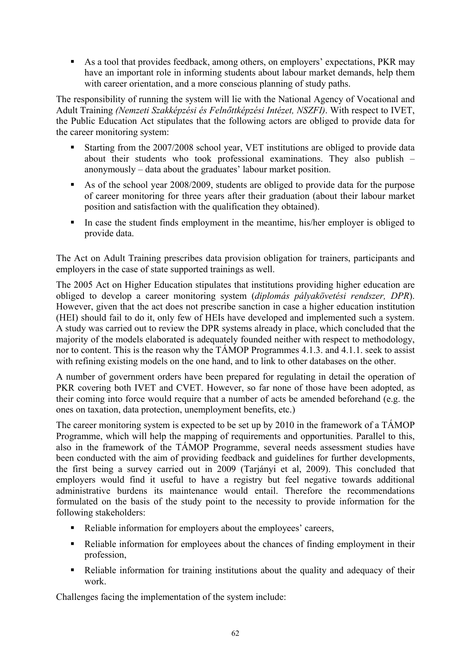As a tool that provides feedback, among others, on employers' expectations, PKR may have an important role in informing students about labour market demands, help them with career orientation, and a more conscious planning of study paths.

The responsibility of running the system will lie with the National Agency of Vocational and Adult Training *(Nemzeti Szakképzési és Felnőttképzési Intézet, NSZFI)*. With respect to IVET, the Public Education Act stipulates that the following actors are obliged to provide data for the career monitoring system:

- Starting from the 2007/2008 school year, VET institutions are obliged to provide data about their students who took professional examinations. They also publish – anonymously – data about the graduates' labour market position.
- As of the school year 2008/2009, students are obliged to provide data for the purpose of career monitoring for three years after their graduation (about their labour market position and satisfaction with the qualification they obtained).
- In case the student finds employment in the meantime, his/her employer is obliged to provide data.

The Act on Adult Training prescribes data provision obligation for trainers, participants and employers in the case of state supported trainings as well.

The 2005 Act on Higher Education stipulates that institutions providing higher education are obliged to develop a career monitoring system (*diplomás pályakövetési rendszer, DPR*). However, given that the act does not prescribe sanction in case a higher education institution (HEI) should fail to do it, only few of HEIs have developed and implemented such a system. A study was carried out to review the DPR systems already in place, which concluded that the majority of the models elaborated is adequately founded neither with respect to methodology, nor to content. This is the reason why the TÁMOP Programmes 4.1.3. and 4.1.1. seek to assist with refining existing models on the one hand, and to link to other databases on the other.

A number of government orders have been prepared for regulating in detail the operation of PKR covering both IVET and CVET. However, so far none of those have been adopted, as their coming into force would require that a number of acts be amended beforehand (e.g. the ones on taxation, data protection, unemployment benefits, etc.)

The career monitoring system is expected to be set up by 2010 in the framework of a TÁMOP Programme, which will help the mapping of requirements and opportunities. Parallel to this, also in the framework of the TÁMOP Programme, several needs assessment studies have been conducted with the aim of providing feedback and guidelines for further developments, the first being a survey carried out in 2009 (Tarjányi et al, 2009). This concluded that employers would find it useful to have a registry but feel negative towards additional administrative burdens its maintenance would entail. Therefore the recommendations formulated on the basis of the study point to the necessity to provide information for the following stakeholders:

- Reliable information for employers about the employees' careers,
- Reliable information for employees about the chances of finding employment in their profession,
- Reliable information for training institutions about the quality and adequacy of their work.

Challenges facing the implementation of the system include: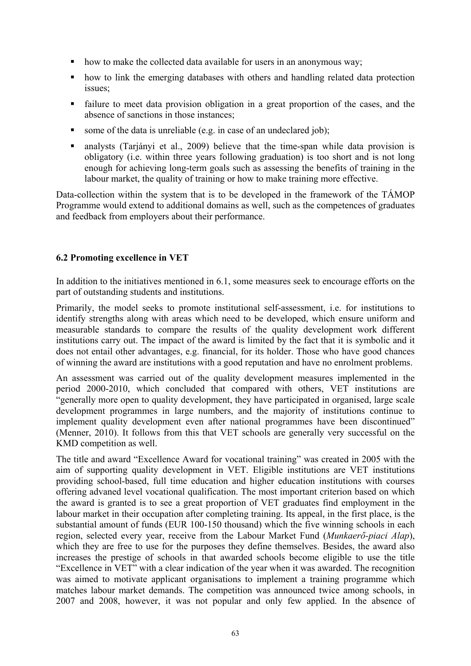- how to make the collected data available for users in an anonymous way;
- how to link the emerging databases with others and handling related data protection issues;
- failure to meet data provision obligation in a great proportion of the cases, and the absence of sanctions in those instances;
- some of the data is unreliable (e.g. in case of an undeclared job);
- analysts (Tarjányi et al., 2009) believe that the time-span while data provision is obligatory (i.e. within three years following graduation) is too short and is not long enough for achieving long-term goals such as assessing the benefits of training in the labour market, the quality of training or how to make training more effective.

Data-collection within the system that is to be developed in the framework of the TÁMOP Programme would extend to additional domains as well, such as the competences of graduates and feedback from employers about their performance.

# **6.2 Promoting excellence in VET**

In addition to the initiatives mentioned in 6.1, some measures seek to encourage efforts on the part of outstanding students and institutions.

Primarily, the model seeks to promote institutional self-assessment, i.e. for institutions to identify strengths along with areas which need to be developed, which ensure uniform and measurable standards to compare the results of the quality development work different institutions carry out. The impact of the award is limited by the fact that it is symbolic and it does not entail other advantages, e.g. financial, for its holder. Those who have good chances of winning the award are institutions with a good reputation and have no enrolment problems.

An assessment was carried out of the quality development measures implemented in the period 2000-2010, which concluded that compared with others, VET institutions are exteentify more open to quality development, they have participated in organised, large scale development programmes in large numbers, and the majority of institutions continue to implement quality development even after national programmes have been discontinued" (Menner, 2010). It follows from this that VET schools are generally very successful on the KMD competition as well.

The title and award "Excellence Award for vocational training" was created in 2005 with the aim of supporting quality development in VET. Eligible institutions are VET institutions providing school-based, full time education and higher education institutions with courses offering advaned level vocational qualification. The most important criterion based on which the award is granted is to see a great proportion of VET graduates find employment in the labour market in their occupation after completing training. Its appeal, in the first place, is the substantial amount of funds (EUR 100-150 thousand) which the five winning schools in each region, selected every year, receive from the Labour Market Fund (*Munkaerő-piaci Alap*), which they are free to use for the purposes they define themselves. Besides, the award also increases the prestige of schools in that awarded schools become eligible to use the title "Excellence in VET" with a clear indication of the year when it was awarded. The recognition was aimed to motivate applicant organisations to implement a training programme which matches labour market demands. The competition was announced twice among schools, in 2007 and 2008, however, it was not popular and only few applied. In the absence of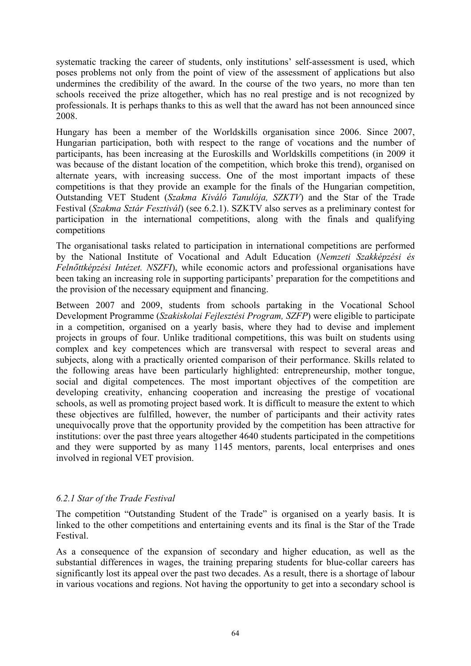systematic tracking the career of students, only institutions' self-assessment is used, which poses problems not only from the point of view of the assessment of applications but also undermines the credibility of the award. In the course of the two years, no more than ten schools received the prize altogether, which has no real prestige and is not recognized by professionals. It is perhaps thanks to this as well that the award has not been announced since 2008.

Hungary has been a member of the Worldskills organisation since 2006. Since 2007, Hungarian participation, both with respect to the range of vocations and the number of participants, has been increasing at the Euroskills and Worldskills competitions (in 2009 it was because of the distant location of the competition, which broke this trend), organised on alternate years, with increasing success. One of the most important impacts of these competitions is that they provide an example for the finals of the Hungarian competition, Outstanding VET Student (*Szakma Kiváló Tanulója, SZKTV*) and the Star of the Trade Festival (*Szakma Sztár Fesztivál*) (see 6.2.1). SZKTV also serves as a preliminary contest for participation in the international competitions, along with the finals and qualifying competitions

The organisational tasks related to participation in international competitions are performed by the National Institute of Vocational and Adult Education (*Nemzeti Szakképzési és Felnőttképzési Intézet. NSZFI*), while economic actors and professional organisations have been taking an increasing role in supporting participants' preparation for the competitions and the provision of the necessary equipment and financing.

Between 2007 and 2009, students from schools partaking in the Vocational School Development Programme (*Szakiskolai Fejlesztési Program, SZFP*) were eligible to participate in a competition, organised on a yearly basis, where they had to devise and implement projects in groups of four. Unlike traditional competitions, this was built on students using complex and key competences which are transversal with respect to several areas and subjects, along with a practically oriented comparison of their performance. Skills related to the following areas have been particularly highlighted: entrepreneurship, mother tongue, social and digital competences. The most important objectives of the competition are developing creativity, enhancing cooperation and increasing the prestige of vocational schools, as well as promoting project based work. It is difficult to measure the extent to which these objectives are fulfilled, however, the number of participants and their activity rates unequivocally prove that the opportunity provided by the competition has been attractive for institutions: over the past three years altogether 4640 students participated in the competitions and they were supported by as many 1145 mentors, parents, local enterprises and ones involved in regional VET provision.

# *6.2.1 Star of the Trade Festival*

The competition "Outstanding Student of the Trade" is organised on a yearly basis. It is linked to the other competitions and entertaining events and its final is the Star of the Trade Festival.

As a consequence of the expansion of secondary and higher education, as well as the substantial differences in wages, the training preparing students for blue-collar careers has significantly lost its appeal over the past two decades. As a result, there is a shortage of labour in various vocations and regions. Not having the opportunity to get into a secondary school is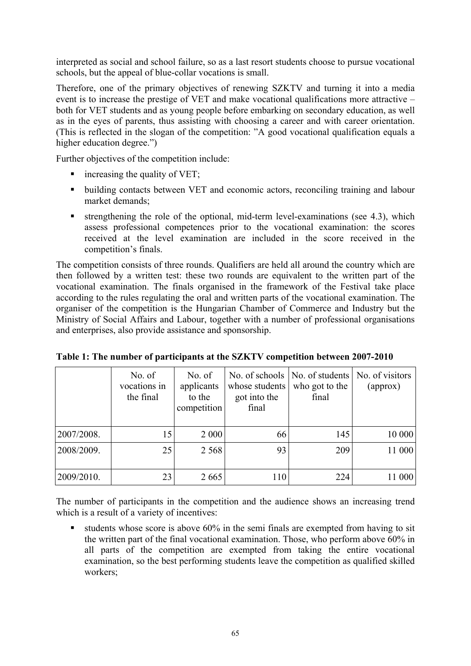interpreted as social and school failure, so as a last resort students choose to pursue vocational schools, but the appeal of blue-collar vocations is small.

Therefore, one of the primary objectives of renewing SZKTV and turning it into a media event is to increase the prestige of VET and make vocational qualifications more attractive – both for VET students and as young people before embarking on secondary education, as well as in the eyes of parents, thus assisting with choosing a career and with career orientation. (This is reflected in the slogan of the competition: "A good vocational qualification equals a higher education degree.")

Further objectives of the competition include:

- $\blacksquare$  increasing the quality of VET;
- building contacts between VET and economic actors, reconciling training and labour market demands;
- $\blacksquare$  strengthening the role of the optional, mid-term level-examinations (see 4.3), which assess professional competences prior to the vocational examination: the scores received at the level examination are included in the score received in the competition's finals.

The competition consists of three rounds. Qualifiers are held all around the country which are then followed by a written test: these two rounds are equivalent to the written part of the vocational examination. The finals organised in the framework of the Festival take place according to the rules regulating the oral and written parts of the vocational examination. The organiser of the competition is the Hungarian Chamber of Commerce and Industry but the Ministry of Social Affairs and Labour, together with a number of professional organisations and enterprises, also provide assistance and sponsorship.

|            | No. of<br>vocations in<br>the final | No. of<br>applicants<br>to the<br>competition | whose students<br>got into the<br>final | No. of schools   No. of students   No. of visitors<br>who got to the<br>final | (approx) |
|------------|-------------------------------------|-----------------------------------------------|-----------------------------------------|-------------------------------------------------------------------------------|----------|
| 2007/2008. | 15                                  | 2 0 0 0                                       | 66                                      | 145                                                                           | 10 000   |
| 2008/2009. | 25                                  | 2 5 6 8                                       | 93                                      | 209                                                                           | 11 000   |
| 2009/2010. | 23                                  | 2665                                          | 110                                     | 224                                                                           | 11 000   |

**Table 1: The number of participants at the SZKTV competition between 2007-2010** 

The number of participants in the competition and the audience shows an increasing trend which is a result of a variety of incentives:

students whose score is above  $60\%$  in the semi finals are exempted from having to sit the written part of the final vocational examination. Those, who perform above 60% in all parts of the competition are exempted from taking the entire vocational examination, so the best performing students leave the competition as qualified skilled workers;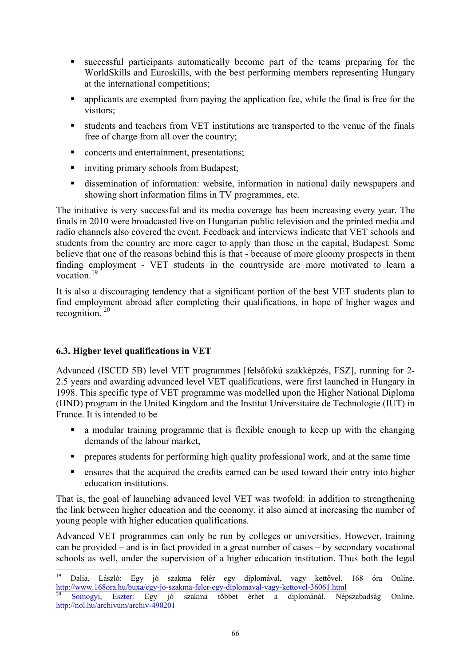- <span id="page-65-0"></span> successful participants automatically become part of the teams preparing for the WorldSkills and Euroskills, with the best performing members representing Hungary at the international competitions;
- **•** applicants are exempted from paying the application fee, while the final is free for the visitors;
- students and teachers from VET institutions are transported to the venue of the finals free of charge from all over the country;
- concerts and entertainment, presentations;
- inviting primary schools from Budapest;
- dissemination of information: website, information in national daily newspapers and showing short information films in TV programmes, etc.

The initiative is very successful and its media coverage has been increasing every year. The finals in 2010 were broadcasted live on Hungarian public television and the printed media and radio channels also covered the event. Feedback and interviews indicate that VET schools and students from the country are more eager to apply than those in the capital, Budapest. Some believe that one of the reasons behind this is that - because of more gloomy prospects in them finding employment - VET students in the countryside are more motivated to learn a vocation $19$ 

It is also a discouraging tendency that a significant portion of the best VET students plan to find employment abroad after completing their qualifications, in hope of higher wages and recognition. [20](#page-65-0)

# **6.3. Higher level qualifications in VET**

Advanced (ISCED 5B) level VET programmes [felsőfokú szakképzés, FSZ], running for 2- 2.5 years and awarding advanced level VET qualifications, were first launched in Hungary in 1998. This specific type of VET programme was modelled upon the Higher National Diploma (HND) program in the United Kingdom and the Institut Universitaire de Technologie (IUT) in France. It is intended to be

- a modular training programme that is flexible enough to keep up with the changing demands of the labour market,
- **PERICISE:** prepares students for performing high quality professional work, and at the same time
- ensures that the acquired the credits earned can be used toward their entry into higher education institutions.

That is, the goal of launching advanced level VET was twofold: in addition to strengthening the link between higher education and the economy, it also aimed at increasing the number of young people with higher education qualifications.

Advanced VET programmes can only be run by colleges or universities. However, training can be provided – and is in fact provided in a great number of cases – by secondary vocational schools as well, under the supervision of a higher education institution. Thus both the legal

 $19$ <sup>19</sup> [Dalia, László](http://www.168ora.hu/popup/?country=&type=send_author&itmtype=article&itmid=36061): Egy jó szakma felér egy diplomával, vagy kettővel. 168 óra Online. <http://www.168ora.hu/buxa/egy-jo-szakma-feler-egy-diplomaval-vagy-kettovel-36061.html><br><sup>[20](http://www.168ora.hu/buxa/egy-jo-szakma-feler-egy-diplomaval-vagy-kettovel-36061.html)</sup> Somogyi, Eszter: Egy jó szakma többet érhet a diplománál. Népszabadság Online.

<http://nol.hu/archivum/archiv-490201>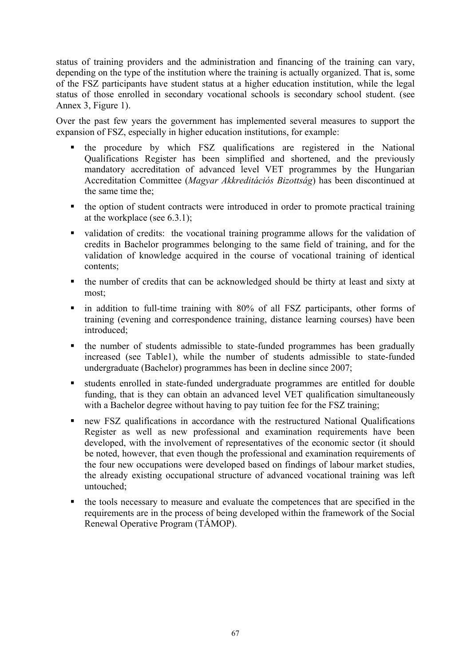status of training providers and the administration and financing of the training can vary, depending on the type of the institution where the training is actually organized. That is, some of the FSZ participants have student status at a higher education institution, while the legal status of those enrolled in secondary vocational schools is secondary school student. (see Annex 3, Figure 1).

Over the past few years the government has implemented several measures to support the expansion of FSZ, especially in higher education institutions, for example:

- the procedure by which FSZ qualifications are registered in the National Qualifications Register has been simplified and shortened, and the previously mandatory accreditation of advanced level VET programmes by the Hungarian Accreditation Committee (*Magyar Akkreditációs Bizottság*) has been discontinued at the same time the;
- the option of student contracts were introduced in order to promote practical training at the workplace (see 6.3.1);
- validation of credits: the vocational training programme allows for the validation of credits in Bachelor programmes belonging to the same field of training, and for the validation of knowledge acquired in the course of vocational training of identical contents;
- the number of credits that can be acknowledged should be thirty at least and sixty at most;
- in addition to full-time training with 80% of all FSZ participants, other forms of training (evening and correspondence training, distance learning courses) have been introduced;
- the number of students admissible to state-funded programmes has been gradually increased (see Table1), while the number of students admissible to state-funded undergraduate (Bachelor) programmes has been in decline since 2007;
- students enrolled in state-funded undergraduate programmes are entitled for double funding, that is they can obtain an advanced level VET qualification simultaneously with a Bachelor degree without having to pay tuition fee for the FSZ training;
- new FSZ qualifications in accordance with the restructured National Qualifications Register as well as new professional and examination requirements have been developed, with the involvement of representatives of the economic sector (it should be noted, however, that even though the professional and examination requirements of the four new occupations were developed based on findings of labour market studies, the already existing occupational structure of advanced vocational training was left untouched;
- the tools necessary to measure and evaluate the competences that are specified in the requirements are in the process of being developed within the framework of the Social Renewal Operative Program (TÁMOP).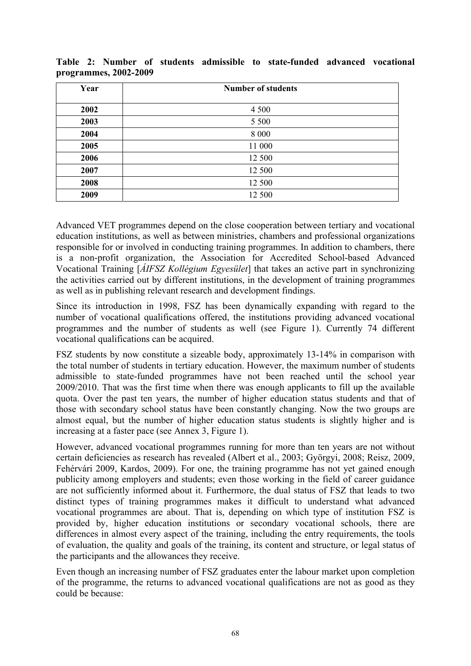| Year | <b>Number of students</b> |
|------|---------------------------|
|      |                           |
| 2002 | 4 5 0 0                   |
| 2003 | 5 5 0 0                   |
| 2004 | 8 0 0 0                   |
| 2005 | 11 000                    |
| 2006 | 12 500                    |
| 2007 | 12 500                    |
| 2008 | 12 500                    |
| 2009 | 12 500                    |

**Table 2: Number of students admissible to state-funded advanced vocational programmes, 2002-2009** 

Advanced VET programmes depend on the close cooperation between tertiary and vocational education institutions, as well as between ministries, chambers and professional organizations responsible for or involved in conducting training programmes. In addition to chambers, there is a non-profit organization, the Association for Accredited School-based Advanced Vocational Training [*ÁIFSZ Kollégium Egyesület*] that takes an active part in synchronizing the activities carried out by different institutions, in the development of training programmes as well as in publishing relevant research and development findings.

Since its introduction in 1998, FSZ has been dynamically expanding with regard to the number of vocational qualifications offered, the institutions providing advanced vocational programmes and the number of students as well (see Figure 1). Currently 74 different vocational qualifications can be acquired.

FSZ students by now constitute a sizeable body, approximately 13-14% in comparison with the total number of students in tertiary education. However, the maximum number of students admissible to state-funded programmes have not been reached until the school year 2009/2010. That was the first time when there was enough applicants to fill up the available quota. Over the past ten years, the number of higher education status students and that of those with secondary school status have been constantly changing. Now the two groups are almost equal, but the number of higher education status students is slightly higher and is increasing at a faster pace (see Annex 3, Figure 1).

However, advanced vocational programmes running for more than ten years are not without certain deficiencies as research has revealed (Albert et al., 2003; Györgyi, 2008; Reisz, 2009, Fehérvári 2009, Kardos, 2009). For one, the training programme has not yet gained enough publicity among employers and students; even those working in the field of career guidance are not sufficiently informed about it. Furthermore, the dual status of FSZ that leads to two distinct types of training programmes makes it difficult to understand what advanced vocational programmes are about. That is, depending on which type of institution FSZ is provided by, higher education institutions or secondary vocational schools, there are differences in almost every aspect of the training, including the entry requirements, the tools of evaluation, the quality and goals of the training, its content and structure, or legal status of the participants and the allowances they receive.

Even though an increasing number of FSZ graduates enter the labour market upon completion of the programme, the returns to advanced vocational qualifications are not as good as they could be because: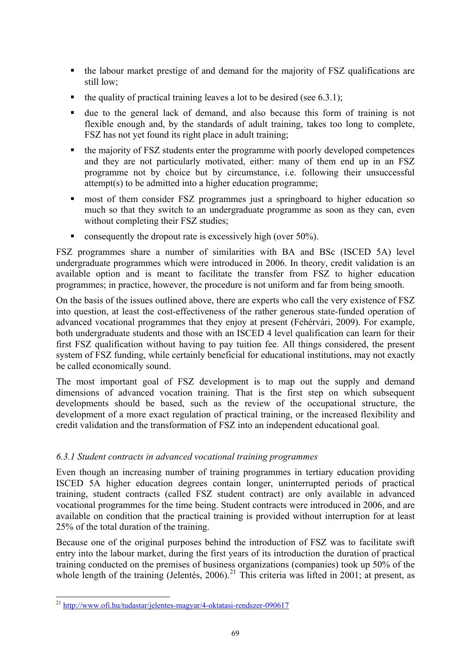- <span id="page-68-0"></span> the labour market prestige of and demand for the majority of FSZ qualifications are still low;
- $\blacksquare$  the quality of practical training leaves a lot to be desired (see 6.3.1);
- due to the general lack of demand, and also because this form of training is not flexible enough and, by the standards of adult training, takes too long to complete, FSZ has not yet found its right place in adult training;
- the majority of FSZ students enter the programme with poorly developed competences and they are not particularly motivated, either: many of them end up in an FSZ programme not by choice but by circumstance, i.e. following their unsuccessful attempt(s) to be admitted into a higher education programme;
- **n** most of them consider FSZ programmes just a springboard to higher education so much so that they switch to an undergraduate programme as soon as they can, even without completing their FSZ studies;
- consequently the dropout rate is excessively high (over  $50\%$ ).

FSZ programmes share a number of similarities with BA and BSc (ISCED 5A) level undergraduate programmes which were introduced in 2006. In theory, credit validation is an available option and is meant to facilitate the transfer from FSZ to higher education programmes; in practice, however, the procedure is not uniform and far from being smooth.

On the basis of the issues outlined above, there are experts who call the very existence of FSZ into question, at least the cost-effectiveness of the rather generous state-funded operation of advanced vocational programmes that they enjoy at present (Fehérvári, 2009). For example, both undergraduate students and those with an ISCED 4 level qualification can learn for their first FSZ qualification without having to pay tuition fee. All things considered, the present system of FSZ funding, while certainly beneficial for educational institutions, may not exactly be called economically sound.

The most important goal of FSZ development is to map out the supply and demand dimensions of advanced vocation training. That is the first step on which subsequent developments should be based, such as the review of the occupational structure, the development of a more exact regulation of practical training, or the increased flexibility and credit validation and the transformation of FSZ into an independent educational goal.

# *6.3.1 Student contracts in advanced vocational training programmes*

Even though an increasing number of training programmes in tertiary education providing ISCED 5A higher education degrees contain longer, uninterrupted periods of practical training, student contracts (called FSZ student contract) are only available in advanced vocational programmes for the time being. Student contracts were introduced in 2006, and are available on condition that the practical training is provided without interruption for at least 25% of the total duration of the training.

Because one of the original purposes behind the introduction of FSZ was to facilitate swift entry into the labour market, during the first years of its introduction the duration of practical training conducted on the premises of business organizations (companies) took up 50% of the whole length of the training (Jelentés, 2006).<sup>[21](#page-68-0)</sup> This criteria was lifted in 2001; at present, as

<sup>21</sup> <http://www.ofi.hu/tudastar/jelentes-magyar/4-oktatasi-rendszer-090617>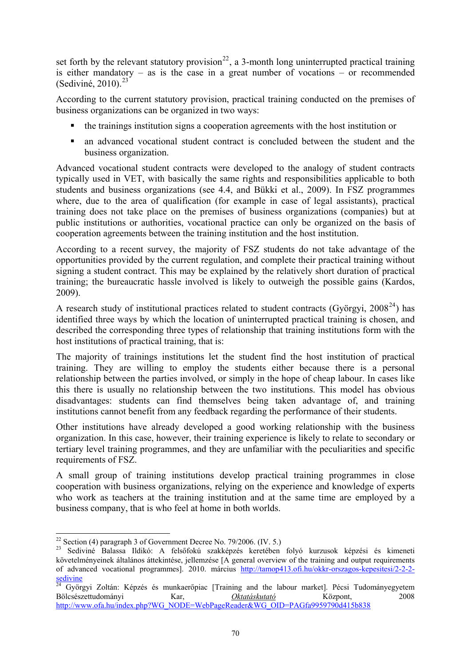<span id="page-69-0"></span>set forth by the relevant statutory provision<sup>[22](#page-69-0)</sup>, a 3-month long uninterrupted practical training is either mandatory – as is the case in a great number of vocations – or recommended (Sediviné, 2010). $^{23}$  $^{23}$  $^{23}$ 

According to the current statutory provision, practical training conducted on the premises of business organizations can be organized in two ways:

- the trainings institution signs a cooperation agreements with the host institution or
- an advanced vocational student contract is concluded between the student and the business organization.

Advanced vocational student contracts were developed to the analogy of student contracts typically used in VET, with basically the same rights and responsibilities applicable to both students and business organizations (see 4.4, and Bükki et al., 2009). In FSZ programmes where, due to the area of qualification (for example in case of legal assistants), practical training does not take place on the premises of business organizations (companies) but at public institutions or authorities, vocational practice can only be organized on the basis of cooperation agreements between the training institution and the host institution.

According to a recent survey, the majority of FSZ students do not take advantage of the opportunities provided by the current regulation, and complete their practical training without signing a student contract. This may be explained by the relatively short duration of practical training; the bureaucratic hassle involved is likely to outweigh the possible gains (Kardos, 2009).

A research study of institutional practices related to student contracts (Györgyi,  $2008^{24}$  $2008^{24}$  $2008^{24}$ ) has identified three ways by which the location of uninterrupted practical training is chosen, and described the corresponding three types of relationship that training institutions form with the host institutions of practical training, that is:

The majority of trainings institutions let the student find the host institution of practical training. They are willing to employ the students either because there is a personal relationship between the parties involved, or simply in the hope of cheap labour. In cases like this there is usually no relationship between the two institutions. This model has obvious disadvantages: students can find themselves being taken advantage of, and training institutions cannot benefit from any feedback regarding the performance of their students.

Other institutions have already developed a good working relationship with the business organization. In this case, however, their training experience is likely to relate to secondary or tertiary level training programmes, and they are unfamiliar with the peculiarities and specific requirements of FSZ.

A small group of training institutions develop practical training programmes in close cooperation with business organizations, relying on the experience and knowledge of experts who work as teachers at the training institution and at the same time are employed by a business company, that is who feel at home in both worlds.

<sup>-</sup> $22$  Section (4) paragraph 3 of Government Decree No. 79/2006. (IV. 5.)

<sup>23</sup> Sediviné Balassa Ildikó: A felsőfokú szakképzés keretében folyó kurzusok képzési és kimeneti követelményeinek általános áttekintése, jellemzése [A general overview of the training and output requirements of advanced vocational programmes]. 2010. március [http://tamop413.ofi.hu/okkr-orszagos-kepesitesi/2-2-2](http://tamop413.ofi.hu/okkr-orszagos-kepesitesi/2-2-2-sedivine) [sedivine](http://tamop413.ofi.hu/okkr-orszagos-kepesitesi/2-2-2-sedivine)

<sup>&</sup>lt;sup>24</sup> Györgyi Zoltán: Képzés és munkaerőpiac [Training and the labour market]. Pécsi Tudományegyetem Bölcsészettudományi Kar, *Oktatáskutató* Központ, 2008 [http://www.ofa.hu/index.php?WG\\_NODE=WebPageReader&WG\\_OID=PAGfa9959790d415b838](http://www.ofa.hu/index.php?WG_NODE=WebPageReader&WG_OID=PAGfa9959790d415b838)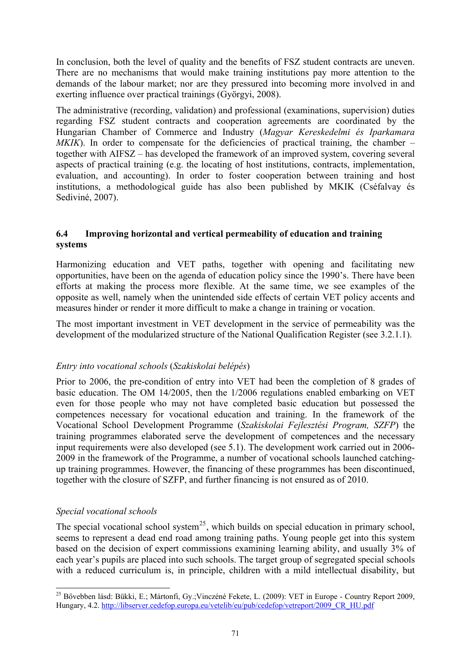<span id="page-70-0"></span>In conclusion, both the level of quality and the benefits of FSZ student contracts are uneven. There are no mechanisms that would make training institutions pay more attention to the demands of the labour market; nor are they pressured into becoming more involved in and exerting influence over practical trainings (Györgyi, 2008).

The administrative (recording, validation) and professional (examinations, supervision) duties regarding FSZ student contracts and cooperation agreements are coordinated by the Hungarian Chamber of Commerce and Industry (*Magyar Kereskedelmi és Iparkamara MKIK*). In order to compensate for the deficiencies of practical training, the chamber – together with AIFSZ – has developed the framework of an improved system, covering several aspects of practical training (e.g. the locating of host institutions, contracts, implementation, evaluation, and accounting). In order to foster cooperation between training and host institutions, a methodological guide has also been published by MKIK (Cséfalvay és Sediviné, 2007).

# **6.4 Improving horizontal and vertical permeability of education and training systems**

Harmonizing education and VET paths, together with opening and facilitating new opportunities, have been on the agenda of education policy since the 1990's. There have been efforts at making the process more flexible. At the same time, we see examples of the opposite as well, namely when the unintended side effects of certain VET policy accents and measures hinder or render it more difficult to make a change in training or vocation.

The most important investment in VET development in the service of permeability was the development of the modularized structure of the National Qualification Register (see 3.2.1.1).

# *Entry into vocational schools* (*Szakiskolai belépés*)

Prior to 2006, the pre-condition of entry into VET had been the completion of 8 grades of basic education. The OM 14/2005, then the 1/2006 regulations enabled embarking on VET even for those people who may not have completed basic education but possessed the competences necessary for vocational education and training. In the framework of the Vocational School Development Programme (*Szakiskolai Fejlesztési Program, SZFP*) the training programmes elaborated serve the development of competences and the necessary input requirements were also developed (see 5.1). The development work carried out in 2006- 2009 in the framework of the Programme, a number of vocational schools launched catchingup training programmes. However, the financing of these programmes has been discontinued, together with the closure of SZFP, and further financing is not ensured as of 2010.

# *Special vocational schools*

-

The special vocational school system<sup>[25](#page-70-0)</sup>, which builds on special education in primary school, seems to represent a dead end road among training paths. Young people get into this system based on the decision of expert commissions examining learning ability, and usually 3% of each year's pupils are placed into such schools. The target group of segregated special schools with a reduced curriculum is, in principle, children with a mild intellectual disability, but

<sup>&</sup>lt;sup>25</sup> Bővebben lásd: Bükki, E.; Mártonfi, Gy.; Vinczéné Fekete, L. (2009): VET in Europe - Country Report 2009, Hungary, 4.2. [http://libserver.cedefop.europa.eu/vetelib/eu/pub/cedefop/vetreport/2009\\_CR\\_HU.pdf](http://libserver.cedefop.europa.eu/vetelib/eu/pub/cedefop/vetreport/2009_CR_HU.pdf)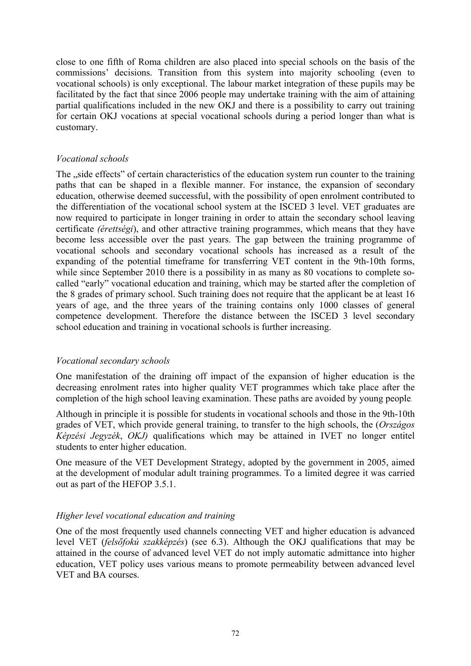close to one fifth of Roma children are also placed into special schools on the basis of the commissions' decisions. Transition from this system into majority schooling (even to vocational schools) is only exceptional. The labour market integration of these pupils may be facilitated by the fact that since 2006 people may undertake training with the aim of attaining partial qualifications included in the new OKJ and there is a possibility to carry out training for certain OKJ vocations at special vocational schools during a period longer than what is customary.

# *Vocational schools*

The "side effects" of certain characteristics of the education system run counter to the training paths that can be shaped in a flexible manner. For instance, the expansion of secondary education, otherwise deemed successful, with the possibility of open enrolment contributed to the differentiation of the vocational school system at the ISCED 3 level. VET graduates are now required to participate in longer training in order to attain the secondary school leaving certificate *(érettségi*), and other attractive training programmes, which means that they have become less accessible over the past years. The gap between the training programme of vocational schools and secondary vocational schools has increased as a result of the expanding of the potential timeframe for transferring VET content in the 9th-10th forms, while since September 2010 there is a possibility in as many as 80 vocations to complete socalled "early" vocational education and training, which may be started after the completion of the 8 grades of primary school. Such training does not require that the applicant be at least 16 years of age, and the three years of the training contains only 1000 classes of general competence development. Therefore the distance between the ISCED 3 level secondary school education and training in vocational schools is further increasing.

# *Vocational secondary schools*

One manifestation of the draining off impact of the expansion of higher education is the decreasing enrolment rates into higher quality VET programmes which take place after the completion of the high school leaving examination. These paths are avoided by young people.

Although in principle it is possible for students in vocational schools and those in the 9th-10th grades of VET, which provide general training, to transfer to the high schools, the (*Országos Képzési Jegyzék*, *OKJ)* qualifications which may be attained in IVET no longer entitel students to enter higher education.

One measure of the VET Development Strategy, adopted by the government in 2005, aimed at the development of modular adult training programmes. To a limited degree it was carried out as part of the HEFOP 3.5.1.

# *Higher level vocational education and training*

One of the most frequently used channels connecting VET and higher education is advanced level VET (*felsőfokú szakképzés*) (see 6.3). Although the OKJ qualifications that may be attained in the course of advanced level VET do not imply automatic admittance into higher education, VET policy uses various means to promote permeability between advanced level VET and BA courses.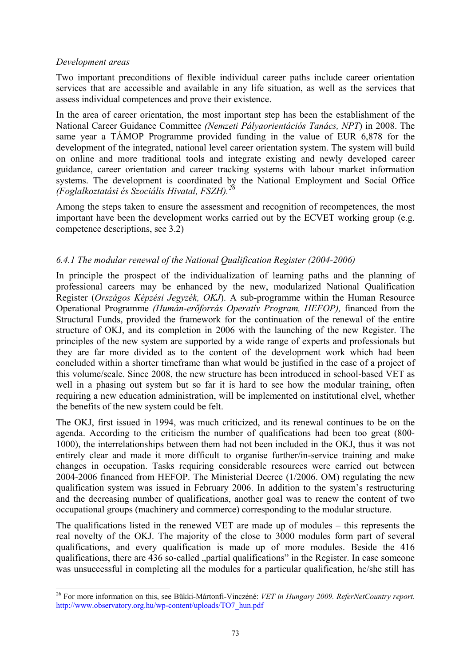### <span id="page-72-0"></span>*Development areas*

-

Two important preconditions of flexible individual career paths include career orientation services that are accessible and available in any life situation, as well as the services that assess individual competences and prove their existence.

In the area of career orientation, the most important step has been the establishment of the National Career Guidance Committee *(Nemzeti Pályaorientációs Tanács, NPT*) in 2008. The same year a TÁMOP Programme provided funding in the value of EUR 6,878 for the development of the integrated, national level career orientation system. The system will build on online and more traditional tools and integrate existing and newly developed career guidance, career orientation and career tracking systems with labour market information systems. The development is coordinated by the National Employment and Social Office *(Foglalkoztatási és Szociális Hivatal, FSZH).[26](#page-72-0)*

Among the steps taken to ensure the assessment and recognition of recompetences, the most important have been the development works carried out by the ECVET working group (e.g. competence descriptions, see 3.2)

## *6.4.1 The modular renewal of the National Qualification Register (2004-2006)*

In principle the prospect of the individualization of learning paths and the planning of professional careers may be enhanced by the new, modularized National Qualification Register (*Országos Képzési Jegyzék, OKJ*). A sub-programme within the Human Resource Operational Programme *(Humán-erőforrás Operatív Program, HEFOP),* financed from the Structural Funds, provided the framework for the continuation of the renewal of the entire structure of OKJ, and its completion in 2006 with the launching of the new Register. The principles of the new system are supported by a wide range of experts and professionals but they are far more divided as to the content of the development work which had been concluded within a shorter timeframe than what would be justified in the case of a project of this volume/scale. Since 2008, the new structure has been introduced in school-based VET as well in a phasing out system but so far it is hard to see how the modular training, often requiring a new education administration, will be implemented on institutional elvel, whether the benefits of the new system could be felt.

The OKJ, first issued in 1994, was much criticized, and its renewal continues to be on the agenda. According to the criticism the number of qualifications had been too great (800- 1000), the interrelationships between them had not been included in the OKJ, thus it was not entirely clear and made it more difficult to organise further/in-service training and make changes in occupation. Tasks requiring considerable resources were carried out between 2004-2006 financed from HEFOP. The Ministerial Decree (1/2006. OM) regulating the new qualification system was issued in February 2006. In addition to the system's restructuring and the decreasing number of qualifications, another goal was to renew the content of two occupational groups (machinery and commerce) corresponding to the modular structure.

The qualifications listed in the renewed VET are made up of modules – this represents the real novelty of the OKJ. The majority of the close to 3000 modules form part of several qualifications, and every qualification is made up of more modules. Beside the 416 qualifications, there are 436 so-called "partial qualifications" in the Register. In case someone was unsuccessful in completing all the modules for a particular qualification, he/she still has

<sup>26</sup> For more information on this, see Bükki-Mártonfi-Vinczéné: *VET in Hungary 2009. ReferNetCountry report.* [http://www.observatory.org.hu/wp-content/uploads/TO7\\_hun.pdf](http://www.observatory.org.hu/wp-content/uploads/TO7_hun.pdf)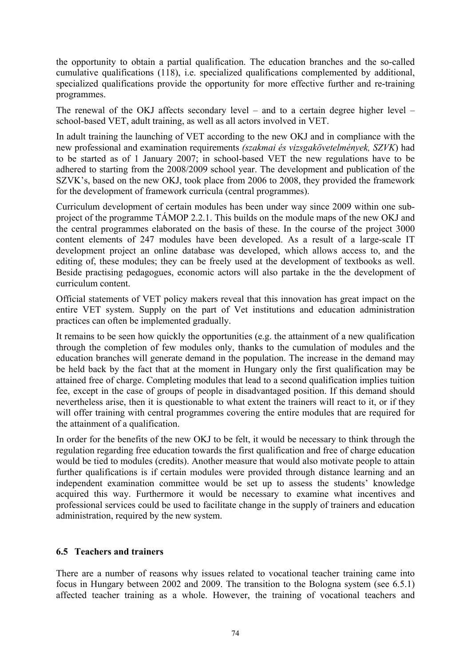the opportunity to obtain a partial qualification. The education branches and the so-called cumulative qualifications (118), i.e. specialized qualifications complemented by additional, specialized qualifications provide the opportunity for more effective further and re-training programmes.

The renewal of the OKJ affects secondary level – and to a certain degree higher level – school-based VET, adult training, as well as all actors involved in VET.

In adult training the launching of VET according to the new OKJ and in compliance with the new professional and examination requirements *(szakmai és vizsgakövetelmények, SZVK*) had to be started as of 1 January 2007; in school-based VET the new regulations have to be adhered to starting from the 2008/2009 school year. The development and publication of the SZVK's, based on the new OKJ, took place from 2006 to 2008, they provided the framework for the development of framework curricula (central programmes).

Curriculum development of certain modules has been under way since 2009 within one subproject of the programme TÁMOP 2.2.1. This builds on the module maps of the new OKJ and the central programmes elaborated on the basis of these. In the course of the project 3000 content elements of 247 modules have been developed. As a result of a large-scale IT development project an online database was developed, which allows access to, and the editing of, these modules; they can be freely used at the development of textbooks as well. Beside practising pedagogues, economic actors will also partake in the the development of curriculum content.

Official statements of VET policy makers reveal that this innovation has great impact on the entire VET system. Supply on the part of Vet institutions and education administration practices can often be implemented gradually.

It remains to be seen how quickly the opportunities (e.g. the attainment of a new qualification through the completion of few modules only, thanks to the cumulation of modules and the education branches will generate demand in the population. The increase in the demand may be held back by the fact that at the moment in Hungary only the first qualification may be attained free of charge. Completing modules that lead to a second qualification implies tuition fee, except in the case of groups of people in disadvantaged position. If this demand should nevertheless arise, then it is questionable to what extent the trainers will react to it, or if they will offer training with central programmes covering the entire modules that are required for the attainment of a qualification.

In order for the benefits of the new OKJ to be felt, it would be necessary to think through the regulation regarding free education towards the first qualification and free of charge education would be tied to modules (credits). Another measure that would also motivate people to attain further qualifications is if certain modules were provided through distance learning and an independent examination committee would be set up to assess the students' knowledge acquired this way. Furthermore it would be necessary to examine what incentives and professional services could be used to facilitate change in the supply of trainers and education administration, required by the new system.

### **6.5 Teachers and trainers**

There are a number of reasons why issues related to vocational teacher training came into focus in Hungary between 2002 and 2009. The transition to the Bologna system (see 6.5.1) affected teacher training as a whole. However, the training of vocational teachers and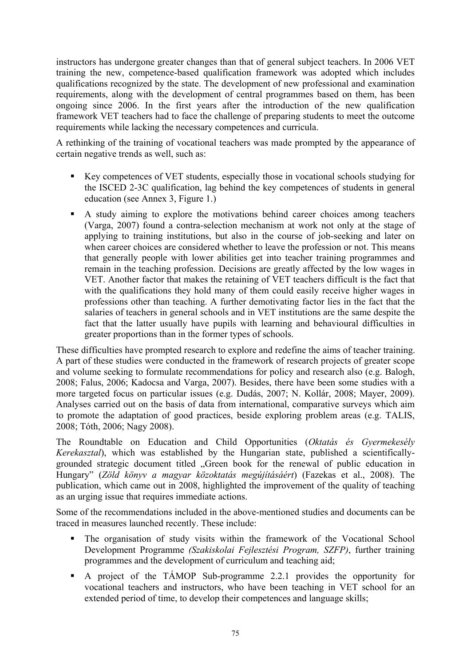instructors has undergone greater changes than that of general subject teachers. In 2006 VET training the new, competence-based qualification framework was adopted which includes qualifications recognized by the state. The development of new professional and examination requirements, along with the development of central programmes based on them, has been ongoing since 2006. In the first years after the introduction of the new qualification framework VET teachers had to face the challenge of preparing students to meet the outcome requirements while lacking the necessary competences and curricula.

A rethinking of the training of vocational teachers was made prompted by the appearance of certain negative trends as well, such as:

- Key competences of VET students, especially those in vocational schools studying for the ISCED 2-3C qualification, lag behind the key competences of students in general education (see Annex 3, Figure 1.)
- A study aiming to explore the motivations behind career choices among teachers (Varga, 2007) found a contra-selection mechanism at work not only at the stage of applying to training institutions, but also in the course of job-seeking and later on when career choices are considered whether to leave the profession or not. This means that generally people with lower abilities get into teacher training programmes and remain in the teaching profession. Decisions are greatly affected by the low wages in VET. Another factor that makes the retaining of VET teachers difficult is the fact that with the qualifications they hold many of them could easily receive higher wages in professions other than teaching. A further demotivating factor lies in the fact that the salaries of teachers in general schools and in VET institutions are the same despite the fact that the latter usually have pupils with learning and behavioural difficulties in greater proportions than in the former types of schools.

These difficulties have prompted research to explore and redefine the aims of teacher training. A part of these studies were conducted in the framework of research projects of greater scope and volume seeking to formulate recommendations for policy and research also (e.g. Balogh, 2008; Falus, 2006; Kadocsa and Varga, 2007). Besides, there have been some studies with a more targeted focus on particular issues (e.g. Dudás, 2007; N. Kollár, 2008; Mayer, 2009). Analyses carried out on the basis of data from international, comparative surveys which aim to promote the adaptation of good practices, beside exploring problem areas (e.g. TALIS, 2008; Tóth, 2006; Nagy 2008).

The Roundtable on Education and Child Opportunities (*Oktatás és Gyermekesély Kerekasztal*), which was established by the Hungarian state, published a scientificallygrounded strategic document titled "Green book for the renewal of public education in Hungary" (*Zöld könyv a magyar közoktatás megújításáért*) (Fazekas et al., 2008). The publication, which came out in 2008, highlighted the improvement of the quality of teaching as an urging issue that requires immediate actions.

Some of the recommendations included in the above-mentioned studies and documents can be traced in measures launched recently. These include:

- The organisation of study visits within the framework of the Vocational School Development Programme *(Szakiskolai Fejlesztési Program, SZFP)*, further training programmes and the development of curriculum and teaching aid;
- A project of the TÁMOP Sub-programme 2.2.1 provides the opportunity for vocational teachers and instructors, who have been teaching in VET school for an extended period of time, to develop their competences and language skills;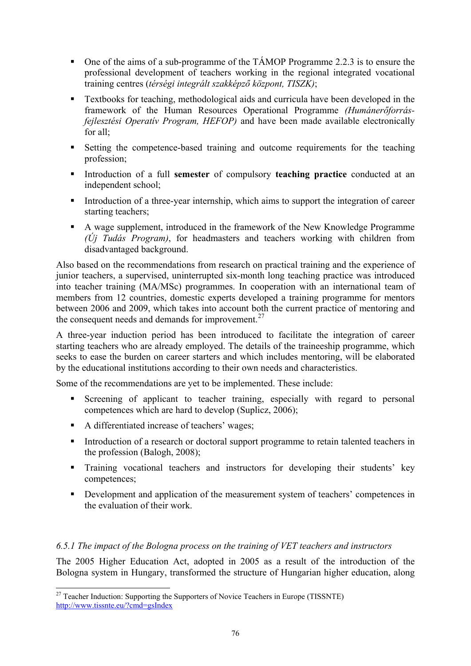- <span id="page-75-0"></span>• One of the aims of a sub-programme of the TÁMOP Programme 2.2.3 is to ensure the professional development of teachers working in the regional integrated vocational training centres (*térségi integrált szakképző központ, TISZK)*;
- Textbooks for teaching, methodological aids and curricula have been developed in the framework of the Human Resources Operational Programme *(Humánerőforrásfejlesztési Operatív Program, HEFOP)* and have been made available electronically for all;
- Setting the competence-based training and outcome requirements for the teaching profession;
- Introduction of a full **semester** of compulsory **teaching practice** conducted at an independent school;
- Introduction of a three-year internship, which aims to support the integration of career starting teachers;
- A wage supplement, introduced in the framework of the New Knowledge Programme *(Új Tudás Program)*, for headmasters and teachers working with children from disadvantaged background.

Also based on the recommendations from research on practical training and the experience of junior teachers, a supervised, uninterrupted six-month long teaching practice was introduced into teacher training (MA/MSc) programmes. In cooperation with an international team of members from 12 countries, domestic experts developed a training programme for mentors between 2006 and 2009, which takes into account both the current practice of mentoring and the consequent needs and demands for improvement.<sup>[27](#page-75-0)</sup>

A three-year induction period has been introduced to facilitate the integration of career starting teachers who are already employed. The details of the traineeship programme, which seeks to ease the burden on career starters and which includes mentoring, will be elaborated by the educational institutions according to their own needs and characteristics.

Some of the recommendations are yet to be implemented. These include:

- Screening of applicant to teacher training, especially with regard to personal competences which are hard to develop (Suplicz, 2006);
- A differentiated increase of teachers' wages;

-

- Introduction of a research or doctoral support programme to retain talented teachers in the profession (Balogh, 2008);
- Training vocational teachers and instructors for developing their students' key competences;
- Development and application of the measurement system of teachers' competences in the evaluation of their work.

## *6.5.1 The impact of the Bologna process on the training of VET teachers and instructors*

The 2005 Higher Education Act, adopted in 2005 as a result of the introduction of the Bologna system in Hungary, transformed the structure of Hungarian higher education, along

 $27$  Teacher Induction: Supporting the Supporters of Novice Teachers in Europe (TISSNTE) <http://www.tissnte.eu/?cmd=gsIndex>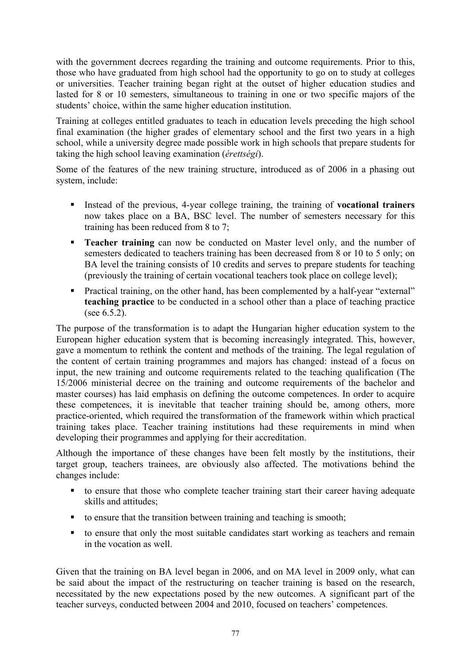with the government decrees regarding the training and outcome requirements. Prior to this, those who have graduated from high school had the opportunity to go on to study at colleges or universities. Teacher training began right at the outset of higher education studies and lasted for 8 or 10 semesters, simultaneous to training in one or two specific majors of the students' choice, within the same higher education institution.

Training at colleges entitled graduates to teach in education levels preceding the high school final examination (the higher grades of elementary school and the first two years in a high school, while a university degree made possible work in high schools that prepare students for taking the high school leaving examination (*érettségi*).

Some of the features of the new training structure, introduced as of 2006 in a phasing out system, include:

- Instead of the previous, 4-year college training, the training of **vocational trainers** now takes place on a BA, BSC level. The number of semesters necessary for this training has been reduced from 8 to 7;
- **Teacher training** can now be conducted on Master level only, and the number of semesters dedicated to teachers training has been decreased from 8 or 10 to 5 only; on BA level the training consists of 10 credits and serves to prepare students for teaching (previously the training of certain vocational teachers took place on college level);
- Practical training, on the other hand, has been complemented by a half-year "external" **teaching practice** to be conducted in a school other than a place of teaching practice (see 6.5.2).

The purpose of the transformation is to adapt the Hungarian higher education system to the European higher education system that is becoming increasingly integrated. This, however, gave a momentum to rethink the content and methods of the training. The legal regulation of the content of certain training programmes and majors has changed: instead of a focus on input, the new training and outcome requirements related to the teaching qualification (The 15/2006 ministerial decree on the training and outcome requirements of the bachelor and master courses) has laid emphasis on defining the outcome competences. In order to acquire these competences, it is inevitable that teacher training should be, among others, more practice-oriented, which required the transformation of the framework within which practical training takes place. Teacher training institutions had these requirements in mind when developing their programmes and applying for their accreditation.

Although the importance of these changes have been felt mostly by the institutions, their target group, teachers trainees, are obviously also affected. The motivations behind the changes include:

- to ensure that those who complete teacher training start their career having adequate skills and attitudes;
- $\blacksquare$  to ensure that the transition between training and teaching is smooth;
- to ensure that only the most suitable candidates start working as teachers and remain in the vocation as well.

Given that the training on BA level began in 2006, and on MA level in 2009 only, what can be said about the impact of the restructuring on teacher training is based on the research, necessitated by the new expectations posed by the new outcomes. A significant part of the teacher surveys, conducted between 2004 and 2010, focused on teachers' competences.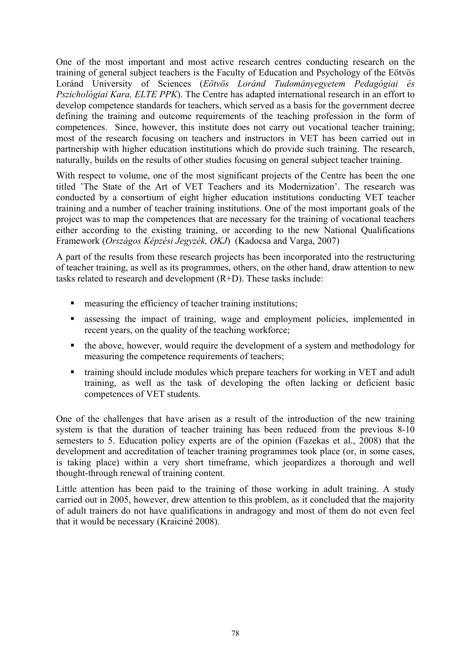One of the most important and most active research centres conducting research on the training of general subject teachers is the Faculty of Education and Psychology of the Eötvös Loránd University of Sciences (*Eötvös Loránd Tudományegyetem Pedagógiai és Pszichológiai Kara, ELTE PPK*). The Centre has adapted international research in an effort to develop competence standards for teachers, which served as a basis for the government decree defining the training and outcome requirements of the teaching profession in the form of competences. Since, however, this institute does not carry out vocational teacher training; most of the research focusing on teachers and instructors in VET has been carried out in partnership with higher education institutions which do provide such training. The research, naturally, builds on the results of other studies focusing on general subject teacher training.

With respect to volume, one of the most significant projects of the Centre has been the one titled 'The State of the Art of VET Teachers and its Modernization'. The research was conducted by a consortium of eight higher education institutions conducting VET teacher training and a number of teacher training institutions. One of the most important goals of the project was to map the competences that are necessary for the training of vocational teachers either according to the existing training, or according to the new National Qualifications Framework (*Országos Képzési Jegyzék, OKJ*) (Kadocsa and Varga, 2007)

A part of the results from these research projects has been incorporated into the restructuring of teacher training, as well as its programmes, others, on the other hand, draw attention to new tasks related to research and development (R+D). These tasks include:

- measuring the efficiency of teacher training institutions;
- assessing the impact of training, wage and employment policies, implemented in recent years, on the quality of the teaching workforce;
- the above, however, would require the development of a system and methodology for measuring the competence requirements of teachers;
- training should include modules which prepare teachers for working in VET and adult training, as well as the task of developing the often lacking or deficient basic competences of VET students.

One of the challenges that have arisen as a result of the introduction of the new training system is that the duration of teacher training has been reduced from the previous 8-10 semesters to 5. Education policy experts are of the opinion (Fazekas et al., 2008) that the development and accreditation of teacher training programmes took place (or, in some cases, is taking place) within a very short timeframe, which jeopardizes a thorough and well thought-through renewal of training content.

Little attention has been paid to the training of those working in adult training. A study carried out in 2005, however, drew attention to this problem, as it concluded that the majority of adult trainers do not have qualifications in andragogy and most of them do not even feel that it would be necessary (Kraiciné 2008).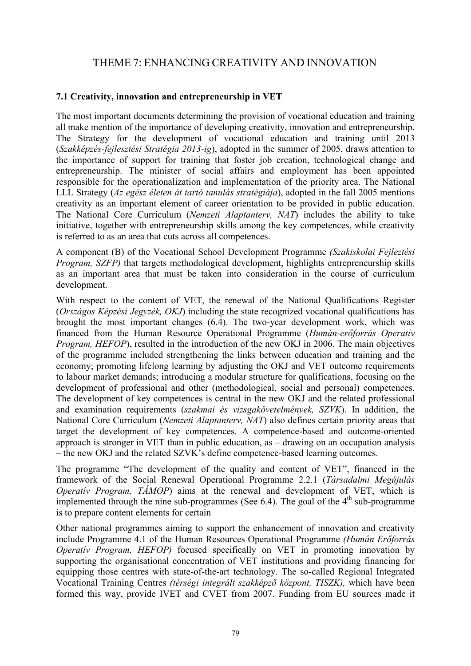# THEME 7: ENHANCING CREATIVITY AND INNOVATION

## **7.1 Creativity, innovation and entrepreneurship in VET**

The most important documents determining the provision of vocational education and training all make mention of the importance of developing creativity, innovation and entrepreneurship. The Strategy for the development of vocational education and training until 2013 (*Szakképzés-fejlesztési Stratégia 2013-ig*), adopted in the summer of 2005, draws attention to the importance of support for training that foster job creation, technological change and entrepreneurship. The minister of social affairs and employment has been appointed responsible for the operationalization and implementation of the priority area. The National LLL Strategy (*Az egész életen át tartó tanulás stratégiája*), adopted in the fall 2005 mentions creativity as an important element of career orientation to be provided in public education. The National Core Curriculum (*Nemzeti Alaptanterv, NAT*) includes the ability to take initiative, together with entrepreneurship skills among the key competences, while creativity is referred to as an area that cuts across all competences.

A component (B) of the Vocational School Development Programme *(Szakiskolai Fejleztési Program, SZFP)* that targets methodological development, highlights entrepreneurship skills as an important area that must be taken into consideration in the course of curriculum development.

With respect to the content of VET, the renewal of the National Qualifications Register (*Országos Képzési Jegyzék, OKJ*) including the state recognized vocational qualifications has brought the most important changes (6.4). The two-year development work, which was financed from the Human Resource Operational Programme (*Humán-erőforrás Operatív Program, HEFOP*), resulted in the introduction of the new OKJ in 2006. The main objectives of the programme included strengthening the links between education and training and the economy; promoting lifelong learning by adjusting the OKJ and VET outcome requirements to labour market demands; introducing a modular structure for qualifications, focusing on the development of professional and other (methodological, social and personal) competences. The development of key competences is central in the new OKJ and the related professional and examination requirements (*szakmai és vizsgakövetelmények, SZVK*). In addition, the National Core Curriculum (*Nemzeti Alaptanterv, NAT*) also defines certain priority areas that target the development of key competences. A competence-based and outcome-oriented approach is stronger in VET than in public education, as – drawing on an occupation analysis – the new OKJ and the related SZVK's define competence-based learning outcomes.

The programme "The development of the quality and content of VET", financed in the framework of the Social Renewal Operational Programme 2.2.1 (*Társadalmi Megújulás Operatív Program, TÁMOP*) aims at the renewal and development of VET, which is implemented through the nine sub-programmes (See 6.4). The goal of the  $4<sup>th</sup>$  sub-programme is to prepare content elements for certain

Other national programmes aiming to support the enhancement of innovation and creativity include Programme 4.1 of the Human Resources Operational Programme *(Humán Erőforrás Operatív Program, HEFOP)* focused specifically on VET in promoting innovation by supporting the organisational concentration of VET institutions and providing financing for equipping those centres with state-of-the-art technology. The so-called Regional Integrated Vocational Training Centres *(térségi integrált szakképző központ, TISZK),* which have been formed this way, provide IVET and CVET from 2007. Funding from EU sources made it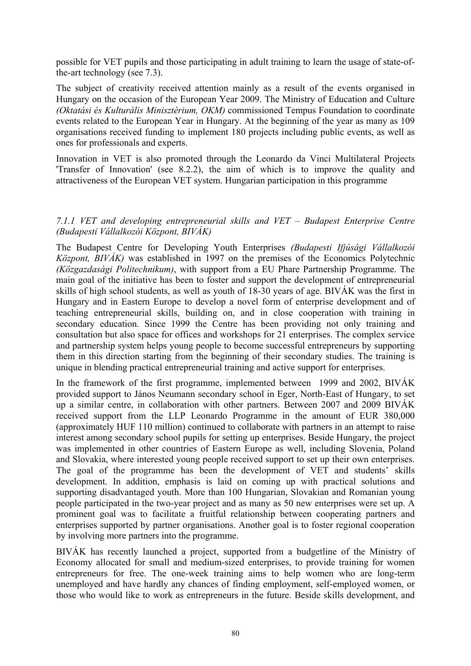possible for VET pupils and those participating in adult training to learn the usage of state-ofthe-art technology (see 7.3).

The subject of creativity received attention mainly as a result of the events organised in Hungary on the occasion of the European Year 2009. The Ministry of Education and Culture *(Oktatási és Kulturális Minisztérium, OKM)* commissioned Tempus Foundation to coordinate events related to the European Year in Hungary. At the beginning of the year as many as 109 organisations received funding to implement 180 projects including public events, as well as ones for professionals and experts.

Innovation in VET is also promoted through the Leonardo da Vinci Multilateral Projects 'Transfer of Innovation' (see 8.2.2), the aim of which is to improve the quality and attractiveness of the European VET system. Hungarian participation in this programme

### *7.1.1 VET and developing entrepreneurial skills and VET – Budapest Enterprise Centre (Budapesti Vállalkozói Központ, BIVÁK)*

The Budapest Centre for Developing Youth Enterprises *(Budapesti Ifjúsági Vállalkozói Központ, BIVÁK)* was established in 1997 on the premises of the Economics Polytechnic *(Közgazdasági Politechnikum)*, with support from a EU Phare Partnership Programme. The main goal of the initiative has been to foster and support the development of entrepreneurial skills of high school students, as well as youth of 18-30 years of age. BIVÁK was the first in Hungary and in Eastern Europe to develop a novel form of enterprise development and of teaching entrepreneurial skills, building on, and in close cooperation with training in secondary education. Since 1999 the Centre has been providing not only training and consultation but also space for offices and workshops for 21 enterprises. The complex service and partnership system helps young people to become successful entrepreneurs by supporting them in this direction starting from the beginning of their secondary studies. The training is unique in blending practical entrepreneurial training and active support for enterprises.

In the framework of the first programme, implemented between 1999 and 2002, BIVÁK provided support to János Neumann secondary school in Eger, North-East of Hungary, to set up a similar centre, in collaboration with other partners. Between 2007 and 2009 BIVÁK received support from the LLP Leonardo Programme in the amount of EUR 380,000 (approximately HUF 110 million) continued to collaborate with partners in an attempt to raise interest among secondary school pupils for setting up enterprises. Beside Hungary, the project was implemented in other countries of Eastern Europe as well, including Slovenia, Poland and Slovakia, where interested young people received support to set up their own enterprises. The goal of the programme has been the development of VET and students' skills development. In addition, emphasis is laid on coming up with practical solutions and supporting disadvantaged youth. More than 100 Hungarian, Slovakian and Romanian young people participated in the two-year project and as many as 50 new enterprises were set up. A prominent goal was to facilitate a fruitful relationship between cooperating partners and enterprises supported by partner organisations. Another goal is to foster regional cooperation by involving more partners into the programme.

BIVÁK has recently launched a project, supported from a budgetline of the Ministry of Economy allocated for small and medium-sized enterprises, to provide training for women entrepreneurs for free. The one-week training aims to help women who are long-term unemployed and have hardly any chances of finding employment, self-employed women, or those who would like to work as entrepreneurs in the future. Beside skills development, and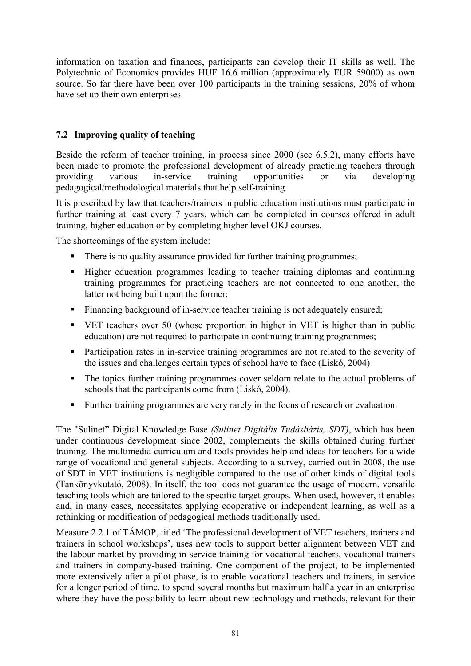information on taxation and finances, participants can develop their IT skills as well. The Polytechnic of Economics provides HUF 16.6 million (approximately EUR 59000) as own source. So far there have been over 100 participants in the training sessions, 20% of whom have set up their own enterprises.

## **7.2 Improving quality of teaching**

Beside the reform of teacher training, in process since 2000 (see 6.5.2), many efforts have been made to promote the professional development of already practicing teachers through providing various in-service training opportunities or via developing pedagogical/methodological materials that help self-training.

It is prescribed by law that teachers/trainers in public education institutions must participate in further training at least every 7 years, which can be completed in courses offered in adult training, higher education or by completing higher level OKJ courses.

The shortcomings of the system include:

- There is no quality assurance provided for further training programmes;
- Higher education programmes leading to teacher training diplomas and continuing training programmes for practicing teachers are not connected to one another, the latter not being built upon the former;
- Financing background of in-service teacher training is not adequately ensured;
- VET teachers over 50 (whose proportion in higher in VET is higher than in public education) are not required to participate in continuing training programmes;
- **Participation rates in in-service training programmes are not related to the severity of** the issues and challenges certain types of school have to face (Liskó, 2004)
- The topics further training programmes cover seldom relate to the actual problems of schools that the participants come from (Liskó, 2004).
- Further training programmes are very rarely in the focus of research or evaluation.

The "Sulinet" Digital Knowledge Base *(Sulinet Digitális Tudásbázis, SDT)*, which has been under continuous development since 2002, complements the skills obtained during further training. The multimedia curriculum and tools provides help and ideas for teachers for a wide range of vocational and general subjects. According to a survey, carried out in 2008, the use of SDT in VET institutions is negligible compared to the use of other kinds of digital tools (Tankönyvkutató, 2008). In itself, the tool does not guarantee the usage of modern, versatile teaching tools which are tailored to the specific target groups. When used, however, it enables and, in many cases, necessitates applying cooperative or independent learning, as well as a rethinking or modification of pedagogical methods traditionally used.

Measure 2.2.1 of TÁMOP, titled 'The professional development of VET teachers, trainers and trainers in school workshops', uses new tools to support better alignment between VET and the labour market by providing in-service training for vocational teachers, vocational trainers and trainers in company-based training. One component of the project, to be implemented more extensively after a pilot phase, is to enable vocational teachers and trainers, in service for a longer period of time, to spend several months but maximum half a year in an enterprise where they have the possibility to learn about new technology and methods, relevant for their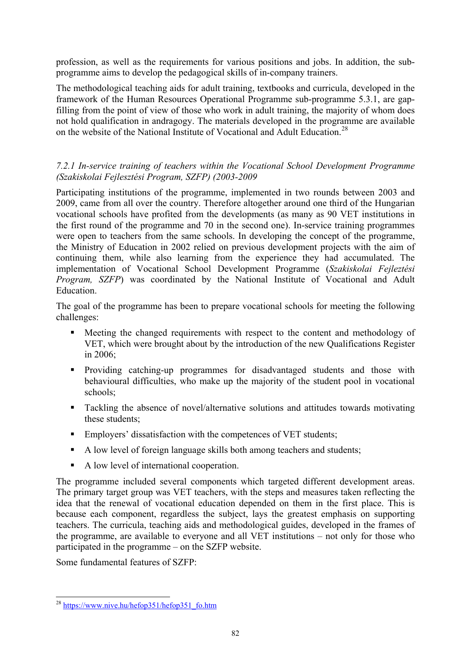<span id="page-81-0"></span>profession, as well as the requirements for various positions and jobs. In addition, the subprogramme aims to develop the pedagogical skills of in-company trainers.

The methodological teaching aids for adult training, textbooks and curricula, developed in the framework of the Human Resources Operational Programme sub-programme 5.3.1, are gapfilling from the point of view of those who work in adult training, the majority of whom does not hold qualification in andragogy. The materials developed in the programme are available on the website of the National Institute of Vocational and Adult Education.<sup>[28](#page-81-0)</sup>

## *7.2.1 In-service training of teachers within the Vocational School Development Programme (Szakiskolai Fejlesztési Program, SZFP) (2003-2009*

Participating institutions of the programme, implemented in two rounds between 2003 and 2009, came from all over the country. Therefore altogether around one third of the Hungarian vocational schools have profited from the developments (as many as 90 VET institutions in the first round of the programme and 70 in the second one). In-service training programmes were open to teachers from the same schools. In developing the concept of the programme, the Ministry of Education in 2002 relied on previous development projects with the aim of continuing them, while also learning from the experience they had accumulated. The implementation of Vocational School Development Programme (*Szakiskolai Fejleztési Program, SZFP*) was coordinated by the National Institute of Vocational and Adult **Education** 

The goal of the programme has been to prepare vocational schools for meeting the following challenges:

- Meeting the changed requirements with respect to the content and methodology of VET, which were brought about by the introduction of the new Qualifications Register in 2006;
- **Providing catching-up programmes for disadvantaged students and those with** behavioural difficulties, who make up the majority of the student pool in vocational schools;
- Tackling the absence of novel/alternative solutions and attitudes towards motivating these students;
- Employers' dissatisfaction with the competences of VET students;
- A low level of foreign language skills both among teachers and students;
- A low level of international cooperation.

The programme included several components which targeted different development areas. The primary target group was VET teachers, with the steps and measures taken reflecting the idea that the renewal of vocational education depended on them in the first place. This is because each component, regardless the subject, lays the greatest emphasis on supporting teachers. The curricula, teaching aids and methodological guides, developed in the frames of the programme, are available to everyone and all VET institutions – not only for those who participated in the programme – on the SZFP website.

Some fundamental features of SZFP:

<sup>-</sup><sup>28</sup> https://www.nive.hu/hefop351/hefop351\_fo.htm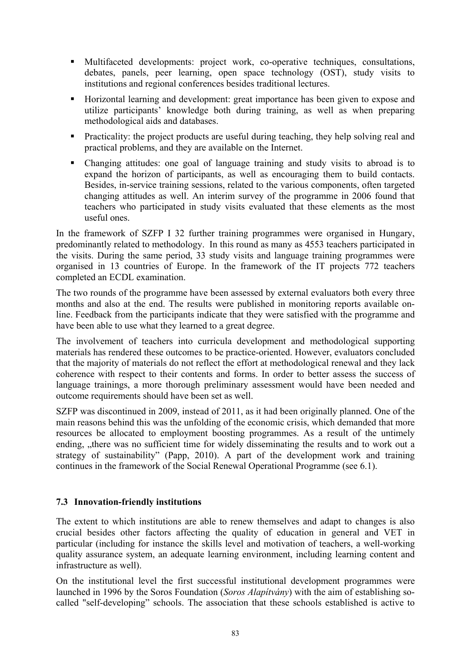- Multifaceted developments: project work, co-operative techniques, consultations, debates, panels, peer learning, open space technology (OST), study visits to institutions and regional conferences besides traditional lectures.
- Horizontal learning and development: great importance has been given to expose and utilize participants' knowledge both during training, as well as when preparing methodological aids and databases.
- **Practicality:** the project products are useful during teaching, they help solving real and practical problems, and they are available on the Internet.
- Changing attitudes: one goal of language training and study visits to abroad is to expand the horizon of participants, as well as encouraging them to build contacts. Besides, in-service training sessions, related to the various components, often targeted changing attitudes as well. An interim survey of the programme in 2006 found that teachers who participated in study visits evaluated that these elements as the most useful ones.

In the framework of SZFP I 32 further training programmes were organised in Hungary, predominantly related to methodology. In this round as many as 4553 teachers participated in the visits. During the same period, 33 study visits and language training programmes were organised in 13 countries of Europe. In the framework of the IT projects 772 teachers completed an ECDL examination.

The two rounds of the programme have been assessed by external evaluators both every three months and also at the end. The results were published in monitoring reports available online. Feedback from the participants indicate that they were satisfied with the programme and have been able to use what they learned to a great degree.

The involvement of teachers into curricula development and methodological supporting materials has rendered these outcomes to be practice-oriented. However, evaluators concluded that the majority of materials do not reflect the effort at methodological renewal and they lack coherence with respect to their contents and forms. In order to better assess the success of language trainings, a more thorough preliminary assessment would have been needed and outcome requirements should have been set as well.

SZFP was discontinued in 2009, instead of 2011, as it had been originally planned. One of the main reasons behind this was the unfolding of the economic crisis, which demanded that more resources be allocated to employment boosting programmes. As a result of the untimely ending, "there was no sufficient time for widely disseminating the results and to work out a strategy of sustainability" (Papp, 2010). A part of the development work and training continues in the framework of the Social Renewal Operational Programme (see 6.1).

## **7.3 Innovation-friendly institutions**

The extent to which institutions are able to renew themselves and adapt to changes is also crucial besides other factors affecting the quality of education in general and VET in particular (including for instance the skills level and motivation of teachers, a well-working quality assurance system, an adequate learning environment, including learning content and infrastructure as well).

On the institutional level the first successful institutional development programmes were launched in 1996 by the Soros Foundation (*Soros Alapítvány*) with the aim of establishing socalled "self-developing" schools. The association that these schools established is active to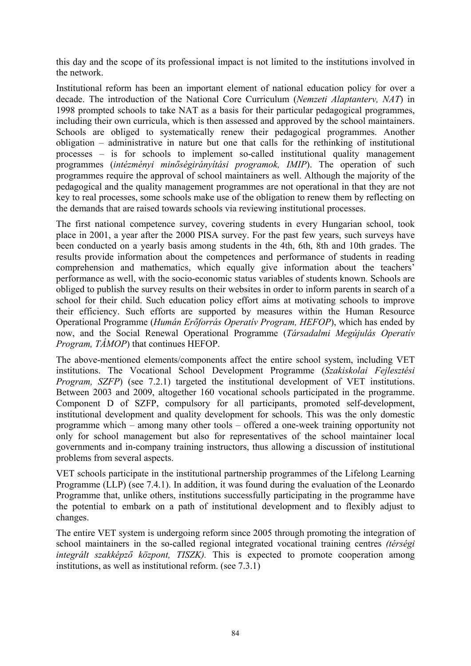this day and the scope of its professional impact is not limited to the institutions involved in the network.

Institutional reform has been an important element of national education policy for over a decade. The introduction of the National Core Curriculum (*Nemzeti Alaptanterv, NAT*) in 1998 prompted schools to take NAT as a basis for their particular pedagogical programmes, including their own curricula, which is then assessed and approved by the school maintainers. Schools are obliged to systematically renew their pedagogical programmes. Another obligation – administrative in nature but one that calls for the rethinking of institutional processes – is for schools to implement so-called institutional quality management programmes (*intézményi minőségirányítási programok, IMIP*). The operation of such programmes require the approval of school maintainers as well. Although the majority of the pedagogical and the quality management programmes are not operational in that they are not key to real processes, some schools make use of the obligation to renew them by reflecting on the demands that are raised towards schools via reviewing institutional processes.

The first national competence survey, covering students in every Hungarian school, took place in 2001, a year after the 2000 PISA survey. For the past few years, such surveys have been conducted on a yearly basis among students in the 4th, 6th, 8th and 10th grades. The results provide information about the competences and performance of students in reading comprehension and mathematics, which equally give information about the teachers' performance as well, with the socio-economic status variables of students known. Schools are obliged to publish the survey results on their websites in order to inform parents in search of a school for their child. Such education policy effort aims at motivating schools to improve their efficiency. Such efforts are supported by measures within the Human Resource Operational Programme (*Humán Erőforrás Operatív Program, HEFOP*), which has ended by now, and the Social Renewal Operational Programme (*Társadalmi Megújulás Operatív Program, TÁMOP*) that continues HEFOP.

The above-mentioned elements/components affect the entire school system, including VET institutions. The Vocational School Development Programme (*Szakiskolai Fejlesztési Program, SZFP*) (see 7.2.1) targeted the institutional development of VET institutions. Between 2003 and 2009, altogether 160 vocational schools participated in the programme. Component D of SZFP, compulsory for all participants, promoted self-development, institutional development and quality development for schools. This was the only domestic programme which – among many other tools – offered a one-week training opportunity not only for school management but also for representatives of the school maintainer local governments and in-company training instructors, thus allowing a discussion of institutional problems from several aspects.

VET schools participate in the institutional partnership programmes of the Lifelong Learning Programme (LLP) (see 7.4.1). In addition, it was found during the evaluation of the Leonardo Programme that, unlike others, institutions successfully participating in the programme have the potential to embark on a path of institutional development and to flexibly adjust to changes.

The entire VET system is undergoing reform since 2005 through promoting the integration of school maintainers in the so-called regional integrated vocational training centres *(térségi integrált szakképző központ, TISZK).* This is expected to promote cooperation among institutions, as well as institutional reform. (see 7.3.1)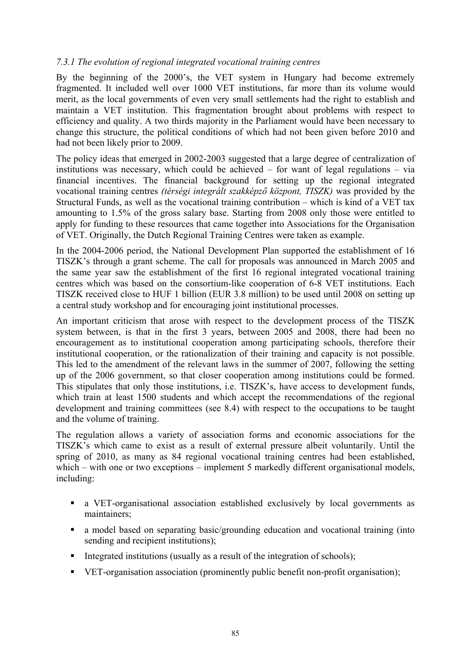### *7.3.1 The evolution of regional integrated vocational training centres*

By the beginning of the 2000's, the VET system in Hungary had become extremely fragmented. It included well over 1000 VET institutions, far more than its volume would merit, as the local governments of even very small settlements had the right to establish and maintain a VET institution. This fragmentation brought about problems with respect to efficiency and quality. A two thirds majority in the Parliament would have been necessary to change this structure, the political conditions of which had not been given before 2010 and had not been likely prior to 2009.

The policy ideas that emerged in 2002-2003 suggested that a large degree of centralization of institutions was necessary, which could be achieved – for want of legal regulations – via financial incentives. The financial background for setting up the regional integrated vocational training centres *(térségi integrált szakképző központ, TISZK)* was provided by the Structural Funds, as well as the vocational training contribution – which is kind of a VET tax amounting to 1.5% of the gross salary base. Starting from 2008 only those were entitled to apply for funding to these resources that came together into Associations for the Organisation of VET. Originally, the Dutch Regional Training Centres were taken as example.

In the 2004-2006 period, the National Development Plan supported the establishment of 16 TISZK's through a grant scheme. The call for proposals was announced in March 2005 and the same year saw the establishment of the first 16 regional integrated vocational training centres which was based on the consortium-like cooperation of 6-8 VET institutions. Each TISZK received close to HUF 1 billion (EUR 3.8 million) to be used until 2008 on setting up a central study workshop and for encouraging joint institutional processes.

An important criticism that arose with respect to the development process of the TISZK system between, is that in the first 3 years, between 2005 and 2008, there had been no encouragement as to institutional cooperation among participating schools, therefore their institutional cooperation, or the rationalization of their training and capacity is not possible. This led to the amendment of the relevant laws in the summer of 2007, following the setting up of the 2006 government, so that closer cooperation among institutions could be formed. This stipulates that only those institutions, i.e. TISZK's, have access to development funds, which train at least 1500 students and which accept the recommendations of the regional development and training committees (see 8.4) with respect to the occupations to be taught and the volume of training.

The regulation allows a variety of association forms and economic associations for the TISZK's which came to exist as a result of external pressure albeit voluntarily. Until the spring of 2010, as many as 84 regional vocational training centres had been established, which – with one or two exceptions – implement 5 markedly different organisational models, including:

- a VET-organisational association established exclusively by local governments as maintainers;
- a model based on separating basic/grounding education and vocational training (into sending and recipient institutions);
- $\blacksquare$  Integrated institutions (usually as a result of the integration of schools);
- VET-organisation association (prominently public benefit non-profit organisation);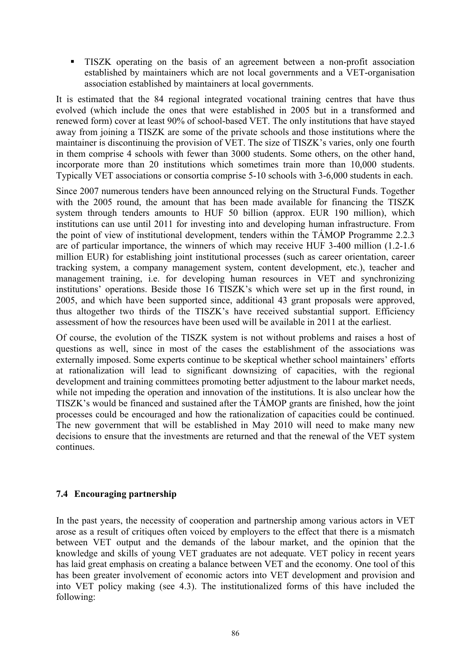TISZK operating on the basis of an agreement between a non-profit association established by maintainers which are not local governments and a VET-organisation association established by maintainers at local governments.

It is estimated that the 84 regional integrated vocational training centres that have thus evolved (which include the ones that were established in 2005 but in a transformed and renewed form) cover at least 90% of school-based VET. The only institutions that have stayed away from joining a TISZK are some of the private schools and those institutions where the maintainer is discontinuing the provision of VET. The size of TISZK's varies, only one fourth in them comprise 4 schools with fewer than 3000 students. Some others, on the other hand, incorporate more than 20 institutions which sometimes train more than 10,000 students. Typically VET associations or consortia comprise 5-10 schools with 3-6,000 students in each.

Since 2007 numerous tenders have been announced relying on the Structural Funds. Together with the 2005 round, the amount that has been made available for financing the TISZK system through tenders amounts to HUF 50 billion (approx. EUR 190 million), which institutions can use until 2011 for investing into and developing human infrastructure. From the point of view of institutional development, tenders within the TÁMOP Programme 2.2.3 are of particular importance, the winners of which may receive HUF 3-400 million (1.2-1.6 million EUR) for establishing joint institutional processes (such as career orientation, career tracking system, a company management system, content development, etc.), teacher and management training, i.e. for developing human resources in VET and synchronizing institutions' operations. Beside those 16 TISZK's which were set up in the first round, in 2005, and which have been supported since, additional 43 grant proposals were approved, thus altogether two thirds of the TISZK's have received substantial support. Efficiency assessment of how the resources have been used will be available in 2011 at the earliest.

Of course, the evolution of the TISZK system is not without problems and raises a host of questions as well, since in most of the cases the establishment of the associations was externally imposed. Some experts continue to be skeptical whether school maintainers' efforts at rationalization will lead to significant downsizing of capacities, with the regional development and training committees promoting better adjustment to the labour market needs, while not impeding the operation and innovation of the institutions. It is also unclear how the TISZK's would be financed and sustained after the TÁMOP grants are finished, how the joint processes could be encouraged and how the rationalization of capacities could be continued. The new government that will be established in May 2010 will need to make many new decisions to ensure that the investments are returned and that the renewal of the VET system continues.

## **7.4 Encouraging partnership**

In the past years, the necessity of cooperation and partnership among various actors in VET arose as a result of critiques often voiced by employers to the effect that there is a mismatch between VET output and the demands of the labour market, and the opinion that the knowledge and skills of young VET graduates are not adequate. VET policy in recent years has laid great emphasis on creating a balance between VET and the economy. One tool of this has been greater involvement of economic actors into VET development and provision and into VET policy making (see 4.3). The institutionalized forms of this have included the following: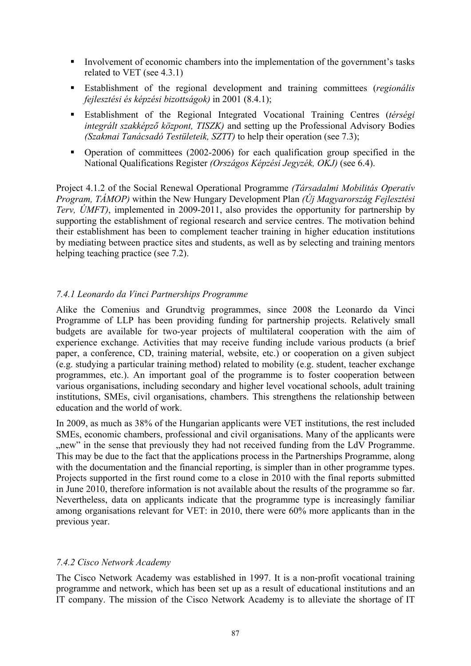- Involvement of economic chambers into the implementation of the government's tasks related to VET (see 4.3.1)
- Establishment of the regional development and training committees (*regionális fejlesztési és képzési bizottságok)* in 2001 (8.4.1);
- Establishment of the Regional Integrated Vocational Training Centres (*térségi integrált szakképző központ, TISZK)* and setting up the Professional Advisory Bodies *(Szakmai Tanácsadó Testületeik, SZTT)* to help their operation (see 7.3);
- Operation of committees (2002-2006) for each qualification group specified in the National Qualifications Register *(Országos Képzési Jegyzék, OKJ)* (see 6.4).

Project 4.1.2 of the Social Renewal Operational Programme *(Társadalmi Mobilitás Operatív Program, TÁMOP)* within the New Hungary Development Plan *(Új Magyarország Fejlesztési Terv, ÚMFT)*, implemented in 2009-2011, also provides the opportunity for partnership by supporting the establishment of regional research and service centres. The motivation behind their establishment has been to complement teacher training in higher education institutions by mediating between practice sites and students, as well as by selecting and training mentors helping teaching practice (see 7.2).

## *7.4.1 Leonardo da Vinci Partnerships Programme*

Alike the Comenius and Grundtvig programmes, since 2008 the Leonardo da Vinci Programme of LLP has been providing funding for partnership projects. Relatively small budgets are available for two-year projects of multilateral cooperation with the aim of experience exchange. Activities that may receive funding include various products (a brief paper, a conference, CD, training material, website, etc.) or cooperation on a given subject (e.g. studying a particular training method) related to mobility (e.g. student, teacher exchange programmes, etc.). An important goal of the programme is to foster cooperation between various organisations, including secondary and higher level vocational schools, adult training institutions, SMEs, civil organisations, chambers. This strengthens the relationship between education and the world of work.

In 2009, as much as 38% of the Hungarian applicants were VET institutions, the rest included SMEs, economic chambers, professional and civil organisations. Many of the applicants were ", new" in the sense that previously they had not received funding from the LdV Programme. This may be due to the fact that the applications process in the Partnerships Programme, along with the documentation and the financial reporting, is simpler than in other programme types. Projects supported in the first round come to a close in 2010 with the final reports submitted in June 2010, therefore information is not available about the results of the programme so far. Nevertheless, data on applicants indicate that the programme type is increasingly familiar among organisations relevant for VET: in 2010, there were 60% more applicants than in the previous year.

## *7.4.2 Cisco Network Academy*

The Cisco Network Academy was established in 1997. It is a non-profit vocational training programme and network, which has been set up as a result of educational institutions and an IT company. The mission of the Cisco Network Academy is to alleviate the shortage of IT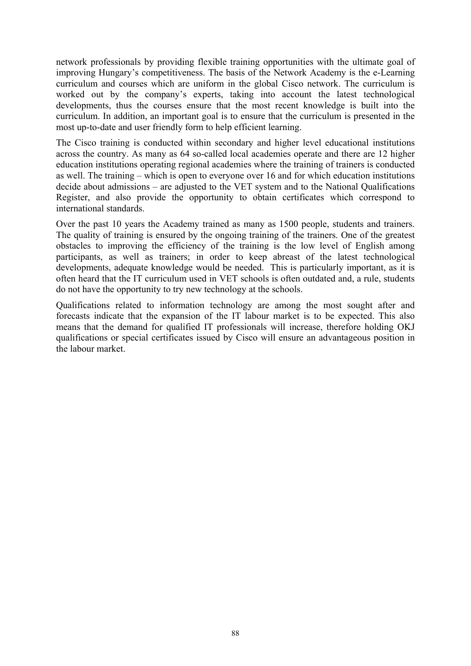network professionals by providing flexible training opportunities with the ultimate goal of improving Hungary's competitiveness. The basis of the Network Academy is the e-Learning curriculum and courses which are uniform in the global Cisco network. The curriculum is worked out by the company's experts, taking into account the latest technological developments, thus the courses ensure that the most recent knowledge is built into the curriculum. In addition, an important goal is to ensure that the curriculum is presented in the most up-to-date and user friendly form to help efficient learning.

The Cisco training is conducted within secondary and higher level educational institutions across the country. As many as 64 so-called local academies operate and there are 12 higher education institutions operating regional academies where the training of trainers is conducted as well. The training – which is open to everyone over 16 and for which education institutions decide about admissions – are adjusted to the VET system and to the National Qualifications Register, and also provide the opportunity to obtain certificates which correspond to international standards.

Over the past 10 years the Academy trained as many as 1500 people, students and trainers. The quality of training is ensured by the ongoing training of the trainers. One of the greatest obstacles to improving the efficiency of the training is the low level of English among participants, as well as trainers; in order to keep abreast of the latest technological developments, adequate knowledge would be needed. This is particularly important, as it is often heard that the IT curriculum used in VET schools is often outdated and, a rule, students do not have the opportunity to try new technology at the schools.

Qualifications related to information technology are among the most sought after and forecasts indicate that the expansion of the IT labour market is to be expected. This also means that the demand for qualified IT professionals will increase, therefore holding OKJ qualifications or special certificates issued by Cisco will ensure an advantageous position in the labour market.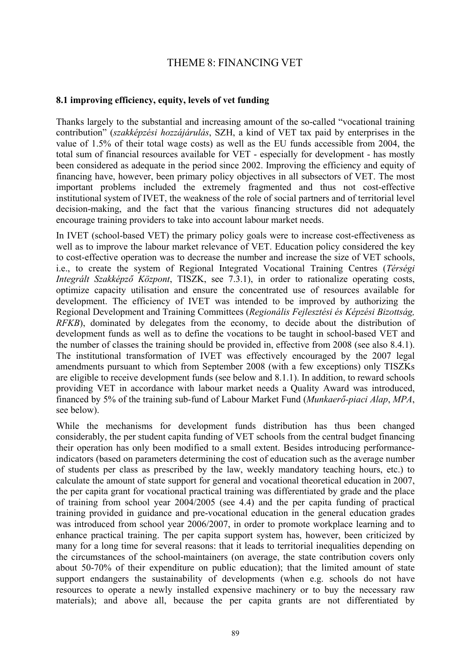## THEME 8: FINANCING VET

## **8.1 improving efficiency, equity, levels of vet funding**

Thanks largely to the substantial and increasing amount of the so-called "vocational training contribution" (*szakképzési hozzájárulás*, SZH, a kind of VET tax paid by enterprises in the value of 1.5% of their total wage costs) as well as the EU funds accessible from 2004, the total sum of financial resources available for VET - especially for development - has mostly been considered as adequate in the period since 2002. Improving the efficiency and equity of financing have, however, been primary policy objectives in all subsectors of VET. The most important problems included the extremely fragmented and thus not cost-effective institutional system of IVET, the weakness of the role of social partners and of territorial level decision-making, and the fact that the various financing structures did not adequately encourage training providers to take into account labour market needs.

In IVET (school-based VET) the primary policy goals were to increase cost-effectiveness as well as to improve the labour market relevance of VET. Education policy considered the key to cost-effective operation was to decrease the number and increase the size of VET schools, i.e., to create the system of Regional Integrated Vocational Training Centres (*Térségi Integrált Szakképző Központ*, TISZK, see 7.3.1), in order to rationalize operating costs, optimize capacity utilisation and ensure the concentrated use of resources available for development. The efficiency of IVET was intended to be improved by authorizing the Regional Development and Training Committees (*Regionális Fejlesztési és Képzési Bizottság, RFKB*), dominated by delegates from the economy, to decide about the distribution of development funds as well as to define the vocations to be taught in school-based VET and the number of classes the training should be provided in, effective from 2008 (see also 8.4.1). The institutional transformation of IVET was effectively encouraged by the 2007 legal amendments pursuant to which from September 2008 (with a few exceptions) only TISZKs are eligible to receive development funds (see below and 8.1.1). In addition, to reward schools providing VET in accordance with labour market needs a Quality Award was introduced, financed by 5% of the training sub-fund of Labour Market Fund (*Munkaerő-piaci Alap*, *MPA*, see below).

While the mechanisms for development funds distribution has thus been changed considerably, the per student capita funding of VET schools from the central budget financing their operation has only been modified to a small extent. Besides introducing performanceindicators (based on parameters determining the cost of education such as the average number of students per class as prescribed by the law, weekly mandatory teaching hours, etc.) to calculate the amount of state support for general and vocational theoretical education in 2007, the per capita grant for vocational practical training was differentiated by grade and the place of training from school year 2004/2005 (see 4.4) and the per capita funding of practical training provided in guidance and pre-vocational education in the general education grades was introduced from school year 2006/2007, in order to promote workplace learning and to enhance practical training. The per capita support system has, however, been criticized by many for a long time for several reasons: that it leads to territorial inequalities depending on the circumstances of the school-maintainers (on average, the state contribution covers only about 50-70% of their expenditure on public education); that the limited amount of state support endangers the sustainability of developments (when e.g. schools do not have resources to operate a newly installed expensive machinery or to buy the necessary raw materials); and above all, because the per capita grants are not differentiated by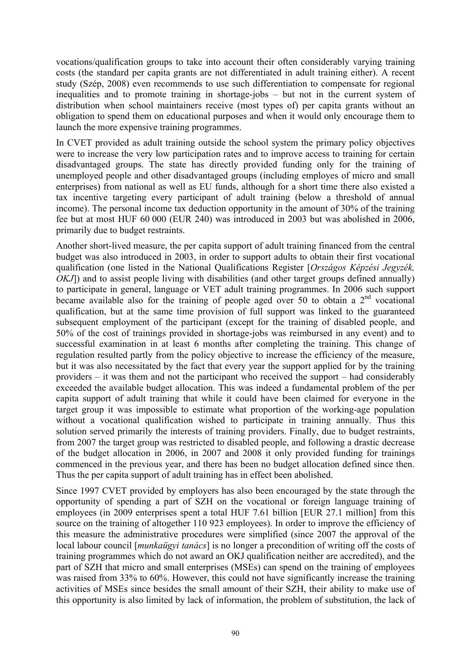vocations/qualification groups to take into account their often considerably varying training costs (the standard per capita grants are not differentiated in adult training either). A recent study (Szép, 2008) even recommends to use such differentiation to compensate for regional inequalities and to promote training in shortage-jobs – but not in the current system of distribution when school maintainers receive (most types of) per capita grants without an obligation to spend them on educational purposes and when it would only encourage them to launch the more expensive training programmes.

In CVET provided as adult training outside the school system the primary policy objectives were to increase the very low participation rates and to improve access to training for certain disadvantaged groups. The state has directly provided funding only for the training of unemployed people and other disadvantaged groups (including employes of micro and small enterprises) from national as well as EU funds, although for a short time there also existed a tax incentive targeting every participant of adult training (below a threshold of annual income). The personal income tax deduction opportunity in the amount of 30% of the training fee but at most HUF 60 000 (EUR 240) was introduced in 2003 but was abolished in 2006, primarily due to budget restraints.

Another short-lived measure, the per capita support of adult training financed from the central budget was also introduced in 2003, in order to support adults to obtain their first vocational qualification (one listed in the National Qualifications Register [*Országos Képzési Jegyzék, OKJ*) and to assist people living with disabilities (and other target groups defined annually) to participate in general, language or VET adult training programmes. In 2006 such support became available also for the training of people aged over 50 to obtain a  $2<sup>nd</sup>$  vocational qualification, but at the same time provision of full support was linked to the guaranteed subsequent employment of the participant (except for the training of disabled people, and 50% of the cost of trainings provided in shortage-jobs was reimbursed in any event) and to successful examination in at least 6 months after completing the training. This change of regulation resulted partly from the policy objective to increase the efficiency of the measure, but it was also necessitated by the fact that every year the support applied for by the training providers – it was them and not the participant who received the support – had considerably exceeded the available budget allocation. This was indeed a fundamental problem of the per capita support of adult training that while it could have been claimed for everyone in the target group it was impossible to estimate what proportion of the working-age population without a vocational qualification wished to participate in training annually. Thus this solution served primarily the interests of training providers. Finally, due to budget restraints, from 2007 the target group was restricted to disabled people, and following a drastic decrease of the budget allocation in 2006, in 2007 and 2008 it only provided funding for trainings commenced in the previous year, and there has been no budget allocation defined since then. Thus the per capita support of adult training has in effect been abolished.

Since 1997 CVET provided by employers has also been encouraged by the state through the opportunity of spending a part of SZH on the vocational or foreign language training of employees (in 2009 enterprises spent a total HUF 7.61 billion [EUR 27.1 million] from this source on the training of altogether 110 923 employees). In order to improve the efficiency of this measure the administrative procedures were simplified (since 2007 the approval of the local labour council [*munkaügyi tanács*] is no longer a precondition of writing off the costs of training programmes which do not award an OKJ qualification neither are accredited), and the part of SZH that micro and small enterprises (MSEs) can spend on the training of employees was raised from 33% to 60%. However, this could not have significantly increase the training activities of MSEs since besides the small amount of their SZH, their ability to make use of this opportunity is also limited by lack of information, the problem of substitution, the lack of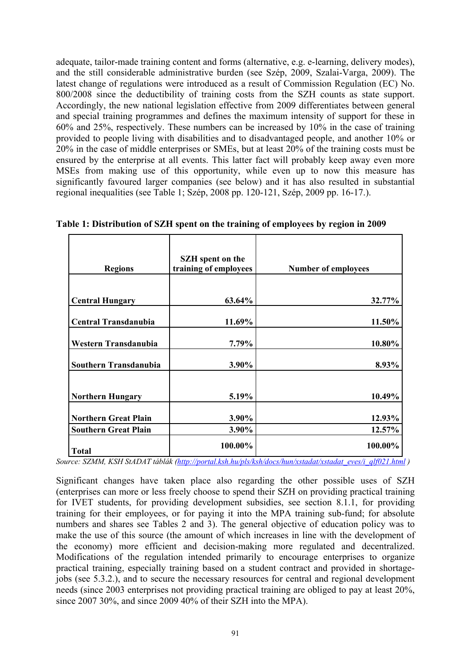adequate, tailor-made training content and forms (alternative, e.g. e-learning, delivery modes), and the still considerable administrative burden (see Szép, 2009, Szalai-Varga, 2009). The latest change of regulations were introduced as a result of Commission Regulation (EC) No. 800/2008 since the deductibility of training costs from the SZH counts as state support. Accordingly, the new national legislation effective from 2009 differentiates between general and special training programmes and defines the maximum intensity of support for these in 60% and 25%, respectively. These numbers can be increased by 10% in the case of training provided to people living with disabilities and to disadvantaged people, and another 10% or 20% in the case of middle enterprises or SMEs, but at least 20% of the training costs must be ensured by the enterprise at all events. This latter fact will probably keep away even more MSEs from making use of this opportunity, while even up to now this measure has significantly favoured larger companies (see below) and it has also resulted in substantial regional inequalities (see Table 1; Szép, 2008 pp. 120-121, Szép, 2009 pp. 16-17.).

| <b>Regions</b>              | <b>SZH</b> spent on the<br>training of employees | <b>Number of employees</b> |  |  |  |
|-----------------------------|--------------------------------------------------|----------------------------|--|--|--|
|                             |                                                  |                            |  |  |  |
| <b>Central Hungary</b>      | 63.64%                                           | 32.77%                     |  |  |  |
| <b>Central Transdanubia</b> | 11.69%                                           | 11.50%                     |  |  |  |
| Western Transdanubia        | 7.79%                                            | 10.80%                     |  |  |  |
| Southern Transdanubia       | 3.90%                                            | 8.93%                      |  |  |  |
| <b>Northern Hungary</b>     | 5.19%                                            | 10.49%                     |  |  |  |
| <b>Northern Great Plain</b> | 3.90%                                            | 12.93%                     |  |  |  |
| <b>Southern Great Plain</b> | 3.90%                                            | 12.57%                     |  |  |  |
| <b>Total</b>                | 100.00%                                          | 100.00%                    |  |  |  |

**Table 1: Distribution of SZH spent on the training of employees by region in 2009** 

*Source: SZMM, KSH StADAT táblák [\(http://portal.ksh.hu/pls/ksh/docs/hun/xstadat/xstadat\\_eves/i\\_qlf021.html](http://portal.ksh.hu/pls/ksh/docs/hun/xstadat/xstadat_eves/i_qlf021.html) )* 

Significant changes have taken place also regarding the other possible uses of SZH (enterprises can more or less freely choose to spend their SZH on providing practical training for IVET students, for providing development subsidies, see section 8.1.1, for providing training for their employees, or for paying it into the MPA training sub-fund; for absolute numbers and shares see Tables 2 and 3). The general objective of education policy was to make the use of this source (the amount of which increases in line with the development of the economy) more efficient and decision-making more regulated and decentralized. Modifications of the regulation intended primarily to encourage enterprises to organize practical training, especially training based on a student contract and provided in shortagejobs (see 5.3.2.), and to secure the necessary resources for central and regional development needs (since 2003 enterprises not providing practical training are obliged to pay at least 20%, since 2007 30%, and since 2009 40% of their SZH into the MPA).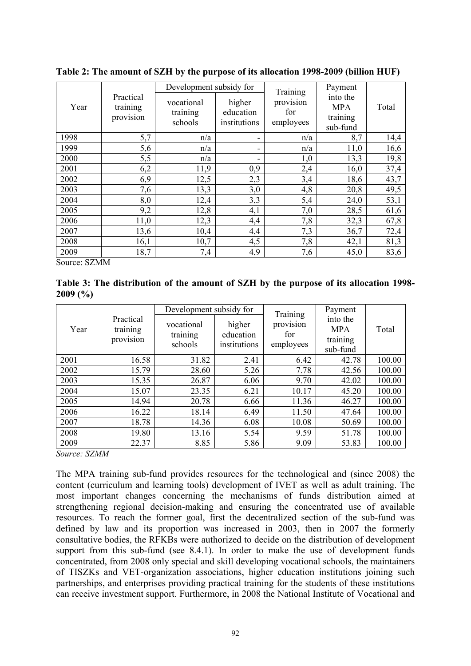| Year |                                    | Development subsidy for           |                                     | Training                      | Payment                                        | Total |
|------|------------------------------------|-----------------------------------|-------------------------------------|-------------------------------|------------------------------------------------|-------|
|      | Practical<br>training<br>provision | vocational<br>training<br>schools | higher<br>education<br>institutions | provision<br>for<br>employees | into the<br><b>MPA</b><br>training<br>sub-fund |       |
| 1998 | 5,7                                | n/a                               | -                                   | n/a                           | 8,7                                            | 14,4  |
| 1999 | 5,6                                | n/a                               | -                                   | n/a                           | 11,0                                           | 16,6  |
| 2000 | 5,5                                | n/a                               |                                     | 1,0                           | 13,3                                           | 19,8  |
| 2001 | 6,2                                | 11,9                              | 0,9                                 | 2,4                           | 16,0                                           | 37,4  |
| 2002 | 6,9                                | 12,5                              | 2,3                                 | 3,4                           | 18,6                                           | 43,7  |
| 2003 | 7,6                                | 13,3                              | 3,0                                 | 4,8                           | 20,8                                           | 49,5  |
| 2004 | 8,0                                | 12,4                              | 3,3                                 | 5,4                           | 24,0                                           | 53,1  |
| 2005 | 9,2                                | 12,8                              | 4,1                                 | 7,0                           | 28,5                                           | 61,6  |
| 2006 | 11,0                               | 12,3                              | 4,4                                 | 7,8                           | 32,3                                           | 67,8  |
| 2007 | 13,6                               | 10,4                              | 4,4                                 | 7,3                           | 36,7                                           | 72,4  |
| 2008 | 16,1                               | 10,7                              | 4,5                                 | 7,8                           | 42,1                                           | 81,3  |
| 2009 | 18,7                               | 7,4                               | 4,9                                 | 7,6                           | 45,0                                           | 83,6  |

**Table 2: The amount of SZH by the purpose of its allocation 1998-2009 (billion HUF)** 

Source: SZMM

**Table 3: The distribution of the amount of SZH by the purpose of its allocation 1998- 2009 (%)** 

| Year |                                    | Development subsidy for           |                                     | Training                      | Payment                                        |        |
|------|------------------------------------|-----------------------------------|-------------------------------------|-------------------------------|------------------------------------------------|--------|
|      | Practical<br>training<br>provision | vocational<br>training<br>schools | higher<br>education<br>institutions | provision<br>for<br>employees | into the<br><b>MPA</b><br>training<br>sub-fund | Total  |
| 2001 | 16.58                              | 31.82                             | 2.41                                | 6.42                          | 42.78                                          | 100.00 |
| 2002 | 15.79                              | 28.60                             | 5.26                                | 7.78                          | 42.56                                          | 100.00 |
| 2003 | 15.35                              | 26.87                             | 6.06                                | 9.70                          | 42.02                                          | 100.00 |
| 2004 | 15.07                              | 23.35                             | 6.21                                | 10.17                         | 45.20                                          | 100.00 |
| 2005 | 14.94                              | 20.78                             | 6.66                                | 11.36                         | 46.27                                          | 100.00 |
| 2006 | 16.22                              | 18.14                             | 6.49                                | 11.50                         | 47.64                                          | 100.00 |
| 2007 | 18.78                              | 14.36                             | 6.08                                | 10.08                         | 50.69                                          | 100.00 |
| 2008 | 19.80                              | 13.16                             | 5.54                                | 9.59                          | 51.78                                          | 100.00 |
| 2009 | 22.37                              | 8.85                              | 5.86                                | 9.09                          | 53.83                                          | 100.00 |

*Source: SZMM* 

The MPA training sub-fund provides resources for the technological and (since 2008) the content (curriculum and learning tools) development of IVET as well as adult training. The most important changes concerning the mechanisms of funds distribution aimed at strengthening regional decision-making and ensuring the concentrated use of available resources. To reach the former goal, first the decentralized section of the sub-fund was defined by law and its proportion was increased in 2003, then in 2007 the formerly consultative bodies, the RFKBs were authorized to decide on the distribution of development support from this sub-fund (see 8.4.1). In order to make the use of development funds concentrated, from 2008 only special and skill developing vocational schools, the maintainers of TISZKs and VET-organization associations, higher education institutions joining such partnerships, and enterprises providing practical training for the students of these institutions can receive investment support. Furthermore, in 2008 the National Institute of Vocational and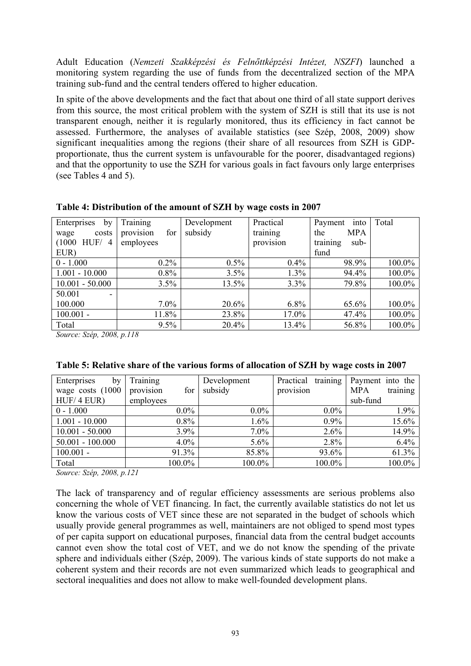Adult Education (*Nemzeti Szakképzési és Felnőttképzési Intézet, NSZFI*) launched a monitoring system regarding the use of funds from the decentralized section of the MPA training sub-fund and the central tenders offered to higher education.

In spite of the above developments and the fact that about one third of all state support derives from this source, the most critical problem with the system of SZH is still that its use is not transparent enough, neither it is regularly monitored, thus its efficiency in fact cannot be assessed. Furthermore, the analyses of available statistics (see Szép, 2008, 2009) show significant inequalities among the regions (their share of all resources from SZH is GDPproportionate, thus the current system is unfavourable for the poorer, disadvantaged regions) and that the opportunity to use the SZH for various goals in fact favours only large enterprises (see Tables 4 and 5).

| Enterprises<br>by   | Training         | Development | Practical | into<br>Payment   | Total  |
|---------------------|------------------|-------------|-----------|-------------------|--------|
| costs<br>wage       | for<br>provision | subsidy     | training  | <b>MPA</b><br>the |        |
| HUF/<br>(1000)<br>4 | employees        |             | provision | training<br>sub-  |        |
| EUR)                |                  |             |           | fund              |        |
| $0 - 1.000$         | $0.2\%$          | $0.5\%$     | $0.4\%$   | 98.9%             | 100.0% |
| $1.001 - 10.000$    | $0.8\%$          | 3.5%        | 1.3%      | 94.4%             | 100.0% |
| $10.001 - 50.000$   | 3.5%             | 13.5%       | $3.3\%$   | 79.8%             | 100.0% |
| 50.001<br>-         |                  |             |           |                   |        |
| 100.000             | $7.0\%$          | 20.6%       | $6.8\%$   | 65.6%             | 100.0% |
| $100.001 -$         | 11.8%            | 23.8%       | $17.0\%$  | 47.4%             | 100.0% |
| Total               | $9.5\%$          | 20.4%       | 13.4%     | 56.8%             | 100.0% |

| Table 4: Distribution of the amount of SZH by wage costs in 2007 |  |  |  |
|------------------------------------------------------------------|--|--|--|
|                                                                  |  |  |  |

*Source: Szép, 2008, p.118* 

| Enterprises<br>by  | Training         | Development | training<br>Practical | Payment into the       |
|--------------------|------------------|-------------|-----------------------|------------------------|
| wage costs (1000   | for<br>provision | subsidy     | provision             | training<br><b>MPA</b> |
| HUF/4 EUR)         | employees        |             |                       | sub-fund               |
| $0 - 1.000$        | $0.0\%$          | $0.0\%$     | $0.0\%$               | 1.9%                   |
| $1.001 - 10.000$   | $0.8\%$          | 1.6%        | $0.9\%$               | 15.6%                  |
| $10.001 - 50.000$  | $3.9\%$          | $7.0\%$     | 2.6%                  | 14.9%                  |
| $50.001 - 100.000$ | $4.0\%$          | 5.6%        | 2.8%                  | 6.4%                   |
| $100.001 -$        | 91.3%            | 85.8%       | 93.6%                 | 61.3%                  |
| Total              | 100.0%           | 100.0%      | 100.0%                | 100.0%                 |

## **Table 5: Relative share of the various forms of allocation of SZH by wage costs in 2007**

*Source: Szép, 2008, p.121* 

The lack of transparency and of regular efficiency assessments are serious problems also concerning the whole of VET financing. In fact, the currently available statistics do not let us know the various costs of VET since these are not separated in the budget of schools which usually provide general programmes as well, maintainers are not obliged to spend most types of per capita support on educational purposes, financial data from the central budget accounts cannot even show the total cost of VET, and we do not know the spending of the private sphere and individuals either (Szép, 2009). The various kinds of state supports do not make a coherent system and their records are not even summarized which leads to geographical and sectoral inequalities and does not allow to make well-founded development plans.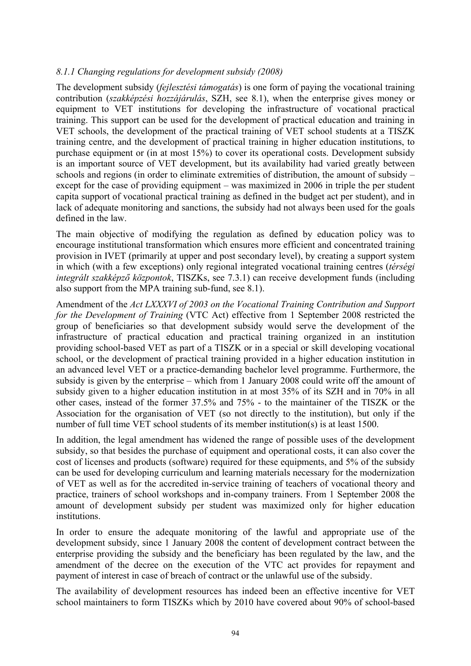#### *8.1.1 Changing regulations for development subsidy (2008)*

The development subsidy (*fejlesztési támogatás*) is one form of paying the vocational training contribution (*szakképzési hozzájárulás*, SZH, see 8.1), when the enterprise gives money or equipment to VET institutions for developing the infrastructure of vocational practical training. This support can be used for the development of practical education and training in VET schools, the development of the practical training of VET school students at a TISZK training centre, and the development of practical training in higher education institutions, to purchase equipment or (in at most 15%) to cover its operational costs. Development subsidy is an important source of VET development, but its availability had varied greatly between schools and regions (in order to eliminate extremities of distribution, the amount of subsidy – except for the case of providing equipment – was maximized in 2006 in triple the per student capita support of vocational practical training as defined in the budget act per student), and in lack of adequate monitoring and sanctions, the subsidy had not always been used for the goals defined in the law.

The main objective of modifying the regulation as defined by education policy was to encourage institutional transformation which ensures more efficient and concentrated training provision in IVET (primarily at upper and post secondary level), by creating a support system in which (with a few exceptions) only regional integrated vocational training centres (*térségi integrált szakképző központok*, TISZKs, see 7.3.1) can receive development funds (including also support from the MPA training sub-fund, see 8.1).

Amendment of the *Act LXXXVI of 2003 on the Vocational Training Contribution and Support for the Development of Training* (VTC Act) effective from 1 September 2008 restricted the group of beneficiaries so that development subsidy would serve the development of the infrastructure of practical education and practical training organized in an institution providing school-based VET as part of a TISZK or in a special or skill developing vocational school, or the development of practical training provided in a higher education institution in an advanced level VET or a practice-demanding bachelor level programme. Furthermore, the subsidy is given by the enterprise – which from 1 January 2008 could write off the amount of subsidy given to a higher education institution in at most 35% of its SZH and in 70% in all other cases, instead of the former 37.5% and 75% - to the maintainer of the TISZK or the Association for the organisation of VET (so not directly to the institution), but only if the number of full time VET school students of its member institution(s) is at least 1500.

In addition, the legal amendment has widened the range of possible uses of the development subsidy, so that besides the purchase of equipment and operational costs, it can also cover the cost of licenses and products (software) required for these equipments, and 5% of the subsidy can be used for developing curriculum and learning materials necessary for the modernization of VET as well as for the accredited in-service training of teachers of vocational theory and practice, trainers of school workshops and in-company trainers. From 1 September 2008 the amount of development subsidy per student was maximized only for higher education institutions.

In order to ensure the adequate monitoring of the lawful and appropriate use of the development subsidy, since 1 January 2008 the content of development contract between the enterprise providing the subsidy and the beneficiary has been regulated by the law, and the amendment of the decree on the execution of the VTC act provides for repayment and payment of interest in case of breach of contract or the unlawful use of the subsidy.

The availability of development resources has indeed been an effective incentive for VET school maintainers to form TISZKs which by 2010 have covered about 90% of school-based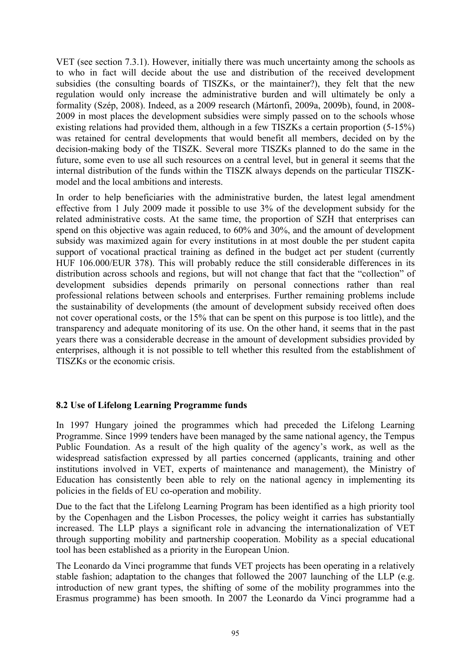VET (see section 7.3.1). However, initially there was much uncertainty among the schools as to who in fact will decide about the use and distribution of the received development subsidies (the consulting boards of TISZKs, or the maintainer?), they felt that the new regulation would only increase the administrative burden and will ultimately be only a formality (Szép, 2008). Indeed, as a 2009 research (Mártonfi, 2009a, 2009b), found, in 2008- 2009 in most places the development subsidies were simply passed on to the schools whose existing relations had provided them, although in a few TISZKs a certain proportion (5-15%) was retained for central developments that would benefit all members, decided on by the decision-making body of the TISZK. Several more TISZKs planned to do the same in the future, some even to use all such resources on a central level, but in general it seems that the internal distribution of the funds within the TISZK always depends on the particular TISZKmodel and the local ambitions and interests.

In order to help beneficiaries with the administrative burden, the latest legal amendment effective from 1 July 2009 made it possible to use 3% of the development subsidy for the related administrative costs. At the same time, the proportion of SZH that enterprises can spend on this objective was again reduced, to 60% and 30%, and the amount of development subsidy was maximized again for every institutions in at most double the per student capita support of vocational practical training as defined in the budget act per student (currently HUF 106.000/EUR 378). This will probably reduce the still considerable differences in its distribution across schools and regions, but will not change that fact that the "collection" of development subsidies depends primarily on personal connections rather than real professional relations between schools and enterprises. Further remaining problems include the sustainability of developments (the amount of development subsidy received often does not cover operational costs, or the 15% that can be spent on this purpose is too little), and the transparency and adequate monitoring of its use. On the other hand, it seems that in the past years there was a considerable decrease in the amount of development subsidies provided by enterprises, although it is not possible to tell whether this resulted from the establishment of TISZKs or the economic crisis.

## **8.2 Use of Lifelong Learning Programme funds**

In 1997 Hungary joined the programmes which had preceded the Lifelong Learning Programme. Since 1999 tenders have been managed by the same national agency, the Tempus Public Foundation. As a result of the high quality of the agency's work, as well as the widespread satisfaction expressed by all parties concerned (applicants, training and other institutions involved in VET, experts of maintenance and management), the Ministry of Education has consistently been able to rely on the national agency in implementing its policies in the fields of EU co-operation and mobility.

Due to the fact that the Lifelong Learning Program has been identified as a high priority tool by the Copenhagen and the Lisbon Processes, the policy weight it carries has substantially increased. The LLP plays a significant role in advancing the internationalization of VET through supporting mobility and partnership cooperation. Mobility as a special educational tool has been established as a priority in the European Union.

The Leonardo da Vinci programme that funds VET projects has been operating in a relatively stable fashion; adaptation to the changes that followed the 2007 launching of the LLP (e.g. introduction of new grant types, the shifting of some of the mobility programmes into the Erasmus programme) has been smooth. In 2007 the Leonardo da Vinci programme had a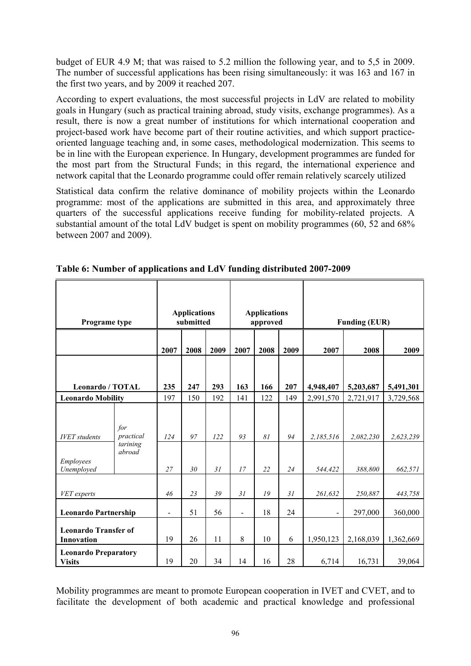budget of EUR 4.9 M; that was raised to 5.2 million the following year, and to 5,5 in 2009. The number of successful applications has been rising simultaneously: it was 163 and 167 in the first two years, and by 2009 it reached 207.

According to expert evaluations, the most successful projects in LdV are related to mobility goals in Hungary (such as practical training abroad, study visits, exchange programmes). As a result, there is now a great number of institutions for which international cooperation and project-based work have become part of their routine activities, and which support practiceoriented language teaching and, in some cases, methodological modernization. This seems to be in line with the European experience. In Hungary, development programmes are funded for the most part from the Structural Funds; in this regard, the international experience and network capital that the Leonardo programme could offer remain relatively scarcely utilized

Statistical data confirm the relative dominance of mobility projects within the Leonardo programme: most of the applications are submitted in this area, and approximately three quarters of the successful applications receive funding for mobility-related projects. A substantial amount of the total LdV budget is spent on mobility programmes (60, 52 and 68%) between 2007 and 2009).

| Programe type                                              |                                        |                | <b>Applications</b><br>submitted | <b>Applications</b><br>approved |                          |          | <b>Funding (EUR)</b> |                      |                      |                      |
|------------------------------------------------------------|----------------------------------------|----------------|----------------------------------|---------------------------------|--------------------------|----------|----------------------|----------------------|----------------------|----------------------|
|                                                            |                                        | 2007           | 2008                             | 2009                            | 2007                     | 2008     | 2009                 | 2007                 | 2008                 | 2009                 |
| <b>Leonardo / TOTAL</b>                                    |                                        | 235            | 247                              | 293                             | 163                      | 166      | 207                  | 4,948,407            | 5,203,687            | 5,491,301            |
| <b>Leonardo Mobility</b>                                   |                                        | 197            | 150                              | 192                             | 141                      | 122      | 149                  | 2,991,570            | 2,721,917            | 3,729,568            |
| <b>IVET</b> students<br>Employees<br>Unemployed            | for<br>practical<br>tarining<br>abroad | 124<br>27      | 97<br>30                         | 122<br>31                       | 93<br>17                 | 81<br>22 | 94<br>24             | 2,185,516<br>544,422 | 2,082,230<br>388,800 | 2,623,239<br>662,571 |
| VET experts                                                |                                        | 46             | 23                               | 39                              | 31                       | 19       | 31                   | 261,632              | 250,887              | 443,758              |
| <b>Leonardo Partnership</b><br><b>Leonardo Transfer of</b> |                                        | $\overline{a}$ | 51                               | 56                              | $\overline{\phantom{a}}$ | 18       | 24                   |                      | 297,000              | 360,000              |
| Innovation                                                 |                                        | 19             | 26                               | 11                              | 8                        | 10       | 6                    | 1,950,123            | 2,168,039            | 1,362,669            |
| <b>Leonardo Preparatory</b><br><b>Visits</b>               |                                        | 19             | 20                               | 34                              | 14                       | 16       | 28                   | 6,714                | 16,731               | 39,064               |

**Table 6: Number of applications and LdV funding distributed 2007-2009** 

Mobility programmes are meant to promote European cooperation in IVET and CVET, and to facilitate the development of both academic and practical knowledge and professional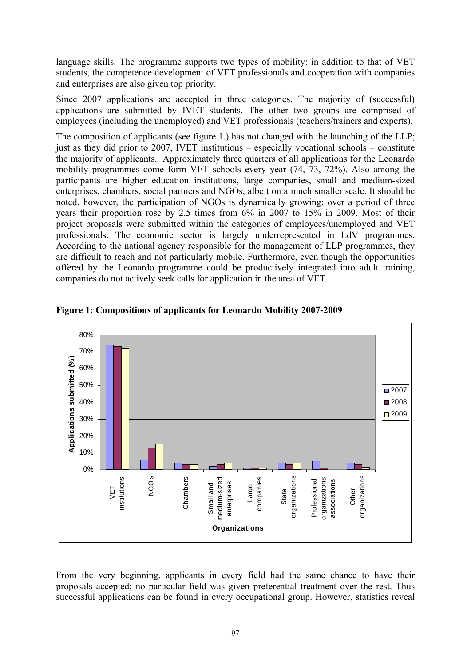language skills. The programme supports two types of mobility: in addition to that of VET students, the competence development of VET professionals and cooperation with companies and enterprises are also given top priority.

Since 2007 applications are accepted in three categories. The majority of (successful) applications are submitted by IVET students. The other two groups are comprised of employees (including the unemployed) and VET professionals (teachers/trainers and experts).

The composition of applicants (see figure 1.) has not changed with the launching of the LLP; just as they did prior to 2007, IVET institutions – especially vocational schools – constitute the majority of applicants. Approximately three quarters of all applications for the Leonardo mobility programmes come form VET schools every year (74, 73, 72%). Also among the participants are higher education institutions, large companies, small and medium-sized enterprises, chambers, social partners and NGOs, albeit on a much smaller scale. It should be noted, however, the participation of NGOs is dynamically growing: over a period of three years their proportion rose by 2.5 times from 6% in 2007 to 15% in 2009. Most of their project proposals were submitted within the categories of employees/unemployed and VET professionals. The economic sector is largely underrepresented in LdV programmes. According to the national agency responsible for the management of LLP programmes, they are difficult to reach and not particularly mobile. Furthermore, even though the opportunities offered by the Leonardo programme could be productively integrated into adult training, companies do not actively seek calls for application in the area of VET.



**Figure 1: Compositions of applicants for Leonardo Mobility 2007-2009** 

From the very beginning, applicants in every field had the same chance to have their proposals accepted; no particular field was given preferential treatment over the rest. Thus successful applications can be found in every occupational group. However, statistics reveal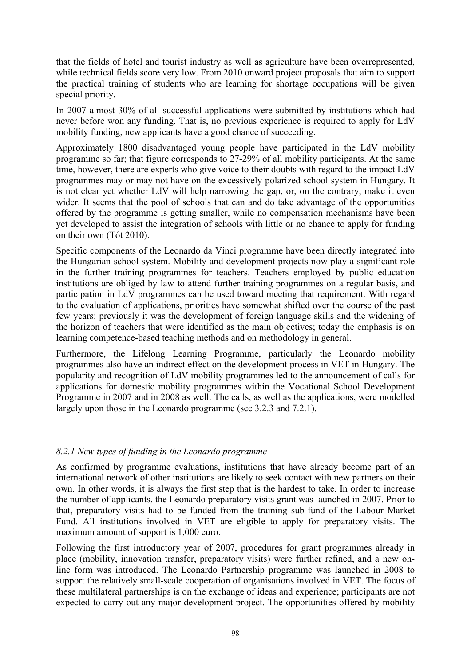that the fields of hotel and tourist industry as well as agriculture have been overrepresented, while technical fields score very low. From 2010 onward project proposals that aim to support the practical training of students who are learning for shortage occupations will be given special priority.

In 2007 almost 30% of all successful applications were submitted by institutions which had never before won any funding. That is, no previous experience is required to apply for LdV mobility funding, new applicants have a good chance of succeeding.

Approximately 1800 disadvantaged young people have participated in the LdV mobility programme so far; that figure corresponds to 27-29% of all mobility participants. At the same time, however, there are experts who give voice to their doubts with regard to the impact LdV programmes may or may not have on the excessively polarized school system in Hungary. It is not clear yet whether LdV will help narrowing the gap, or, on the contrary, make it even wider. It seems that the pool of schools that can and do take advantage of the opportunities offered by the programme is getting smaller, while no compensation mechanisms have been yet developed to assist the integration of schools with little or no chance to apply for funding on their own (Tót 2010).

Specific components of the Leonardo da Vinci programme have been directly integrated into the Hungarian school system. Mobility and development projects now play a significant role in the further training programmes for teachers. Teachers employed by public education institutions are obliged by law to attend further training programmes on a regular basis, and participation in LdV programmes can be used toward meeting that requirement. With regard to the evaluation of applications, priorities have somewhat shifted over the course of the past few years: previously it was the development of foreign language skills and the widening of the horizon of teachers that were identified as the main objectives; today the emphasis is on learning competence-based teaching methods and on methodology in general.

Furthermore, the Lifelong Learning Programme, particularly the Leonardo mobility programmes also have an indirect effect on the development process in VET in Hungary. The popularity and recognition of LdV mobility programmes led to the announcement of calls for applications for domestic mobility programmes within the Vocational School Development Programme in 2007 and in 2008 as well. The calls, as well as the applications, were modelled largely upon those in the Leonardo programme (see 3.2.3 and 7.2.1).

## *8.2.1 New types of funding in the Leonardo programme*

As confirmed by programme evaluations, institutions that have already become part of an international network of other institutions are likely to seek contact with new partners on their own. In other words, it is always the first step that is the hardest to take. In order to increase the number of applicants, the Leonardo preparatory visits grant was launched in 2007. Prior to that, preparatory visits had to be funded from the training sub-fund of the Labour Market Fund. All institutions involved in VET are eligible to apply for preparatory visits. The maximum amount of support is 1,000 euro.

Following the first introductory year of 2007, procedures for grant programmes already in place (mobility, innovation transfer, preparatory visits) were further refined, and a new online form was introduced. The Leonardo Partnership programme was launched in 2008 to support the relatively small-scale cooperation of organisations involved in VET. The focus of these multilateral partnerships is on the exchange of ideas and experience; participants are not expected to carry out any major development project. The opportunities offered by mobility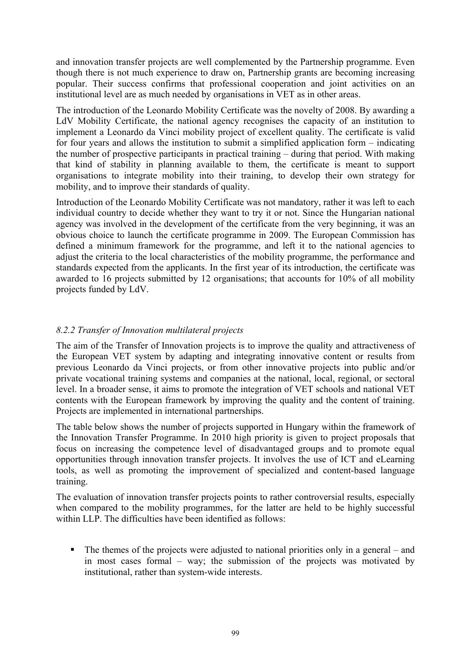and innovation transfer projects are well complemented by the Partnership programme. Even though there is not much experience to draw on, Partnership grants are becoming increasing popular. Their success confirms that professional cooperation and joint activities on an institutional level are as much needed by organisations in VET as in other areas.

The introduction of the Leonardo Mobility Certificate was the novelty of 2008. By awarding a LdV Mobility Certificate, the national agency recognises the capacity of an institution to implement a Leonardo da Vinci mobility project of excellent quality. The certificate is valid for four years and allows the institution to submit a simplified application form – indicating the number of prospective participants in practical training – during that period. With making that kind of stability in planning available to them, the certificate is meant to support organisations to integrate mobility into their training, to develop their own strategy for mobility, and to improve their standards of quality.

Introduction of the Leonardo Mobility Certificate was not mandatory, rather it was left to each individual country to decide whether they want to try it or not. Since the Hungarian national agency was involved in the development of the certificate from the very beginning, it was an obvious choice to launch the certificate programme in 2009. The European Commission has defined a minimum framework for the programme, and left it to the national agencies to adjust the criteria to the local characteristics of the mobility programme, the performance and standards expected from the applicants. In the first year of its introduction, the certificate was awarded to 16 projects submitted by 12 organisations; that accounts for 10% of all mobility projects funded by LdV.

## *8.2.2 Transfer of Innovation multilateral projects*

The aim of the Transfer of Innovation projects is to improve the quality and attractiveness of the European VET system by adapting and integrating innovative content or results from previous Leonardo da Vinci projects, or from other innovative projects into public and/or private vocational training systems and companies at the national, local, regional, or sectoral level. In a broader sense, it aims to promote the integration of VET schools and national VET contents with the European framework by improving the quality and the content of training. Projects are implemented in international partnerships.

The table below shows the number of projects supported in Hungary within the framework of the Innovation Transfer Programme. In 2010 high priority is given to project proposals that focus on increasing the competence level of disadvantaged groups and to promote equal opportunities through innovation transfer projects. It involves the use of ICT and eLearning tools, as well as promoting the improvement of specialized and content-based language training.

The evaluation of innovation transfer projects points to rather controversial results, especially when compared to the mobility programmes, for the latter are held to be highly successful within LLP. The difficulties have been identified as follows:

 $\blacksquare$  The themes of the projects were adjusted to national priorities only in a general – and in most cases formal – way; the submission of the projects was motivated by institutional, rather than system-wide interests.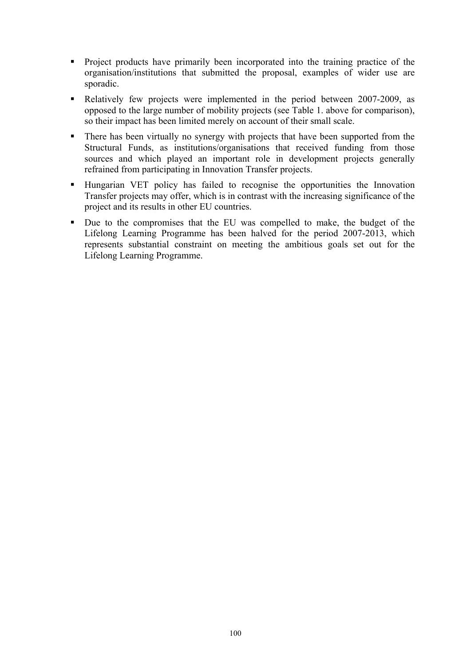- **Project products have primarily been incorporated into the training practice of the** organisation/institutions that submitted the proposal, examples of wider use are sporadic.
- Relatively few projects were implemented in the period between 2007-2009, as opposed to the large number of mobility projects (see Table 1. above for comparison), so their impact has been limited merely on account of their small scale.
- There has been virtually no synergy with projects that have been supported from the Structural Funds, as institutions/organisations that received funding from those sources and which played an important role in development projects generally refrained from participating in Innovation Transfer projects.
- Hungarian VET policy has failed to recognise the opportunities the Innovation Transfer projects may offer, which is in contrast with the increasing significance of the project and its results in other EU countries.
- Due to the compromises that the EU was compelled to make, the budget of the Lifelong Learning Programme has been halved for the period 2007-2013, which represents substantial constraint on meeting the ambitious goals set out for the Lifelong Learning Programme.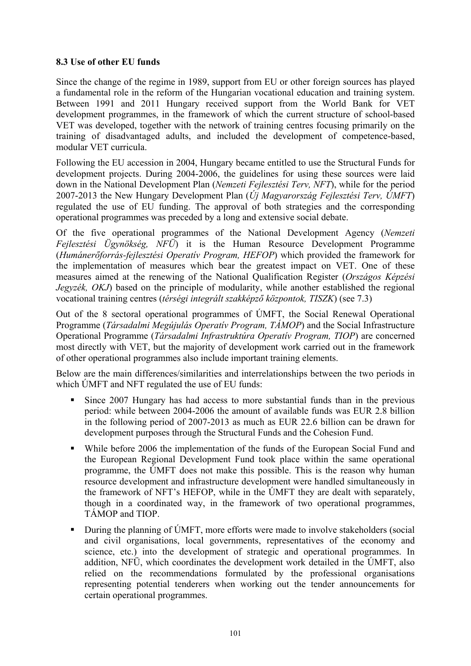### **8.3 Use of other EU funds**

Since the change of the regime in 1989, support from EU or other foreign sources has played a fundamental role in the reform of the Hungarian vocational education and training system. Between 1991 and 2011 Hungary received support from the World Bank for VET development programmes, in the framework of which the current structure of school-based VET was developed, together with the network of training centres focusing primarily on the training of disadvantaged adults, and included the development of competence-based, modular VET curricula.

Following the EU accession in 2004, Hungary became entitled to use the Structural Funds for development projects. During 2004-2006, the guidelines for using these sources were laid down in the National Development Plan (*Nemzeti Fejlesztési Terv, NFT*), while for the period 2007-2013 the New Hungary Development Plan (*Új Magyarország Fejlesztési Terv, ÚMFT*) regulated the use of EU funding. The approval of both strategies and the corresponding operational programmes was preceded by a long and extensive social debate.

Of the five operational programmes of the National Development Agency (*Nemzeti Fejlesztési Ügynökség, NFÜ*) it is the Human Resource Development Programme (*Humánerőforrás-fejlesztési Operatív Program, HEFOP*) which provided the framework for the implementation of measures which bear the greatest impact on VET. One of these measures aimed at the renewing of the National Qualification Register (*Országos Képzési Jegyzék, OKJ*) based on the principle of modularity, while another established the regional vocational training centres (*térségi integrált szakképző központok, TISZK*) (see 7.3)

Out of the 8 sectoral operational programmes of ÚMFT, the Social Renewal Operational Programme (*Társadalmi Megújulás Operatív Program, TÁMOP*) and the Social Infrastructure Operational Programme (*Társadalmi Infrastruktúra Operatív Program, TIOP*) are concerned most directly with VET, but the majority of development work carried out in the framework of other operational programmes also include important training elements.

Below are the main differences/similarities and interrelationships between the two periods in which ÚMFT and NFT regulated the use of EU funds:

- Since 2007 Hungary has had access to more substantial funds than in the previous period: while between 2004-2006 the amount of available funds was EUR 2.8 billion in the following period of 2007-2013 as much as EUR 22.6 billion can be drawn for development purposes through the Structural Funds and the Cohesion Fund.
- While before 2006 the implementation of the funds of the European Social Fund and the European Regional Development Fund took place within the same operational programme, the ÚMFT does not make this possible. This is the reason why human resource development and infrastructure development were handled simultaneously in the framework of NFT's HEFOP, while in the ÚMFT they are dealt with separately, though in a coordinated way, in the framework of two operational programmes, TÁMOP and TIOP.
- During the planning of UMFT, more efforts were made to involve stakeholders (social and civil organisations, local governments, representatives of the economy and science, etc.) into the development of strategic and operational programmes. In addition, NFÜ, which coordinates the development work detailed in the ÚMFT, also relied on the recommendations formulated by the professional organisations representing potential tenderers when working out the tender announcements for certain operational programmes.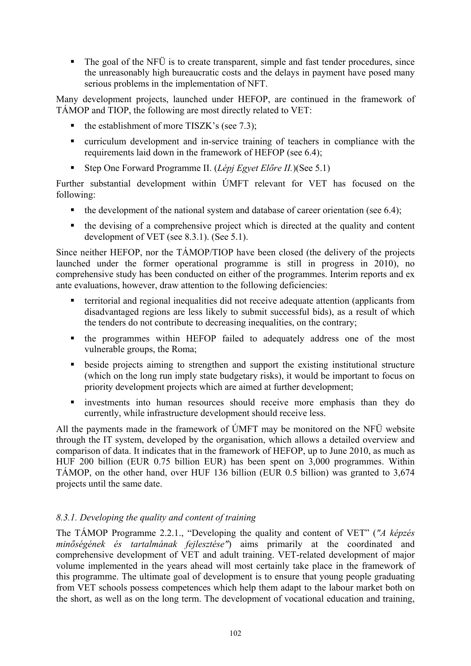The goal of the NFÜ is to create transparent, simple and fast tender procedures, since the unreasonably high bureaucratic costs and the delays in payment have posed many serious problems in the implementation of NFT.

Many development projects, launched under HEFOP, are continued in the framework of TÁMOP and TIOP, the following are most directly related to VET:

- $\blacksquare$  the establishment of more TISZK's (see 7.3);
- curriculum development and in-service training of teachers in compliance with the requirements laid down in the framework of HEFOP (see 6.4);
- Step One Forward Programme II. (*Lépj Egyet Előre II.*)(See 5.1)

Further substantial development within ÚMFT relevant for VET has focused on the following:

- $\bullet$  the development of the national system and database of career orientation (see 6.4);
- the devising of a comprehensive project which is directed at the quality and content development of VET (see 8.3.1). (See 5.1).

Since neither HEFOP, nor the TÁMOP/TIOP have been closed (the delivery of the projects launched under the former operational programme is still in progress in 2010), no comprehensive study has been conducted on either of the programmes. Interim reports and ex ante evaluations, however, draw attention to the following deficiencies:

- territorial and regional inequalities did not receive adequate attention (applicants from disadvantaged regions are less likely to submit successful bids), as a result of which the tenders do not contribute to decreasing inequalities, on the contrary;
- the programmes within HEFOP failed to adequately address one of the most vulnerable groups, the Roma;
- **beside projects aiming to strengthen and support the existing institutional structure** (which on the long run imply state budgetary risks), it would be important to focus on priority development projects which are aimed at further development;
- investments into human resources should receive more emphasis than they do currently, while infrastructure development should receive less.

All the payments made in the framework of ÚMFT may be monitored on the NFÜ website through the IT system, developed by the organisation, which allows a detailed overview and comparison of data. It indicates that in the framework of HEFOP, up to June 2010, as much as HUF 200 billion (EUR 0.75 billion EUR) has been spent on 3,000 programmes. Within TÁMOP, on the other hand, over HUF 136 billion (EUR 0.5 billion) was granted to 3,674 projects until the same date.

## *8.3.1. Developing the quality and content of training*

The TÁMOP Programme 2.2.1., "Developing the quality and content of VET" (*"A képzés minőségének és tartalmának fejlesztése"*) aims primarily at the coordinated and comprehensive development of VET and adult training. VET-related development of major volume implemented in the years ahead will most certainly take place in the framework of this programme. The ultimate goal of development is to ensure that young people graduating from VET schools possess competences which help them adapt to the labour market both on the short, as well as on the long term. The development of vocational education and training,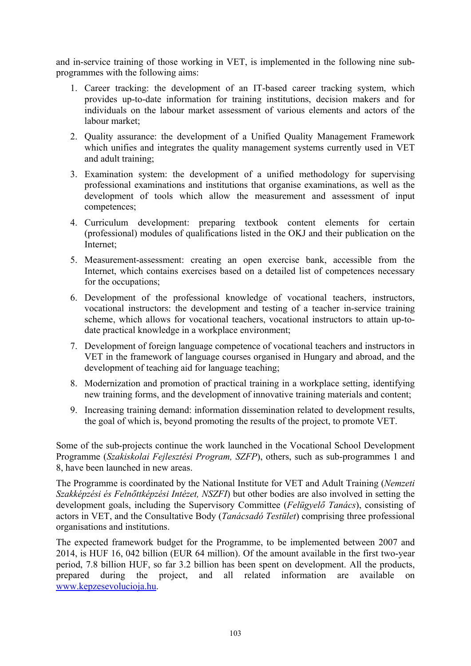and in-service training of those working in VET, is implemented in the following nine subprogrammes with the following aims:

- 1. Career tracking: the development of an IT-based career tracking system, which provides up-to-date information for training institutions, decision makers and for individuals on the labour market assessment of various elements and actors of the labour market;
- 2. Quality assurance: the development of a Unified Quality Management Framework which unifies and integrates the quality management systems currently used in VET and adult training;
- 3. Examination system: the development of a unified methodology for supervising professional examinations and institutions that organise examinations, as well as the development of tools which allow the measurement and assessment of input competences;
- 4. Curriculum development: preparing textbook content elements for certain (professional) modules of qualifications listed in the OKJ and their publication on the Internet;
- 5. Measurement-assessment: creating an open exercise bank, accessible from the Internet, which contains exercises based on a detailed list of competences necessary for the occupations;
- 6. Development of the professional knowledge of vocational teachers, instructors, vocational instructors: the development and testing of a teacher in-service training scheme, which allows for vocational teachers, vocational instructors to attain up-todate practical knowledge in a workplace environment;
- 7. Development of foreign language competence of vocational teachers and instructors in VET in the framework of language courses organised in Hungary and abroad, and the development of teaching aid for language teaching;
- 8. Modernization and promotion of practical training in a workplace setting, identifying new training forms, and the development of innovative training materials and content;
- 9. Increasing training demand: information dissemination related to development results, the goal of which is, beyond promoting the results of the project, to promote VET.

Some of the sub-projects continue the work launched in the Vocational School Development Programme (*Szakiskolai Fejlesztési Program, SZFP*), others, such as sub-programmes 1 and 8, have been launched in new areas.

The Programme is coordinated by the National Institute for VET and Adult Training (*Nemzeti Szakképzési és Felnőttképzési Intézet, NSZFI*) but other bodies are also involved in setting the development goals, including the Supervisory Committee (*Felügyelő Tanács*), consisting of actors in VET, and the Consultative Body (*Tanácsadó Testület*) comprising three professional organisations and institutions.

The expected framework budget for the Programme, to be implemented between 2007 and 2014, is HUF 16, 042 billion (EUR 64 million). Of the amount available in the first two-year period, 7.8 billion HUF, so far 3.2 billion has been spent on development. All the products, prepared during the project, and all related information are available on [www.kepzesevolucioja.hu.](http://www.kepzesevolucioja.hu/)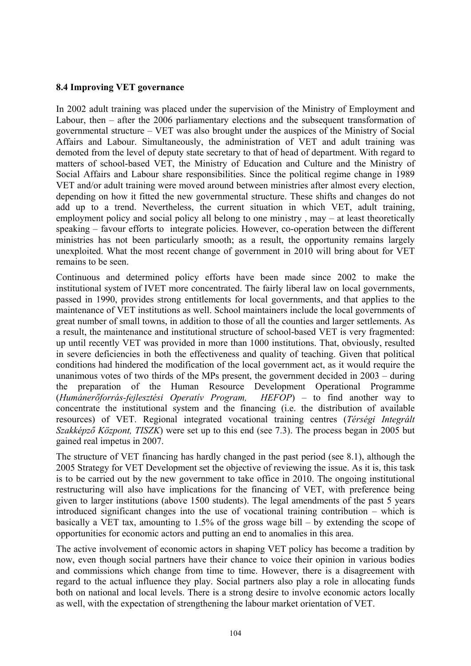### **8.4 Improving VET governance**

In 2002 adult training was placed under the supervision of the Ministry of Employment and Labour, then – after the 2006 parliamentary elections and the subsequent transformation of governmental structure – VET was also brought under the auspices of the Ministry of Social Affairs and Labour. Simultaneously, the administration of VET and adult training was demoted from the level of deputy state secretary to that of head of department. With regard to matters of school-based VET, the Ministry of Education and Culture and the Ministry of Social Affairs and Labour share responsibilities. Since the political regime change in 1989 VET and/or adult training were moved around between ministries after almost every election, depending on how it fitted the new governmental structure. These shifts and changes do not add up to a trend. Nevertheless, the current situation in which VET, adult training, employment policy and social policy all belong to one ministry, may – at least theoretically speaking – favour efforts to integrate policies. However, co-operation between the different ministries has not been particularly smooth; as a result, the opportunity remains largely unexploited. What the most recent change of government in 2010 will bring about for VET remains to be seen.

Continuous and determined policy efforts have been made since 2002 to make the institutional system of IVET more concentrated. The fairly liberal law on local governments, passed in 1990, provides strong entitlements for local governments, and that applies to the maintenance of VET institutions as well. School maintainers include the local governments of great number of small towns, in addition to those of all the counties and larger settlements. As a result, the maintenance and institutional structure of school-based VET is very fragmented: up until recently VET was provided in more than 1000 institutions. That, obviously, resulted in severe deficiencies in both the effectiveness and quality of teaching. Given that political conditions had hindered the modification of the local government act, as it would require the unanimous votes of two thirds of the MPs present, the government decided in 2003 – during the preparation of the Human Resource Development Operational Programme (*Humánerőforrás-fejlesztési Operatív Program, HEFOP*) – to find another way to concentrate the institutional system and the financing (i.e. the distribution of available resources) of VET. Regional integrated vocational training centres (*Térségi Integrált Szakképző Központ, TISZK*) were set up to this end (see 7.3). The process began in 2005 but gained real impetus in 2007.

The structure of VET financing has hardly changed in the past period (see 8.1), although the 2005 Strategy for VET Development set the objective of reviewing the issue. As it is, this task is to be carried out by the new government to take office in 2010. The ongoing institutional restructuring will also have implications for the financing of VET, with preference being given to larger institutions (above 1500 students). The legal amendments of the past 5 years introduced significant changes into the use of vocational training contribution – which is basically a VET tax, amounting to 1.5% of the gross wage bill – by extending the scope of opportunities for economic actors and putting an end to anomalies in this area.

The active involvement of economic actors in shaping VET policy has become a tradition by now, even though social partners have their chance to voice their opinion in various bodies and commissions which change from time to time. However, there is a disagreement with regard to the actual influence they play. Social partners also play a role in allocating funds both on national and local levels. There is a strong desire to involve economic actors locally as well, with the expectation of strengthening the labour market orientation of VET.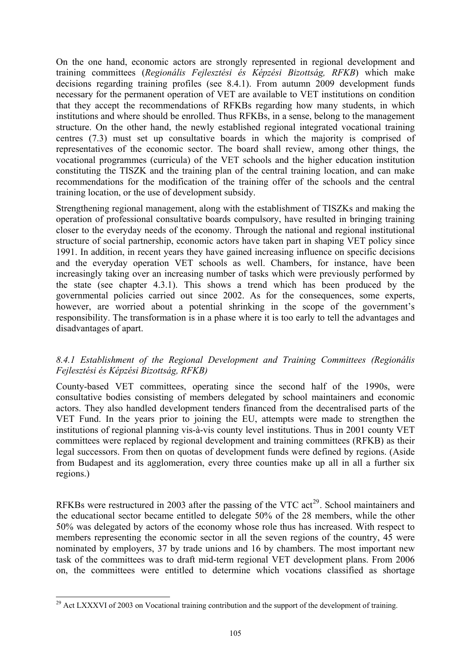<span id="page-104-0"></span>On the one hand, economic actors are strongly represented in regional development and training committees (*Regionális Fejlesztési és Képzési Bizottság, RFKB*) which make decisions regarding training profiles (see 8.4.1). From autumn 2009 development funds necessary for the permanent operation of VET are available to VET institutions on condition that they accept the recommendations of RFKBs regarding how many students, in which institutions and where should be enrolled. Thus RFKBs, in a sense, belong to the management structure. On the other hand, the newly established regional integrated vocational training centres (7.3) must set up consultative boards in which the majority is comprised of representatives of the economic sector. The board shall review, among other things, the vocational programmes (curricula) of the VET schools and the higher education institution constituting the TISZK and the training plan of the central training location, and can make recommendations for the modification of the training offer of the schools and the central training location, or the use of development subsidy.

Strengthening regional management, along with the establishment of TISZKs and making the operation of professional consultative boards compulsory, have resulted in bringing training closer to the everyday needs of the economy. Through the national and regional institutional structure of social partnership, economic actors have taken part in shaping VET policy since 1991. In addition, in recent years they have gained increasing influence on specific decisions and the everyday operation VET schools as well. Chambers, for instance, have been increasingly taking over an increasing number of tasks which were previously performed by the state (see chapter 4.3.1). This shows a trend which has been produced by the governmental policies carried out since 2002. As for the consequences, some experts, however, are worried about a potential shrinking in the scope of the government's responsibility. The transformation is in a phase where it is too early to tell the advantages and disadvantages of apart.

### *8.4.1 Establishment of the Regional Development and Training Committees (Regionális Fejlesztési és Képzési Bizottság, RFKB)*

County-based VET committees, operating since the second half of the 1990s, were consultative bodies consisting of members delegated by school maintainers and economic actors. They also handled development tenders financed from the decentralised parts of the VET Fund. In the years prior to joining the EU, attempts were made to strengthen the institutions of regional planning vis-à-vis county level institutions. Thus in 2001 county VET committees were replaced by regional development and training committees (RFKB) as their legal successors. From then on quotas of development funds were defined by regions. (Aside from Budapest and its agglomeration, every three counties make up all in all a further six regions.)

RFKBs were restructured in 2003 after the passing of the VTC  $act<sup>29</sup>$  $act<sup>29</sup>$  $act<sup>29</sup>$ . School maintainers and the educational sector became entitled to delegate 50% of the 28 members, while the other 50% was delegated by actors of the economy whose role thus has increased. With respect to members representing the economic sector in all the seven regions of the country, 45 were nominated by employers, 37 by trade unions and 16 by chambers. The most important new task of the committees was to draft mid-term regional VET development plans. From 2006 on, the committees were entitled to determine which vocations classified as shortage

<sup>-</sup> $^{29}$  Act LXXXVI of 2003 on Vocational training contribution and the support of the development of training.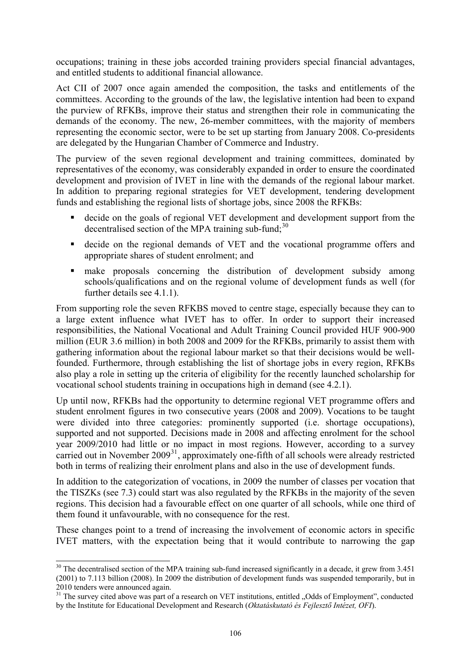<span id="page-105-0"></span>occupations; training in these jobs accorded training providers special financial advantages, and entitled students to additional financial allowance.

Act CII of 2007 once again amended the composition, the tasks and entitlements of the committees. According to the grounds of the law, the legislative intention had been to expand the purview of RFKBs, improve their status and strengthen their role in communicating the demands of the economy. The new, 26-member committees, with the majority of members representing the economic sector, were to be set up starting from January 2008. Co-presidents are delegated by the Hungarian Chamber of Commerce and Industry.

The purview of the seven regional development and training committees, dominated by representatives of the economy, was considerably expanded in order to ensure the coordinated development and provision of IVET in line with the demands of the regional labour market. In addition to preparing regional strategies for VET development, tendering development funds and establishing the regional lists of shortage jobs, since 2008 the RFKBs:

- decide on the goals of regional VET development and development support from the decentralised section of the MPA training sub-fund; $30$
- decide on the regional demands of VET and the vocational programme offers and appropriate shares of student enrolment; and
- make proposals concerning the distribution of development subsidy among schools/qualifications and on the regional volume of development funds as well (for further details see 4.1.1).

From supporting role the seven RFKBS moved to centre stage, especially because they can to a large extent influence what IVET has to offer. In order to support their increased responsibilities, the National Vocational and Adult Training Council provided HUF 900-900 million (EUR 3.6 million) in both 2008 and 2009 for the RFKBs, primarily to assist them with gathering information about the regional labour market so that their decisions would be wellfounded. Furthermore, through establishing the list of shortage jobs in every region, RFKBs also play a role in setting up the criteria of eligibility for the recently launched scholarship for vocational school students training in occupations high in demand (see 4.2.1).

Up until now, RFKBs had the opportunity to determine regional VET programme offers and student enrolment figures in two consecutive years (2008 and 2009). Vocations to be taught were divided into three categories: prominently supported (i.e. shortage occupations), supported and not supported. Decisions made in 2008 and affecting enrolment for the school year 2009/2010 had little or no impact in most regions. However, according to a survey carried out in November  $2009<sup>31</sup>$  $2009<sup>31</sup>$  $2009<sup>31</sup>$ , approximately one-fifth of all schools were already restricted both in terms of realizing their enrolment plans and also in the use of development funds.

In addition to the categorization of vocations, in 2009 the number of classes per vocation that the TISZKs (see 7.3) could start was also regulated by the RFKBs in the majority of the seven regions. This decision had a favourable effect on one quarter of all schools, while one third of them found it unfavourable, with no consequence for the rest.

These changes point to a trend of increasing the involvement of economic actors in specific IVET matters, with the expectation being that it would contribute to narrowing the gap

-

<sup>&</sup>lt;sup>30</sup> The decentralised section of the MPA training sub-fund increased significantly in a decade, it grew from 3.451 (2001) to 7.113 billion (2008). In 2009 the distribution of development funds was suspended temporarily, but in 2010 tenders were announced again.

<sup>&</sup>lt;sup>31</sup> The survey cited above was part of a research on VET institutions, entitled "Odds of Employment", conducted by the Institute for Educational Development and Research (*Oktatáskutató és Fejlesztő Intézet, OFI*).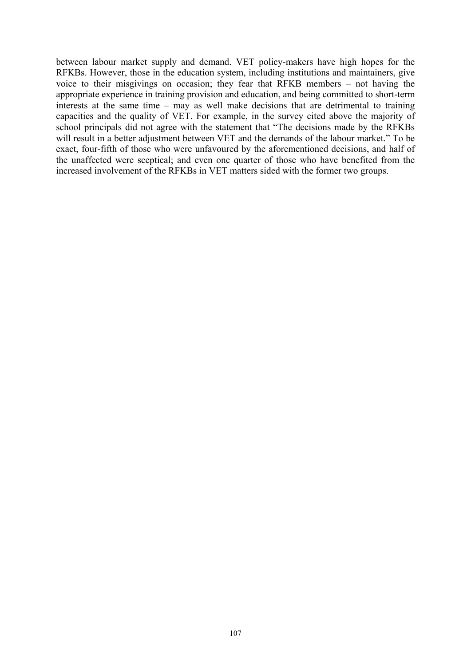between labour market supply and demand. VET policy-makers have high hopes for the RFKBs. However, those in the education system, including institutions and maintainers, give voice to their misgivings on occasion; they fear that RFKB members – not having the appropriate experience in training provision and education, and being committed to short-term interests at the same time – may as well make decisions that are detrimental to training capacities and the quality of VET. For example, in the survey cited above the majority of school principals did not agree with the statement that "The decisions made by the RFKBs will result in a better adjustment between VET and the demands of the labour market." To be exact, four-fifth of those who were unfavoured by the aforementioned decisions, and half of the unaffected were sceptical; and even one quarter of those who have benefited from the increased involvement of the RFKBs in VET matters sided with the former two groups.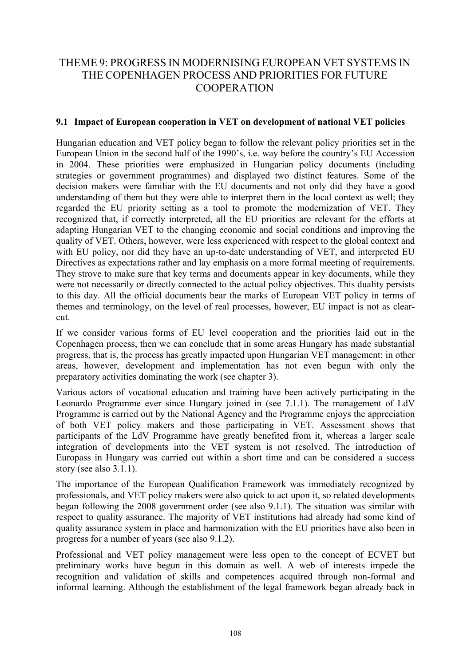## THEME 9: PROGRESS IN MODERNISING EUROPEAN VET SYSTEMS IN THE COPENHAGEN PROCESS AND PRIORITIES FOR FUTURE **COOPERATION**

### **9.1 Impact of European cooperation in VET on development of national VET policies**

Hungarian education and VET policy began to follow the relevant policy priorities set in the European Union in the second half of the 1990's, i.e. way before the country's EU Accession in 2004. These priorities were emphasized in Hungarian policy documents (including strategies or government programmes) and displayed two distinct features. Some of the decision makers were familiar with the EU documents and not only did they have a good understanding of them but they were able to interpret them in the local context as well; they regarded the EU priority setting as a tool to promote the modernization of VET. They recognized that, if correctly interpreted, all the EU priorities are relevant for the efforts at adapting Hungarian VET to the changing economic and social conditions and improving the quality of VET. Others, however, were less experienced with respect to the global context and with EU policy, nor did they have an up-to-date understanding of VET, and interpreted EU Directives as expectations rather and lay emphasis on a more formal meeting of requirements. They strove to make sure that key terms and documents appear in key documents, while they were not necessarily or directly connected to the actual policy objectives. This duality persists to this day. All the official documents bear the marks of European VET policy in terms of themes and terminology, on the level of real processes, however, EU impact is not as clearcut.

If we consider various forms of EU level cooperation and the priorities laid out in the Copenhagen process, then we can conclude that in some areas Hungary has made substantial progress, that is, the process has greatly impacted upon Hungarian VET management; in other areas, however, development and implementation has not even begun with only the preparatory activities dominating the work (see chapter 3).

Various actors of vocational education and training have been actively participating in the Leonardo Programme ever since Hungary joined in (see 7.1.1). The management of LdV Programme is carried out by the National Agency and the Programme enjoys the appreciation of both VET policy makers and those participating in VET. Assessment shows that participants of the LdV Programme have greatly benefited from it, whereas a larger scale integration of developments into the VET system is not resolved. The introduction of Europass in Hungary was carried out within a short time and can be considered a success story (see also 3.1.1).

The importance of the European Qualification Framework was immediately recognized by professionals, and VET policy makers were also quick to act upon it, so related developments began following the 2008 government order (see also 9.1.1). The situation was similar with respect to quality assurance. The majority of VET institutions had already had some kind of quality assurance system in place and harmonization with the EU priorities have also been in progress for a number of years (see also 9.1.2).

Professional and VET policy management were less open to the concept of ECVET but preliminary works have begun in this domain as well. A web of interests impede the recognition and validation of skills and competences acquired through non-formal and informal learning. Although the establishment of the legal framework began already back in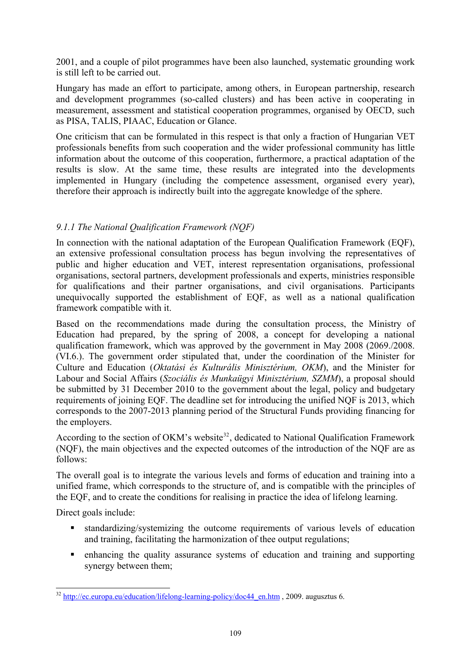<span id="page-108-0"></span>2001, and a couple of pilot programmes have been also launched, systematic grounding work is still left to be carried out.

Hungary has made an effort to participate, among others, in European partnership, research and development programmes (so-called clusters) and has been active in cooperating in measurement, assessment and statistical cooperation programmes, organised by OECD, such as PISA, TALIS, PIAAC, Education or Glance.

One criticism that can be formulated in this respect is that only a fraction of Hungarian VET professionals benefits from such cooperation and the wider professional community has little information about the outcome of this cooperation, furthermore, a practical adaptation of the results is slow. At the same time, these results are integrated into the developments implemented in Hungary (including the competence assessment, organised every year), therefore their approach is indirectly built into the aggregate knowledge of the sphere.

## *9.1.1 The National Qualification Framework (NQF)*

In connection with the national adaptation of the European Qualification Framework (EQF), an extensive professional consultation process has begun involving the representatives of public and higher education and VET, interest representation organisations, professional organisations, sectoral partners, development professionals and experts, ministries responsible for qualifications and their partner organisations, and civil organisations. Participants unequivocally supported the establishment of EQF, as well as a national qualification framework compatible with it.

Based on the recommendations made during the consultation process, the Ministry of Education had prepared, by the spring of 2008, a concept for developing a national qualification framework, which was approved by the government in May 2008 (2069./2008. (VI.6.). The government order stipulated that, under the coordination of the Minister for Culture and Education (*Oktatási és Kulturális Minisztérium, OKM*), and the Minister for Labour and Social Affairs (*Szociális és Munkaügyi Minisztérium, SZMM*), a proposal should be submitted by 31 December 2010 to the government about the legal, policy and budgetary requirements of joining EQF. The deadline set for introducing the unified NQF is 2013, which corresponds to the 2007-2013 planning period of the Structural Funds providing financing for the employers.

According to the section of OKM's website<sup>[32](#page-108-0)</sup>, dedicated to National Qualification Framework (NQF), the main objectives and the expected outcomes of the introduction of the NQF are as follows:

The overall goal is to integrate the various levels and forms of education and training into a unified frame, which corresponds to the structure of, and is compatible with the principles of the EQF, and to create the conditions for realising in practice the idea of lifelong learning.

Direct goals include:

-

- standardizing/systemizing the outcome requirements of various levels of education and training, facilitating the harmonization of thee output regulations;
- enhancing the quality assurance systems of education and training and supporting synergy between them;

 $32 \frac{\text{http://ec.europa.eu/eduction/lifelong-learning-policy/doc44_en.htm}}{2009}$ . augusztus 6.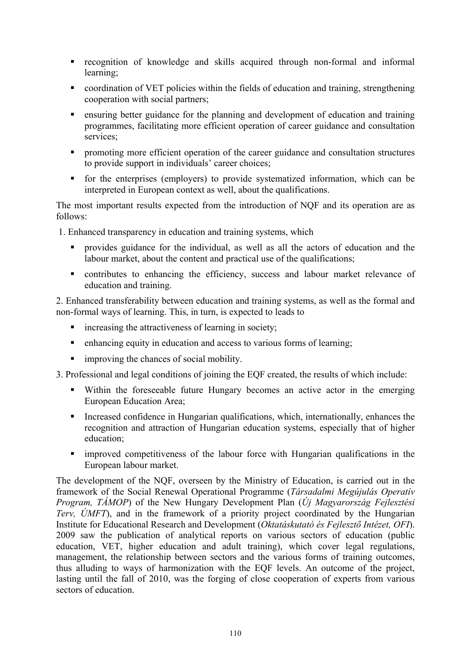- recognition of knowledge and skills acquired through non-formal and informal learning;
- coordination of VET policies within the fields of education and training, strengthening cooperation with social partners;
- ensuring better guidance for the planning and development of education and training programmes, facilitating more efficient operation of career guidance and consultation services;
- **PEDECITE:** promoting more efficient operation of the career guidance and consultation structures to provide support in individuals' career choices;
- for the enterprises (employers) to provide systematized information, which can be interpreted in European context as well, about the qualifications.

The most important results expected from the introduction of NQF and its operation are as follows:

1. Enhanced transparency in education and training systems, which

- provides guidance for the individual, as well as all the actors of education and the labour market, about the content and practical use of the qualifications;
- contributes to enhancing the efficiency, success and labour market relevance of education and training.

2. Enhanced transferability between education and training systems, as well as the formal and non-formal ways of learning. This, in turn, is expected to leads to

- $\blacksquare$  increasing the attractiveness of learning in society;
- **EXECUTE:** enhancing equity in education and access to various forms of learning;
- **i** improving the chances of social mobility.

3. Professional and legal conditions of joining the EQF created, the results of which include:

- Within the foreseeable future Hungary becomes an active actor in the emerging European Education Area;
- Increased confidence in Hungarian qualifications, which, internationally, enhances the recognition and attraction of Hungarian education systems, especially that of higher education;
- improved competitiveness of the labour force with Hungarian qualifications in the European labour market.

The development of the NQF, overseen by the Ministry of Education, is carried out in the framework of the Social Renewal Operational Programme (*Társadalmi Megújulás Operatív Program, TÁMOP*) of the New Hungary Development Plan (*Új Magyarország Fejlesztési Terv, ÚMFT*), and in the framework of a priority project coordinated by the Hungarian Institute for Educational Research and Development (*Oktatáskutató és Fejlesztő Intézet, OFI*). 2009 saw the publication of analytical reports on various sectors of education (public education, VET, higher education and adult training), which cover legal regulations, management, the relationship between sectors and the various forms of training outcomes, thus alluding to ways of harmonization with the EQF levels. An outcome of the project, lasting until the fall of 2010, was the forging of close cooperation of experts from various sectors of education.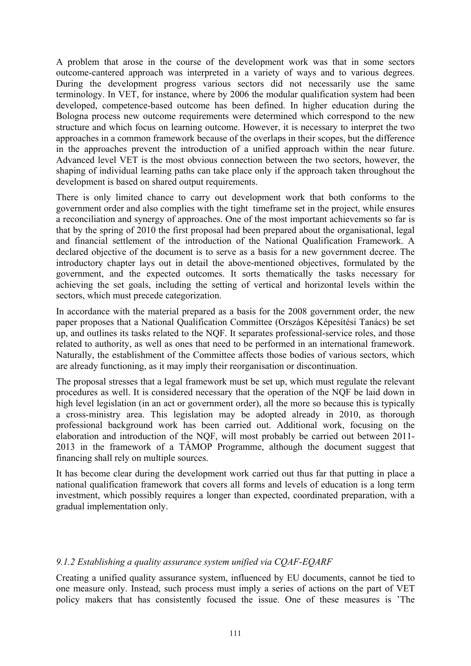A problem that arose in the course of the development work was that in some sectors outcome-cantered approach was interpreted in a variety of ways and to various degrees. During the development progress various sectors did not necessarily use the same terminology. In VET, for instance, where by 2006 the modular qualification system had been developed, competence-based outcome has been defined. In higher education during the Bologna process new outcome requirements were determined which correspond to the new structure and which focus on learning outcome. However, it is necessary to interpret the two approaches in a common framework because of the overlaps in their scopes, but the difference in the approaches prevent the introduction of a unified approach within the near future. Advanced level VET is the most obvious connection between the two sectors, however, the shaping of individual learning paths can take place only if the approach taken throughout the development is based on shared output requirements.

There is only limited chance to carry out development work that both conforms to the government order and also complies with the tight timeframe set in the project, while ensures a reconciliation and synergy of approaches. One of the most important achievements so far is that by the spring of 2010 the first proposal had been prepared about the organisational, legal and financial settlement of the introduction of the National Qualification Framework. A declared objective of the document is to serve as a basis for a new government decree. The introductory chapter lays out in detail the above-mentioned objectives, formulated by the government, and the expected outcomes. It sorts thematically the tasks necessary for achieving the set goals, including the setting of vertical and horizontal levels within the sectors, which must precede categorization.

In accordance with the material prepared as a basis for the 2008 government order, the new paper proposes that a National Qualification Committee (Országos Képesítési Tanács) be set up, and outlines its tasks related to the NQF. It separates professional-service roles, and those related to authority, as well as ones that need to be performed in an international framework. Naturally, the establishment of the Committee affects those bodies of various sectors, which are already functioning, as it may imply their reorganisation or discontinuation.

The proposal stresses that a legal framework must be set up, which must regulate the relevant procedures as well. It is considered necessary that the operation of the NQF be laid down in high level legislation (in an act or government order), all the more so because this is typically a cross-ministry area. This legislation may be adopted already in 2010, as thorough professional background work has been carried out. Additional work, focusing on the elaboration and introduction of the NQF, will most probably be carried out between 2011- 2013 in the framework of a TÁMOP Programme, although the document suggest that financing shall rely on multiple sources.

It has become clear during the development work carried out thus far that putting in place a national qualification framework that covers all forms and levels of education is a long term investment, which possibly requires a longer than expected, coordinated preparation, with a gradual implementation only.

## *9.1.2 Establishing a quality assurance system unified via CQAF-EQARF*

Creating a unified quality assurance system, influenced by EU documents, cannot be tied to one measure only. Instead, such process must imply a series of actions on the part of VET policy makers that has consistently focused the issue. One of these measures is 'The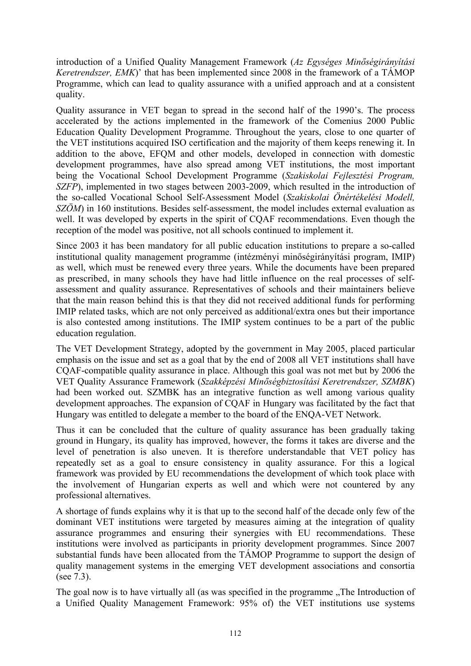introduction of a Unified Quality Management Framework (*Az Egységes Minőségirányítási Keretrendszer, EMK*)' that has been implemented since 2008 in the framework of a TÁMOP Programme, which can lead to quality assurance with a unified approach and at a consistent quality.

Quality assurance in VET began to spread in the second half of the 1990's. The process accelerated by the actions implemented in the framework of the Comenius 2000 Public Education Quality Development Programme. Throughout the years, close to one quarter of the VET institutions acquired ISO certification and the majority of them keeps renewing it. In addition to the above, EFQM and other models, developed in connection with domestic development programmes, have also spread among VET institutions, the most important being the Vocational School Development Programme (*Szakiskolai Fejlesztési Program, SZFP*), implemented in two stages between 2003-2009, which resulted in the introduction of the so-called Vocational School Self-Assessment Model (*Szakiskolai Önértékelési Modell, SZÖM*) in 160 institutions. Besides self-assessment, the model includes external evaluation as well. It was developed by experts in the spirit of CQAF recommendations. Even though the reception of the model was positive, not all schools continued to implement it.

Since 2003 it has been mandatory for all public education institutions to prepare a so-called institutional quality management programme (intézményi minőségirányítási program, IMIP) as well, which must be renewed every three years. While the documents have been prepared as prescribed, in many schools they have had little influence on the real processes of selfassessment and quality assurance. Representatives of schools and their maintainers believe that the main reason behind this is that they did not received additional funds for performing IMIP related tasks, which are not only perceived as additional/extra ones but their importance is also contested among institutions. The IMIP system continues to be a part of the public education regulation.

The VET Development Strategy, adopted by the government in May 2005, placed particular emphasis on the issue and set as a goal that by the end of 2008 all VET institutions shall have CQAF-compatible quality assurance in place. Although this goal was not met but by 2006 the VET Quality Assurance Framework (*Szakképzési Minőségbiztosítási Keretrendszer, SZMBK*) had been worked out. SZMBK has an integrative function as well among various quality development approaches. The expansion of CQAF in Hungary was facilitated by the fact that Hungary was entitled to delegate a member to the board of the ENQA-VET Network.

Thus it can be concluded that the culture of quality assurance has been gradually taking ground in Hungary, its quality has improved, however, the forms it takes are diverse and the level of penetration is also uneven. It is therefore understandable that VET policy has repeatedly set as a goal to ensure consistency in quality assurance. For this a logical framework was provided by EU recommendations the development of which took place with the involvement of Hungarian experts as well and which were not countered by any professional alternatives.

A shortage of funds explains why it is that up to the second half of the decade only few of the dominant VET institutions were targeted by measures aiming at the integration of quality assurance programmes and ensuring their synergies with EU recommendations. These institutions were involved as participants in priority development programmes. Since 2007 substantial funds have been allocated from the TÁMOP Programme to support the design of quality management systems in the emerging VET development associations and consortia (see 7.3).

The goal now is to have virtually all (as was specified in the programme "The Introduction of a Unified Quality Management Framework: 95% of) the VET institutions use systems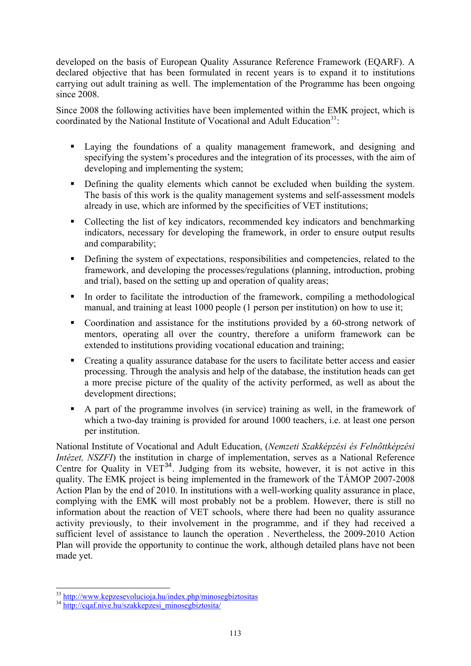<span id="page-112-0"></span>developed on the basis of European Quality Assurance Reference Framework (EQARF). A declared objective that has been formulated in recent years is to expand it to institutions carrying out adult training as well. The implementation of the Programme has been ongoing since 2008.

Since 2008 the following activities have been implemented within the EMK project, which is coordinated by the National Institute of Vocational and Adult Education<sup>[33](#page-112-0)</sup>:

- Laying the foundations of a quality management framework, and designing and specifying the system's procedures and the integration of its processes, with the aim of developing and implementing the system;
- Defining the quality elements which cannot be excluded when building the system. The basis of this work is the quality management systems and self-assessment models already in use, which are informed by the specificities of VET institutions;
- Collecting the list of key indicators, recommended key indicators and benchmarking indicators, necessary for developing the framework, in order to ensure output results and comparability;
- Defining the system of expectations, responsibilities and competencies, related to the framework, and developing the processes/regulations (planning, introduction, probing and trial), based on the setting up and operation of quality areas;
- In order to facilitate the introduction of the framework, compiling a methodological manual, and training at least 1000 people (1 person per institution) on how to use it;
- Coordination and assistance for the institutions provided by a 60-strong network of mentors, operating all over the country, therefore a uniform framework can be extended to institutions providing vocational education and training;
- Creating a quality assurance database for the users to facilitate better access and easier processing. Through the analysis and help of the database, the institution heads can get a more precise picture of the quality of the activity performed, as well as about the development directions;
- A part of the programme involves (in service) training as well, in the framework of which a two-day training is provided for around 1000 teachers, i.e. at least one person per institution.

National Institute of Vocational and Adult Education, (*Nemzeti Szakképzési és Felnőttképzési Intézet, NSZFI*) the institution in charge of implementation, serves as a National Reference Centre for Quality in  $VET^{34}$  $VET^{34}$  $VET^{34}$ . Judging from its website, however, it is not active in this quality. The EMK project is being implemented in the framework of the TÁMOP 2007-2008 Action Plan by the end of 2010. In institutions with a well-working quality assurance in place, complying with the EMK will most probably not be a problem. However, there is still no information about the reaction of VET schools, where there had been no quality assurance activity previously, to their involvement in the programme, and if they had received a sufficient level of assistance to launch the operation . Nevertheless, the 2009-2010 Action Plan will provide the opportunity to continue the work, although detailed plans have not been made yet.

-

<sup>&</sup>lt;sup>33</sup> <http://www.kepzesevolucioja.hu/index.php/minosegbiztositas> <br><sup>34</sup> [http://cqaf.nive.hu/szakkepzesi\\_minosegbiztosita/](http://cqaf.nive.hu/szakkepzesi_minosegbiztosita/)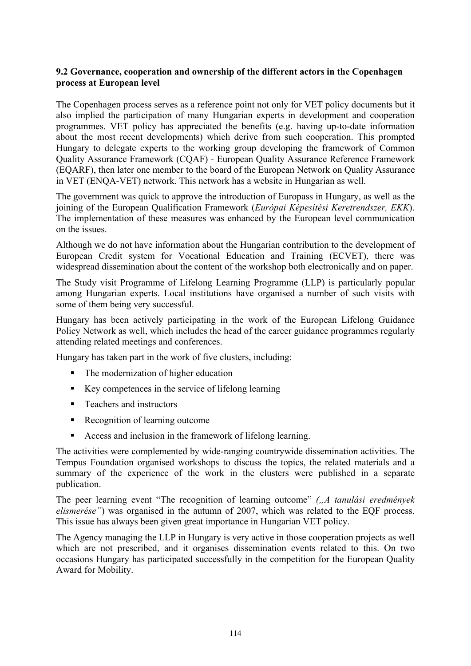## **9.2 Governance, cooperation and ownership of the different actors in the Copenhagen process at European level**

The Copenhagen process serves as a reference point not only for VET policy documents but it also implied the participation of many Hungarian experts in development and cooperation programmes. VET policy has appreciated the benefits (e.g. having up-to-date information about the most recent developments) which derive from such cooperation. This prompted Hungary to delegate experts to the working group developing the framework of Common Quality Assurance Framework (CQAF) - European Quality Assurance Reference Framework (EQARF), then later one member to the board of the European Network on Quality Assurance in VET (ENQA-VET) network. This network has a website in Hungarian as well.

The government was quick to approve the introduction of Europass in Hungary, as well as the joining of the European Qualification Framework (*Európai Képesítési Keretrendszer, EKK*). The implementation of these measures was enhanced by the European level communication on the issues.

Although we do not have information about the Hungarian contribution to the development of European Credit system for Vocational Education and Training (ECVET), there was widespread dissemination about the content of the workshop both electronically and on paper.

The Study visit Programme of Lifelong Learning Programme (LLP) is particularly popular among Hungarian experts. Local institutions have organised a number of such visits with some of them being very successful.

Hungary has been actively participating in the work of the European Lifelong Guidance Policy Network as well, which includes the head of the career guidance programmes regularly attending related meetings and conferences.

Hungary has taken part in the work of five clusters, including:

- The modernization of higher education
- Key competences in the service of lifelong learning
- Teachers and instructors
- Recognition of learning outcome
- Access and inclusion in the framework of lifelong learning.

The activities were complemented by wide-ranging countrywide dissemination activities. The Tempus Foundation organised workshops to discuss the topics, the related materials and a summary of the experience of the work in the clusters were published in a separate publication.

The peer learning event "The recognition of learning outcome" *("A tanulási eredmények elismerése"*) was organised in the autumn of 2007, which was related to the EQF process. This issue has always been given great importance in Hungarian VET policy.

The Agency managing the LLP in Hungary is very active in those cooperation projects as well which are not prescribed, and it organises dissemination events related to this. On two occasions Hungary has participated successfully in the competition for the European Quality Award for Mobility.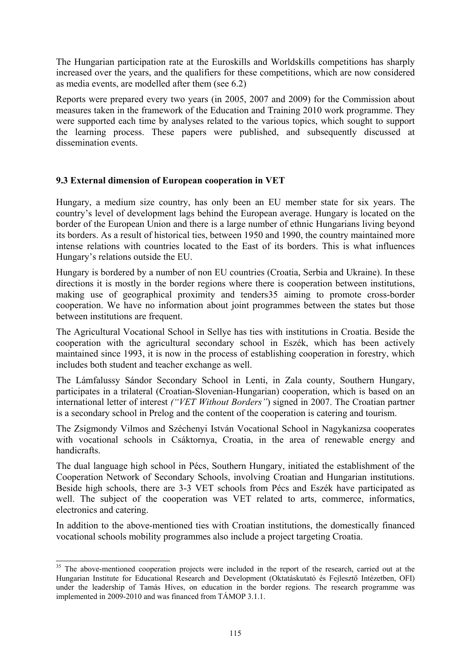<span id="page-114-0"></span>The Hungarian participation rate at the Euroskills and Worldskills competitions has sharply increased over the years, and the qualifiers for these competitions, which are now considered as media events, are modelled after them (see 6.2)

Reports were prepared every two years (in 2005, 2007 and 2009) for the Commission about measures taken in the framework of the Education and Training 2010 work programme. They were supported each time by analyses related to the various topics, which sought to support the learning process. These papers were published, and subsequently discussed at dissemination events.

## **9.3 External dimension of European cooperation in VET**

Hungary, a medium size country, has only been an EU member state for six years. The country's level of development lags behind the European average. Hungary is located on the border of the European Union and there is a large number of ethnic Hungarians living beyond its borders. As a result of historical ties, between 1950 and 1990, the country maintained more intense relations with countries located to the East of its borders. This is what influences Hungary's relations outside the EU.

Hungary is bordered by a number of non EU countries (Croatia, Serbia and Ukraine). In these directions it is mostly in the border regions where there is cooperation between institutions, making use of geographical proximity and tender[s35](#page-114-0) aiming to promote cross-border cooperation. We have no information about joint programmes between the states but those between institutions are frequent.

The Agricultural Vocational School in Sellye has ties with institutions in Croatia. Beside the cooperation with the agricultural secondary school in Eszék, which has been actively maintained since 1993, it is now in the process of establishing cooperation in forestry, which includes both student and teacher exchange as well.

The Lámfalussy Sándor Secondary School in Lenti, in Zala county, Southern Hungary, participates in a trilateral (Croatian-Slovenian-Hungarian) cooperation, which is based on an international letter of interest *("VET Without Borders"*) signed in 2007. The Croatian partner is a secondary school in Prelog and the content of the cooperation is catering and tourism.

The Zsigmondy Vilmos and Széchenyi István Vocational School in Nagykanizsa cooperates with vocational schools in Csáktornya, Croatia, in the area of renewable energy and handicrafts.

The dual language high school in Pécs, Southern Hungary, initiated the establishment of the Cooperation Network of Secondary Schools, involving Croatian and Hungarian institutions. Beside high schools, there are 3-3 VET schools from Pécs and Eszék have participated as well. The subject of the cooperation was VET related to arts, commerce, informatics, electronics and catering.

In addition to the above-mentioned ties with Croatian institutions, the domestically financed vocational schools mobility programmes also include a project targeting Croatia.

-

<sup>&</sup>lt;sup>35</sup> The above-mentioned cooperation projects were included in the report of the research, carried out at the Hungarian Institute for Educational Research and Development (Oktatáskutató és Fejlesztő Intézetben, OFI) under the leadership of Tamás Híves, on education in the border regions. The research programme was implemented in 2009-2010 and was financed from TÁMOP 3.1.1.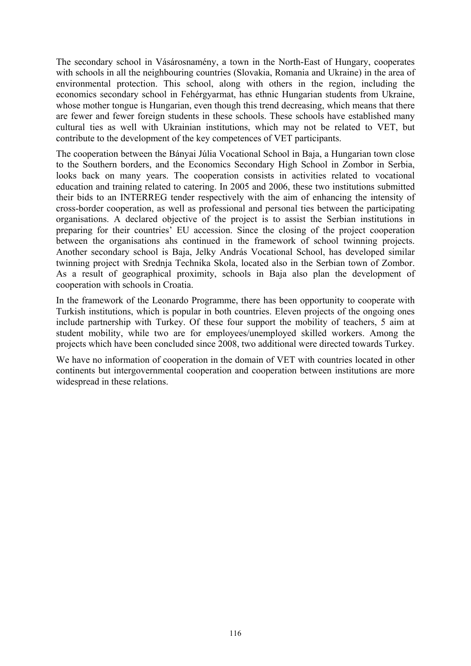The secondary school in Vásárosnamény, a town in the North-East of Hungary, cooperates with schools in all the neighbouring countries (Slovakia, Romania and Ukraine) in the area of environmental protection. This school, along with others in the region, including the economics secondary school in Fehérgyarmat, has ethnic Hungarian students from Ukraine, whose mother tongue is Hungarian, even though this trend decreasing, which means that there are fewer and fewer foreign students in these schools. These schools have established many cultural ties as well with Ukrainian institutions, which may not be related to VET, but contribute to the development of the key competences of VET participants.

The cooperation between the Bányai Júlia Vocational School in Baja, a Hungarian town close to the Southern borders, and the Economics Secondary High School in Zombor in Serbia, looks back on many years. The cooperation consists in activities related to vocational education and training related to catering. In 2005 and 2006, these two institutions submitted their bids to an INTERREG tender respectively with the aim of enhancing the intensity of cross-border cooperation, as well as professional and personal ties between the participating organisations. A declared objective of the project is to assist the Serbian institutions in preparing for their countries' EU accession. Since the closing of the project cooperation between the organisations ahs continued in the framework of school twinning projects. Another secondary school is Baja, Jelky András Vocational School, has developed similar twinning project with Srednja Technika Skola, located also in the Serbian town of Zombor. As a result of geographical proximity, schools in Baja also plan the development of cooperation with schools in Croatia.

In the framework of the Leonardo Programme, there has been opportunity to cooperate with Turkish institutions, which is popular in both countries. Eleven projects of the ongoing ones include partnership with Turkey. Of these four support the mobility of teachers, 5 aim at student mobility, while two are for employees/unemployed skilled workers. Among the projects which have been concluded since 2008, two additional were directed towards Turkey.

We have no information of cooperation in the domain of VET with countries located in other continents but intergovernmental cooperation and cooperation between institutions are more widespread in these relations.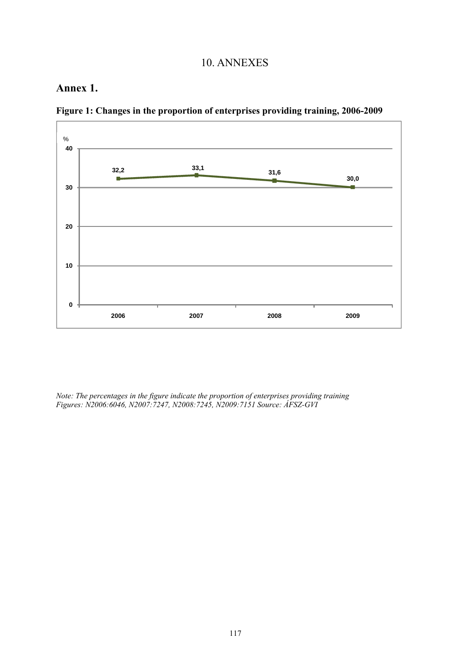## 10. ANNEXES

## **Annex 1.**



**Figure 1: Changes in the proportion of enterprises providing training, 2006-2009**

*Note: The percentages in the figure indicate the proportion of enterprises providing training Figures: N2006:6046, N2007:7247, N2008:7245, N2009:7151 Source: ÁFSZ-GVI*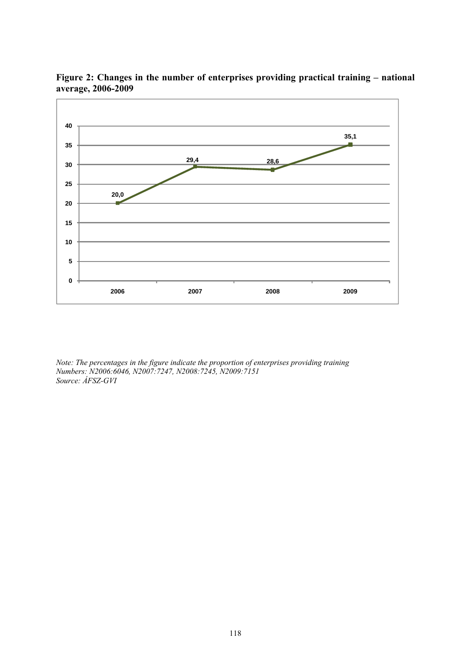

**Figure 2: Changes in the number of enterprises providing practical training – national average, 2006-2009** 

*Note: The percentages in the figure indicate the proportion of enterprises providing training Numbers: N2006:6046, N2007:7247, N2008:7245, N2009:7151 Source: ÁFSZ-GVI*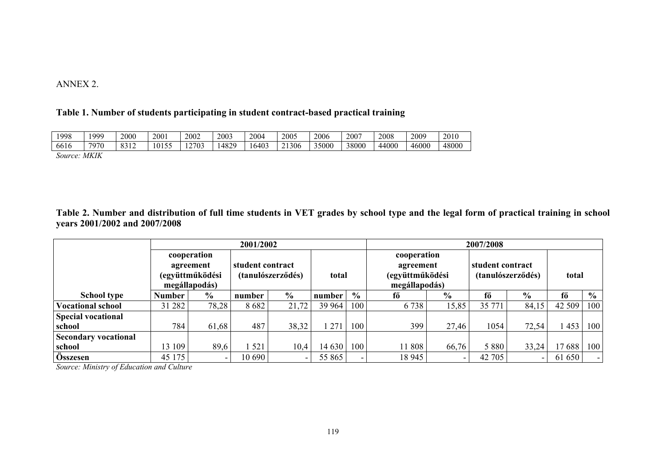#### ANNEX 2.

#### **Table 1. Number of students participating in student contract-based practical training**

| 1998                              | 999      | 2000                    | 2001          | 2002        | 2003        | 2004 | 2005                        | 2006  | 2007  | 2008  | 2009  | 2010  |
|-----------------------------------|----------|-------------------------|---------------|-------------|-------------|------|-----------------------------|-------|-------|-------|-------|-------|
| $\epsilon$ and $\epsilon$<br>0010 | 7070     | 0.312<br>$\overline{1}$ | $\cdots$<br>. | 2703<br>- - | 1870<br>ΓΟ∠ | 6403 | 306<br>$\sim$ 1<br><u>.</u> | 35000 | 38000 | 44000 | 46000 | 48000 |
| ∼                                 | , ,,,,,, |                         |               |             |             |      |                             |       |       |       |       |       |

*Source: MKIK* 

#### **Table 2. Number and distribution of full time students in VET grades by school type and the legal form of practical training in school years 2001/2002 and 2007/2008**

|                             | 2001/2002     |                 |                  |                   |        | 2007/2008     |                 |               |         |                          |        |               |
|-----------------------------|---------------|-----------------|------------------|-------------------|--------|---------------|-----------------|---------------|---------|--------------------------|--------|---------------|
|                             |               | cooperation     |                  |                   |        |               | cooperation     |               |         |                          |        |               |
|                             | agreement     |                 | student contract |                   |        |               |                 | agreement     |         | student contract         |        |               |
|                             |               | (együttműködési |                  | (tanulószerződés) | total  |               | (együttműködési |               |         | (tanulószerződés)        | total  |               |
|                             |               | megállapodás)   |                  |                   |        |               | megállapodás)   |               |         |                          |        |               |
| <b>School type</b>          | <b>Number</b> | $\frac{6}{10}$  | number           | $\frac{6}{9}$     | number | $\frac{0}{0}$ | fő              | $\frac{0}{0}$ | fő      | $\frac{0}{0}$            | fő     | $\frac{0}{0}$ |
| <b>Vocational school</b>    | 31 282        | 78,28           | 8682             | 21,72             | 39 964 | 100           | 6 7 3 8         | 15,85         | 35 771  | 84,15                    | 42 509 | 100           |
| <b>Special vocational</b>   |               |                 |                  |                   |        |               |                 |               |         |                          |        |               |
| school                      | 784           | 61,68           | 487              | 38,32             | 271    | 100           | 399             | 27,46         | 1054    | 72,54                    | 453    | 100           |
| <b>Secondary vocational</b> |               |                 |                  |                   |        |               |                 |               |         |                          |        |               |
| school                      | 13 109        | 89,6            | 521              | 10,4              | 14 630 | 100           | 11 808          | 66,76         | 5 8 8 0 | 33,24                    | 17688  | 100           |
| Összesen                    | 45 175        |                 | 10 690           | ۰                 | 55 865 |               | 18 9 45         |               | 42 705  | $\overline{\phantom{a}}$ | 61 650 |               |

*Source: Ministry of Education and Culture*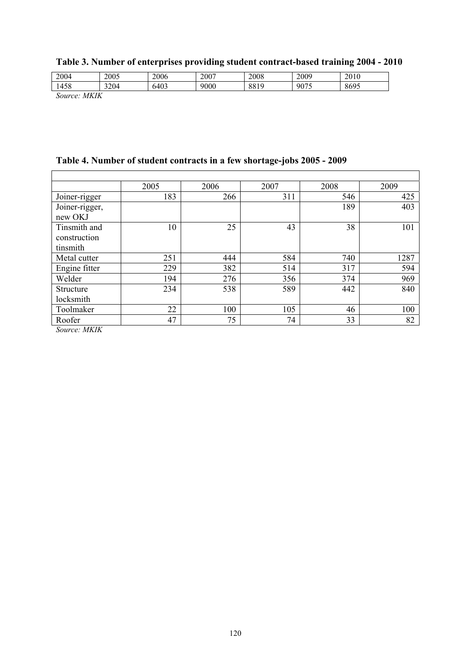|  | Table 3. Number of enterprises providing student contract-based training 2004 - 2010 |  |  |  |
|--|--------------------------------------------------------------------------------------|--|--|--|
|--|--------------------------------------------------------------------------------------|--|--|--|

| 2004   | 2005 | 2006 | 2007 | 2008 | 2009 | 2010 |
|--------|------|------|------|------|------|------|
| 1458   | 3204 | 6403 | 9000 | 8819 | 9075 | 8695 |
| 7.1111 |      |      |      |      |      |      |

*Source: MKIK* 

 $\mathbf{r}$ 

# **Table 4. Number of student contracts in a few shortage-jobs 2005 - 2009**

|                          | 2005 | 2006 | 2007 | 2008 | 2009 |
|--------------------------|------|------|------|------|------|
| Joiner-rigger            | 183  | 266  | 311  | 546  | 425  |
| Joiner-rigger,           |      |      |      | 189  | 403  |
| new OKJ                  |      |      |      |      |      |
| Tinsmith and             | 10   | 25   | 43   | 38   | 101  |
| construction             |      |      |      |      |      |
| tinsmith                 |      |      |      |      |      |
| Metal cutter             | 251  | 444  | 584  | 740  | 1287 |
| Engine fitter            | 229  | 382  | 514  | 317  | 594  |
| Welder                   | 194  | 276  | 356  | 374  | 969  |
| Structure                | 234  | 538  | 589  | 442  | 840  |
| locksmith                |      |      |      |      |      |
| Toolmaker                | 22   | 100  | 105  | 46   | 100  |
| Roofer                   | 47   | 75   | 74   | 33   | 82   |
| $C_1, \ldots, C_n$ MIVIV |      |      |      |      |      |

7

*Source: MKIK*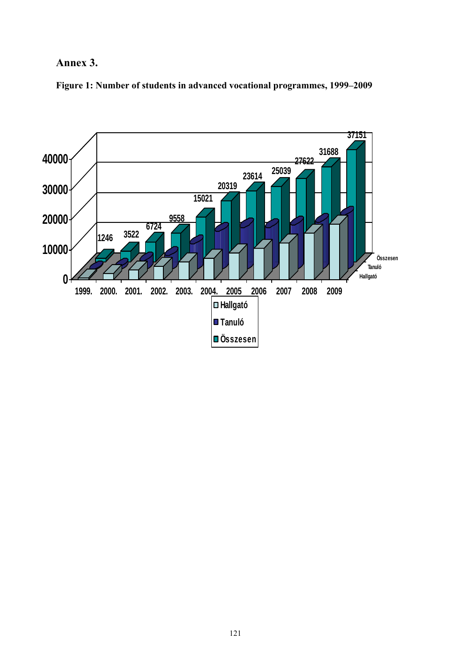# **Annex 3.**

**Figure 1: Number of students in advanced vocational programmes, 1999–2009** 

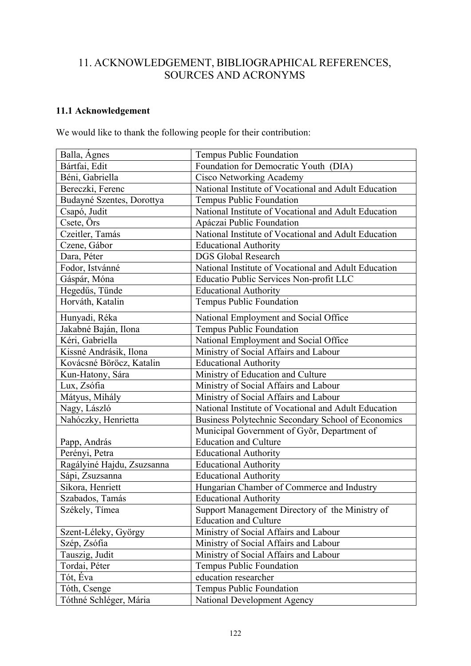## 11. ACKNOWLEDGEMENT, BIBLIOGRAPHICAL REFERENCES, SOURCES AND ACRONYMS

## **11.1 Acknowledgement**

We would like to thank the following people for their contribution:

| Balla, Ágnes               | Tempus Public Foundation                             |
|----------------------------|------------------------------------------------------|
| Bártfai, Edit              | Foundation for Democratic Youth (DIA)                |
| Béni, Gabriella            | <b>Cisco Networking Academy</b>                      |
| Bereczki, Ferenc           | National Institute of Vocational and Adult Education |
| Budayné Szentes, Dorottya  | Tempus Public Foundation                             |
| Csapó, Judit               | National Institute of Vocational and Adult Education |
| Csete, Örs                 | Apáczai Public Foundation                            |
| Czeitler, Tamás            | National Institute of Vocational and Adult Education |
| Czene, Gábor               | <b>Educational Authority</b>                         |
| Dara, Péter                | <b>DGS Global Research</b>                           |
| Fodor, Istvánné            | National Institute of Vocational and Adult Education |
| Gáspár, Móna               | Educatio Public Services Non-profit LLC              |
| Hegedűs, Tünde             | <b>Educational Authority</b>                         |
| Horváth, Katalin           | Tempus Public Foundation                             |
| Hunyadi, Réka              | National Employment and Social Office                |
| Jakabné Baján, Ilona       | Tempus Public Foundation                             |
| Kéri, Gabriella            | National Employment and Social Office                |
| Kissné Andrásik, Ilona     | Ministry of Social Affairs and Labour                |
| Kovácsné Böröcz, Katalin   | <b>Educational Authority</b>                         |
| Kun-Hatony, Sára           | Ministry of Education and Culture                    |
| Lux, Zsófia                | Ministry of Social Affairs and Labour                |
| Mátyus, Mihály             | Ministry of Social Affairs and Labour                |
| Nagy, László               | National Institute of Vocational and Adult Education |
| Nahóczky, Henrietta        | Business Polytechnic Secondary School of Economics   |
|                            | Municipal Government of Győr, Department of          |
| Papp, András               | <b>Education and Culture</b>                         |
| Perényi, Petra             | <b>Educational Authority</b>                         |
| Ragályiné Hajdu, Zsuzsanna | <b>Educational Authority</b>                         |
| Sápi, Zsuzsanna            | <b>Educational Authority</b>                         |
| Sikora, Henriett           | Hungarian Chamber of Commerce and Industry           |
| Szabados, Tamás            | <b>Educational Authority</b>                         |
| Székely, Tímea             | Support Management Directory of the Ministry of      |
|                            | <b>Education and Culture</b>                         |
| Szent-Léleky, György       | Ministry of Social Affairs and Labour                |
| Szép, Zsófia               | Ministry of Social Affairs and Labour                |
| Tauszig, Judit             | Ministry of Social Affairs and Labour                |
| Tordai, Péter              | Tempus Public Foundation                             |
| Tót, Éva                   | education researcher                                 |
| Tóth, Csenge               | Tempus Public Foundation                             |
| Tóthné Schléger, Mária     | National Development Agency                          |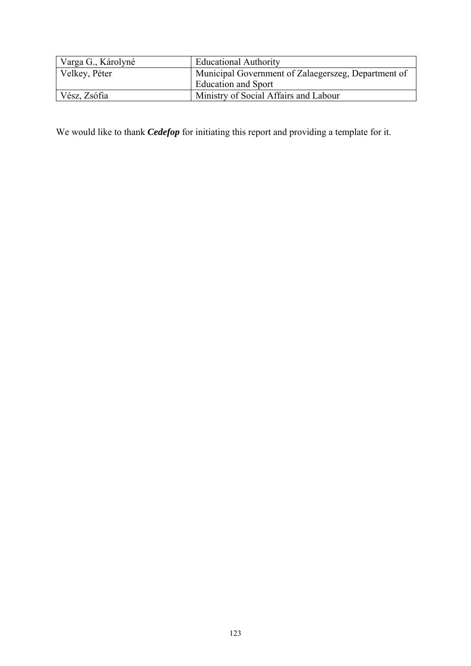| Varga G., Károlyné | <b>Educational Authority</b>                        |
|--------------------|-----------------------------------------------------|
| Velkey, Péter      | Municipal Government of Zalaegerszeg, Department of |
|                    | <b>Education and Sport</b>                          |
| Vész, Zsófia       | Ministry of Social Affairs and Labour               |

We would like to thank *Cedefop* for initiating this report and providing a template for it.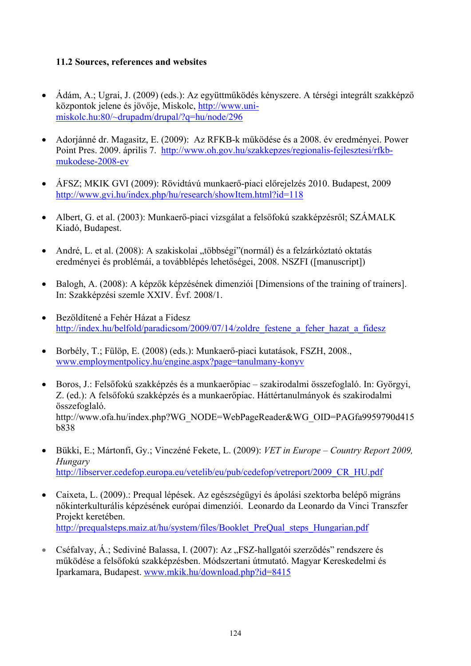## **11.2 Sources, references and websites**

- Ádám, A.; Ugrai, J. (2009) (eds.): Az együttműködés kényszere. A térségi integrált szakképző központok jelene és jövője, Miskolc, [http://www.uni](http://www.uni-miskolc.hu/%7Edrupadm/drupal/?q=hu/node/296)[miskolc.hu:80/~drupadm/drupal/?q=hu/node/296](http://www.uni-miskolc.hu/%7Edrupadm/drupal/?q=hu/node/296)
- Adorjánné dr. Magasitz, E. (2009): Az RFKB-k működése és a 2008. év eredményei. Power Point Pres. 2009. április 7. [http://www.oh.gov.hu/szakkepzes/regionalis-fejlesztesi/rfkb](http://www.oh.gov.hu/szakkepzes/regionalis-fejlesztesi/rfkb-mukodese-2008-ev)[mukodese-2008-ev](http://www.oh.gov.hu/szakkepzes/regionalis-fejlesztesi/rfkb-mukodese-2008-ev)
- ÁFSZ; MKIK GVI (2009): Rövidtávú munkaerő-piaci előrejelzés 2010. Budapest, 2009 <http://www.gvi.hu/index.php/hu/research/showItem.html?id=118>
- Albert, G. et al. (2003): Munkaerő-piaci vizsgálat a felsőfokú szakképzésről; SZÁMALK Kiadó, Budapest.
- André, L. et al. (2008): A szakiskolai "többségi"(normál) és a felzárkóztató oktatás eredményei és problémái, a továbblépés lehetőségei, 2008. NSZFI ([manuscript])
- Balogh, A. (2008): A képzők képzésének dimenziói [Dimensions of the training of trainers]. In: Szakképzési szemle XXIV. Évf. 2008/1.
- Bezöldítené a Fehér Házat a Fidesz http://index.hu/belfold/paradicsom/2009/07/14/zoldre festene a feher hazat a fidesz
- Borbély, T.; Fülöp, E. (2008) (eds.): Munkaerő-piaci kutatások, FSZH, 2008., [www.employmentpolicy.hu/engine.aspx?page=tanulmany-konyv](http://www.employmentpolicy.hu/engine.aspx?page=tanulmany-konyv)
- Boros, J.: Felsőfokú szakképzés és a munkaerőpiac szakirodalmi összefoglaló. In: Györgyi, Z. (ed.): A felsőfokú szakképzés és a munkaerőpiac. Háttértanulmányok és szakirodalmi összefoglaló. [http://www.ofa.hu/index.php?WG\\_NODE=WebPageReader&WG\\_OID=PAGfa9959790d415](http://www.ofa.hu/index.php?WG_NODE=WebPageReader&WG_OID=PAGfa9959790d415b838) [b838](http://www.ofa.hu/index.php?WG_NODE=WebPageReader&WG_OID=PAGfa9959790d415b838)
- Bükki, E.; Mártonfi, Gy.; Vinczéné Fekete, L. (2009): *VET in Europe Country Report 2009, Hungary* [http://libserver.cedefop.europa.eu/vetelib/eu/pub/cedefop/vetreport/2009\\_CR\\_HU.pdf](http://libserver.cedefop.europa.eu/vetelib/eu/pub/cedefop/vetreport/2009_CR_HU.pdf)
- Caixeta, L. (2009).: Prequal lépések. Az egészségügyi és ápolási szektorba belépő migráns nőkinterkulturális képzésének európai dimenziói. Leonardo da Leonardo da Vinci Transzfer Projekt keretében. [http://prequalsteps.maiz.at/hu/system/files/Booklet\\_PreQual\\_steps\\_Hungarian.pdf](http://prequalsteps.maiz.at/hu/system/files/Booklet_PreQual_steps_Hungarian.pdf)
- Cséfalvay, Á.; Sediviné Balassa, I. (2007): Az "FSZ-hallgatói szerződés" rendszere és működése a felsőfokú szakképzésben. Módszertani útmutató. Magyar Kereskedelmi és Iparkamara, Budapest. [www.mkik.hu/download.php?id=8415](http://www.mkik.hu/download.php?id=8415)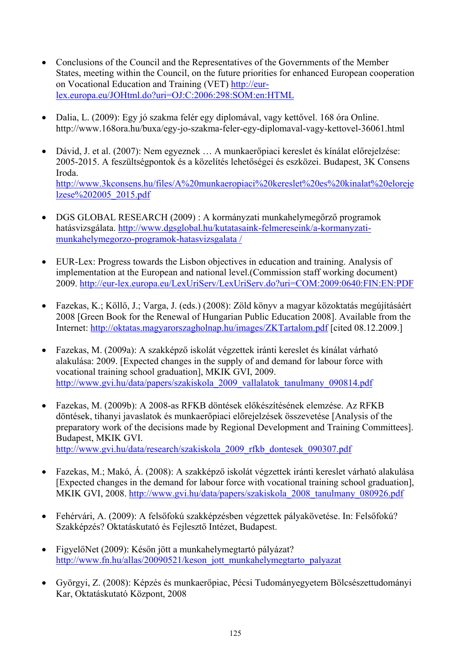- Conclusions of the Council and the Representatives of the Governments of the Member States, meeting within the Council, on the future priorities for enhanced European cooperation on Vocational Education and Training (VET) [http://eur](http://eur-lex.europa.eu/JOHtml.do?uri=OJ:C:2006:298:SOM:en:HTML)[lex.europa.eu/JOHtml.do?uri=OJ:C:2006:298:SOM:en:HTML](http://eur-lex.europa.eu/JOHtml.do?uri=OJ:C:2006:298:SOM:en:HTML)
- [Dalia, L](http://www.168ora.hu/popup/?country=&type=send_author&itmtype=article&itmid=36061). (2009): Egy jó szakma felér egy diplomával, vagy kettővel. 168 óra Online. <http://www.168ora.hu/buxa/egy-jo-szakma-feler-egy-diplomaval-vagy-kettovel-36061.html>
- Dávid, J. et al. (2007): Nem egyeznek … A munkaerőpiaci kereslet és kínálat előrejelzése: 2005-2015. A feszültségpontok és a közelítés lehetőségei és eszközei. Budapest, 3K Consens Iroda. [http://www.3kconsens.hu/files/A%20munkaeropiaci%20kereslet%20es%20kinalat%20eloreje](http://www.3kconsens.hu/files/A%20munkaeropiaci%20kereslet%20es%20kinalat%20elorejelzese%202005_2015.pdf) [lzese%202005\\_2015.pdf](http://www.3kconsens.hu/files/A%20munkaeropiaci%20kereslet%20es%20kinalat%20elorejelzese%202005_2015.pdf)
- DGS GLOBAL RESEARCH (2009) : A kormányzati munkahelymegőrző programok hatásvizsgálata. [http://www.dgsglobal.hu/kutatasaink-felmereseink/a-kormanyzati](http://www.dgsglobal.hu/kutatasaink-felmereseink/a-kormanyzati-munkahelymegorzo-programok-hatasvizsgalata%20/)[munkahelymegorzo-programok-hatasvizsgalata /](http://www.dgsglobal.hu/kutatasaink-felmereseink/a-kormanyzati-munkahelymegorzo-programok-hatasvizsgalata%20/)
- EUR-Lex: Progress towards the Lisbon objectives in education and training. Analysis of implementation at the European and national level.(Commission staff working document) 2009. <http://eur-lex.europa.eu/LexUriServ/LexUriServ.do?uri=COM:2009:0640:FIN:EN:PDF>
- Fazekas, K.; Köllő, J.; Varga, J. (eds.) (2008): Zöld könyv a magyar közoktatás megújításáért 2008 [Green Book for the Renewal of Hungarian Public Education 2008]. Available from the Internet:<http://oktatas.magyarorszagholnap.hu/images/ZKTartalom.pdf>[cited 08.12.2009.]
- Fazekas, M. (2009a): A szakképző iskolát végzettek iránti kereslet és kínálat várható alakulása: 2009. [Expected changes in the supply of and demand for labour force with vocational training school graduation], MKIK GVI, 2009. [http://www.gvi.hu/data/papers/szakiskola\\_2009\\_vallalatok\\_tanulmany\\_090814.pdf](http://www.gvi.hu/data/papers/szakiskola_2009_vallalatok_tanulmany_090814.pdf)
- Fazekas, M. (2009b): A 2008-as RFKB döntések előkészítésének elemzése. Az RFKB döntések, tihanyi javaslatok és munkaerőpiaci előrejelzések összevetése [Analysis of the preparatory work of the decisions made by Regional Development and Training Committees]. Budapest, MKIK GVI. [http://www.gvi.hu/data/research/szakiskola\\_2009\\_rfkb\\_dontesek\\_090307.pdf](http://www.gvi.hu/data/research/szakiskola_2009_rfkb_dontesek_090307.pdf)
- 
- Fazekas, M.; Makó, Á. (2008): A szakképző iskolát végzettek iránti kereslet várható alakulása [Expected changes in the demand for labour force with vocational training school graduation], MKIK GVI, 2008. [http://www.gvi.hu/data/papers/szakiskola\\_2008\\_tanulmany\\_080926.pdf](http://www.gvi.hu/data/papers/szakiskola_2008_tanulmany_080926.pdf)
- Fehérvári, A. (2009): A felsőfokú szakképzésben végzettek pályakövetése. In: Felsőfokú? Szakképzés? Oktatáskutató és Fejlesztő Intézet, Budapest.
- FigyelőNet (2009): Későn jött a munkahelymegtartó pályázat? [http://www.fn.hu/allas/20090521/keson\\_jott\\_munkahelymegtarto\\_palyazat](http://www.fn.hu/allas/20090521/keson_jott_munkahelymegtarto_palyazat)
- Györgyi, Z. (2008): Képzés és munkaerőpiac, Pécsi Tudományegyetem Bölcsészettudományi Kar, Oktatáskutató Központ, 2008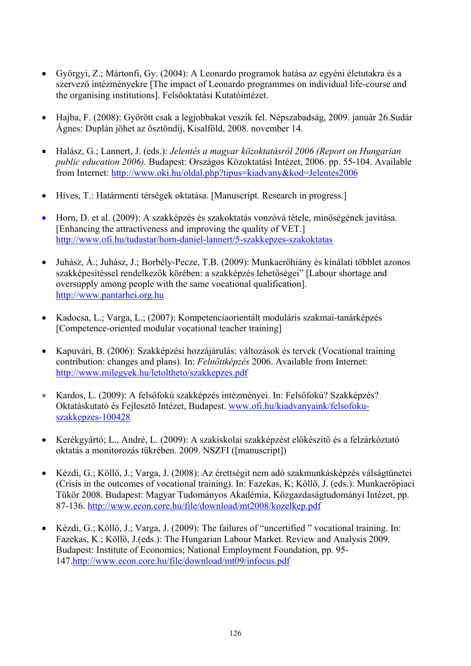- Györgyi, Z.; Mártonfi, Gy. (2004): A Leonardo programok hatása az egyéni életutakra és a szervező intézményekre [The impact of Leonardo programmes on individual life-course and the organising institutions]. Felsőoktatási Kutatóintézet.
- Hajba, F. (2008): Győrött csak a legjobbakat veszik fel. Népszabadság, 2009. január 26.Sudár Ágnes: Duplán jöhet az ösztöndíj, Kisalföld, 2008. november 14.
- Halász, G.; Lannert, J. (eds.): *Jelentés a magyar közoktatásról 2006 (Report on Hungarian public education 2006).* Budapest: Országos Közoktatási Intézet, 2006. pp. 55-104. Available from Internet: <http://www.oki.hu/oldal.php?tipus=kiadvany&kod=Jelentes2006>
- Híves, T.: Határmenti térségek oktatása. [Manuscript. Research in progress.]
- Horn, D. et al. (2009): A szakképzés és szakoktatás vonzóvá tétele, minőségének javítása. [Enhancing the attractiveness and improving the quality of VET.] <http://www.ofi.hu/tudastar/horn-daniel-lannert/5-szakkepzes-szakoktatas>
- Juhász, Á.; Juhász, J.; Borbély-Pecze, T.B. (2009): Munkaerőhiány és kínálati többlet azonos szakképesítéssel rendelkezők körében: a szakképzés lehetőségei" [Labour shortage and oversupply among people with the same vocational qualification]. [http://www.pantarhei.org.hu](http://www.pantarhei.org.hu/)
- Kadocsa, L.; Varga, L.; (2007): Kompetenciaorientált moduláris szakmai-tanárképzés [Competence-oriented modular vocational teacher training]
- Kapuvári, B. (2006): Szakképzési hozzájárulás: változások és tervek (Vocational training contribution: changes and plans). In: *Felnőttképzés* 2006. Available from Internet: <http://www.milegyek.hu/letoltheto/szakkepzes.pdf>
- Kardos, L. (2009): A felsőfokú szakképzés intézményei. In: Felsőfokú? Szakképzés? Oktatáskutató és Fejlesztő Intézet, Budapest. [www.ofi.hu/kiadvanyaink/felsofoku](http://www.ofi.hu/kiadvanyaink/felsofoku-szakkepzes-100428)[szakkepzes-100428](http://www.ofi.hu/kiadvanyaink/felsofoku-szakkepzes-100428)
- Kerékgyártó; L., André, L. (2009): A szakiskolai szakképzést előkészítő és a felzárkóztató oktatás a monitorozás tükrében. 2009. NSZFI ([manuscript])
- Kézdi, G.; Köllő, J.; Varga, J. (2008): Az érettségit nem adó szakmunkásképzés válságtünetei (Crisis in the outcomes of vocational training). In: Fazekas, K; Köllő, J. (eds.): Munkaerőpiaci Tükör 2008. Budapest: Magyar Tudományos Akadémia, Közgazdaságtudományi Intézet, pp. 87-136. <http://www.econ.core.hu/file/download/mt2008/kozelkep.pdf>
- Kézdi, G.; Köllő, J.; Varga, J. (2009): The failures of "uncertified " vocational training. In: Fazekas, K.; Köllő, J.(eds.): The Hungarian Labour Market. Review and Analysis 2009. Budapest: Institute of Economics; National Employment Foundation, pp. 95- 147.<http://www.econ.core.hu/file/download/mt09/infocus.pdf>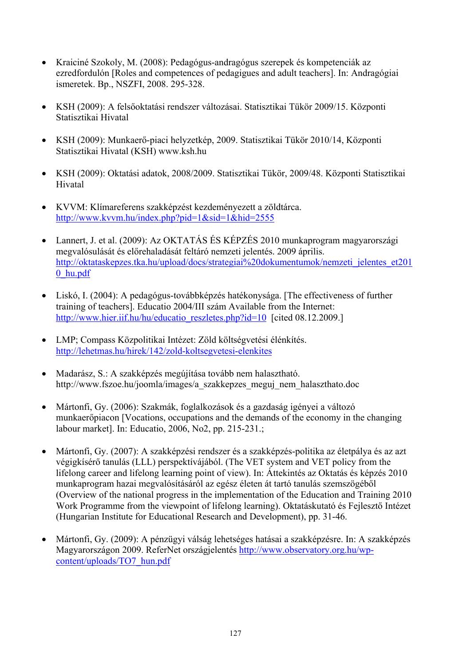- Kraiciné Szokoly, M. (2008): Pedagógus-andragógus szerepek és kompetenciák az ezredfordulón [Roles and competences of pedagigues and adult teachers]. In: Andragógiai ismeretek. Bp., NSZFI, 2008. 295-328.
- KSH (2009): A felsőoktatási rendszer változásai. Statisztikai Tükör 2009/15. Központi Statisztikai Hivatal
- KSH (2009): Munkaerő-piaci helyzetkép, 2009. Statisztikai Tükör 2010/14, Központi Statisztikai Hivatal (KSH) [www.ksh.hu](http://www.ksh.hu/)
- KSH (2009): Oktatási adatok, 2008/2009. Statisztikai Tükör, 2009/48. Központi Statisztikai Hivatal
- KVVM: Klímareferens szakképzést kezdeményezett a zöldtárca. <http://www.kvvm.hu/index.php?pid=1&sid=1&hid=2555>
- Lannert, J. et al. (2009): Az OKTATÁS ÉS KÉPZÉS 2010 munkaprogram magyarországi megvalósulását és előrehaladását feltáró nemzeti jelentés. 2009 április. [http://oktataskepzes.tka.hu/upload/docs/strategiai%20dokumentumok/nemzeti\\_jelentes\\_et201](http://oktataskepzes.tka.hu/upload/docs/strategiai%20dokumentumok/nemzeti_jelentes_et2010_hu.pdf) [0\\_hu.pdf](http://oktataskepzes.tka.hu/upload/docs/strategiai%20dokumentumok/nemzeti_jelentes_et2010_hu.pdf)
- [Liskó, I. \(2004\): A pedagógus-továbbképzés hatékonysága](http://www.hier.iif.hu/hu/letoltes.php?fid=tartalomsor/963). [The effectiveness of further training of teachers]. Educatio 2004/III szám Available from the Internet: [http://www.hier.iif.hu/hu/educatio\\_reszletes.php?id=10](http://www.hier.iif.hu/hu/educatio_reszletes.php?id=10) [cited 08.12.2009.]
- LMP; Compass Közpolitikai Intézet: Zöld költségvetési élénkítés. <http://lehetmas.hu/hirek/142/zold-koltsegvetesi-elenkites>
- Madarász, S.: A szakképzés megújítása tovább nem halasztható. [http://www.fszoe.hu/joomla/images/a\\_szakkepzes\\_meguj\\_nem\\_halaszthato.doc](http://www.fszoe.hu/joomla/images/a_szakkepzes_meguj_nem_halaszthato.doc)
- Mártonfi, Gy. (2006): Szakmák, foglalkozások és a gazdaság igényei a változó munkaerőpiacon [Vocations, occupations and the demands of the economy in the changing labour market]. In: Educatio, 2006, No2, pp. 215-231.;
- Mártonfi, Gy. (2007): A szakképzési rendszer és a szakképzés-politika az életpálya és az azt végigkísérő tanulás (LLL) perspektívájából. (The VET system and VET policy from the lifelong career and lifelong learning point of view). In: Áttekintés az Oktatás és képzés 2010 munkaprogram hazai megvalósításáról az egész életen át tartó tanulás szemszögéből (Overview of the national progress in the implementation of the Education and Training 2010 Work Programme from the viewpoint of lifelong learning). Oktatáskutató és Fejlesztő Intézet (Hungarian Institute for Educational Research and Development), pp. 31-46.
- Mártonfi, Gy. (2009): A pénzügyi válság lehetséges hatásai a szakképzésre. In: A szakképzés Magyarországon 2009. ReferNet országjelentés [http://www.observatory.org.hu/wp](http://www.observatory.org.hu/wp-content/uploads/TO7_hun.pdf)[content/uploads/TO7\\_hun.pdf](http://www.observatory.org.hu/wp-content/uploads/TO7_hun.pdf)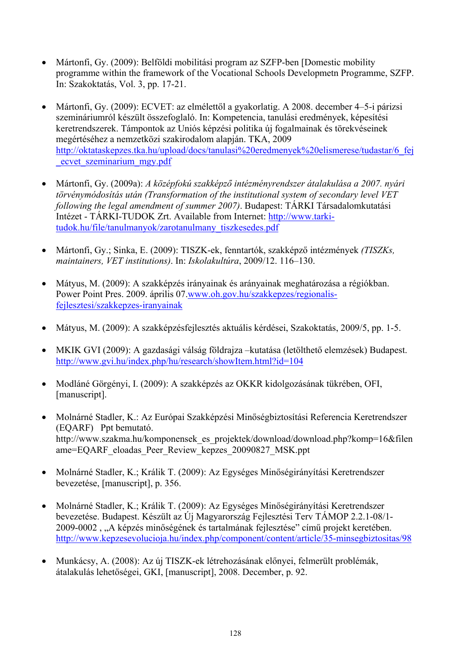- Mártonfi, Gy. (2009): Belföldi mobilitási program az SZFP-ben [Domestic mobility programme within the framework of the Vocational Schools Developmetn Programme, SZFP. In: Szakoktatás, Vol. 3, pp. 17-21.
- Mártonfi, Gy. (2009): ECVET: az elmélettől a gyakorlatig. A 2008. december 4–5-i párizsi szemináriumról készült összefoglaló. In: Kompetencia, tanulási eredmények, képesítési keretrendszerek. Támpontok az Uniós képzési politika új fogalmainak és törekvéseinek megértéséhez a nemzetközi szakirodalom alapján. TKA, 2009 [http://oktataskepzes.tka.hu/upload/docs/tanulasi%20eredmenyek%20elismerese/tudastar/6\\_fej](http://oktataskepzes.tka.hu/upload/docs/tanulasi%20eredmenyek%20elismerese/tudastar/6_fej_ecvet_szeminarium_mgy.pdf) [\\_ecvet\\_szeminarium\\_mgy.pdf](http://oktataskepzes.tka.hu/upload/docs/tanulasi%20eredmenyek%20elismerese/tudastar/6_fej_ecvet_szeminarium_mgy.pdf)
- Mártonfi, Gy. (2009a): *A középfokú szakképző intézményrendszer átalakulása a 2007. nyári törvénymódosítás után (Transformation of the institutional system of secondary level VET following the legal amendment of summer 2007)*. Budapest: TÁRKI Társadalomkutatási Intézet - TÁRKI-TUDOK Zrt. Available from Internet: [http://www.tarki](http://www.tarki-tudok.hu/file/tanulmanyok/zarotanulmany_tiszkesedes.pdf)[tudok.hu/file/tanulmanyok/zarotanulmany\\_tiszkesedes.pdf](http://www.tarki-tudok.hu/file/tanulmanyok/zarotanulmany_tiszkesedes.pdf)
- Mártonfi, Gy.; Sinka, E. (2009): TISZK-ek, fenntartók, szakképző intézmények *(TISZKs, maintainers, VET institutions)*. In: *Iskolakultúra*, 2009/12. 116–130.
- Mátyus, M. (2009): A szakképzés irányainak és arányainak meghatározása a régiókban. Power Point Pres. 2009. április 07[.www.oh.gov.hu/szakkepzes/regionalis](http://www.oh.gov.hu/szakkepzes/regionalis-fejlesztesi/szakkepzes-iranyainak)[fejlesztesi/szakkepzes-iranyainak](http://www.oh.gov.hu/szakkepzes/regionalis-fejlesztesi/szakkepzes-iranyainak)
- Mátyus, M. (2009): A szakképzésfejlesztés aktuális kérdései, Szakoktatás, 2009/5, pp. 1-5.
- MKIK GVI (2009): A gazdasági válság földrajza –kutatása (letölthető elemzések) Budapest. <http://www.gvi.hu/index.php/hu/research/showItem.html?id=104>
- Modláné Görgényi, I. (2009): A szakképzés az OKKR kidolgozásának tükrében, OFI, [manuscript].
- Molnárné Stadler, K.: Az Európai Szakképzési Minőségbiztosítási Referencia Keretrendszer (EQARF) Ppt bemutató. [http://www.szakma.hu/komponensek\\_es\\_projektek/download/download.php?komp=16&filen](http://www.szakma.hu/komponensek_es_projektek/download/download.php?komp=16&filename=EQARF_eloadas_Peer_Review_kepzes_20090827_MSK.ppt) ame=EQARF\_eloadas\_Peer\_Review\_kepzes\_20090827\_MSK.ppt
- Molnárné Stadler, K.; Králik T. (2009): Az Egységes Minőségirányítási Keretrendszer bevezetése, [manuscript], p. 356.
- Molnárné Stadler, K.; Králik T. (2009): Az Egységes Minőségirányítási Keretrendszer bevezetése. Budapest. Készült az Új Magyarország Fejlesztési Terv TÁMOP 2.2.1-08/1- 2009-0002 , "A képzés minőségének és tartalmának fejlesztése" című projekt keretében. <http://www.kepzesevolucioja.hu/index.php/component/content/article/35-minsegbiztositas/98>
- Munkácsy, A. (2008): Az új TISZK-ek létrehozásának előnyei, felmerült problémák, átalakulás lehetőségei, GKI, [manuscript], 2008. December, p. 92.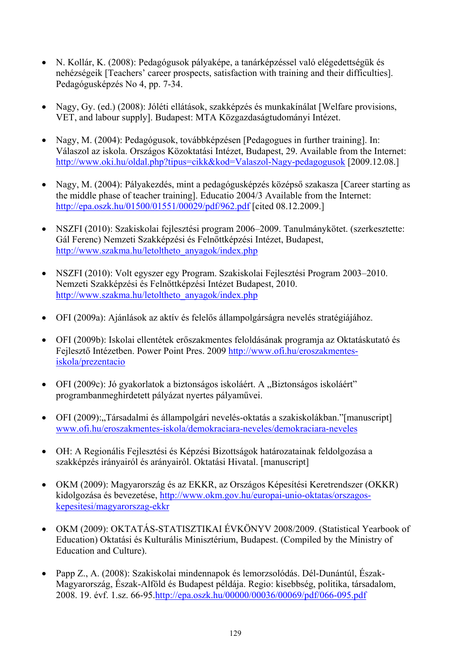- N. Kollár, K. (2008): Pedagógusok pályaképe, a tanárképzéssel való elégedettségük és nehézségeik [Teachers' career prospects, satisfaction with training and their difficulties]. Pedagógusképzés No 4, pp. 7-34.
- Nagy, Gy. (ed.) (2008): Jóléti ellátások, szakképzés és munkakínálat [Welfare provisions, VET, and labour supply]. Budapest: MTA Közgazdaságtudományi Intézet.
- Nagy, M. (2004): Pedagógusok, továbbképzésen [Pedagogues in further training]. In: Válaszol az iskola. Országos Közoktatási Intézet, Budapest, 29. Available from the Internet: <http://www.oki.hu/oldal.php?tipus=cikk&kod=Valaszol-Nagy-pedagogusok>[2009.12.08.]
- Nagy, M. (2004): Pályakezdés, mint a pedagógusképzés középső szakasza [Career starting as the middle phase of teacher training]. Educatio 2004/3 Available from the Internet: <http://epa.oszk.hu/01500/01551/00029/pdf/962.pdf>[cited 08.12.2009.]
- NSZFI (2010): Szakiskolai fejlesztési program 2006–2009. Tanulmánykötet. (szerkesztette: Gál Ferenc) Nemzeti Szakképzési és Felnőttképzési Intézet, Budapest, [http://www.szakma.hu/letoltheto\\_anyagok/index.php](http://www.szakma.hu/letoltheto_anyagok/index.php)
- NSZFI (2010): Volt egyszer egy Program. Szakiskolai Fejlesztési Program 2003–2010. Nemzeti Szakképzési és Felnőttképzési Intézet Budapest, 2010. [http://www.szakma.hu/letoltheto\\_anyagok/index.php](http://www.szakma.hu/letoltheto_anyagok/index.php)
- OFI (2009a): Ajánlások az aktív és felelős állampolgárságra nevelés stratégiájához.
- OFI (2009b): Iskolai ellentétek erőszakmentes feloldásának programja az Oktatáskutató és Fejlesztő Intézetben. Power Point Pres. 2009 [http://www.ofi.hu/eroszakmentes](http://www.ofi.hu/eroszakmentes-iskola/prezentacio)[iskola/prezentacio](http://www.ofi.hu/eroszakmentes-iskola/prezentacio)
- OFI (2009c): Jó gyakorlatok a biztonságos iskoláért. A "Biztonságos iskoláért" programbanmeghirdetett pályázat nyertes pályaművei.
- OFI (2009): "Társadalmi és állampolgári nevelés-oktatás a szakiskolákban."[manuscript] [www.ofi.hu/eroszakmentes-iskola/demokraciara-neveles/demokraciara-neveles](http://www.ofi.hu/eroszakmentes-iskola/demokraciara-neveles/demokraciara-neveles)
- OH: A Regionális Fejlesztési és Képzési Bizottságok határozatainak feldolgozása a szakképzés irányairól és arányairól. Oktatási Hivatal. [manuscript]
- OKM (2009): Magyarország és az EKKR, az Országos Képesítési Keretrendszer (OKKR) kidolgozása és bevezetése, [http://www.okm.gov.hu/europai-unio-oktatas/orszagos](http://www.okm.gov.hu/europai-unio-oktatas/orszagos-kepesitesi/magyarorszag-ekkr)[kepesitesi/magyarorszag-ekkr](http://www.okm.gov.hu/europai-unio-oktatas/orszagos-kepesitesi/magyarorszag-ekkr)
- OKM (2009): OKTATÁS-STATISZTIKAI ÉVKÖNYV 2008/2009. (Statistical Yearbook of Education) Oktatási és Kulturális Minisztérium, Budapest. (Compiled by the Ministry of Education and Culture).
- Papp Z., A. (2008): Szakiskolai mindennapok és lemorzsolódás. Dél-Dunántúl, Észak-Magyarország, Észak-Alföld és Budapest példája. Regio: kisebbség, politika, társadalom, 2008. 19. évf. 1.sz. 66-95[.http://epa.oszk.hu/00000/00036/00069/pdf/066-095.pdf](http://epa.oszk.hu/00000/00036/00069/pdf/066-095.pdf)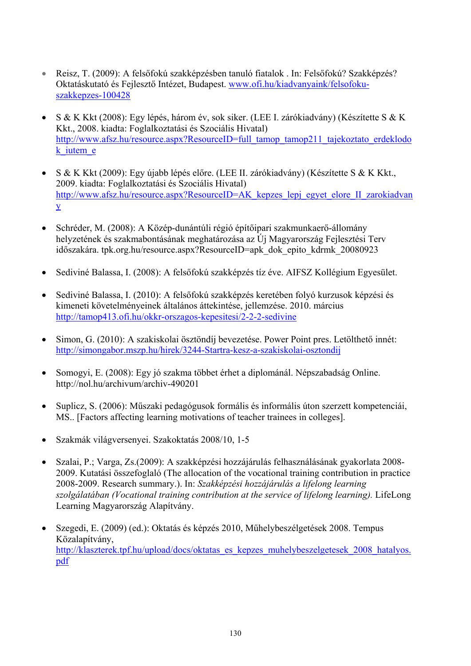- Reisz, T. (2009): A felsőfokú szakképzésben tanuló fiatalok . In: Felsőfokú? Szakképzés? Oktatáskutató és Fejlesztő Intézet, Budapest. [www.ofi.hu/kiadvanyaink/felsofoku](http://www.ofi.hu/kiadvanyaink/felsofoku-szakkepzes-100428)[szakkepzes-100428](http://www.ofi.hu/kiadvanyaink/felsofoku-szakkepzes-100428)
- S & K Kkt (2008): Egy lépés, három év, sok siker. (LEE I. zárókiadvány) (Készítette S & K Kkt., 2008. kiadta: Foglalkoztatási és Szociális Hivatal) [http://www.afsz.hu/resource.aspx?ResourceID=full\\_tamop\\_tamop211\\_tajekoztato\\_erdeklodo](http://www.afsz.hu/resource.aspx?ResourceID=full_tamop_tamop211_tajekoztato_erdeklodok_iutem_e) k iutem e
- S & K Kkt (2009): Egy újabb lépés előre. (LEE II. zárókiadvány) (Készítette S & K Kkt., 2009. kiadta: Foglalkoztatási és Szociális Hivatal) [http://www.afsz.hu/resource.aspx?ResourceID=AK\\_kepzes\\_lepj\\_egyet\\_elore\\_II\\_zarokiadvan](http://www.afsz.hu/resource.aspx?ResourceID=AK_kepzes_lepj_egyet_elore_II_zarokiadvany) [y](http://www.afsz.hu/resource.aspx?ResourceID=AK_kepzes_lepj_egyet_elore_II_zarokiadvany)
- Schréder, M. (2008): A Közép-dunántúli régió építőipari szakmunkaerő-állomány helyzetének és szakmabontásának meghatározása az Új Magyarország Fejlesztési Terv időszakára. tpk.org.hu/resource.aspx?ResourceID=apk\_dok\_epito\_kdrmk\_20080923
- Sediviné Balassa, I. (2008): A felsőfokú szakképzés tíz éve. AIFSZ Kollégium Egyesület.
- Sediviné Balassa, I. (2010): A felsőfokú szakképzés keretében folyó kurzusok képzési és kimeneti követelményeinek általános áttekintése, jellemzése. 2010. március <http://tamop413.ofi.hu/okkr-orszagos-kepesitesi/2-2-2-sedivine>
- Simon, G. (2010): A szakiskolai ösztöndíj bevezetése. Power Point pres. Letölthető innét: <http://simongabor.mszp.hu/hirek/3244-Startra-kesz-a-szakiskolai-osztondij>
- [Somogyi, E.](http://nol.hu/kereses/?w=cikk&a=Somogyi+Eszter) (2008): Egy jó szakma többet érhet a diplománál. Népszabadság Online. <http://nol.hu/archivum/archiv-490201>
- Suplicz, S. (2006): Műszaki pedagógusok formális és informális úton szerzett kompetenciái, MS.. [Factors affecting learning motivations of teacher trainees in colleges].
- Szakmák világversenyei. Szakoktatás 2008/10, 1-5
- Szalai, P.; Varga, Zs.(2009): A szakképzési hozzájárulás felhasználásának gyakorlata 2008- 2009. Kutatási összefoglaló (The allocation of the vocational training contribution in practice 2008-2009. Research summary.). In: *Szakképzési hozzájárulás a lifelong learning szolgálatában (Vocational training contribution at the service of lifelong learning).* LifeLong Learning Magyarország Alapítvány.
- Szegedi, E. (2009) (ed.): Oktatás és képzés 2010, Műhelybeszélgetések 2008. Tempus Közalapítvány, [http://klaszterek.tpf.hu/upload/docs/oktatas\\_es\\_kepzes\\_muhelybeszelgetesek\\_2008\\_hatalyos.](http://klaszterek.tpf.hu/upload/docs/oktatas_es_kepzes_muhelybeszelgetesek_2008_hatalyos.pdf) [pdf](http://klaszterek.tpf.hu/upload/docs/oktatas_es_kepzes_muhelybeszelgetesek_2008_hatalyos.pdf)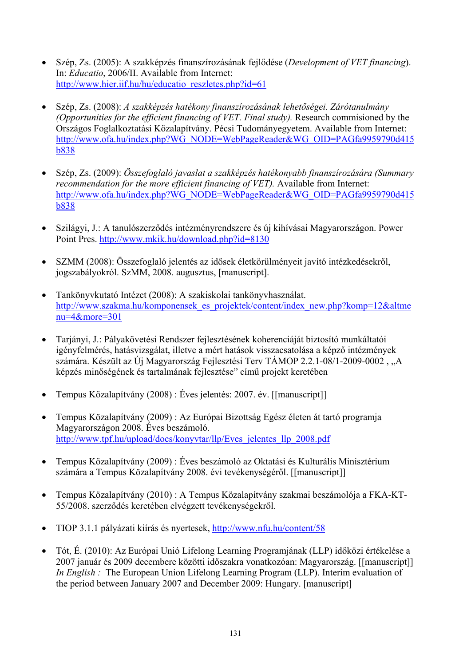- Szép, Zs. (2005): A szakképzés finanszírozásának fejlődése (*Development of VET financing*). In: *Educatio*, 2006/II. Available from Internet: http://www.hier.iif.hu/hu/educatio\_reszletes.php?id=61
- Szép, Zs. (2008): *A szakképzés hatékony finanszírozásának lehetőségei. Zárótanulmány (Opportunities for the efficient financing of VET. Final study).* Research commisioned by the Országos Foglalkoztatási Közalapítvány. Pécsi Tudományegyetem. Available from Internet: [http://www.ofa.hu/index.php?WG\\_NODE=WebPageReader&WG\\_OID=PAGfa9959790d415](http://www.ofa.hu/index.php?WG_NODE=WebPageReader&WG_OID=PAGfa9959790d415b838) [b838](http://www.ofa.hu/index.php?WG_NODE=WebPageReader&WG_OID=PAGfa9959790d415b838)
- Szép, Zs. (2009): *Összefoglaló javaslat a szakképzés hatékonyabb finanszírozására (Summary recommendation for the more efficient financing of VET).* Available from Internet: [http://www.ofa.hu/index.php?WG\\_NODE=WebPageReader&WG\\_OID=PAGfa9959790d415](http://www.ofa.hu/index.php?WG_NODE=WebPageReader&WG_OID=PAGfa9959790d415b838) [b838](http://www.ofa.hu/index.php?WG_NODE=WebPageReader&WG_OID=PAGfa9959790d415b838)
- Szilágyi, J.: A tanulószerződés intézményrendszere és új kihívásai Magyarországon. Power Point Pres. <http://www.mkik.hu/download.php?id=8130>
- SZMM (2008): Összefoglaló jelentés az idősek életkörülményeit javító intézkedésekről, jogszabályokról. SzMM, 2008. augusztus, [manuscript].
- Tankönyvkutató Intézet (2008): A szakiskolai tankönyvhasználat. [http://www.szakma.hu/komponensek\\_es\\_projektek/content/index\\_new.php?komp=12&altme](http://www.szakma.hu/komponensek_es_projektek/content/index_new.php?komp=12&altmenu=4&more=301) [nu=4&more=301](http://www.szakma.hu/komponensek_es_projektek/content/index_new.php?komp=12&altmenu=4&more=301)
- Tarjányi, J.: Pályakövetési Rendszer fejlesztésének koherenciáját biztosító munkáltatói igényfelmérés, hatásvizsgálat, illetve a mért hatások visszacsatolása a képző intézmények számára. Készült az Új Magyarország Fejlesztési Terv TÁMOP 2.2.1-08/1-2009-0002,  $.A$ képzés minőségének és tartalmának fejlesztése" című projekt keretében
- Tempus Közalapítvány (2008) : Éves jelentés: 2007. év. [[manuscript]]
- Tempus Közalapítvány (2009) : Az Európai Bizottság Egész életen át tartó programja Magyarországon 2008. Éves beszámoló. [http://www.tpf.hu/upload/docs/konyvtar/llp/Eves\\_jelentes\\_llp\\_2008.pdf](http://www.tpf.hu/upload/docs/konyvtar/llp/Eves_jelentes_llp_2008.pdf)
- Tempus Közalapítvány (2009) : Éves beszámoló az Oktatási és Kulturális Minisztérium számára a Tempus Közalapítvány 2008. évi tevékenységéről. [[manuscript]]
- Tempus Közalapítvány (2010) : A Tempus Közalapítvány szakmai beszámolója a FKA-KT-55/2008. szerződés keretében elvégzett tevékenységekről.
- TIOP 3.1.1 pályázati kiírás és nyertesek,<http://www.nfu.hu/content/58>
- Tót, É. (2010): Az Európai Unió Lifelong Learning Programjának (LLP) időközi értékelése a 2007 január és 2009 decembere közötti időszakra vonatkozóan: Magyarország. [[manuscript]] *In English* : The European Union Lifelong Learning Program (LLP). Interim evaluation of the period between January 2007 and December 2009: Hungary. [manuscript]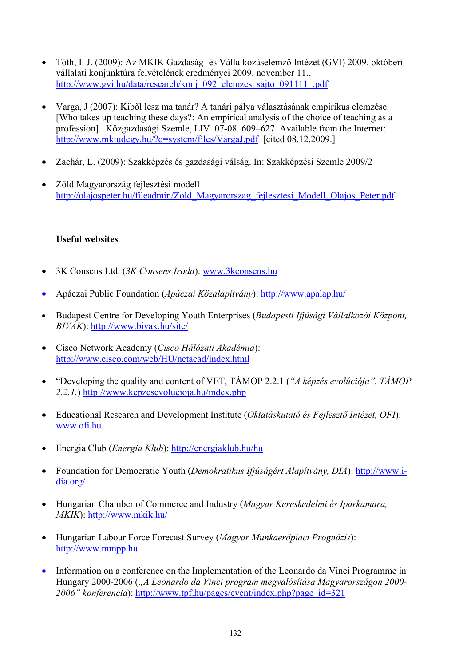- Tóth, I. J. (2009): Az MKIK Gazdaság- és Vállalkozáselemző Intézet (GVI) 2009. októberi vállalati konjunktúra felvételének eredményei 2009. november 11., [http://www.gvi.hu/data/research/konj\\_092\\_elemzes\\_sajto\\_091111\\_.pdf](http://www.gvi.hu/data/research/konj_092_elemzes_sajto_091111_.pdf)
- Varga, J (2007): Kiből lesz ma tanár? A tanári pálya választásának empirikus elemzése. [Who takes up teaching these days?: An empirical analysis of the choice of teaching as a profession]. Közgazdasági Szemle, LIV. 07-08. 609–627. Available from the Internet: <http://www.mktudegy.hu/?q=system/files/VargaJ.pdf>[cited 08.12.2009.]
- Zachár, L. (2009): Szakképzés és gazdasági válság. In: Szakképzési Szemle 2009/2
- Zöld Magyarország fejlesztési modell [http://olajospeter.hu/fileadmin/Zold\\_Magyarorszag\\_fejlesztesi\\_Modell\\_Olajos\\_Peter.pdf](http://olajospeter.hu/fileadmin/Zold_Magyarorszag_fejlesztesi_Modell_Olajos_Peter.pdf)

## **Useful websites**

- 3K Consens Ltd. (*3K Consens Iroda*): [www.3kconsens.hu](http://www.3kconsens.hu/)
- Apáczai Public Foundation (*Apáczai Közalapítvány*): <http://www.apalap.hu/>
- Budapest Centre for Developing Youth Enterprises (*Budapesti Ifjúsági Vállalkozói Központ, BIVÁK*): <http://www.bivak.hu/site/>
- Cisco Network Academy (*Cisco Hálózati Akadémia*): <http://www.cisco.com/web/HU/netacad/index.html>
- "Developing the quality and content of VET, TÁMOP 2.2.1 (*"A képzés evolúciója". TÁMOP 2.2.1.*) <http://www.kepzesevolucioja.hu/index.php>
- Educational Research and Development Institute (*Oktatáskutató és Fejlesztő Intézet, OFI*): [www.ofi.hu](http://www.ofi.hu/)
- Energia Club (*Energia Klub*): <http://energiaklub.hu/hu>
- Foundation for Democratic Youth (*Demokratikus Ifjúságért Alapítvány*, *DIA*): [http://www.i](http://www.i-dia.org/)[dia.org/](http://www.i-dia.org/)
- Hungarian Chamber of Commerce and Industry (*Magyar Kereskedelmi és Iparkamara, MKIK*):<http://www.mkik.hu/>
- Hungarian Labour Force Forecast Survey (*Magyar Munkaerőpiaci Prognózis*): [http://www.mmpp.hu](http://www.mmpp.hu/)
- Information on a conference on the Implementation of the Leonardo da Vinci Programme in Hungary 2000-2006 (*"A Leonardo da Vinci program megvalósítása Magyarországon 2000- 2006" konferencia*): [http://www.tpf.hu/pages/event/index.php?page\\_id=321](http://www.tpf.hu/pages/event/index.php?page_id=321)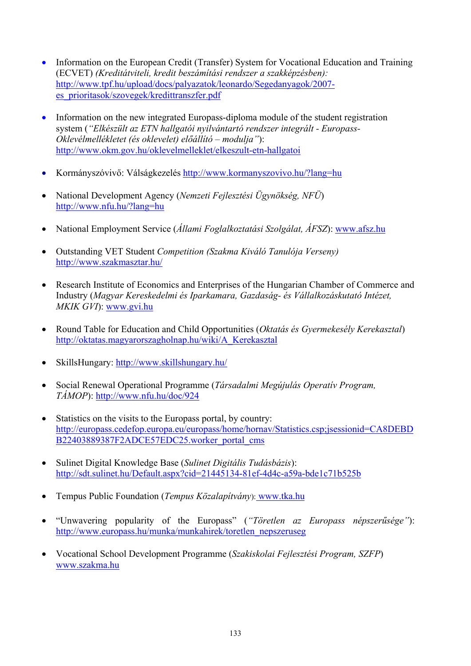- Information on the European Credit (Transfer) System for Vocational Education and Training (ECVET) *(Kreditátviteli, kredit beszámítási rendszer a szakképzésben):*  [http://www.tpf.hu/upload/docs/palyazatok/leonardo/Segedanyagok/2007](http://www.tpf.hu/upload/docs/palyazatok/leonardo/Segedanyagok/2007-es_prioritasok/szovegek/kredittranszfer.pdf) [es\\_prioritasok/szovegek/kredittranszfer.pdf](http://www.tpf.hu/upload/docs/palyazatok/leonardo/Segedanyagok/2007-es_prioritasok/szovegek/kredittranszfer.pdf)
- Information on the new integrated Europass-diploma module of the student registration system (*"Elkészült az ETN hallgatói nyilvántartó rendszer integrált - Europass-Oklevélmellékletet (és oklevelet) előállító – modulja"*): <http://www.okm.gov.hu/oklevelmelleklet/elkeszult-etn-hallgatoi>
- Kormányszóvivő: Válságkezelés<http://www.kormanyszovivo.hu/?lang=hu>
- National Development Agency (*Nemzeti Fejlesztési Ügynökség, NFÜ*) <http://www.nfu.hu/?lang=hu>
- National Employment Service (*Állami Foglalkoztatási Szolgálat, ÁFSZ*): [www.afsz.hu](http://www.afsz.hu/)
- Outstanding VET Student *Competition (Szakma Kiváló Tanulója Verseny)*  <http://www.szakmasztar.hu/>
- Research Institute of Economics and Enterprises of the Hungarian Chamber of Commerce and Industry (*Magyar Kereskedelmi és Iparkamara, Gazdaság- és Vállalkozáskutató Intézet, MKIK GVI*): [www.gvi.hu](http://www.gvi.hu/)
- Round Table for Education and Child Opportunities (*Oktatás és Gyermekesély Kerekasztal*) [http://oktatas.magyarorszagholnap.hu/wiki/A\\_Kerekasztal](http://oktatas.magyarorszagholnap.hu/wiki/A_Kerekasztal)
- SkillsHungary: <http://www.skillshungary.hu/>
- Social Renewal Operational Programme (*Társadalmi Megújulás Operatív Program, TÁMOP*):<http://www.nfu.hu/doc/924>
- Statistics on the visits to the Europass portal, by country: [http://europass.cedefop.europa.eu/europass/home/hornav/Statistics.csp;jsessionid=CA8DEBD](http://europass.cedefop.europa.eu/europass/home/hornav/Statistics.csp;jsessionid=CA8DEBDB22403889387F2ADCE57EDC25.worker_portal_cms) [B22403889387F2ADCE57EDC25.worker\\_portal\\_cms](http://europass.cedefop.europa.eu/europass/home/hornav/Statistics.csp;jsessionid=CA8DEBDB22403889387F2ADCE57EDC25.worker_portal_cms)
- Sulinet Digital Knowledge Base (*Sulinet Digitális Tudásbázis*): <http://sdt.sulinet.hu/Default.aspx?cid=21445134-81ef-4d4c-a59a-bde1c71b525b>
- Tempus Public Foundation (*Tempus Közalapítvány*): [www.tka.hu](http://www.tka.hu/)
- "Unwavering popularity of the Europass" (*"Töretlen az Europass népszerűsége"*): [http://www.europass.hu/munka/munkahirek/toretlen\\_nepszeruseg](http://www.europass.hu/munka/munkahirek/toretlen_nepszeruseg)
- Vocational School Development Programme (*Szakiskolai Fejlesztési Program, SZFP*) [www.szakma.hu](http://www.szakma.hu/)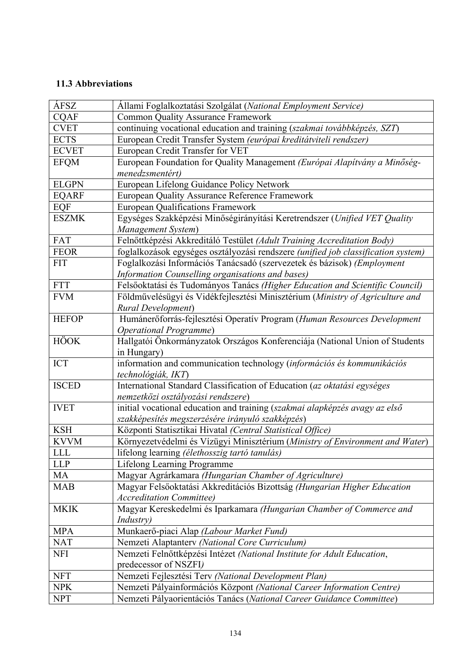## **11.3 Abbreviations**

| ÁFSZ         | Állami Foglalkoztatási Szolgálat (National Employment Service)                    |
|--------------|-----------------------------------------------------------------------------------|
| <b>CQAF</b>  | <b>Common Quality Assurance Framework</b>                                         |
| <b>CVET</b>  | continuing vocational education and training (szakmai továbbképzés, SZT)          |
| <b>ECTS</b>  | European Credit Transfer System (európai kreditátviteli rendszer)                 |
| <b>ECVET</b> | European Credit Transfer for VET                                                  |
| <b>EFQM</b>  | European Foundation for Quality Management (Európai Alapítvány a Minőség-         |
|              | menedzsmentért)                                                                   |
| <b>ELGPN</b> | European Lifelong Guidance Policy Network                                         |
| <b>EQARF</b> | European Quality Assurance Reference Framework                                    |
| EQF          | <b>European Qualifications Framework</b>                                          |
| <b>ESZMK</b> | Egységes Szakképzési Minőségirányítási Keretrendszer (Unified VET Quality         |
|              | Management System)                                                                |
| FAT          | Felnőttképzési Akkreditáló Testület (Adult Training Accreditation Body)           |
| <b>FEOR</b>  | foglalkozások egységes osztályozási rendszere (unified job classification system) |
| <b>FIT</b>   | Foglalkozási Információs Tanácsadó (szervezetek és bázisok) (Employment           |
|              | Information Counselling organisations and bases)                                  |
| <b>FTT</b>   | Felsőoktatási és Tudományos Tanács (Higher Education and Scientific Council)      |
| <b>FVM</b>   | Földművelésügyi és Vidékfejlesztési Minisztérium (Ministry of Agriculture and     |
|              | <b>Rural Development</b> )                                                        |
| <b>HEFOP</b> | Humánerőforrás-fejlesztési Operatív Program (Human Resources Development          |
|              | <b>Operational Programme)</b>                                                     |
| <b>HÖOK</b>  | Hallgatói Önkormányzatok Országos Konferenciája (National Union of Students       |
|              | in Hungary)                                                                       |
| <b>ICT</b>   | information and communication technology (információs és kommunikációs            |
|              | technológiák, IKT)                                                                |
| <b>ISCED</b> | International Standard Classification of Education (az oktatási egységes          |
|              | nemzetközi osztályozási rendszere)                                                |
| <b>IVET</b>  | initial vocational education and training (szakmai alapképzés avagy az első       |
|              | szakképesítés megszerzésére irányuló szakképzés)                                  |
| <b>KSH</b>   | Központi Statisztikai Hivatal (Central Statistical Office)                        |
| <b>KVVM</b>  | Környezetvédelmi és Vízügyi Minisztérium (Ministry of Environment and Water)      |
| <b>LLL</b>   | lifelong learning (élethosszig tartó tanulás)                                     |
| <b>LLP</b>   | Lifelong Learning Programme                                                       |
| MA           | Magyar Agrárkamara (Hungarian Chamber of Agriculture)                             |
| <b>MAB</b>   | Magyar Felsőoktatási Akkreditációs Bizottság (Hungarian Higher Education          |
|              | <b>Accreditation Committee)</b>                                                   |
| <b>MKIK</b>  | Magyar Kereskedelmi és Iparkamara (Hungarian Chamber of Commerce and              |
|              | <i>Industry</i> )                                                                 |
| <b>MPA</b>   | Munkaerő-piaci Alap (Labour Market Fund)                                          |
| <b>NAT</b>   | Nemzeti Alaptanterv (National Core Curriculum)                                    |
| <b>NFI</b>   | Nemzeti Felnőttképzési Intézet (National Institute for Adult Education,           |
|              | predecessor of NSZFI)                                                             |
| <b>NFT</b>   | Nemzeti Fejlesztési Terv (National Development Plan)                              |
| <b>NPK</b>   | Nemzeti Pályainformációs Központ (National Career Information Centre)             |
| <b>NPT</b>   | Nemzeti Pályaorientációs Tanács (National Career Guidance Committee)              |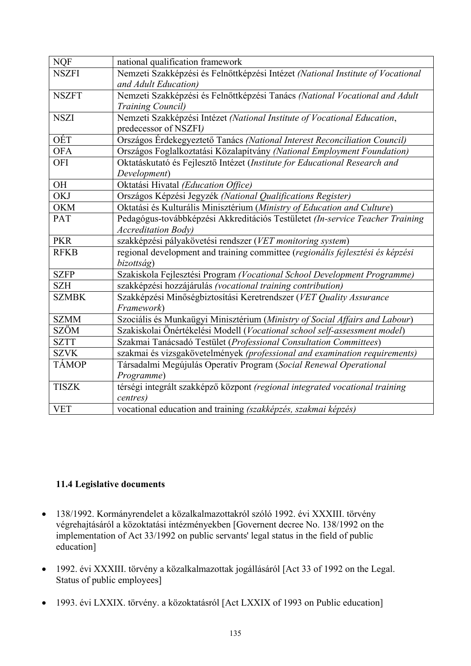| <b>NQF</b>   | national qualification framework                                                |
|--------------|---------------------------------------------------------------------------------|
| <b>NSZFI</b> | Nemzeti Szakképzési és Felnőttképzési Intézet (National Institute of Vocational |
|              | and Adult Education)                                                            |
| <b>NSZFT</b> | Nemzeti Szakképzési és Felnőttképzési Tanács (National Vocational and Adult     |
|              | <b>Training Council)</b>                                                        |
| <b>NSZI</b>  | Nemzeti Szakképzési Intézet (National Institute of Vocational Education,        |
|              | predecessor of NSZFI)                                                           |
| OÉT          | Országos Érdekegyeztető Tanács (National Interest Reconciliation Council)       |
| <b>OFA</b>   | Országos Foglalkoztatási Közalapítvány (National Employment Foundation)         |
| <b>OFI</b>   | Oktatáskutató és Fejlesztő Intézet (Institute for Educational Research and      |
|              | Development)                                                                    |
| OH           | Oktatási Hivatal (Education Office)                                             |
| <b>OKJ</b>   | Országos Képzési Jegyzék (National Qualifications Register)                     |
| <b>OKM</b>   | Oktatási és Kulturális Minisztérium (Ministry of Education and Culture)         |
| PAT          | Pedagógus-továbbképzési Akkreditációs Testületet (In-service Teacher Training   |
|              | <b>Accreditation Body</b> )                                                     |
| <b>PKR</b>   | szakképzési pályakövetési rendszer (VET monitoring system)                      |
| <b>RFKB</b>  | regional development and training committee (regionális fejlesztési és képzési  |
|              | bizottság)                                                                      |
| <b>SZFP</b>  | Szakiskola Fejlesztési Program (Vocational School Development Programme)        |
| <b>SZH</b>   | szakképzési hozzájárulás (vocational training contribution)                     |
| <b>SZMBK</b> | Szakképzési Minőségbiztosítási Keretrendszer (VET Quality Assurance             |
|              | Framework)                                                                      |
| <b>SZMM</b>  | Szociális és Munkaügyi Minisztérium (Ministry of Social Affairs and Labour)     |
| <b>SZÖM</b>  | Szakiskolai Önértékelési Modell (Vocational school self-assessment model)       |
| <b>SZTT</b>  | Szakmai Tanácsadó Testület (Professional Consultation Committees)               |
| <b>SZVK</b>  | szakmai és vizsgakövetelmények (professional and examination requirements)      |
| <b>TÁMOP</b> | Társadalmi Megújulás Operatív Program (Social Renewal Operational               |
|              | Programme)                                                                      |
| <b>TISZK</b> | térségi integrált szakképző központ (regional integrated vocational training    |
|              | centres)                                                                        |
| <b>VET</b>   | vocational education and training (szakképzés, szakmai képzés)                  |

## **11.4 Legislative documents**

- 138/1992. Kormányrendelet a közalkalmazottakról szóló 1992. évi XXXIII. törvény végrehajtásáról a közoktatási intézményekben [Governent decree No. 138/1992 on the implementation of Act 33/1992 on public servants' legal status in the field of public education]
- 1992. évi XXXIII. törvény a közalkalmazottak jogállásáról [Act 33 of 1992 on the Legal. Status of public employees]
- 1993. évi LXXIX. törvény. a közoktatásról [Act LXXIX of 1993 on Public education]